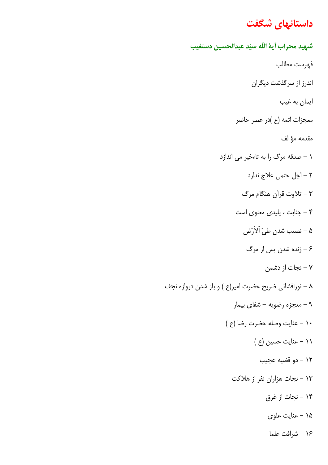# <mark>داستانهای شگفت</mark>

شبهيد محراب آية الله سيّد عبدالحسين دستغيب فهرست مطالب اندرز از سرگذشت دیگران ایمان به غیب معجزات ائمه (ع )در عصر حاضر مقدمه مؤ لف ۱ - صدقه مرگ را به تاءخیر می اندازد ۲ – اجل حتمی علاج ندارد ۳ – تلاوت قرآن هنگام مرگ ۴ - جنابت ، پلیدی معنوی است ۵ – نصيب شدن طيّ ألاَرْض ۶ – زنده شدن پس از مرگ ۷ – نجات از دشمن ٨ – نورافشاني ضريح حضرت امير(ع ) و باز شدن دروازه نجف ۹ – معجزه رضویه – شفای بیمار ١٠ - عنايت وصله حضرت رضا (ع ) ۱۱ – عنایت حسین (ع ) ١٢ - دو قضيه عجيب ۱۳ - نجات هزاران نفر از هلاکت ۱۴ – نجات از غرق ۱۵ - عنایت علوی ۱۶ - شرافت علما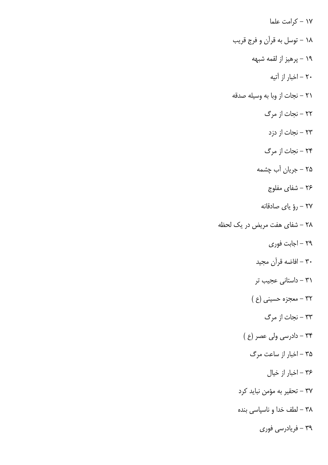۱۷ – کرامت علما ۱۸ – توسل به قرآن و فرج قریب ۱۹ – پرهيز از لقمه شبهه ۲۰ – اخبار از آتیه ۲۱ – نجات از وبا به وسیله صدقه ۲۲ – نجات از مرگ ۲۳ – نجات از دزد ۲۴ – نجات از مرگ ۲۵ – جریان آب چشمه ۲۶ – شفای مفلوج ٢٧ - رؤ ياي صادقانه ۲۸ – شفای هفت مریض در یک لحظه ٢٩ – اجابت فوري ۳۰ – افاضه قرآن مجيد ۳۱ – داستانی عجیب تر ۳۲ - معجزه حسینی (ع) ۳۳ – نجات از مرگ ۳۴ - دادرسی ولی عصر (ع) ۳۵ – اخبار از ساعت مرگ ٣۶ - اخبار از خيال ۳۷ – تحقیر به مؤمن نباید کرد ۳۸ – لطف خدا و ناسپاسی بنده ۳۹ – فریادرسی فوری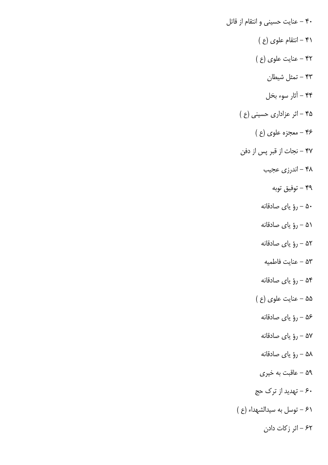۴۰ – عنايت حسيني و انتقام از قاتل ۴۱ – انتقام علوی (ع ) ۴۲ - عنایت علوی (ع ) ۴۳ – تمثل شیطان ۴۴ – آثار سوء بخل ۴۵ - اثر عزاداری حسینی (ع ) ۴۶ - معجزه علوی (ع ) ۴۷ – نجات از قبر پس از دفن ۴۸ – اندرزي عجيب ۴۹ – توفيق توبه ۵۰ – رؤ ياي صادقانه ۵۱ – رؤ ياي صادقانه ۵۲ – رؤ ياي صادقانه ۵۳ – عنايت فاطميه ۵۴ - رؤ ياي صادقانه ۵۵ – عنایت علوی (ع ) ۵۶ – رؤ ياي صادقانه ۵۷ – رؤ ياي صادقانه ۵۸ – رؤ ياي صادقانه ۵۹ – عاقبت به خیری ۶۰ – تهدید از ترک حج ۶۱ - توسل به سيدالشهداء (ع) ۶۲ – اثر زکات دادن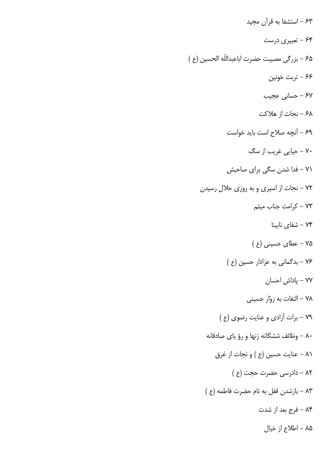۶۳ – استشفا به قرآن مجید ۶۴ - تعبیری درست ۶۵ – بزرگی مصیبت حضرت اباعبداللّه الحسین (ع) ۶۶ – تربت خونین ۶۷ – حسابی عجیب ۶۸ – نجات از هلاكت ۶۹ – آنچه صلاح است باید خواست ۷۰ – حیای<sub>م</sub> غریب از سگ ۷۱ – فدا شدن سگی برای صاحبش ۷۲ – نجات از اسیری و به روزی حلال رسیدن ۷۳ - كرامت جناب ميثم تىفاي نابينا M۴ ۷۵ - عطای حسینی (ع) ۷۶ - بدگمانی به عزادار حسین (ع) ٧٧ – ياداش احسان ۷۸ – التفات به زوّار حسینی ٧٩ - برات آزادي و عنايت رضوي (ع ) ۸۰ – وظائف ششگانه زنها و رؤ یای صادقانه ٨١ – عنايت حسين (ع ) و نجات از غرق ٨٢ - دادرسي حضرت حجت (ع ) ٨٣ - بازشدن قفل به نام حضرت فاطمه (ع ) ۸۴ - فرج بعد از شدت ۸۵ – اطلاع از خیال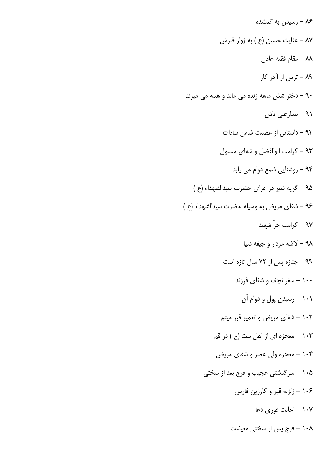۸۶ – رسیدن به گمشده ٨٧ – عنايت حسين (ع ) به زوار قبرش ٨٨ – مقام فقيه عادل ۸۹ – ترس از آخر کار ۹۰ – دختر شش ماهه زنده می ماند و همه می میرند ۹۱ - بیدارعلی باش ۹۲ – داستانی از عظمت شاءن سادات ۹۳ – کرامت ابوالفضل و شفای مسلول ۹۴ - روشنایی شمع دوام می یابد ۹۵ - گریه شیر در عزای حضرت سیدالشهداء (ع) ۹۶ - شفای مریض به وسیله حضرت سیدالشهداء (ع) ۹۷ – کرامت حرّ شهید ۹۸ – لاشه مردار و جیفه دنیا ۹۹ – جنازه پس از ۷۲ سال تازه است ۱۰۰ – سفر نجف و شفای فرزند ۱۰۱ - رسیدن پول و دوام آن ۱۰۲ – شفای مریض و تعمیر قبر میثم ۱۰۳ - معجزه ای از اهل بیت (ع ) در قم ۱۰۴ - معجزه ولي عصر و شفاي مريض ۰۰۵ – سرگذشتی عجیب و فرج بعد از سختی ۱۰۶ – زلزله قیر و کارزین فارس ۱۰۷ – اجابت فوری دعا ۱۰۸ – فرج پس از سختی معیشت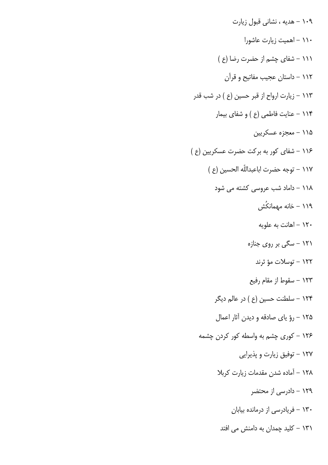۱۰۹ - هدیه ، نشانی قبول زیارت ۱۱۰ – اهمیت زیارت عاشورا ١١١ - شفاى چشم از حضرت رضا (ع) ۱۱۲ - داستان عجیب مفاتیح و قرآن ۱۱۳ – زیارت ارواح از قبر حسین (ع ) در شب قدر ۱۱۴ - عنایت فاطمی (ع ) و شفای بیمار ۱۱۵ – معجزه عسکريين ۱۱۶ – شفای کور به برکت حضرت عسکریین (ع ) ١١٧ – توجه حضرت اباعبداللّه الحسين (ع ) ۱۱۸ – داماد شب عروسی کشته می شود ۱۱۹ – خانه مهمانکُش ۱۲۰ – اهانت به علویه ۱۲۱ – سگی بر روی جنازه ۱۲۲ – توسلات مؤ ثرند ۱۲۳ – سقوط از مقام رفیع ۱۲۴ – سلطنت حسین (ع ) در عالم دیگر ۱۲۵ - رؤ پای صادقه و دیدن آثار اعمال ۱۲۶ – کوری چشم به واسطه کور کردن چشمه ۱۲۷ – توفیق زیارت و پذیرایی ١٢٨ - آماده شدن مقدمات زيارت كربلا ۱۲۹ – دادرسی از محتضر ۱۳۰ – فریادرسی از درمانده بیابان ۱۳۱ – کلید چمدان به دامنش می افتد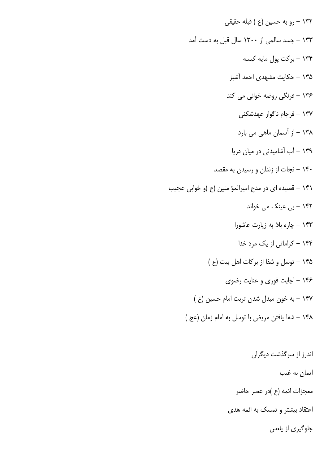۱۳۲ – رو به حسین (ع ) قبله حقیقی ۱۳۳ – جسد سالمی از ۱۳۰۰ سال قبل به دست آمد ۱۳۴ - بركت يول مايه كيسه ۱۳۵ – حکایت مشهدی احمد آشپز ۱۳۶ – فرنگی روضه خوانی می کند ۱۳۷ – فرجام ناگوار عهدشکنی ۱۳۸ – از آسمان ماهی می بارد ۱۳۹ – آب آشامیدنی در میان دریا ۱۴۰ – نجات از زندان و رسیدن به مقصد ۱۴۱ – قصیده ای در مدح امیرالمؤ منین (ع )و خوابی عجیب ۱۴۲ - بی عینک می خواند ۱۴۳ – چاره بلا به زیارت عاشورا ۱۴۴ – کراماتی از یک مرد خدا ۱۴۵ - توسل و شفا از بركات اهل بيت (ع ) ۱۴۶ – اجابت فوری و عنایت رضوی ۱۴۷ – به خون مبدل شدن تربت امام حسین (ع) ١۴٨ - شفا يافتن مريض با توسل به امام زمان (عج )

> اندرز از سرگذشت دیگران ايمان به غيب معجزات ائمه (ع )در عصر حاضر اعتقاد بیشتر و تمسک به ائمه هدی جلوگیری از پاءس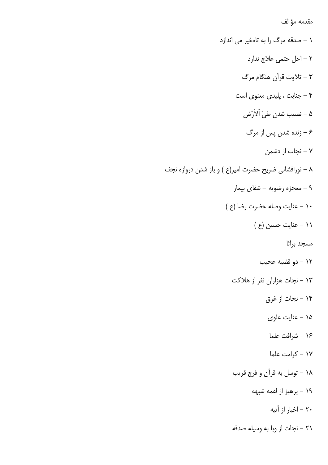مقدمه مؤ لف

١ - صدقه مرگ را به تاءخير مي اندازد ۲ – اجل حتمی علاج ندارد ۳ – تلاوت قرآن هنگام مرگ ۴ - جنابت ، پلیدی معنوی است ۵ – نصيب شدن طيّ اْلاَرْض ۶ – زنده شدن پس از مرگ - نجات از دشمن  $-$  ۷ ۸ – نورافشانی ضریح حضرت امیر(ع ) و باز شدن دروازه نجف ۹ – معجزه رضويه – شفاي بيمار ١٠ - عنايت وصله حضرت رضا (ع ) ١١ - عنايت حسين (ع ) مسجد براثا ١٢ – دو قضيه عجيب ۱۳ - نجات هزاران نفر از هلاكت ۱۴ – نجات از غرق ۱۵ - عنايت علوي ۱۶ – شرافت علما ۱۷ - كرامت علما ۱۸ - توسل به قرآن و فرج قریب ۱۹ – پرهيز از لقمه شبهه ۲۰ – اخبار از آتیه ٢١ – نجات از وبا به وسيله صدقه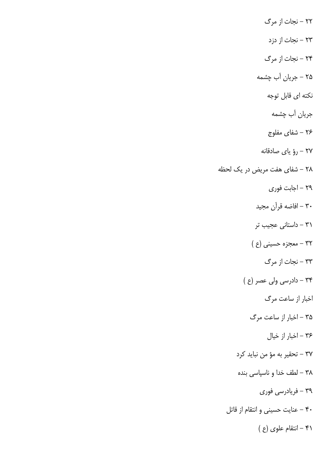۲۲ – نجات از مرگ ۲۳ – نجات از دزد ۲۴ – نجات از مرگ ۲۵ – جریان آب چشمه نکته ای قابل توجه جریان آب چشمه ۲۶ – شفای مفلوج ٢٧ - رؤ ياي صادقانه ٢٨ – شفاى هفت مريض در يک لحظه ٢٩ – اجابت فوري ۳۰ – افاضه قرآن مجيد ۳۱ – داستانی عجیب تر ۳۲ - معجزه حسینی (ع ) ۳۳ – نجات از مرگ ۳۴ – دادرسی ولی عصر (ع ) اخبار از ساعت مرگ ۳۵ – اخبار از ساعت مرگ ۳۶ - اخبار از خيال ٣٧ – تحقير به مؤ من نبايد كرد ۳۸ – لطف خدا و ناسپاسی بنده ۳۹ – فریادرسی فوری ۴۰ - عنايت حسيني و انتقام از قاتل ۴۱ - انتقام علوی (ع )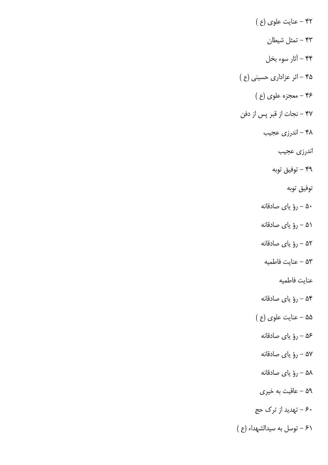۴۲ - عنایت علوی (ع ) ۴۳ – تمثل شیطان ۴۴ – أثار سوء بخل ۴۵ - اثر عزاداری حسینی (ع ) ۴۶ - معجزه علوی (ع ) ۴۷ – نجات از قبر پس از دفن ۴۸ – اندرزي عجيب اندرزي عجيب ۴۹ – توفيق توبه توفيق توبه ۵۰ - رؤ ياي صادقانه ۵۱ – رؤ ياي صادقانه ۵۲ – رؤ ياي صادقانه ۵۳ – عنايت فاطميه عنايت فاطميه ۵۴ - رؤ ياي صادقانه ۵۵ – عنایت علوی (ع ) ۵۶ – رؤ ياي صادقانه ۵۷ - رؤ ياي صادقانه ۵۸ – رؤ ياي صادقانه ۵۹ - عاقبت به خیری ۶۰ – تهدید از ترک حج ۶۱ - توسل به سيدالشهداء (ع)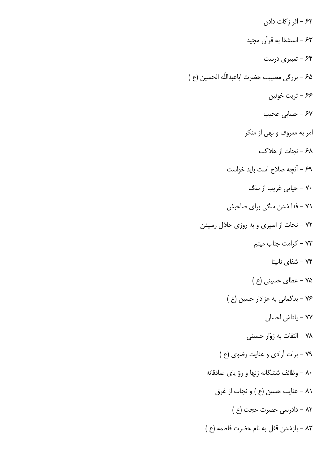۶۲ – اثر زکات دادن ۶۳ – استشفا به قرآن مجید ۶۴ - تعبیری درست 8م – بزرگی مصیبت حضرت اباعبداللّه الحسین (ع ) ۶۶ – تربت خونین ۶۷ – حسابی عجیب امر به معروف و نهي از منكر ۶۸ – نجات از هلاکت ۶۹ – آنچه صلاح است باید خواست ۷۰ – حیای<sub>م</sub> غریب از سگ ۷۱ – فدا شدن سگی برای صاحبش ٧٢ - نجات از اسيري و به روزي حلال رسيدن ۷۳ - كرامت جناب ميثم تشفای نابینا – ۷۴ ۷۵ - عطای حسینی (ع) ۷۶ - بدگمانی به عزادار حسین (ع) ٧٧ – ياداش احسان ۷۸ – التفات به زوّار حسینی ٧٩ - برات آزادي و عنايت رضوي (ع ) ۸۰ – وظائف ششگانه زنها و رؤ یای صادقانه ٨١ – عنايت حسين (ع ) و نجات از غرق ٨٢ - دادرسي حضرت حجت (ع ) ٨٣ - بازشدن قفل به نام حضرت فاطمه (ع )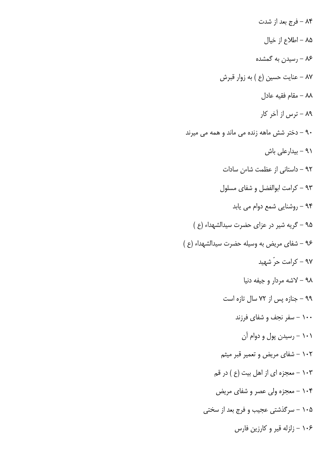۸۴ – فرج بعد از شدت ٨۵ – اطلاع از خيال ۸۶ – رسیدن به گمشده ٨٧ – عنايت حسين (ع ) به زوار قبرش ٨٨ – مقام فقيه عادل ۸۹ – ترس از آخر کار ۹۰ – دختر شش ماهه زنده می ماند و همه می میرند ۹۱ - بیدارعلی باش ۹۲ – داستانی از عظمت شاءن سادات ۹۳ – کرامت ابوالفضل و شفای مسلول ۹۴ - روشنایی شمع دوام می یابد ۹۵ - گریه شیر در عزای حضرت سیدالشهداء (ع) ۹۶ - شفای مریض به وسیله حضرت سیدالشهداء (ع) ۹۷ – کرامت حرّ شهید ۹۸ – لاشه مردار و جیفه دنیا ۹۹ - جنازه پس از ۷۲ سال تازه است ۱۰۰ – سفر نجف و شفای فرزند ۱۰۱ – رسیدن پول و دوام آن ۱۰۲ – شفای مریض و تعمیر قبر میثم ۱۰۳ - معجزه ای از اهل بیت (ع ) در قم ۱۰۴ - معجزه ولي عصر و شفاي مريض ۱۰۵ – سرگذشتی عجیب و فرج بعد از سختی ۱۰۶ - زلزله قیر و کارزین فارس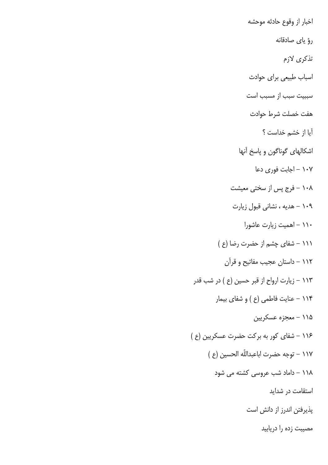اخبار از وقوع حادثه موحشه رؤ ياي صادقانه تذكري لازم اسباب طبیعی برای حوادث سببیت سبب از مسبب است هفت خصلت شرط حوادث آيا از خشم خداست ؟ اشکالهای گوناگون و پاسخ آنها ۱۰۷ – اجابت فوری دعا ۱۰۸ – فرج پس از سختی معیشت ۱۰۹ - هدیه ، نشانی قبول زیارت ۱۱۰ – اهمیت زیارت عاشورا ۱۱۱ – شفای چشم از حضرت رضا (ع ) ۱۱۲ – داستان عجیب مفاتیح و قرآن ۱۱۳ – زیارت ارواح از قبر حسین (ع ) در شب قدر ۱۱۴ - عنایت فاطمی (ع ) و شفای بیمار ۱۱۵ - معجزه عسکریین ۱۱۶ – شفای کور به برکت حضرت عسکریین (ع) ١١٧ – توجه حضرت اباعبداللّه الحسين (ع ) ۱۱۸ – داماد شب عروسی کشته می شود استقامت در شداید پذیرفتن اندرز از دانش است مصیبت زده را دریابید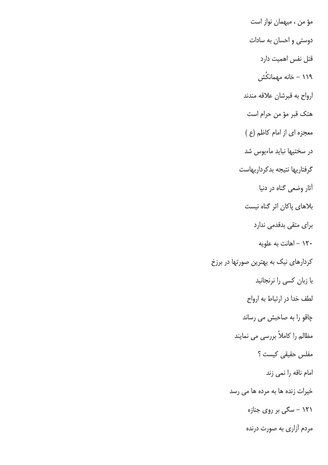مؤ من ، میهمان نواز است دوستی و احسان به سادات قتل نفس اهمیت دارد ۱۱۹ – خانه مهمانکُش ارواح به قبرشان علاقه مندند هتک قبر مؤ من حرام است معجزه ای از امام کاظم (ع ) در سختیها نباید ماءیوس شد گرفتاریها نتیجه بدکرداریهاست آثار وضعی گناه در دنیا بلاهای پاکان اثر گناه نیست برای متقی بدقدمی ندارد ۱۲۰ – اهانت به علویه کردارهای نیک به بهترین صورتها در برزخ با زبان کسی را نرنجانید لطف خدا در ارتباط به ارواح چاقو را به صاحبش می رساند مظالم را کاملاً بررسی می نمایند مفلس حقیقی کیست ؟ امام ناقه را نمي زند خیرات زنده ها به مرده ها می رسد ۱۲۱ – سگی بر روی جنازه مردم آزاری به صورت درنده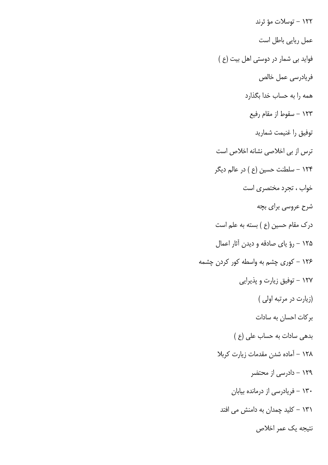۱۲۲ – توسلات مؤ ثرند عمل ريايي باطل است فواید بی شمار در دوستی اهل بیت (ع) فريادرسي عمل خالص همه را به حساب خدا بگذارد ۱۲۳ – سقوط از مقام رفیع توفيق را غنيمت شماريد ترس از بی اخلاصی نشانه اخلاص است ۱۲۴ – سلطنت حسین (ع ) در عالم دیگر خواب ، تجرد مختصری است شرح عروسی برای بچه درک مقام حسین (ع ) بسته به علم است ۱۲۵ - رؤ ياي صادقه و ديدن آثار اعمال ۱۲۶ – کوری چشم به واسطه کور کردن چشمه ۱۲۷ – توفیق زیارت و پذیرایی (زیارت در مرتبه اولی) بر کات احسان به سادات بدهی سادات به حساب علی (ع) ۱۲۸ - آماده شدن مقدمات زیارت کربلا ۱۲۹ – دادرسی از محتضر ۱۳۰ – فریادرسی از درمانده بیابان ۱۳۱ – کلید چمدان به دامنش می افتد نتيجه يک عمر اخلاص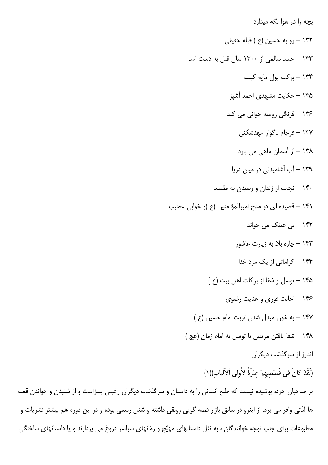بچه را در هوا نگه میدارد ١٣٢ – رو به حسين (ع ) قبله حقيقى ۱۳۳ – جسد سالمی از ۱۳۰۰ سال قبل به دست آمد ۱۳۴ - برکت یول مایه کیسه ۱۳۵ – حکایت مشهدی احمد آشیز ۱۳۶ – فرنگی روضه خوانی می کند ۱۳۷ – فرجام ناگوار عهدشکنی ۱۳۸ – از آسمان ماهی می بارد ۱۳۹ – آب آشامیدنی در میان دریا ۱۴۰ – نجات از زندان و رسیدن به مقصد ۱۴۱ – قصیده ای در مدح امیرالمؤ منین (ع )و خوابی عجیب ۱۴۲ – بی عینک می خواند ۱۴۳ - چاره بلا به زیارت عاشورا ۱۴۴ – کراماتی از یک مرد خدا ۱۴۵ - توسل و شفا از بر کات اهل بیت (ع) ۱۴۶ - اجابت فوری و عنایت رضوی ۱۴۷ – به خون مبدل شدن تربت امام حسین (ع) ١۴٨ - شفا يافتن مريض با توسل به امام زمان (عج) اندرز از سرگذشت دیگران (لَقَدْ كانَ في قَصَصهمْ عبْرَةٌ لاُولى ألاَلْباب)(١) بر صاحبان خرد، پوشیده نیست که طبع انسانی را به داستان و سرگذشت دیگران رغبتی بسزاست و از شنیدن و خواندن قصه ها لذتی وافر می برد، از اینرو در سابق بازار قصه گویی رونقی داشته و شغل رسمی بوده و در این دوره هم بیشتر نشریات و مطبوعات برای جلب توجه خوانندگان ، به نقل داستانهای مهیّج و رمّانهای سراسر دروغ می پردازند و یا داستانهای ساختگی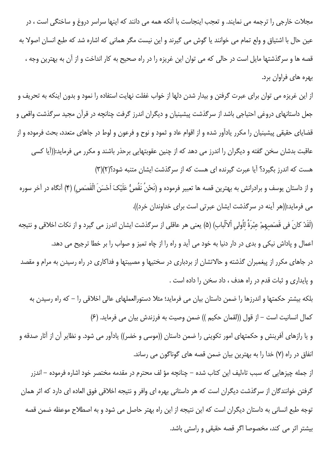مجلات خارجی را ترجمه می نمایند. و تعجب اینجاست با آنکه همه می دانند که اینها سراسر دروغ و ساختگی است ، در عین حال با اشتیاق و ولع تمام می خوانند یا گوش می گیرند و این نیست مگر همانی که اشاره شد که طبع انسان اصولا به قصه ها و سرگذشتها مایل است در حالی که می توان این غریزه را در راه صحیح به کار انداخت و از آن به بهترین وجه ، بهره های فراوان برد.

از این غریزه می توان برای عبرت گرفتن و بیدار شدن دلها از خواب غفلت نهایت استفاده را نمود و بدون اینکه به تحریف و جعل داستانهای دروغی احتیاجی باشد از سرگذشت پیشینیان و دیگران اندرز گرفت چنانچه در قرآن مجید سرگذشت واقعی و قضایای حقیقی پیشینیان را مکرر یادآور شده و از اقوام عاد و ثمود و نوح و فرعون و لوط در جاهای متعدد، بحث فرموده و از عاقبت بدشان سخن گفته و دیگران را اندرز می دهد که از چنین عقوبتهایی برحذر باشند و مکرر می فرماید:((آیا کسی هست که اندرز بگیرد؟ آیا عبرت گیرنده ای هست که از سرگذشت ایشان متنبه شود؟(٢)(٣)

و از داستان یوسف و برادرانش به بهترین قصه ها تعبیر فرموده و (نَحْنُ نَقُصُّ عَلَیْکَ اَحْسَنَ الْقَصَص) (۴) آنگاه در آخر سوره می فرماید:((هر آینه در سرگذشت ایشان عبرتی است برای خداوندان خرد)).

(لَقَدْ كانَ في قَصَصِهِمْ عِبْرَةٌ لِلُولي ألاّلْبابِ) (۵) يعني هر عاقلي از سرگذشت ايشان اندرز مي گيرد و از نكات اخلاقي و نتيجه اعمال و پاداش نیکی و بدی در دار دنیا به خود می آید و راه را از چاه تمیز و صواب را بر خطا ترجیح می دهد.

در جاهای مکرر از پیغمبران گذشته و حالاتشان از بردباری در سختیها و مصیبتها و فداکاری در راه رسیدن به مرام و مقصد و پایداری و ثبات قدم در راه هدف ، داد سخن را داده است .

بلکه بیشتر حکمتها و اندرزها را ضمن داستان بیان می فرماید؛ مثلا دستورالعملهای عالی اخلاقی را – که راه رسیدن به كمال انسانيت است – از قول ((لقمان حكيم )) ضمن وصيت به فرزندش بيان مي فرمايد. (۶)

و یا رازهای آفرینش و حکمتهای امور تکوینی را ضمن داستان ((موسی و خضر)) یادآور می شود. و نظایر آن از آثار صدقه و انفاق در راه (۷) خدا را به بهترین بیان ضمن قصه های گوناگون می رساند.

از جمله چیزهایی که سبب تاءلیف این کتاب شده – چنانچه مؤ لف محترم در مقدمه مختصر خود اشاره فرموده – اندزر گرفتن خوانندگان از سرگذشت دیگران است که هر داستانی بهره ای وافر و نتیجه اخلاقی فوق العاده ای دارد که اثر همان توجه طبع انسانی به داستان دیگران است که این نتیجه از این راه بهتر حاصل می شود و به اصطلاح موعظه ضمن قصه بیشتر اثر می کند، مخصوصا اگر قصه حقیقی و راستی باشد.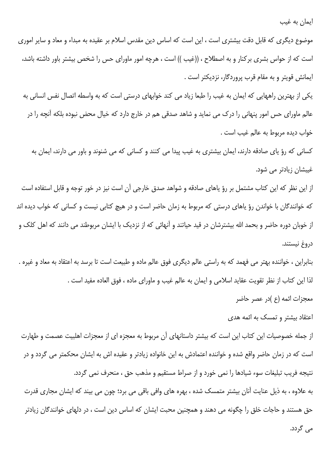ایمان به غیب

موضوع دیگری که قابل دقت بیشتری است ، این است که اساس دین مقدس اسلام بر عقیده به مبداء و معاد و سایر اموری است که از حواس بشری برکنار و به اصطلاح ، ((غیب )) است ، هرچه امور ماورای حس را شخص بیشتر باور داشته باشد، ايمانش قويتر و به مقام قرب پروردگار، نزديكتر است .

یکی از بهترین راههایی که ایمان به غیب را طبعا زیاد می کند خوابهای درستی است که به واسطه اتصال نفس انسانی به عالم ماورای حس امور پنهانی را درک می نماید و شاهد صدقی هم در خارج دارد که خیال محض نبوده بلکه آنچه را در خواب ديده مربوط به عالم غيب است .

کسانی که رؤ یای صادقه دارند، ایمان بیشتری به غیب پیدا می کنند و کسانی که می شنوند و باور می دارند، ایمان به غیبشان زیادتر می شود.

از این نظر که این کتاب مشتمل بر رؤ یاهای صادقه و شواهد صدق خارجی آن است نیز در خور توجه و قابل استفاده است که خوانندگان با خواندن رؤ یاهای درستی که مربوط به زمان حاضر است و در هیچ کتابی نیست و کسانی که خواب دیده اند از خوبان دوره حاضر و بحمد الله بیشترشان در قید حیاتند و آنهائی که از نزدیک با ایشان مربوطند می دانند که اهل کلک و دروغ نيستند.

بنابراین ، خواننده بهتر می فهمد که به راستی عالم دیگری فوق عالم ماده و طبیعت است تا برسد به اعتقاد به معاد و غیره . لذا اين كتاب از نظر تقويت عقايد اسلامي و ايمان به عالم غيب و ماوراي ماده ، فوق العاده مفيد است . معجزات ائمه (ع )در عصر حاضر

اعتقاد بیشتر و تمسک به ائمه هدی

از جمله خصوصیات این کتاب این است که بیشتر داستانهای آن مربوط به معجزه ای از معجزات اهلبیت عصمت و طهارت است که در زمان حاضر واقع شده و خواننده اعتمادش به این خانواده زیادتر و عقیده اش به ایشان محکمتر می گردد و در نتیجه فریب تبلیغات سوء شیادها را نمی خورد و از صراط مستقیم و مذهب حق ، منحرف نمی گردد.

به علاوه ، به ذیل عنایت آنان بیشتر متمسک شده ، بهره های وافی باقی می برد؛ چون می بیند که ایشان مجاری قدرت حق هستند و حاجات خلق را چگونه می دهند و همچنین محبت ایشان که اساس دین است ، در دلهای خوانندگان زیادتر مے گردد.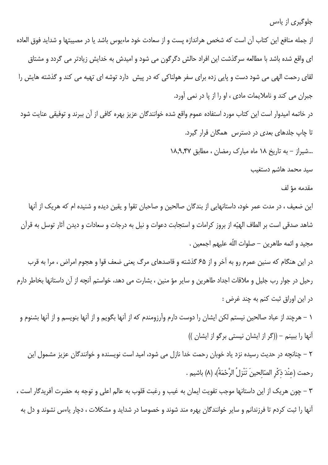جلوگیری از پاءس

از جمله منافع این کتاب آن است که شخص هراندازه پست و از سعادت خود ماءیوس باشد یا در مصیبتها و شداید فوق العاده ای واقع شده باشد با مطالعه سرگذشت این افراد حالش دگرگون می شود و امیدش به خدایش زیادتر می گردد و مشتاق لقای رحمت الهی می شود دست و پایی زده برای سفر هولناکی که در پیش ِ دارد توشه ای تهیه می کند و گذشته هایش را جبران می کند و ناملایمات مادی ، او را از پا در نمی آورد. در خاتمه امیدوار است این کتاب مورد استفاده عموم واقع شده خوانندگان عزیز بهره کافی از آن ببرند و توفیقی عنایت شود تا چاپ جلدهای بعدی در دسترس همگان قرار گیرد. ...شیراز – به تاریخ ۱۸ ماه مبارک رمضان ، مطابق ۱۸٫۹٫۴۷ سيد محمد هاشم دستغيب

## مقدمه مؤ لف

این ضعیف ، در مدت عمر خود، داستانهایی از بندگان صالحین و صاحبان تقوا و یقین دیده و شنیده ام که هریک از آنها شاهد صدقی است بر الطاف الهیّه از بروز کرامات و استجابت دعوات و نیل به درجات و سعادات و دیدن آثار توسل به قرآن مجيد و ائمه طاهرين – صلوات اللّه عليهم اجمعين .

در این هنگام که سنین عمرم رو به آخر و از ۶۵ گذشته و قاصدهای مرگ یعنی ضعف قوا و هجوم امراض ، مرا به قرب رحیل در جوار رب جلیل و ملاقات اجداد طاهرین و سایر مؤ منین ، بشارت می دهد، خواستم آنچه از آن داستانها بخاطر دارم در اين اوراق ثبت كنم به چند غرض :

١ – هرچند از عباد صالحين نيستم لكن ايشان را دوست دارم وآرزومندم كه از آنها بگويم و از آنها بنويسم و از آنها بشنوم و آنها را ببینم – ((گر از ایشان نیستی برگو از ایشان ))

۲ – چنانچه در حدیث رسیده نزد یاد خوبان رحمت خدا نازل می شود، امید است نویسنده و خوانندگان عزیز مشمول این رحمت (عنْدَ ذكْرِ الصّالحينَ تَنْزِلُ الرَّحْمَةُ)، (٨) باشيم .

۳ – چون هريک از اين داستانها موجب تقويت ايمان به غيب و رغبت قلوب به عالم اعلى و توجه به حضرت آفريدگار است ، آنها را ثبت کردم تا فرزندانم و سایر خوانندگان بهره مند شوند و خصوصا در شداید و مشکلات ، دچار پاءس نشوند و دل به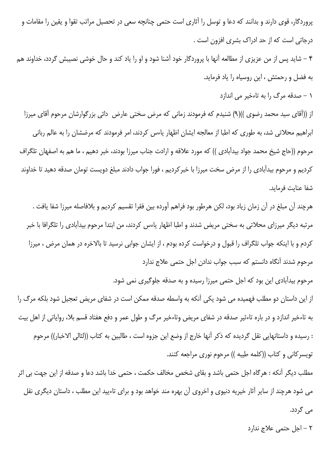پروردگار، قوی دارند و بدانند که دعا و توسل را آثاری است حتمی چنانچه سعی در تحصیل مراتب تقوا و یقین را مقامات و درجاتی است که از حد ادراک بشری افزون است .

۴ – شاید پس از من عزیزی از مطالعه آنها با پروردگار خود آشنا شود و او را یاد کند و حال خوشی نصیبش گردد، خداوند هم به فضل و رحمتش ، این روسیاه را یاد فرماید.

١ - صدقه مرگ را به تاءخير مي اندازد

از ((آقای سید محمد رضوی ))(۹) شنیدم که فرمودند زمانی که مرض سختی عارض دائی بزرگوارشان مرحوم آقای میرزا ابراهیم محلاتی شد، به طوری که اطبا از معالجه ایشان اظهار یاءس کردند، امر فرمودند که مرضشان را به عالم ربانی مرحوم ((حاج شيخ محمد جواد بيدآبادى )) كه مورد علاقه و ارادت جناب ميرزا بودند، خبر دهيم ، ما هم به اصفهان تلگراف كرديم و مرحوم بيدآبادي را از مرض سخت ميرزا با خبركرديم ، فورا جواب دادند مبلغ دويست تومان صدقه دهيد تا خداوند شفا عنايت فرمايد.

هرچند آن مبلغ در آن زمان زياد بود، لكن هرطور بود فراهم آورده بين فقرا تقسيم كرديم و بلافاصله ميرزا شفا يافت . مرتبه دیگر میرزای محلاتی به سختی مریض شدند و اطبا اظهار یاءس کردند، من ابتدا مرحوم بیدآبادی را تلگرافا با خبر كردم و با اينكه جواب تلگراف را قبول و درخواست كرده بودم ، از ايشان جوابي نرسيد تا بالاخره در همان مرض ، ميرزا مرحوم شدند آنگاه دانستم که سبب جواب ندادن اجل حتمی علاج ندارد

مرحوم بیدآبادی این بود که اجل حتمی میرزا رسیده و به صدقه جلوگیری نمی شود.

از این داستان دو مطلب فهمیده می شود یکی آنکه به واسطه صدقه ممکن است در شفای مریض تعجیل شود بلکه مرگ را به تاءخیر اندازد و در باره تاءثیر صدقه در شفای مریض وتاءخیر مرگ و طول عمر و دفع هفتاد قسم بلا، روایاتی از اهل بیت : رسيده و داستانهايي نقل گرديده كه ذكر آنها خارج از وضع اين جزوه است ، طالبين به كتاب ((لئالي الاخبار)) مرحوم تويسركاني و كتاب ((كلمه طيبه )) مرحوم نوري مراجعه كنند.

مطلب دیگر آنکه : هرگاه اجل حتمی باشد و بقای شخص مخالف حکمت ، حتمی خدا باشد دعا و صدقه از این جهت بی اثر می شود هرچند از سایر آثار خیریه دنیوی و اخروی آن بهره مند خواهد بود و برای تاءیید این مطلب ، داستان دیگری نقل می گردد.

٢ - اجل حتمى علاج ندارد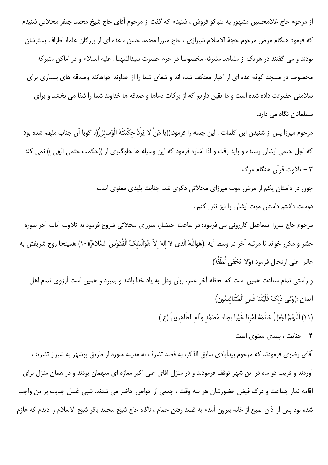از مرحوم حاج غلامحسین مشهور به تنباکو فروش ، شنیدم که گفت از مرحوم آقای حاج شیخ محمد جعفر محلاتی شنیدم كه فرمود هنگام مرض مرحوم حجهٔ الاسلام شیرازی ، حاج میرزا محمد حسن ، عده ای از بزرگان علما، اطراف بسترشان بودند و می گفتند در هریک از مشاهد مشرفه مخصوصا در حرم حضرت سیدالشهداء علیه السلام و در اماکن متبرکه مخصوصا در مسجد کوفه عده ای از اخیار معتکف شده اند و شفای شما را از خداوند خواهانند وصدقه های بسیاری برای سلامتی حضرتت داده شده است و ما یقین داریم که از برکات دعاها و صدقه ها خداوند شما را شفا می بخشد و برای مسلمانان نگاه می دارد.

مرحوم ميرزا پس از شنيدن اين كلمات ، اين جمله را فرمود:((يا مَنْ لا يَرُدُّ حكْمَتَهُ الْوَسائلُ))، گويا آن جناب ملهم شده بود كه اجل حتمي ايشان رسيده و بايد رفت و لذا اشاره فرمود كه اين وسيله ها جلوگيري از ((حكمت حتمي الهي )) نمي كند. ۳ – تلاوت قرآن هنگام مرگ

> چون در داستان یکم از مرض موت میرزای محلاتی ذکری شد، جنابت پلیدی معنوی است دوست داشتم داستان موت ايشان را نيز نقل كنم .

مرحوم حاج میرزا اسماعیل کازرونی می فرمود: در ساعت احتضار، میرزای محلاتی شروع فرمود به تلاوت آیات آخر سوره حشر و مكرر خواند تا مرتبه آخر در وسط آيه :(هُوَاللَّهُ الَّذي لا الهَ الاّ هُوَالْمَلكُ الْقُدّوُسُ السَّلامُ)(١٠) همينجا روح شريفش به عالم اعلى ارتحال فرمود (وَلا يَخْفي لُطْفُهُ)

و راستی تمام سعادت همین است که لحظه آخر عمر، زبان ودل به یاد خدا باشد و بمیرد و همین است آرزوی تمام اهل ايمان :(وَفي ذلكَ فَلْيَتَنا فَسِ الْمُتَنافِسُونَ) (١١) اَللَّهُمَّ اجْعَلْ خاتَمَةَ اَمْرِنا خَيْرا بجاه مُحَمَّد وَاله الطَّاهرينَ (ع )

۴ – جنابت ، پلیدی معنوی است

آقای رضوی فرمودند که مرحوم بیدآبادی سابق الذکر، به قصد تشرف به مدینه منوره از طریق بوشهر به شیراز تشریف آوردند و قریب دو ماه در این شهر توقف فرمودند و در منزل آقای علی اکبر مغازه ای میهمان بودند و در همان منزل برای اقامه نماز جماعت و درک فیض حضورشان هر سه وقت ، جمعی از خواص حاضر می شدند. شبی غسل جنابت بر من واجب شده بود پس از اذان صبح از خانه بیرون آمدم به قصد رفتن حمام ، ناگاه حاج شیخ محمد باقر شیخ الاسلام را دیدم که عازم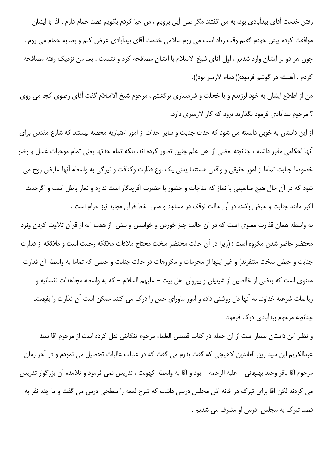رفتن خدمت أقاي بيدأبادي بود، به من گفتند مگر نمي أيي برويم ، من حيا كردم بگويم قصد حمام دارم ، لذا با ايشان موافقت کرده پیش خودم گفتم وقت زیاد است می روم سلامی خدمت آقای بیدآبادی عرض کنم و بعد به حمام می روم . چون هر دو بر ایشان وارد شدیم ، اول آقای شیخ الاسلام با ایشان مصافحه کرد و نشست ، بعد من نزدیک رفته مصافحه كردم ، آهسته در گوشم فرمود:((حمام لازمتر بود)).

من از اطلاع ایشان به خود لرزیدم و با خجلت و شرمساری برگشتم ، مرحوم شیخ الاسلام گفت آقای رضوی کجا می روی ؟ مرحوم بیدآبادی فرمود بگذارید برود که کار لازمتری دارد.

از این داستان به خوبی دانسته می شود که حدث جنابت و سایر احداث از امور اعتباریه محضه نیستند که شارع مقدس برای آنها احکامی مقرر داشته ، چنانچه بعضی از اهل علم چنین تصور کرده اند، بلکه تمام حدثها یعنی تمام موجبات غسل و وضو خصوصا جنابت تماما از امور حقیقی و واقعی هستند؛ یعنی یک نوع قذارت وکثافت و تیرگی به واسطه آنها عارض روح می شود که در آن حال هیچ مناسبتی با نماز که مناجات و حضور با حضرت آفریدگار است ندارد و نماز باطل است و اگرحدث اکبر مانند جنابت و حیض باشد، در آن حالت توقف در مساجد و مس خط قرآن مجید نیز حرام است .

به واسطه همان قذارت معنوى است كه در آن حالت چيز خوردن و خوابيدن و بيش از هفت آيه از قرآن تلاوت كردن ونزد محتضر حاضر شدن مكروه است ؛ (زيرا در آن حالت محتضر سخت محتاج ملاقات ملائكه رحمت است و ملائكه از قذارت جنابت و حیض سخت متنفرند) و غیر اینها از محرمات و مکروهات در حالت جنابت و حیض که تماما به واسطه آن قذارت معنوی است که بعضی از خالصین از شیعیان و پیروان اهل بیت – علیهم السلام – که به واسطه مجاهدات نفسانیه و ریاضات شرعیه خداوند به آنها دل روشنی داده و امور ماورای حس را درک می کنند ممکن است آن قذارت را بفهمند چنانچه مرحوم بیدآبادی در ک فرمود.

و نظير اين داستان بسيار است از آن جمله در كتاب قصص العلماء مرحوم تنكابني نقل كرده است از مرحوم آقا سيد عبدالکريم ابن سيد زين العابدين لاهيجي که گفت پدرم مي گفت که در عتبات عاليات تحصيل مي نمودم و در آخر زمان مرحوم آقا باقر وحيد بهبهاني – عليه الرحمه – بود و آقا به واسطه كهولت ، تدريس نمي فرمود و تلامذه آن بزرگوار تدريس می کردند لکن آقا برای تبرک در خانه اش مجلس درسی داشت که شرح لمعه را سطحی درس می گفت و ما چند نفر به قصد تبرک به مجلس درس او مشرف می شدیم .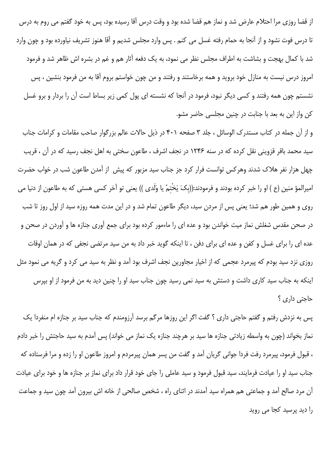از قضا روزی مرا احتلام عارض شد و نماز هم قضا شده بود و وقت درس آقا رسیده بود، پس به خود گفتم می روم به درس تا درس فوت نشود و از آنجا به حمام رفته غسل می کنم . پس وارد مجلس شدیم و آقا هنوز تشریف نیاورده بود و چون وارد شد با کمال بهجت و بشاشت به اطراف مجلس نظر می نمود، به یک دفعه آثار هم و غم در بشره اش ظاهر شد و فرمود امروز درس نیست به منازل خود بروید و همه برخاستند و رفتند و من چون خواستم بروم آقا به من فرمود بنشین ، پس نشستم چون همه رفتند و کسی دیگر نبود، فرمود در آنجا که نشسته ای پول کمی زیر بساط است آن را بردار و برو غسل کن واز این به بعد با جنابت در چنین مجلسی حاضر مشو.

و از آن جمله در کتاب مستدرک الوسائل ، جلد ۳ صفحه ۴۰۱ در ذیل حالات عالم بزرگوار صاحب مقامات و کرامات جناب سید محمد باقر قزوینی نقل کرده که در سنه ۱۲۴۶ در نجف اشرف ، طاعون سختی به اهل نجف رسید که در آن ، قریب چهل هزار نفر هلاک شدند وهرکس توانست فرار کرد جز جناب سید مزبور که پیش از آمدن طاعون شب در خواب حضرت امیرالمؤ منین (ع ) او را خبر کرده بودند و فرمودند:((بکَ یَخْتمُ یا وَلَدی )) یعنی تو آخر کسی هستی که به طاعون از دنیا می روی و همین طور هم شد؛ یعنی پس از مردن سید، دیگر طاعون تمام شد و در این مدت همه روزه سید از اول روز تا شب در صحن مقدس شغلش نماز میت خواندن بود و عده ای را ماءمور کرده بود برای جمع آوری جنازه ها و آوردن در صحن و عده ای را برای غسل و کفن و عده ای برای دفن ، تا اینکه گوید خبر داد به من سید مرتضی نجفی که در همان اوقات روزی نزد سید بودم که پیرمرد عجمی که از اخیار مجاورین نجف اشرف بود آمد و نظر به سید می کرد و گریه می نمود مثل اینکه به جناب سید کاری داشت و دستش به سید نمی رسید چون جناب سید او را چنین دید به من فرمود از او بپرس حاجتی داری ؟

پس به نزدش رفتم و گفتم حاجتی داری ؟ گفت اگر این روزها مرگم برسد آرزومندم که جناب سید بر جنازه ام منفردا یک نماز بخواند (چون به واسطه زیادتی جنازه ها سید بر هرچند جنازه یک نماز می خواند) پس آمدم به سید حاجتش را خبر دادم ، قبول فرمود، پیرمرد رفت فردا جوانی گریان آمد و گفت من پسر همان پیرمردم و امروز طاعون او را زده و مرا فرستاده که جناب سید او را عیادت فرمایند، سید قبول فرمود و سید عاملی را جای خود قرار داد برای نماز بر جنازه ها و خود برای عیادت آن مرد صالح آمد و جماعتی هم همراه سید آمدند در اثنای راه ، شخص صالحی از خانه اش بیرون آمد چون سید و جماعت را دید پرسید کجا می روید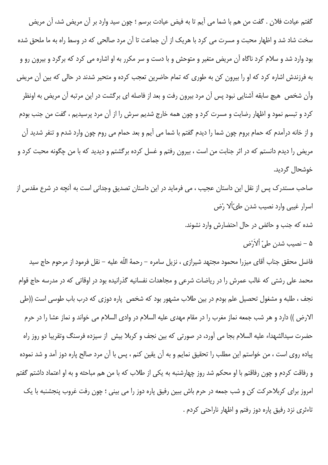گفتم عیادت فلان . گفت من هم با شما می آیم تا به فیض عیادت برسم ؛ چون سید وارد بر آن مریض شد، آن مریض سخت شاد شد و اظهار محبت و مسرت می کرد با هریک از آن جماعت تا آن مرد صالحی که در وسط راه به ما ملحق شده بود وارد شد و سلام کرد ناگاه آن مریض متغیر و متوحش و با دست و سر مکرر به او اشاره می کرد که برگرد و بیرون رو و به فرزندش اشاره کرد که او را بیرون کن به طوری که تمام حاضرین تعجب کرده و متحیر شدند در حالی که بین آن مریض وآن شخص هیچ سابقه آشنایی نبود پس آن مرد بیرون رفت و بعد از فاصله ای برگشت در این مرتبه آن مریض به اونظر کرد و تبسم نمود و اظهار رضایت و مسرت کرد و چون همه خارج شدیم سرش را از آن مرد پرسیدیم ، گفت من جنب بودم و از خانه درآمدم که حمام بروم چون شما را دیدم گفتم با شما می آیم و بعد حمام می روم چون وارد شدم و تنفر شدید آن مریض را دیدم دانستم که در اثر جنابت من است ، بیرون رفتم و غسل کرده برگشتم و دیدید که با من چگونه محبت کرد و خوشحال گردید.

صاحب مستدرک پس از نقل این داستان عجیب ، می فرماید در این داستان تصدیق وجدانی است به آنچه در شرع مقدس از اسرار غیبی وارد نصیب شدن طیّاْلا رْض

> شده که جنب و حائض در حال احتضارش وارد نشوند. ۵ – نصيب شدن طيّ اْلاَرْض،

فاضل محقق جناب آقاي ميزرا محمود مجتهد شيرازي ، نزيل سامره – رحمهٔ اللّه عليه – نقل فرمود از مرحوم حاج سيد محمد علی رشتی که غالب عمرش را در ریاضات شرعی و مجاهدات نفسانیه گذرانیده بود در اوقاتی که در مدرسه حاج قوام نجف ، طلبه و مشغول تحصیل علم بودم در بین طلاب مشهور بود که شخص پاره دوزی که درب باب طوسی است ((طی الارض )) دارد و هر شب جمعه نماز مغرب را در مقام مهدي عليه السلام در وادي السلام مي خواند و نماز عشا را در حرم حضرت سيدالشهداء عليه السلام بجا مي آورد، در صورتي كه بين نجف و كربلا بيش از سيزده فرسنگ وتقريبا دو روز راه پیاده روی است ، من خواستم این مطلب را تحقیق نمایم و به آن یقین کنم ، پس با آن مرد صالح پاره دوز آمد و شد نموده و رفاقت کردم و چون رفاقتم با او محکم شد روز چهارشنبه به یکی از طلاب که با من هم مباحثه و به او اعتماد داشتم گفتم امروز برای کربلاحرکت کن و شب جمعه در حرم باش ببین رفیق پاره دوز را می بینی ؛ چون رفت غروب پنجشنبه با یک تاءثري نزد رفيق ياره دوز رفتم و اظهار ناراحتي كردم .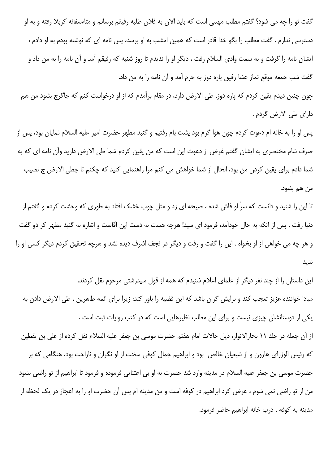گفت تو را چه می شود؟ گفتم مطلب مهمی است که باید الان به فلان طلبه رفیقم برسانم و متاءسفانه کربلا رفته و به او دسترسی ندارم . گفت مطلب را بگو خدا قادر است که همین امشب به او برسد، پس نامه ای که نوشته بودم به او دادم ، ایشان نامه را گرفت و به سمت وادی السلام رفت ، دیگر او را ندیدم تا روز شنبه که رفیقم آمد و آن نامه را به من داد و گفت شب جمعه موقع نماز عشا رفیق پاره دوز به حرم آمد و آن نامه را به من داد.

چون چنین دیدم یقین کردم که پاره دوز، طی الارض دارد، در مقام برآمدم که از او درخواست کنم که جاگرج بشود من هم داراي طي الارض گردم .

پس او را به خانه ام دعوت کردم چون هوا گرم بود پشت بام رفتیم و گنبد مطهر حضرت امیر علیه السلام نمایان بود، پس از صرف شام مختصری به ایشان گفتم غرض از دعوت این است که من یقین کردم شما طی الارض دارید وآن نامه ای که به شما دادم براي يقين كردن من بود، الحال از شما خواهش مي كنم مرا راهنمايي كنيد كه چكنم تا جطي الارض ج نصيب من هم بشود.

تا این را شنید و دانست که سرّ او فاش شده ، صیحه ای زد و مثل چوب خشک افتاد به طوری که وحشت کردم و گفتم از دنیا رفت . پس از آنکه به حال خودآمد، فرمود ای سید! هرچه هست به دست این آقاست و اشاره به گنبد مطهر کر دو گفت و هر چه می خواهی از او بخواه ، این را گفت و رفت و دیگر در نجف اشرف دیده نشد و هرچه تحقیق کردم دیگر کسی او را نديد

این داستان را از چند نفر دیگر از علمای اعلام شنیدم که همه از قول سیدرشتی مرحوم نقل کردند. مبادا خواننده عزیز تعجب کند و برایش گران باشد که این قضیه را باور کند؛ زیرا برای ائمه طاهرین ، طی الارض دادن به یکی از دوستانشان چیزی نیست و برای این مطلب نظیرهایی است که در کتب روایات ثبت است . از آن جمله در جلد ۱۱ بحارالانوار، ذیل حالات امام هفتم حضرت موسی بن جعفر علیه السلام نقل کرده از علی بن يقطين که رئیس الوزرای هارون و از شیعیان خالص بود و ابراهیم جمال کوفی سخت از او نگران و ناراحت بود، هنگامی که بر حضرت موسى بن جعفر عليه السلام در مدينه وارد شد حضرت به او بي اعتنايي فرموده و فرمود تا ابراهيم از تو راضي نشود من از تو راضی نمی شوم ، عرض کرد ابراهیم در کوفه است و من مدینه ام پس آن حضرت او را به اعجاز در یک لحظه از مدينه به كوفه ، درب خانه ابراهيم حاضر فرمود.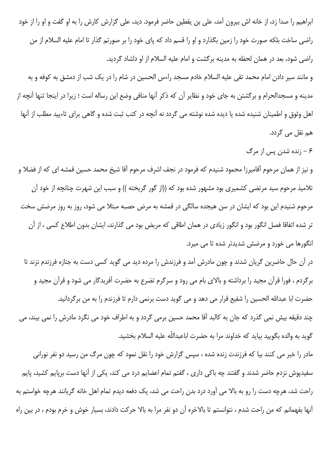ابراهیم را صدا زد، از خانه اش بیرون آمد، علی بن یقطین حاضر فرمود. دید، علی گزارش کارش را به او گفت و او را از خود راضی ساخت بلکه صورت خود را زمین بگذارد و او را قسم داد که پای خود را بر صورتم گذار تا امام علیه السلام از من راضی شود، بعد در همان لحظه به مدینه برگشت و امام علیه السلام از او دلشاد گردید.

و مانند سیر دادن امام محمد تقی علیه السلام خادم مسجد راءس الحسین در شام را در یک شب از دمشق به کوفه و به مدینه و مسجدالحرام و برگشتن به جای خود و نظایر آن که ذکر آنها منافی وضع این رساله است ؛ زیرا در اینجا تنها آنچه از اهل وثوق و اطمینان شنیده شده یا دیده شده نوشته می گردد نه آنچه در کتب ثبت شده و گاهی برای تاءیید مطلب از آنها هم نقل می گردد.

۶ – زنده شدن پس از مرگ

و نیز از همان مرحوم آقامیرزا محمود شنیدم که فرمود در نجف اشرف مرحوم آقا شیخ محمد حسین قمشه ای که از فضلا و تلامیذ مرحوم سید مرتضی کشمیری بود مشهور شده بود که ((از گور گریخته )) و سبب این شهرت چنانچه از خود آن مرحوم شنیدم این بود که ایشان در سن هیجده سالگی در قمشه به مرض حصبه مبتلا می شود، روز به روز مرضش سخت تر شده اتفاقا فصل انگور بود و انگور زیادی در همان اطاقی که مریض بود می گذارند، ایشان بدون اطلاع کسی ، از آن انگورها می خورد و مرضش شدیدتر شده تا می میرد.

در آن حال حاضرین گریان شدند و چون مادرش آمد و فرزندش را مرده دید می گوید کسی دست به جنازه فرزندم نزند تا برگردم ، فورا قرآن مجید را برداشته و بالای بام می رود و سرگرم تضرع به حضرت آفریدگار می شود و قرآن مجید و حضرت ابا عبدالله الحسین را شفیع قرار می دهد و می گوید دست برنمی دارم تا فرزندم را به من برگردانید. چند دقیقه بیش نمی گذرد که جان به کالبد آقا محمد حسین برمی گردد و به اطراف خود می نگرد مادرش را نمی بیند، می گويد به والده بگوييد بيايد كه خداوند مرا به حضرت اباعبداللّه عليه السلام بخشيد.

مادر را خبر می کنند بیا که فرزندت زنده شده ، سپس گزارش خود را نقل نمود که چون مرگ من رسید دو نفر نورانی سفیدپوش نزدم حاضر شدند و گفتند چه باکی داری ، گفتم تمام اعضایم درد می کند، یکی از آنها دست برپایم کشید، پایم راحت شد، هرچه دست را رو به بالا می آورد درد بدن راحت می شد، یک دفعه دیدم تمام اهل خانه گریانند هرچه خواستم به آنها بفهمانم که من راحت شدم ، نتوانستم تا بالاخره آن دو نفر مرا به بالا حرکت دادند، بسیار خوش و خرم بودم ، در بین راه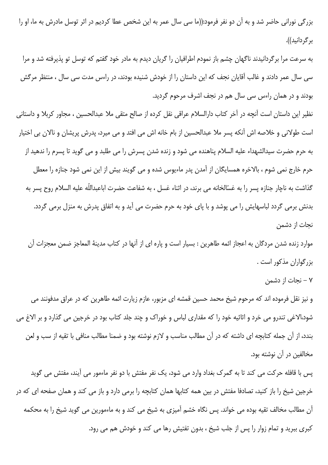بزرگی نورانی حاضر شد و به آن دو نفر فرمود:((ما سی سال عمر به این شخص عطا کردیم در اثر توسل مادرش به ما، او را بر گر دانید)).

به سرعت مرا برگردانیدند ناگهان چشم باز نمودم اطرافیان را گریان دیدم به مادر خود گفتم که توسل تو پذیرفته شد و مرا سی سال عمر دادند و غالب آقایان نجف که این داستان را از خودش شنیده بودند، در راءس مدت سی سال ، منتظر مرگش بودند و در همان راءس سی سال هم در نجف اشرف مرحوم گردید.

نظیر این داستان است آنچه در آخر کتاب دارالسلام عراقی نقل کرده از صالح متقی ملا عبدالحسین ، مجاور کربلا و داستانی است طولانی و خلاصه اش آنکه پسر ملا عبدالحسین از بام خانه اش می افتد و می میرد، پدرش پریشان و نالان بی اختیار به حرم حضرت سيدالشهداء عليه السلام پناهنده مي شود و زنده شدن پسرش را مي طلبد و مي گويد تا پسرم را ندهيد از حرم خارج نمی شوم ، بالاخره همسایگان از آمدن پدر ماءیوس شده و می گویند بیش از این نمی شود جنازه را معطل گذاشت به ناچار جنازه پسر را به غسّالخانه می برند، در اثناء غسل ، به شفاعت حضرت اباعبداللّه علیه السلام روح پسر به بدنش برمی گردد لباسهایش را می پوشد و با پای خود به حرم حضرت می آید و به اتفاق پدرش به منزل برمی گردد. نجات از دشمن

موارد زنده شدن مردگان به اعجاز ائمه طاهرین : بسیار است و پاره ای از آنها در کتاب مدینهٔ المعاجز ضمن معجزات آن بزرگواران مذكور است .

۷ – نجات از دشمن

و نیز نقل فرموده اند که مرحوم شیخ محمد حسین قمشه ای مزبور، عازم زیارت ائمه طاهرین که در عراق مدفونند می شود،الاغی تندرو می خرد و اثاثیه خود را که مقداری لباس و خوراک و چند جلد کتاب بود در خرجین می گذارد و بر الاغ می بندد، از آن جمله کتابچه ای داشته که در آن مطالب مناسب و لازم نوشته بود و ضمنا مطالب منافی با تقیه از سب و لعن مخالفین در آن نوشته بود.

پس با قافله حرکت می کند تا به گمرک بغداد وارد می شود، یک نفر مفتش با دو نفر ماءمور می آیند، مفتش می گوید خرجین شیخ را باز کنید، تصادفا مفتش در بین همه کتابها همان کتابچه را برمی دارد و باز می کند و همان صفحه ای که در آن مطالب مخالف تقیه بوده می خواند. پس نگاه خشم آمیزی به شیخ می کند و به ماءمورین می گوید شیخ را به محکمه کبری ببرید و تمام زوار را پس از جلب شیخ ، بدون تفتیش رها می کند و خودش هم می رود.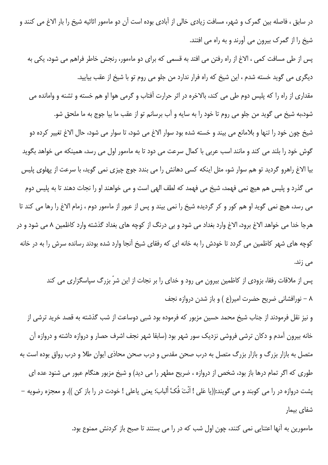در سابق ، فاصله بین گمرک و شهر، مسافت زیادی خالی از آبادی بوده است آن دو ماءمور اثاثیه شیخ را بار الاغ می کنند و شیخ را از گمرک بیرون می آورند و به راه می افتند.

پس از طی مسافت کمی ، الاغ از راه رفتن می افتد به قسمی که برای دو ماءمور، رنجش خاطر فراهم می شود، یکی به دیگری می گوید خسته شدم ، این شیخ که راه فرار ندارد من جلو می روم تو با شیخ از عقب بیایید.

مقداري از راه را كه پليس دوم طي مي كند، بالاخره در اثر حرارت آفتاب و گرمي هوا او هم خسته و تشنه و وامانده مي

شود،به شیخ می گوید من جلو می روم تا خود را به سایه و آب برسانم تو از عقب ما بیا جوج به ما ملحق شو. شيخ چون خود را تنها و بلامانع مي بيند و خسته شده بود سوار الاغ مي شود، تا سوار مي شود، حال الاغ تغيير كرده دو گوش خود را بلند می کند و مانند اسب عربی با کمال سرعت می دود تا به ماءمور اول می رسد، همینکه می خواهد بگوید بیا الاغ راهرو گردید تو هم سوار شو، مثل اینکه کسی دهانش را می بندد جوج چیزی نمی گوید، با سرعت از پهلوی پلیس می گذرد و پلیس هم هیچ نمی فهمد، شیخ می فهمد که لطف الهی است و می خواهند او را نجات دهند تا به پلیس دوم می رسد، هیچ نمی گوید او هم کور و کر گردیده شیخ را نمی بیند و پس از عبور از ماءمور دوم ، زمام الاغ را رها می کند تا هرجا خدا می خواهد الاغ برود، الاغ وارد بغداد می شود و بی درنگ از کوچه های بغداد گذشته وارد کاظمین ۸ می شود و در کوچه های شهر کاظمین می گردد تا خودش را به خانه ای که رفقای شیخ آنجا وارد شده بودند رسانده سرش را به در خانه می زند.

پس از ملاقات رفقا، بزودی از کاظمین بیرون می رود و خدای را بر نجات از این شرّ بزرگ سپاسگزاری می کند ۸ – نورافشانی ضریح حضرت امیر(ع ) و باز شدن دروازه نجف

و نیز نقل فرمودند از جناب شیخ محمد حسین مزبور که فرموده بود شبی دوساعت از شب گذشته به قصد خرید ترشی از خانه بیرون آمدم و دکان ترشی فروشی نزدیک سور شهر بود (سابقا شهر نجف اشرف حصار و دروازه داشته و دروازه آن متصل به بازار بزرگ و بازار بزرگ متصل به درب صحن مقدس و درب صحن محاذی ایوان طلا و درب رواق بوده است به طوری که اگر تمام درها باز بود، شخص از دروازه ، ضریح مطهر را می دید) و شیخ مزبور هنگام عبور می شنود عده ای پشت دروازه در را می کوبند و می گویند:((یا عَلی ! اَنْتَ فُکّ ألبابَ؛ یعنی یاعلی ! خودت در را باز کن )). و معجزه رضویه – شفای بیمار

ماءمورین به آنها اعتنایی نمی کنند، چون اول شب که در را می بستند تا صبح باز کردنش ممنوع بود.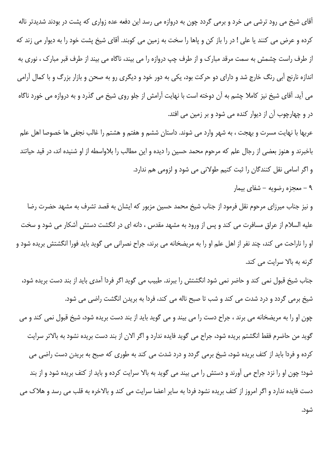آقای شیخ می رود ترشی می خرد و برمی گردد چون به دروازه می رسد این دفعه عده زواری که پشت در بودند شدیدتر ناله کرده و عرض می کنند یا علی ! در را باز کن و یاها را سخت به زمین می کوبند. آقای شیخ پشت خود را به دیوار می زند که از طرف راست چشمش به سمت مرقد مبارک و از طرف چپ دروازه را می بیند، ناگاه می بیند از طرف قبر مبارک ، نوری به اندازه نارنج آبی رنگ خارج شد و دارای دو حرکت بود، یکی به دور خود و دیگری رو به صحن و بازار بزرگ و با کمال آرامی می آید. آقای شیخ نیز کاملا چشم به آن دوخته است با نهایت آرامش از جلو روی شیخ می گذرد و به دروازه می خورد ناگاه در و چهارچوب آن از دیوار کنده می شود و بر زمین می افتد.

عربها با نهايت مسرت و بهجت ، به شهر وارد مي شوند. داستان ششم و هفتم و هشتم را غالب نجفي ها خصوصا اهل علم باخبرند و هنوز بعضی از رجال علم که مرحوم محمد حسین را دیده و این مطالب را بلاواسطه از او شنیده اند، در قید حیاتند و اگر اسامی نقل کنندگان را ثبت کنیم طولانی می شود و لزومی هم ندارد.

۹ - معجزه رضويه - شفاى بيمار

و نیز جناب میرزای مرحوم نقل فرمود از جناب شیخ محمد حسین مزبور که ایشان به قصد تشرف به مشهد حضرت رضا علیه السلام از عراق مسافرت می کند و پس از ورود به مشهد مقدس ، دانه ای در انگشت دستش آشکار می شود و سخت او را ناراحت می کند، چند نفر از اهل علم او را به مریضخانه می برند، جراح نصرانی می گوید باید فورا انگشتش بریده شود و گرنه به بالا سرایت می کند.

جناب شیخ قبول نمی کند و حاضر نمی شود انگشتش را ببرند. طبیب می گوید اگر فردا آمدی باید از بند دست بریده شود، شيخ برمي گردد و درد شدت مي كند و شب تا صبح ناله مي كند، فردا به بريدن انگشت راضي مي شود. چون او را به مریضخانه می برند ، جراح دست را می بیند و می گوید باید از بند دست بریده شود، شیخ قبول نمی کند و می گوید من حاضرم فقط انگشتم بریده شود، جراح می گوید فایده ندارد و اگر الان از بند دست بریده نشود به بالاتر سرایت کرده و فردا باید از کتف بریده شود، شیخ برمی گردد و درد شدت می کند به طوری که صبح به بریدن دست راضی می شود؛ چون او را نزد جراح می آورند و دستش را می بیند می گوید به بالا سرایت کرده و باید از کتف بریده شود و از بند دست فایده ندارد و اگر امروز از کتف بریده نشود فردا به سایر اعضا سرایت می کند و بالاخره به قلب می رسد و هلاک می شود.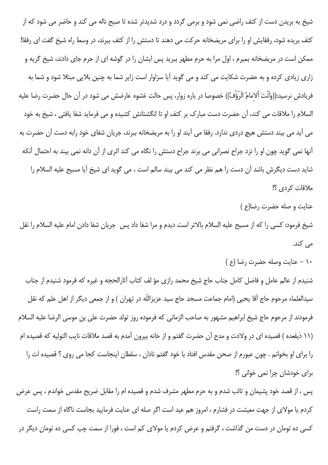شیخ به بریدن دست از کتف راضی نمی شود و برمی گردد و درد شدیدتر شده تا صبح ناله می کند و حاضر می شود که از کتف بریده شود، رفقایش او را برای مریضخانه حرکت می دهند تا دستش را از کتف ببرند، در وسط راه شیخ گفت ای رفقا! ممکن است در مریضخانه بمیرم ، اول مرا به حرم مطهر ببرید پس ایشان را در گوشه ای از حرم جای دادند، شیخ گریه و زاری زیادی کرده و به حضرت شکایت می کند و می گوید آیا سزاوار است زایر شما به چنین بلایی مبتلا شود و شما به فريادش نرسيد:((وَأَنْتَ ألامامُ الَرّؤُفُ)) خصوصا در باره زوار، پس حالت غشوه عارضش می شود در آن حال حضرت رضا عليه السلام را ملاقات می کند، آن حضرت دست مبارک بر کتف او تا انگشتانش کشیده و می فرماید شفا یافتی ، شیخ به خود می آید می بیند دستش هیچ دردی ندارد. رفقا می آیند او را به مریضخانه ببرند، جریان شفای خود رابه دست آن حضرت به آنها نمی گوید چون او را نزد جراح نصرانی می برند جراح دستش را نگاه می کند اثری از آن دانه نمی بیند به احتمال آنکه شاید دست دیگرش باشد آن دست را هم نظر می کند می بیند سالم است ، می گوید ای شیخ آیا مسیح علیه السلام را ملاقات كردى ؟!

عنايت و صله حضرت رضا(ع )

شيخ فرمود: كسى را كه از مسيح عليه السلام بالاتر است ديدم و مرا شفا داد پس جريان شفا دادن امام عليه السلام را نقل مے کند.

۱۰ – عنایت وصله حضرت رضا (ع )

شنیدم از عالم عامل و فاضل کامل جناب حاج شیخ محمد رازی مؤ لف کتاب آثارالحجه و غیره که فرمود شنیدم از جناب سیدالعلماء مرحوم حاج آقا یحیی (امام جماعت مسجد حاج سید عزیزاللّه در تهران ) و از جمعی دیگر از اهل علم که نقل فرمودند از مرحوم حاج شيخ ابراهيم مشهور به صاحب الزماني كه فرموده روز تولد حضرت على بن موسى الرضا عليه السلام (١١ ذيقعده ) قصيده اي در ولادت و مدح آن حضرت گفتم و از خانه بيرون آمدم به قصد ملاقات نايب التوليه كه قصيده ام را برای او بخوانم . چون عبورم از صحن مقدس افتاد با خود گفتم نادان ، سلطان اینجاست کجا می روی ؟ قصیده ات را برای خودشان چرا نمی خوانی ؟!

پس ، از قصد خود پشیمان و تائب شدم و به حرم مطهر مشرف شدم و قصیده ام را مقابل ضریح مقدس خواندم ، پس عرض کردم یا مولای از جهت معیشت در فشارم ، امروز هم عید است اگر صله ای عنایت فرمایید بجاست ناگاه از سمت راست کسی ده تومان در دست من گذاشت ، گرفتم و عرض کردم یا مولای کم است ، فورا از سمت چپ کسی ده تومان دیگر در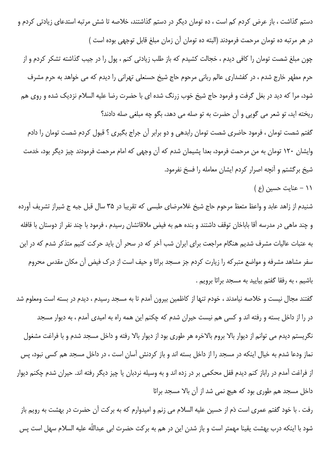دستم گذاشت ، باز عرض کردم کم است ، ده تومان دیگر در دستم گذاشتند، خلاصه تا شش مرتبه استدعای زیادتی کردم و در هر مرتبه ده تومان مرحمت فرمودند (البته ده تومان آن زمان مبلغ قابل توجهي بوده است )

چون مبلغ شصت تومان را كافي ديدم ، خجالت كشيدم كه باز طلب زيادتي كنم ، پول را در جيب گذاشته تشكر كردم و از حرم مطهر خارج شدم ، در کفشداری عالم ربانی مرحوم حاج شیخ حسنعلی تهرانی را دیدم که می خواهد به حرم مشرف شود، مرا که دید در بغل گرفت و فرمود حاج شیخ خوب زرنگ شده ای با حضرت رضا علیه السلام نزدیک شده و روی هم ریخته اید، تو شعر می گویی و آن حضرت به تو صله می دهد، بگو چه مبلغی صله دادند؟

گفتم شصت تومان ، فرمود حاضری شصت تومان رابدهی و دو برابر آن جراج بگیری ؟ قبول کردم شصت تومان را دادم وایشان ۱۲۰ تومان به من مرحمت فرمود، بعدا پشیمان شدم که آن وجهی که امام مرحمت فرمودند چیز دیگر بود، خدمت شیخ برگشتم و آنچه اصرار کردم ایشان معامله را فسخ نفرمود.

١١ - عنايت حسين (ع)

شنیدم از زاهد عابد و واعظ متعظ مرحوم حاج شیخ غلامرضای طبسی که تقریبا در ۳۵ سال قبل جبه ج شیراز تشریف آورده و چند ماهی در مدرسه آقا باباخان توقف داشتند و بنده هم به فیض ملاقاتشان رسیدم ، فرمود با چند نفر از دوستان با قافله به عتبات عالیات مشرف شدیم هنگام مراجعت برای ایران شب آخر که در سحر آن باید حرکت کنیم متذکر شدم که در این سفر مشاهد مشرفه و مواضع متبرکه را زیارت کردم جز مسجد براثا و حیف است از درک فیض آن مکان مقدس محروم باشیم ، به رفقا گفتم بیایید به مسجد براثا برویم .

گفتند مجال نیست و خلاصه نیامدند ، خودم تنها از کاظمین بیرون آمدم تا به مسجد رسیدم ، دیدم در بسته است ومعلوم شد در را از داخل بسته و رفته اند و کسی هم نیست حیران شدم که چکنم این همه راه به امیدی آمدم ، به دیوار مسجد نگریستم دیدم می توانم از دیوار بالا بروم بالاخره هر طوری بود از دیوار بالا رفته و داخل مسجد شدم و با فراغت مشغول نماز ودعا شدم به خیال اینکه در مسجد را از داخل بسته اند و باز کردنش آسان است ، در داخل مسجد هم کسی نبود، پس از فراغت آمدم در راباز کنم دیدم قفل محکمی بر در زده اند و به وسیله نردبان یا چیز دیگر رفته اند. حیران شدم چکنم دیوار داخل مسجد هم طوری بود که هیچ نمی شد از آن بالا مسجد براثا

رفت . با خود گفتم عمری است دَم از حسین علیه السلام می زنم و امیدوارم که به برکت آن حضرت در بهشت به رویم باز شود با اینکه درب بهشت یقینا مهمتر است و باز شدن این در هم به برکت حضرت ابی عبداللّه علیه السلام سهل است پس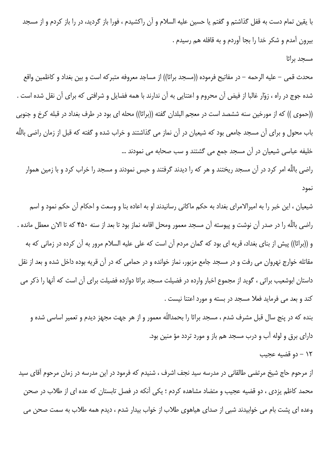با يقين تمام دست به قفل گذاشتم و گفتم يا حسين عليه السلام و آن راكشيدم ، فورا باز گرديد، در را باز كردم و از مسجد بیرون آمدم و شکر خدا را بجا آوردم و به قافله هم رسیدم .

#### مسجد براثا

محدث قمي – عليه الرحمه – در مفاتيح فرموده ((مسجد براثا)) از مساجد معروفه متبركه است و بين بغداد و كاظمين واقع شده جوج در راه ، زوّار غالبا از فیض آن محروم و اعتنایی به آن ندارند با همه فضایل و شرافتی که برای آن نقل شده است . ((حموي )) كه از مورخين سنه ششصد است در معجم البلدان گفته ((براثا)) محله اي بود در طرف بغداد در قبله كرخ و جنوبي باب محول و برای آن مسجد جامعی بود که شیعیان در آن نماز می گذاشتند و خراب شده و گفته که قبل از زمان راضی باللّه خلیفه عباسی شیعیان در آن مسجد جمع می گشتند و سب صحابه می نمودند ...

راضی باللَّه امر کرد در آن مسجد ریختند و هر که را دیدند گرفتند و حبس نمودند و مسجد را خراب کرد و با زمین هموار نمود

شیعیان ، این خبر را به امیرالامرای بغداد به حکم ماکانی رسانیدند او به اعاده بنا و وسعت و احکام آن حکم نمود و اسم راضی باللّه را در صدر آن نوشت و پیوسته آن مسجد معمور ومحل اقامه نماز بود تا بعد از سنه ۴۵۰ که تا الان معطل مانده . و ((براثا)) پیش از بنای بغداد، قریه ای بود که گمان مردم آن است که علی علیه السلام مرور به آن کرده در زمانی که به مقاتله خوارج نهروان می رفت و در مسجد جامع مزبور، نماز خوانده و در حمامی که در آن قریه بوده داخل شده و بعد از نقل داستان ابوشعیب براثی ، گوید از مجموع اخبار وارده در فضیلت مسجد براثا دوازده فضیلت برای آن است که آنها را ذکر می كند و بعد مى فرمايد فعلا مسجد در بسته و مورد اعتنا نيست .

بنده که در پنج سال قبل مشرف شدم ، مسجد براثا را بحمداللّه معمور و از هر جهت مجهز دیدم و تعمیر اساسی شده و دارای برق و لوله آب و درب مسجد هم باز و مورد تردد مؤ منین بود.

### ١٢ - دو قضيه عجيب

از مرحوم حاج شیخ مرتضی طالقانی در مدرسه سید نجف اشرف ، شنیدم که فرمود در این مدرسه در زمان مرحوم آقای سید محمد کاظم یزدی ، دو قضیه عجیب و متضاد مشاهده کردم ؛ یکی آنکه در فصل تابستان که عده ای از طلاب در صحن وعده ای پشت بام می خوابیدند شبی از صدای هیاهوی طلاب از خواب بیدار شدم ، دیدم همه طلاب به سمت صحن می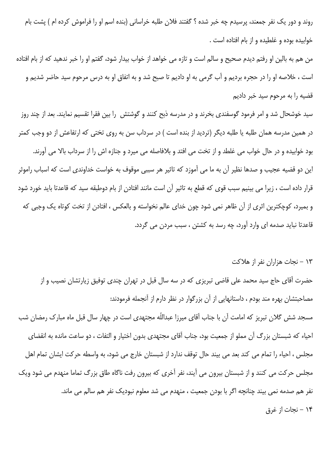روند و دور یک نفر جمعند، پرسیدم چه خبر شده ؟ گفتند فلان طلبه خراسانی (بنده اسم او را فراموش کرده ام ) پشت بام خوابیده بوده و غلطیده و از بام افتاده است .

من هم به بالين او رفتم ديدم صحيح و سالم است و تازه مي خواهد از خواب بيدار شود، گفتم او را خبر ندهيد كه از بام افتاده است ، خلاصه او را در حجره برديم و آب گرمي به او داديم تا صبح شد و به اتفاق او به درس مرحوم سيد حاضر شديم و قضیه را به مرحوم سید خبر دادیم

سید خوشحال شد و امر فرمود گوسفندی بخرند و در مدرسه ذبح کنند و گوشتش را بین فقرا تقسیم نمایند. بعد از چند روز در همین مدرسه همان طلبه یا طلبه دیگر (تردید از بنده است ) در سرداب سن به روی تختی که ارتفاعش از دو وجب کمتر بود خوابیده و در حال خواب می غلطد و از تخت می افتد و بلافاصله می میرد و جنازه اش را از سرداب بالا می آورند. این دو قضیه عجیب و صدها نظیر آن به ما می آموزد که تاثیر هر سببی موقوف به خواست خداوندی است که اسباب راموثر قرار داده است ، زيرا مي بينيم سبب قوى كه قطع به تاثير آن است مانند افتادن از بام دوطبقه سيد كه قاعدتا بايد خورد شود و بمیرد، کوچکترین اثری از آن ظاهر نمی شود چون خدای عالم نخواسته و بالعکس ، افتادن از تخت کوتاه یک وجبی که قاعدتا نبايد صدمه اي وارد آورد، چه رسد به كشتن ، سبب مردن مي گردد.

# ۱۳ – نجات هزاران نفر از هلاکت

حضرت آقای حاج سید محمد علی قاضی تبریزی که در سه سال قبل در تهران چندی توفیق زیارتشان نصیب و از مصاحبتشان بهره مند بودم ، داستانهایی از آن بزرگوار در نظر دارم از آنجمله فرمودند: مسجد شش گلان تبریز که امامت آن با جناب آقای میرزا عبداللّه مجتهدی است در چهار سال قبل ماه مبارک رمضان شب احیاء که شبستان بزرگ آن مملو از جمعیت بود، جناب آقای مجتهدی بدون اختیار و التفات ، دو ساعت مانده به انقضای مجلس ، احیاء را تمام می کند بعد می بیند حال توقف ندارد از شبستان خارج می شود، به واسطه حرکت ایشان تمام اهل مجلس حرکت می کنند و از شبستان بیرون می آیند، نفر آخری که بیرون رفت ناگاه طاق بزرگ تماما منهدم می شود ویک نفر هم صدمه نمي بيند چنانچه اگر با بودن جمعيت ، منهدم مي شد معلوم نبوديک نفر هم سالم مي ماند. ۱۴ – نجات از غرق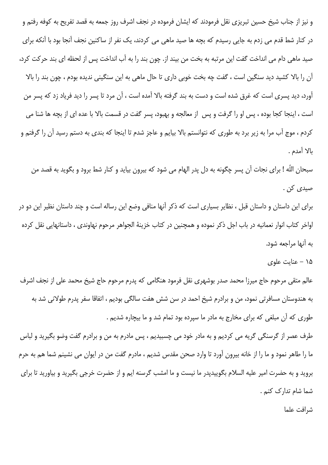و نیز از جناب شیخ حسین تبریزی نقل فرمودند که ایشان فرموده در نجف اشرف روز جمعه به قصد تفریح به کوفه رفتم و در کنار شط قدم می زدم به جایی رسیدم که بچه ها صید ماهی می کردند، یک نفر از ساکنین نجف آنجا بود با آنکه برای صید ماهی دام می انداخت گفت این مرتبه به بخت من بیند از. چون بند را به آب انداخت پس از لحظه ای بند حرکت کرد، آن را بالا کشید دید سنگین است ، گفت چه بخت خوبی داری تا حال ماهی به این سنگینی ندیده بودم ، چون بند را بالا آورد، دید پسری است که غرق شده است و دست به بند گرفته بالا آمده است ، آن مرد تا پسر را دید فریاد زد که پسر من است ، اینجا کجا بوده ، پس او را گرفت و پس از معالجه و بهبود، پسر گفت در قسمت بالا با عده ای از بچه ها شنا می کردم ، موج آب مرا به زیر برد به طوری که نتوانستم بالا بیایم و عاجز شدم تا اینجا که بندی به دستم رسید آن را گرفتم و بالا أمدم .

سبحان اللّه ! براي نجات آن پسر چگونه به دل پدر الهام مي شود كه بيرون بيايد و كنار شط برود و بگويد به قصد من صيدي کن .

برای این داستان و داستان قبل ، نظایر بسیاری است که ذکر آنها منافی وضع این رساله است و چند داستان نظیر این دو در اواخر كتاب انوار نعمانيه در باب اجل ذكر نموده و همچنين در كتاب خزينهٔ الجواهر مرحوم نهاوندي ، داستانهايي نقل كرده به آنها مراجعه شود.

۱۵ – عنایت علوی

عالم متقی مرحوم حاج میرزا محمد صدر بوشهری نقل فرمود هنگامی که پدرم مرحوم حاج شیخ محمد علی از نجف اشرف به هندوستان مسافرتی نمود، من و برادرم شیخ احمد در سن شش هفت سالگی بودیم ، اتفاقا سفر پدرم طولانی شد به طوری که آن مبلغی که برای مخارج به مادر ما سپرده بود تمام شد و ما بیچاره شدیم .

طرف عصر از گرسنگی گریه می کردیم و به مادر خود می چسبیدیم ، پس مادرم به من و برادرم گفت وضو بگیرید و لباس ما را طاهر نمود و ما را از خانه بیرون آورد تا وارد صحن مقدس شدیم ، مادرم گفت من در ایوان می نشینم شما هم به حرم بروید و به حضرت امیر علیه السلام بگوییدپدر ما نیست و ما امشب گرسنه ایم و از حضرت خرجی بگیرید و بیاورید تا برای شما شام تدارک کنم .

شرافت علما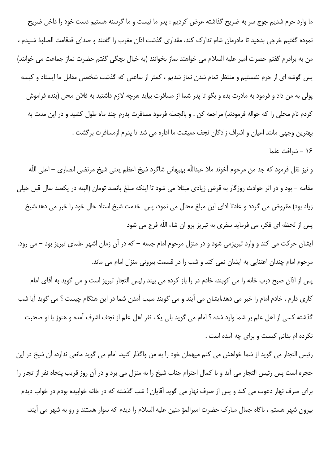ما وارد حرم شديم جوج سر به ضريح گذاشته عرض كرديم : پدر ما نيست و ما گرسنه هستيم دست خود را داخل ضريح نموده گفتیم خرجی بدهید تا مادرمان شام تدارک کند، مقداری گذشت اذان مغرب را گفتند و صدای قدقامت الصلوهٔ شنیدم ، من به برادرم گفتم حضرت امیر علیه السلام می خواهند نماز بخوانند (به خیال بچگی گفتم حضرت نماز جماعت می خوانند) پس گوشه ای از حرم نشستیم و منتظر تمام شدن نماز شدیم ، کمتر از ساعتی که گذشت شخصی مقابل ما ایستاد و کیسه پولی به من داد و فرمود به مادرت بده و بگو تا پدر شما از مسافرت بیاید هرچه لازم داشتید به فلان محل (بنده فراموش کردم نام محلی را که حواله فرمودند) مراجعه کن . و بالجمله فرمود مسافرت پدرم چند ماه طول کشید و در این مدت به بهترين وجهي مانند اعيان و اشراف زادگان نجف معيشت ما اداره مي شد تا يدرم ازمسافرت برگشت . ١۶ - شرافت علما

و نيز نقل فرمود كه جد من مرحوم آخوند ملا عبداللّه بهبهاني شاگرد شيخ اعظم يعني شيخ مرتضى انصارى – اعلى اللّه مقامه – بود و در اثر حوادث روزگار به قرض زيادي مبتلا مي شود تا اينكه مبلغ پانصد تومان (البته در يكصد سال قبل خيلي زیاد بود) مقروض می گردد و عادتا ادای این مبلغ محال می نمود، پس خدمت شیخ استاد حال خود را خبر می دهد،شیخ پس از لحظه ای فکر، می فرماید سفری به تبریز برو ان شاء اللّه فرج می شود

ایشان حرکت می کند و وارد تبریزمی شود و در منزل مرحوم امام جمعه – که در آن زمان اشهر علمای تبریز بود – می رود. مرحوم امام چندان اعتنایی به ایشان نمی کند و شب را در قسمت بیرونی منزل امام می ماند.

پس از اذان صبح درب خانه را می کوبند، خادم در را باز کرده می بیند رئیس التجار تبریز است و می گوید به آقای امام کاری دارم ، خادم امام را خبر می دهد،ایشان می آیند و می گویند سبب آمدن شما در این هنگام چیست ؟ می گوید آیا شب گذشته کسی از اهل علم بر شما وارد شده ؟ امام می گوید بلی یک نفر اهل علم از نجف اشرف آمده و هنوز با او صحبت نکرده ام بدانم کیست و برای چه آمده است .

رئیس التجار می گوید از شما خواهش می کنم میهمان خود را به من واگذار کنید. امام می گوید مانعی ندارد، آن شیخ در این حجره است پس رئيس التجار مي آيد و با كمال احترام جناب شيخ را به منزل مي برد و در آن روز قريب پنجاه نفر از تجار را برای صرف نهار دعوت می کند و پس از صرف نهار می گوید آقایان ! شب گذشته که در خانه خوابیده بودم در خواب دیدم بیرون شهر هستم ، ناگاه جمال مبارک حضرت امیرالمؤ منین علیه السلام را دیدم که سوار هستند و رو به شهر می آیند،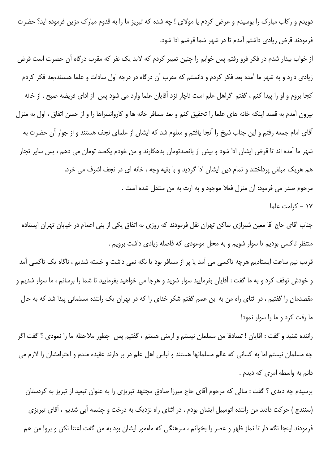دویدم و رکاب مبارک را بوسیدم و عرض کردم یا مولای ! چه شده که تبریز ما را به قدوم مبارک مزین فرموده اید؟ حضرت فرمودند قرض زيادي داشتم آمدم تا در شهر شما قرضم ادا شود.

از خواب بیدار شدم در فکر فرو رفتم پس خوابم را چنین تعبیر کردم که لابد یک نفر که مقرب درگاه آن حضرت است قرض زیادی دارد و به شهر ما آمده بعد فکر کردم و دانستم که مقرب آن درگاه در درجه اول سادات و علما هستند،بعد فکر کردم كجا بروم و او را پيدا كنم ، گفتم اگراهل علم است ناچار نزد آقايان علما وارد مي شود پس از اداي فريضه صبح ، از خانه بیرون آمدم به قصد اینکه خانه های علما را تحقیق کنم و بعد مسافر خانه ها و کاروانسراها را و از حسن اتفاق ، اول به منزل آقای امام جمعه رفتم و این جناب شیخ را آنجا یافتم و معلوم شد که ایشان از علمای نجف هستند و از جوار آن حضرت به شهر ما آمده اند تا قرض ایشان ادا شود و بیش از پانصدتومان بدهکارند و من خودم یکصد تومان می دهم ، پس سایر تجار هم هريک مبلغي پرداختند و تمام دين ايشان ادا گرديد و با بقيه وجه ، خانه اي در نجف اشرف مي خرد. مرحوم صدر می فرمود: آن منزل فعلا موجود و به ارث به من منتقل شده است .

۱۷ – کرامت علما

جناب آقای حاج آقا معین شیرازی ساکن تهران نقل فرمودند که روزی به اتفاق یکی از بنی اعمام در خیابان تهران ایستاده منتظر تاکسی بودیم تا سوار شویم و به محل موعودی که فاصله زیادی داشت برویم .

قریب نیم ساعت ایستادیم هرچه تاکسی می آمد یا پر از مسافر بود یا نگه نمی داشت و خسته شدیم ، ناگاه یک تاکسی آمد و خودش توقف کرد و به ما گفت : آقایان بفرمایید سوار شوید و هرجا می خواهید بفرمایید تا شما را برسانم ، ما سوار شدیم و مقصدمان را گفتیم ، در اثنای راه من به ابن عمم گفتم شکر خدای را که در تهران یک راننده مسلمانی پیدا شد که به حال ما رقت كرد و ما را سوار نمود!

راننده شنید و گفت : آقایان ! تصادفا من مسلمان نیستم و ارمنی هستم ، گفتیم پس چطور ملاحظه ما را نمودی ؟ گفت اگر چه مسلمان نیستم اما به کسانی که عالم مسلمانها هستند و لباس اهل علم در بر دارند عقیده مندم و احترامشان را لازم می دانم به واسطه امری که دیدم.

پرسیدم چه دیدی ؟ گفت : سالی که مرحوم اَقای حاج میرزا صادق مجتهد تبریزی را به عنوان تبعید از تبریز به کردستان (سنندج ) حرکت دادند من راننده اتومبیل ایشان بودم ، در اثنای راه نزدیک به درخت و چشمه آبی شدیم ، آقای تبریزی فرمودند اينجا نگه دار تا نماز ظهر و عصر را بخوانم ، سرهنگي كه ماءمور ايشان بود به من گفت اعتنا نكن و برو! من هم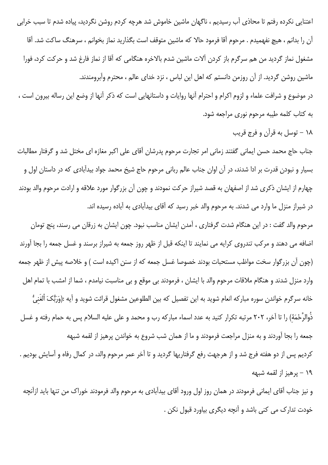اعتنایی نکرده رفتم تا محاذی آب رسیدیم ، ناگهان ماشین خاموش شد هرچه کردم روشن نگردید، پیاده شدم تا سبب خرابی آن را بدانم ، هيچ نفهميدم . مرحوم آقا فرمود حالا كه ماشين متوقف است بگذاريد نماز بخوانم ، سرهنگ ساكت شد. آقا مشغول نماز گردید من هم سرگرم باز کردن آلات ماشین شدم بالاخره هنگامی که آقا از نماز فارغ شد و حرکت کرد، فورا ماشین روشن گردید. از آن روزمن دانستم که اهل این لباس ، نزد خدای عالم ، محترم وآبرومندند.

در موضوع و شرافت علماء و لزوم اكرام و احترام آنها روايات و داستانهايي است كه ذكر آنها از وضع اين رساله بيرون است ، به كتاب كلمه طيبه مرحوم نوري مراجعه شود.

۱۸ – توسل به قرآن و فرج قریب

جناب حاج محمد حسن ايماني گفتند زماني امر تجارت مرحوم پدرشان آقاي علي اكبر مغازه اي مختل شد و گرفتار مطالبات بسیار و نبودن قدرت بر ادا شدند، در آن اوان جناب عالم ربانی مرحوم حاج شیخ محمد جواد بیدآبادی که در داستان اول و چهارم از ایشان ذکری شد از اصفهان به قصد شیراز حرکت نمودند و چون آن بزرگوار مورد علاقه و ارادت مرحوم والد بودند در شیراز منزل ما وارد می شدند. به مرحوم والد خبر رسید که آقای بیدآبادی به آباده رسیده اند.

مرحوم والد گفت : در این هنگام شدت گرفتاری ، آمدن ایشان مناسب نبود. چون ایشان به زرقان می رسند، پنج تومان اضافه می دهند و مرکب تندروی کرایه می نمایند تا اینکه قبل از ظهر روز جمعه به شیراز برسند و غسل جمعه را بجا آورند (چون آن بزرگوار سخت مواظب مستحبات بودند خصوصا غسل جمعه که از سنن اکیده است ) و خلاصه پیش از ظهر جمعه وارد منزل شدند و هنگام ملاقات مرحوم والد با ایشان ، فرمودند بی موقع و بی مناسبت نیامدم ، شما از امشب با تمام اهل خانه سرگرم خواندن سوره مباركه انعام شويد به اين تفصيل كه بين الطلوعين مشغول قرائت شويد و آيه :(وَرَبُّكَ أَلغَنيُّ ذُوالرَّحْمَةَ) را تا آخر، ٢٠٢ مرتبه تكرار كنيد به عدد اسماء مباركه رب و محمد و على عليه السلام پس به حمام رفته و غسل جمعه را بجا آوردند و به منزل مراجعت فرمودند و ما از همان شب شروع به خواندن پرهيز از لقمه شبهه

کردیم پس از دو هفته فرج شد و از هرجهت رفع گرفتاریها گردید و تا آخر عمر مرحوم والد، در کمال رفاه و آسایش بودیم . ١٩ – يرهيز از لقمه شبهه

و نیز جناب آقای ایمانی فرمودند در همان روز اول ورود آقای بیدآبادی به مرحوم والد فرمودند خوراک من تنها باید ازآنچه خودت تدارک می کنی باشد و آنچه دیگری بیاورد قبول نکن .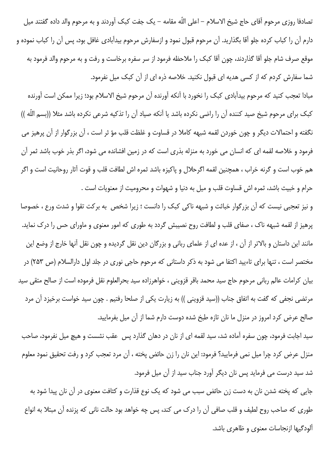تصادفا روزي مرحوم آقاي حاج شيخ الاسلام – اعلى اللّه مقامه – يک جفت کبک آوردند و به مرحوم والد داده گفتند ميل دارم آن را کباب کرده جلو آقا بگذارید. آن مرحوم قبول نمود و ازسفارش مرحوم بیدآبادی غافل بود، پس آن را کباب نموده و موقع صرف شام جلو آقا گذاردند، چون آقا کبک را ملاحظه فرمود از سر سفره برخاست و رفت و به مرحوم والد فرمود به شما سفارش کردم که از کسی هدیه ای قبول نکنید. خلاصه ذره ای از آن کبک میل نفرمود.

مبادا تعجب كنيد كه مرحوم بيدآبادي كبك را نخورد با آنكه آورنده آن مرحوم شيخ الاسلام بود؛ زيرا ممكن است آورنده كبك براي مرحوم شيخ صيد كننده آن را راضي نكرده باشد يا آنكه صياد آن را تذكيه شرعي نكرده باشد مثلا ((بسم اللّه )) نگفته و احتمالات دیگر و چون خوردن لقمه شبهه کاملا در قساوت و غلظت قلب مؤ ثر است ، آن بزرگوار از آن پرهیز می فرمود و خلاصه لقمه ای که انسان می خورد به منزله بذری است که در زمین افشانده می شود، اگر بذر خوب باشد ثمر آن هم خوب است و گرنه خراب ، همچنین لقمه اگرحلال و پاکیزه باشد ثمره اش لطافت قلب و قوت آثار روحانیت است و اگر حرام و خبيث باشد، ثمره اش قساوت قلب و ميل به دنيا و شهوات و محروميت از معنويات است .

و نیز تعجبی نیست که آن بزرگوار خباثت و شبهه ناکی کبک را دانست ؛ زیرا شخص به برکت تقوا و شدت ورع ، خصوصا پرهیز از لقمه شبهه ناک ، صفای قلب و لطافت روح نصیبش گردد به طوری که امور معنوی و ماورای حس را درک نماید. مانند این داستان و بالاتر از آن ، از عده ای از علمای ربانی و بزرگان دین نقل گردیده و چون نقل آنها خارج از وضع این مختصر است ، تنها برای تاءیید اکتفا می شود به ذکر داستانی که مرحوم حاجی نوری در جلد اول دارالسلام (ص ۲۵۳) در بیان کرامات عالم ربانی مرحوم حاج سید محمد باقر قزوینی ، خواهرزاده سید بحرالعلوم نقل فرموده است از صالح متقی سید مرتضى نجفى كه گفت به اتفاق جناب ((سيد قزويني )) به زيارت يكي از صلحا رفتيم . چون سيد خواست برخيزد آن مرد صالح عرض کرد امروز در منزل ما نان تازه طبخ شده دوست دارم شما از آن میل بفرمایید.

سید اجابت فرمود، چون سفره آماده شد، سید لقمه ای از نان در دهان گذارد پس عقب نشست و هیچ میل نفرمود، صاحب منزل عرض کرد چرا میل نمی فرمایید؟ فرمود: این نان را زن حائض پخته ، آن مرد تعجب کرد و رفت تحقیق نمود معلوم شد سید درست می فرماید پس نان دیگر آورد جناب سید از آن میل فرمود.

جایی که پخته شدن نان به دست زن حائض سبب می شود که یک نوع قذارت و کثافت معنوی در آن نان پیدا شود به طوري كه صاحب روح لطيف و قلب صافي آن را درک مي کند، پس چه خواهد بود حالت ناني که پزنده آن مبتلا به انواع آلودگیها ازنجاسات معنوی و ظاهری باشد.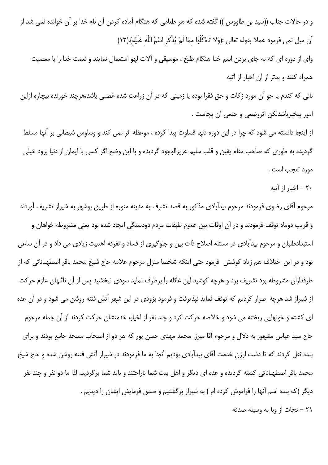و در حالات جناب ((سید بن طاووس )) گفته شده که هر طعامی که هنگام آماده کردن آن نام خدا بر آن خوانده نمی شد از آن ميل نمي فرمود عملا بقوله تعالى :(وَلا تَاءْكُلُوا ممّا لَمْ يُذْكَرِ اسْمُ اللَّه عَلَيْه).(١٢)

وای از دوره ای که به جای بردن اسم خدا هنگام طبخ ، موسیقی و آلات لهو استعمال نمایند و نعمت خدا را با معصیت همراه کنند و بدتر از آن اخبار از آتیه

نانی که گندم یا جو آن مورد زکات و حق فقرا بوده یا زمینی که در آن زراعت شده غصبی باشد،هرچند خورنده بیچاره ازاین امور بيخبرباشدلكن اثروضعي و حتمي آن بجاست .

از اینجا دانسته می شود که چرا در این دوره دلها قساوت پیدا کرده ، موعظه اثر نمی کند و وساوس شیطانی بر آنها مسلط گردیده به طوری که صاحب مقام یقین و قلب سلیم عزیزالوجود گردیده و با این وضع اگر کسی با ایمان از دنیا برود خیلی مورد تعجب است .

۲۰ – اخبار از آتيه

مرحوم آقای رضوی فرمودند مرحوم بیدآبادی مذکور به قصد تشرف به مدینه منوره از طریق بوشهر به شیراز تشریف آوردند و قريب دوماه توقف فرمودند و در آن اوقات بين عموم طبقات مردم دودستگي ايجاد شده بود يعني مشروطه خواهان و استبدادطلبان و مرحوم بیدآبادی در مسئله اصلاح ذات بین و جلوگیری از فساد و تفرقه اهمیت زیادی می داد و در آن ساعی بود و در این اختلاف هم زیاد کوشش ِ فرمود حتی اینکه شخصا منزل مرحوم علامه حاج شیخ محمد باقر اصطهباناتی که از طرفداران مشروطه بود تشریف برد و هرچه کوشید این غائله را برطرف نماید سودی نبخشید پس از آن ناگهان عازم حرکت از شیراز شد هرچه اصرار کردیم که توقف نماید نیذیرفت و فرمود بزودی در این شهر آتش فتنه روشن می شود و در آن عده ای کشته و خونهایی ریخته می شود و خلاصه حرکت کرد و چند نفر از اخیار، خدمتشان حرکت کردند از آن جمله مرحوم حاج سید عباس مشهور به دلال و مرحوم آقا میرزا محمد مهدی حسن پور که هر دو از اصحاب مسجد جامع بودند و برای بنده نقل کردند که تا دشت ارژن خدمت آقای بیدآبادی بودیم آنجا به ما فرمودند در شیراز آتش فتنه روشن شده و حاج شیخ محمد باقر اصطهباناتی کشته گردیده و عده ای دیگر و اهل بیت شما ناراحتند و باید شما برگردید، لذا ما دو نفر و چند نفر دیگر (که بنده اسم آنها را فراموش کرده ام ) به شیراز برگشتیم و صدق فرمایش ایشان را دیدیم . ٢١ – نجات از وبا به وسيله صدقه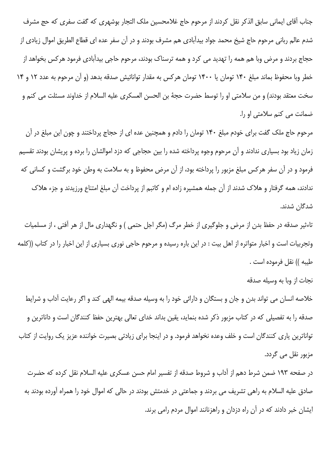جناب آقای ایمانی سابق الذکر نقل کردند از مرحوم حاج غلامحسین ملک التجار بوشهری که گفت سفری که حج مشرف شدم عالم ربانی مرحوم حاج شیخ محمد جواد بیدآبادی هم مشرف بودند و در آن سفر عده ای قطاع الطریق اموال زیادی از حجاج بردند و مرض وبا هم همه را تهدید می کرد و همه ترسناک بودند، مرحوم حاجی بیدآبادی فرمود هرکس بخواهد از خطر وبا محفوظ بماند مبلغ ۱۴۰ تومان یا ۱۴۰۰ تومان هرکس به مقدار توانائیش صدقه بدهد (و آن مرحوم به عدد ۱۲ و ۱۴ سخت معتقد بودند) و من سلامتى او را توسط حضرت حجهٔ بن الحسن العسكرى عليه السلام از خداوند مسئلت مى كنم و ضمانت می کنم سلامتی او را.

مرحوم حاج ملک گفت برای خودم مبلغ ۱۴۰ تومان را دادم و همچنین عده ای از حجاج پرداختند و چون این مبلغ در آن زمان زیاد بود بسیاری ندادند و آن مرحوم وجوه پرداخته شده را بین حجاجی که دزد اموالشان را برده و پریشان بودند تقسیم فرمود و در آن سفر هرکس مبلغ مزبور را پرداخته بود، از آن مرض محفوظ و به سلامت به وطن خود برگشت و کسانی که ندادند، همه گرفتار و هلاک شدند از آن جمله همشیره زاده ام و کاتبم از پرداخت آن مبلغ امتناع ورزیدند و جزء هلاک شدگان شدند.

تاءثیر صدقه در حفظ بدن از مرض و جلوگیری از خطر مرگ (مگر اجل حتمی ) و نگهداری مال از هر آفتی ، از مسلمیات وتجربیات است و اخبار متواتره از اهل بیت : در این باره رسیده و مرحوم حاجی نوری بسیاری از این اخبار را در کتاب ((کلمه طيبه )) نقل فرموده است .

خلاصه انسان می تواند بدن و جان و بستگان و دارائی خود را به وسیله صدقه بیمه الهی کند و اگر رعایت آداب و شرایط صدقه را به تفصیلی که در کتاب مزبور ذکر شده بنماید، یقین بداند خدای تعالی بهترین حفظ کنندگان است و داناترین و تواناترین یاری کنندگان است و خلف وعده نخواهد فرمود. و در اینجا برای زیادتی بصیرت خواننده عزیز یک روایت از کتاب مزبور نقل مے گردد.

در صفحه ١٩٣ ضمن شرط دهم از آداب و شروط صدقه از تفسير امام حسن عسكرى عليه السلام نقل كرده كه حضرت صادق علیه السلام به راهی تشریف می بردند و جماعتی در خدمتش بودند در حالی که اموال خود را همراه آورده بودند به ایشان خبر دادند که در آن راه دزدان و راهزنانند اموال مردم رامی برند.

نجات از وبا به وسیله صدقه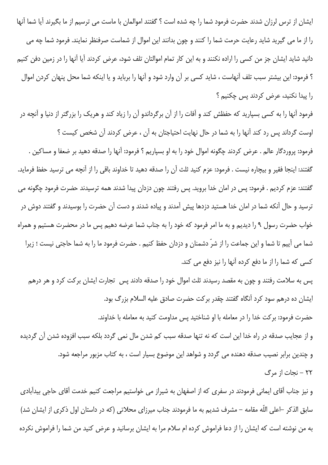ایشان از ترس لرزان شدند حضرت فرمود شما را چه شده است ؟ گفتند اموالمان با ماست می ترسیم از ما بگیرند آیا شما آنها را از ما می گیرید شاید رعایت حرمت شما را کنند و چون بدانند این اموال از شماست صرفنظر نمایند. فرمود شما چه می دانید شاید ایشان جز من کسی را اراده نکنند و به این کار تمام اموالتان تلف شود، عرض کردند آیا آنها را در زمین دفن کنیم ؟ فرمود: این بیشتر سبب تلف آنهاست ، شاید کسی بر آن وارد شود و آنها را برباید و یا اینکه شما محل پنهان کردن اموال را پیدا نکنید، عرض کردند پس چکنیم ؟

فرمود آنها را به کسی بسپارید که حفظش کند و آفات را از آن برگرداندو آن را زیاد کند و هریک را بزرگتر از دنیا و آنچه در اوست گرداند پس رد کند آنها را به شما در حال نهایت احتیاجتان به آن ، عرض کردند آن شخص کیست ؟ فرمود: پروردگار عالم . عرض كردند چگونه اموال خود را به او بسپاريم ؟ فرمود: آنها را صدقه دهيد بر ضعفا و مساكين . گفتند: اینجا فقیر و بیچاره نیست . فرمود: عزم کنید ثلث آن را صدقه دهید تا خداوند باقی را از آنچه می ترسید حفظ فرماید. گفتند: عزم کردیم . فرمود: پس در امان خدا بروید. پس رفتند چون دزدان پیدا شدند همه ترسیدند حضرت فرمود چگونه می

ترسید و حال آنکه شما در امان خدا هستید دزدها پیش آمدند و پیاده شدند و دست آن حضرت را بوسیدند و گفتند دوش در خواب حضرت رسول ۹ را دیدیم و به ما امر فرمود که خود را به جناب شما عرضه دهیم پس ما در محضرت هستیم و همراه شما می آییم تا شما و این جماعت را از شرّ دشمنان و دزدان حفظ کنیم . حضرت فرمود ما را به شما حاجتی نیست ؛ زیرا كسى كه شما را از ما دفع كرده أنها را نيز دفع مى كند.

پس به سلامت رفتند و چون به مقصد رسیدند ثلث اموال خود را صدقه دادند پس تجارت ایشان برکت کرد و هر درهم ایشان ده درهم سود کرد آنگاه گفتند چقدر برکت حضرت صادق علیه السلام بزرگ بود. حضرت فرمود: بركت خدا را در معامله با او شناختيد پس مداومت كنيد به معامله با خداوند. و از عجایب صدقه در راه خدا این است که نه تنها صدقه سبب کم شدن مال نمی گردد بلکه سبب افزوده شدن آن گردیده و چندین برابر نصیب صدقه دهنده می گردد و شواهد این موضوع بسیار است ، به کتاب مزبور مراجعه شود.

٢٢ - نجات از مرگ

و نیز جناب آقای ایمانی فرمودند در سفری که از اصفهان به شیراز می خواستیم مراجعت کنیم خدمت آقای حاجی بیدآبادی سابق الذکر –اعلی اللّه مقامه – مشرف شدیم به ما فرمودند جناب میرزای محلاتی (که در داستان اول ذکری از ایشان شد) به من نوشته است که ایشان را از دعا فراموش کرده ام سلام مرا به ایشان برسانید و عرض کنید من شما را فراموش نکرده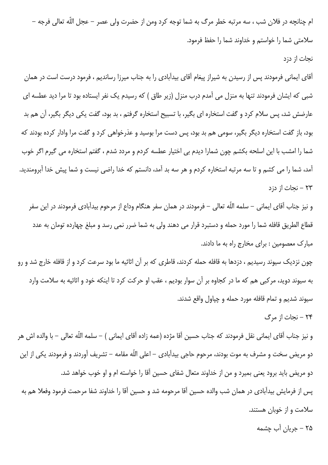ام چنانچه در فلان شب ، سه مرتبه خطر مرگ به شما توجه کرد ومن از حضرت ولی عصر – عجل اللّه تعالی فرجه – سلامتی شما را خواستم و خداوند شما را حفظ فرمود.

### نحات از دزد

آقای ایمانی فرمودند پس از رسیدن به شیراز پیغام آقای بیدآبادی را به جناب میرزا رساندیم ، فرمود درست است در همان شبی که ایشان فرمودند تنها به منزل می آمدم درب منزل (زیر طاق ) که رسیدم یک نفر ایستاده بود تا مرا دید عطسه ای عارضش شد، پس سلام کرد و گفت استخاره ای بگیر، با تسبیح استخاره گرفتم ، بد بود، گفت یکی دیگر بگیر، آن هم بد بود، باز گفت استخاره دیگر بگیر، سومی هم بد بود، پس دست مرا بوسید و عذرخواهی کرد و گفت مرا وادار کرده بودند که شما را امشب با این اسلحه بکشم چون شمارا دیدم بی اختیار عطسه کردم و مردد شدم ، گفتم استخاره می گیرم اگر خوب آمد، شما را می کشم و تا سه مرتبه استخاره کردم و هر سه بد آمد، دانستم که خدا راضی نیست و شما پیش خدا آبرومندید. ۲۳ – نجات از دزد

و نیز جناب آقای ایمانی – سلمه اللّه تعالی – فرمودند در همان سفر هنگام وداع از مرحوم بیدآبادی فرمودند در این سفر قطاع الطريق قافله شما را مورد حمله و دستبرد قرار مي دهند ولي به شما ضرر نمي رسد و مبلغ چهارده تومان به عدد مبارک معصومین : برای مخارج راه به ما دادند.

چون نزدیک سیوند رسیدیم ، دزدها به قافله حمله کردند، قاطری که بر آن اثاثیه ما بود سرعت کرد و از قافله خارج شد و رو به سیوند دوید، مرکبی هم که ما در کجاوه بر آن سوار بودیم ، عقب او حرکت کرد تا اینکه خود و اثاثیه به سلامت وارد سيوند شديم و تمام قافله مورد حمله و چياول واقع شدند.

۲۴ - نحات از مرگ

و نيز جناب آقاى ايمانى نقل فرمودند كه جناب حسين آقا مژده (عمه زاده آقاى ايمانى ) – سلمه اللّه تعالى – با والده اش هر دو مریض سخت و مشرف به موت بودند، مرحوم حاجی بیدآبادی – اعلی اللّه مقامه – تشریف آوردند و فرمودند یکی از این دو مريض بايد برود يعني بميرد و من از خداوند متعال شفاي حسين آقا را خواسته ام و او خوب خواهد شد. پس از فرمایش بیدآبادی در همان شب والده حسین آقا مرحومه شد و حسین آقا را خداوند شفا مرحمت فرمود وفعلا هم به سلامت و از خوبان هستند.

۲۵ – جريان آب چشمه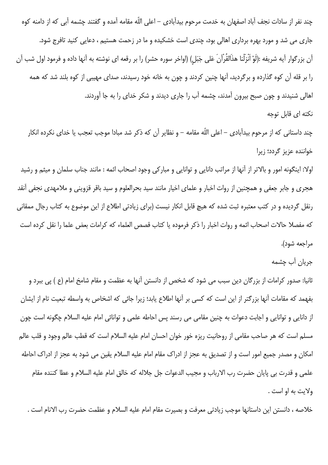چند نفر از سادات نجف آباد اصفهان به خدمت مرحوم بیدآبادی – اعلی اللّه مقامه آمده و گفتند چشمه آبی که از دامنه کوه جاری می شد و مورد بهره برداری اهالی بود، چندی است خشکیده و ما در زحمت هستیم ، دعایی کنید تافرج شود. آن بزرگوار آیه شریفه :(لَوْ اَنْزَلْنا هذَالقُرْاَنَ عَلی جَبَلِ) (اواخر سوره حشر) را بر رقعه ای نوشته به آنها داده و فرمود اول شب آن را بر قله آن کوه گذارده و برگردید، آنها چنین کردند و چون به خانه خود رسیدند، صدای مهیبی از کوه بلند شد که همه اهالی شنیدند و چون صبح بیرون آمدند، چشمه آب را جاری دیدند و شکر خدای را به جا آوردند.

## نکته ای قابل توجه

چند داستانی که از مرحوم بیدآبادی – اعلی اللّه مقامه – و نظایر آن که ذکر شد مبادا موجب تعجب یا خدای نکرده انکار خواننده عزیز گردد؛ زیرا

اولا: اینگونه امور و بالاتر از آنها از مراتب دانایی و توانایی و مبارکی وجود اصحاب ائمه : مانند جناب سلمان و میثم و رشید هجری و جابر جعفی و همچنین از روات اخبار و علمای اخیار مانند سید بحرالعلوم و سید باقر قزوینی و ملامهدی نجفی آنقد رنقل گردیده و در کتب معتبره ثبت شده که هیچ قابل انکار نیست (برای زیادتی اطلاع از این موضوع به کتاب رجال ممقانی كه مفصلا حالات اصحاب ائمه و روات اخبار را ذكر فرموده يا كتاب قصص العلماء كه كرامات بعض علما را نقل كرده است مراجعه شود).

# جريان آب چشمه

ثانیا: صدور کرامات از بزرگان دین سبب می شود که شخص از دانستن آنها به عظمت و مقام شامخ امام (ع ) پی ببرد و بفهمد که مقامات آنها بزرگتر از این است که کسی بر آنها اطلاع یابد؛ زیرا جائی که اشخاص به واسطه تبعیت تام از ایشان از دانایی و توانایی و اجابت دعوات به چنین مقامی می رسند پس احاطه علمی و توانائی امام علیه السلام چگونه است چون مسلم است که هر صاحب مقامی از روحانیت ریزه خور خوان احسان امام علیه السلام است که قطب عالم وجود و قلب عالم امکان و مصدر جمیع امور است و از تصدیق به عجز از ادراک مقام امام علیه السلام یقین می شود به عجز از ادراک احاطه علمي و قدرت بي پايان حضرت رب الارباب و مجيب الدعوات جل جلاله كه خالق امام عليه السلام و عطا كننده مقام ولايت به او است .

خلاصه ، دانستن اين داستانها موجب زيادتي معرفت و بصيرت مقام امام عليه السلام و عظمت حضرت رب الانام است .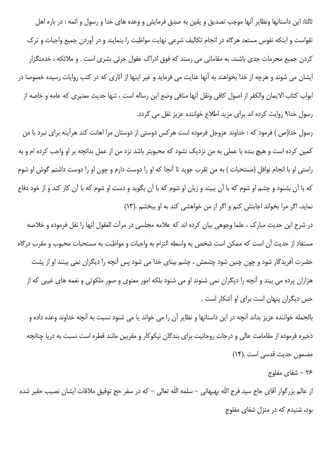ثالثا: این داستانها ونظایر آنها موجب تصدیق و یقین به صدق فرمایش و وعده های خدا و رسول و ائمه : در باره اهل تقواست و اینکه نفوس مستعد هرگاه در انجام تکالیف شرعی نهایت مواظبت را بنمایند و در آوردن جمیع واجبات و ترک کردن جمیع محرمات جدی باشند، به مقاماتی می رسند که فوق ادراک عقول جزئی بشری است . و ملائکه ، خدمتگزار ایشان می شوند و هرچه از خدا بخواهند به آنها عنایت می فرماید و غیر اینها از آثاری که در کتب روایات رسیده خصوصا در ابواب كتاب الايمان والكفر از اصول كافي ونقل آنها منافي وضع اين رساله است ، تنها حديث معتبرى كه عامه و خاصه از رسول خدا۹ روایت کرده اند برای مزید اطلاع خواننده عزیز نقل می گردد.

رسول خدا(ص ) فرمود که : خداوند عزوجل فرموده است هرکس دوستی از دوستان مرا اهانت کند هرآینه برای نبرد با من كمين كرده است و هيچ بنده با عملي به من نزديک نشود که محبوبتر باشد نزد من از عمل بدانچه بر او واجب کرده ام و به راستی او با انجام نوافل (مستحبات ) به من تقرب جوید تا آنجا که او را دوست دارم و چون او را دوست داشتم گوش او شوم که با آن بشنود و چشم او شوم که با آن ببیند و زبان او شوم که با آن بگوید و دست او شوم که با آن کار کند و از خود دفاع نماید، اگر مرا بخواند اجابتش کنم و اگر از من خواهشی کند به او ببخشم .(١٣)

در شرح این حدیث مبارک ، علما وجوهی بیان کرده اند که علامه مجلسی در مرآت العقول آنها را نقل فرموده و خلاصه مستفاد از حديث آن است كه ممكن است شخص به واسطه التزام به واجبات و مواظبت به مستحبات محبوب و مقرب درگاه حضرت آفریدگار شود و چون چنین شود چشمش ، چشم بینای خدا می شود پس آنچه را دیگران نمی بینند او از پشت هزاران پرده می بیند و آنچه را دیگران نمی شنوند او می شنود بلکه امور معنوی و صور ملکوتی و نغمه های غیبی که از حس دیگران پنهان است برای او آشکار است .

بالجمله خواننده عزیز بداند آنچه در این داستانها و نظایر آن را می خواند یا می شنود نسبت به آنچه خداوند وعده داده و ذخیره فرموده از مقامامت عالی و درجات روحانیت برای بندگان نیکوکار و مقربین مانند قطره است نسبت به دریا چنانچه مضمون حديث قدسى است .(١۴)

## ۲۶ – شفای مفلوج

از عالم بزرگوار آقاي حاج سيد فرج اللّه بهبهاني – سلمه اللّه تعالى – كه در سفر حج توفيق ملاقات ايشان نصيب حقير شده بود، شنیدم که در منزل شفای مفلوج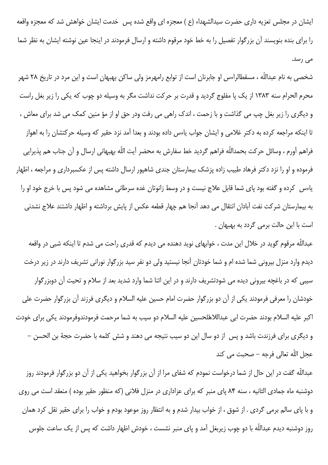ایشان در مجلس تعزیه داری حضرت سیدالشهداء (ع ) معجزه ای واقع شده پس خدمت ایشان خواهش شد که معجزه واقعه را برای بنده بنویسند آن بزرگوار تفصیل را به خط خود مرقوم داشته و ارسال فرمودند در اینجا عین نوشته ایشان به نظر شما می رسد.

شخصی به نام عبداللّه ، مسقطالراءس او جابرنان است از توابع رامهرمز ولی ساکن بهبهان است و این مرد در تاریخ ۲۸ شهر محرم الحرام سنه ۱۳۸۳ از یک پا مفلوج گردید و قدرت بر حرکت نداشت مگر به وسیله دو چوب که یکی را زیر بغل راست و دیگری را زیر بغل چپ می گذاشت و با زحمت ، اندک راهی می رفت ودر حق او از مؤ منین کمک می شد برای معاش ، تا اینکه مراجعه کرده به دکتر غلامی و ایشان جواب یاءس داده بودند و بعدا آمد نزد حقیر که وسیله حرکتشان را به اهواز فراهم آورم ، وسائل حركت بحمداللّه فراهم گرديد خط سفارش به محضر آيت اللّه بهبهاني ارسال و آن جناب هم پذيرايي فرموده و او را نزد دکتر فرهاد طبیب زاده پزشک بیمارستان جندی شاهپور ارسال داشته پس از عکسبرداری و مراجعه ، اظهار یاءس کرده و گفته بود پای شما قابل علاج نیست و در وسط زانوتان غده سرطانی مشاهده می شود پس با خرج خود او را به بیمارستان شرکت نفت آبادان انتقال می دهد آنجا هم چهار قطعه عکس از پایش برداشته و اظهار داشتند علاج نشدنی است با این حالت برمی گردد به بهبهان .

عبداللّه مرقوم گوید در خلال این مدت ، خوابهای نوید دهنده می دیدم که قدری راحت می شدم تا اینکه شبی در واقعه دیدم وارد منزل بیرونی شما شده ام و شما خودتان آنجا نیستید ولی دو نفر سید بزرگوار نورانی تشریف دارند در زیر درخت سیبی که در باغچه بیرونی دیده می شودتشریف دارند و در این اثنا شما وارد شدید بعد از سلام و تحیت آن دوبزرگوار خودشان را معرفی فرمودند یکی از آن دو بزرگوار حضرت امام حسین علیه السلام و دیگری فرزند آن بزرگوار حضرت علی اكبر عليه السلام بودند حضرت ابي عبداللاهّلحسين عليه السلام دو سيب به شما مرحمت فرمودندوفرمودند يكي براي خودت و دیگری برای فرزندت باشد و پس از دو سال این دو سیب نتیجه می دهند و شش کلمه با حضرت حجهٔ بن الحسن – عجل اللّه تعالى فرجه – صحبت مى كند

عبداللّه گفت در این حال از شما درخواست نمودم که شفای مرا از آن بزرگوار بخواهید یکی از آن دو بزرگوار فرمودند روز دوشنبه ماه جمادی الثانیه ، سنه ۸۴ پای منبر که برای عزاداری در منزل فلانی (که منظور حقیر بوده ) منعقد است می روی و با پای سالم برمی گردی . از شوق ، از خواب بیدار شدم و به انتظار روز موعود بودم و خواب را برای حقیر نقل کرد همان روز دوشنبه دیدم عبداللّه با دو چوب زیربغل آمد و پای منبر نشست ، خودش اظهار داشت که پس از یک ساعت جلوس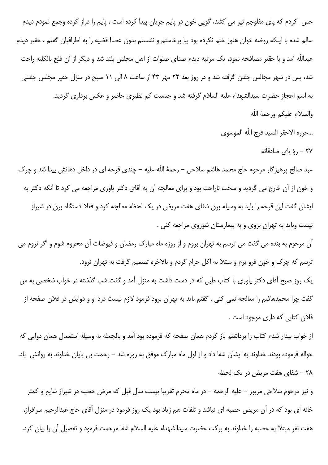حس کردم که پای مفلوجم تیر می کشد، گویی خون در پایم جریان پیدا کرده است ، پایم را دراز کرده وجمع نمودم دیدم سالم شده با اینکه روضه خوان هنوز ختم نکرده بود بیا برخاستم و نشستم بدون عصا! قضیه را به اطرافیان گفتم ، حقیر دیدم عبداللّه آمد و با حقیر مصافحه نمود، یک مرتبه دیدم صدای صلوات از اهل مجلس بلند شد و دیگر از آن فلج بالکلیه راحت شد، پس در شهر مجالس جشن گرفته شد و در روز بعد ۲۲ مهر ۴۳ از ساعت ۸ الی ۱۱ صبح در منزل حقیر مجلس جشنی به اسم اعجاز حضرت سیدالشهداء علیه السلام گرفته شد و جمعیت کم نظیری حاضر و عکس برداری گردید.

- والسلام عليكم ورحمهٔ اللّه
- …حرره الاحقر السيد فرج اللّه الموسوى
	- ٢٧ رؤ ياي صادقانه

عبد صالح پرهیزگار مرحوم حاج محمد هاشم سلاحی – رحمهٔ اللّه علیه – چندی قرحه ای در داخل دهانش پیدا شد و چرک و خون از آن خارج می گردید و سخت ناراحت بود و برای معالجه آن به آقای دکتر یاوری مراجعه می کرد تا آنکه دکتر به ایشان گفت این قرحه را باید به وسیله برق شفای هفت مریض در یک لحظه معالجه کرد و فعلا دستگاه برق در شیراز نیست وباید به تهران بروی و به بیمارستان شوروی مراجعه کنی .

آن مرحوم به بنده می گفت می ترسم به تهران بروم و از روزه ماه مبارک رمضان و فیوضات آن محروم شوم و اگر نروم می ترسم که چرک و خون فرو برم و مبتلا به اکل حرام گردم و بالاخره تصمیم گرفت به تهران نرود. یک روز صبح آقای دکتر یاوری با کتاب طبی که در دست داشت به منزل آمد و گفت شب گذشته در خواب شخصی به من گفت چرا محمدهاشم را معالجه نمی کنی ، گفتم باید به تهران برود فرمود لازم نیست درد او و دوایش در فلان صفحه از فلان کتابی که داری موجود است .

از خواب بیدار شدم کتاب را برداشتم باز کردم همان صفحه که فرموده بود آمد و بالجمله به وسیله استعمال همان دوایی که حواله فرموده بودند خداوند به ایشان شفا داد و از اول ماه مبارک موفق به روزه شد – رحمت بی پایان خداوند به روانش باد. ٢٨ - شفاى هفت مريض در يک لحظه

و نیز مرحوم سلاحی مزبور – علیه الرحمه – در ماه محرم تقریبا بیست سال قبل که مرض حصبه در شیراز شایع و کمتر خانه ای بود که در آن مریض حصبه ای نباشد و تلفات هم زیاد بود یک روز فرمود در منزل آقای حاج عبدالرحیم سرافراز، هفت نفر مبتلا به حصبه را خداوند به بركت حضرت سيدالشهداء عليه السلام شفا مرحمت فرمود و تفصيل آن را بيان كرد.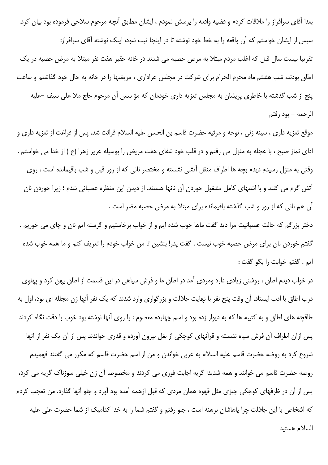بعدا آقای سرافراز را ملاقات کردم و قضیه واقعه را پرسش نمودم ، ایشان مطابق آنچه مرحوم سلاحی فرموده بود بیان کرد. سپس از ایشان خواستم که آن واقعه را به خط خود نوشته تا در اینجا ثبت شود، اینک نوشته آقای سرافراز: تقریبا بیست سال قبل که اغلب مردم مبتلا به مرض حصبه می شدند در خانه حقیر هفت نفر مبتلا به مرض حصبه در یک اطاق بودند، شب هشتم ماه محرم الحرام برای شرکت در مجلس عزاداری ، مریضها را در خانه به حال خود گذاشتم و ساعت پنج از شب گذشته با خاطری پریشان به مجلس تعزیه داری خودمان که مؤ سس آن مرحوم حاج ملا علی سیف –علیه الرحمه – بود رفتم

موقع تعزيه دارى ، سينه زنى ، نوحه و مرثيه حضرت قاسم بن الحسن عليه السلام قرائت شد، پس از فراغت از تعزيه دارى و ادای نماز صبح ، با عجله به منزل می رفتم و در قلب خود شفای هفت مریض را بوسیله عزیز زهرا (ع ) از خدا می خواستم . وقتی به منزل رسیدم دیدم بچه ها اطراف منقل آتشی نشسته و مختصر نانی که از روز قبل و شب باقیمانده است ، روی آتش گرم می کنند و با اشتهای کامل مشغول خوردن آن نانها هستند. از دیدن این منظره عصبانی شدم ؛ زیرا خوردن نان آن هم نانی که از روز و شب گذشته باقیمانده برای مبتلا به مرض حصبه مضر است .

دختر بزرگم که حالت عصبانیت مرا دید گفت ماها خوب شده ایم و از خواب برخاستیم و گرسنه ایم نان و چای می خوریم . گفتم خوردن نان برای مرض حصبه خوب نیست ، گفت پدر! بنشین تا من خواب خودم را تعریف کنم و ما همه خوب شده ايم . گفتم خوابت را بگو گفت :

در خواب دیدم اطاق ، روشنی زیادی دارد ومردی آمد در اطاق ما و فرش سیاهی در این قسمت از اطاق پهن کرد و پهلوی درب اطاق با ادب ایستاد، آن وقت پنج نفر با نهایت جلالت و بزرگواری وارد شدند که یک نفر آنها زن مجلله ای بود، اول به طاقچه های اطاق و به کتیبه ها که به دیوار زده بود و اسم چهارده معصوم : را روی آنها نوشته بود خوب با دقت نگاه کردند پس ازآن اطراف آن فرش سیاه نشسته و قرآنهای کوچکی از بغل بیرون آورده و قدری خواندند پس از آن یک نفر از آنها شروع كرد به روضه حضرت قاسم عليه السلام به عربي خواندن و من از اسم حضرت قاسم كه مكرر مي گفتند فهميدم روضه حضرت قاسم می خوانند و همه شدیدا گریه اجابت فوری می کردند و مخصوصا آن زن خیلی سوزناک گریه می کرد، پس از آن در ظرفهای کوچکی چیزی مثل قهوه همان مردی که قبل ازهمه آمده بود آورد و جلو آنها گذارد. من تعجب کردم که اشخاص با این جلالت چرا یاهاشان برهنه است ، جلو رفتم و گفتم شما را به خدا کدامیک از شما حضرت علی علیه السلام هستيد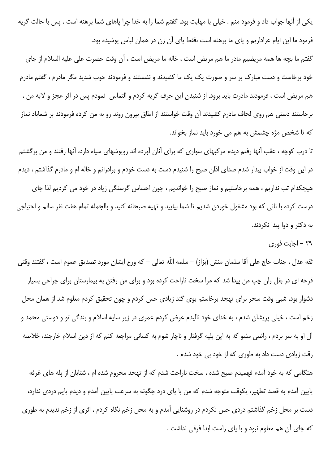یکی از آنها جواب داد و فرمود منم . خیلی با مهابت بود. گفتم شما را به خدا چرا پاهای شما برهنه است ، پس با حالت گریه فرمود ما این ایام عزاداریم و پای ما برهنه است ،فقط پای آن زن در همان لباس پوشیده بود.

گفتم ما بچه ها همه مريضيم مادر ما هم مريض است ، خاله ما مريض است ، آن وقت حضرت على عليه السلام از جاي خود برخاست و دست مبارک بر سر و صورت یک یک ما کشیدند و نشستند و فرمودند خوب شدید مگر مادرم ، گفتم مادرم هم مريض است ، فرمودند مادرت بايد برود. از شنيدن اين حرف گريه كردم و التماس نمودم پس در اثر عجز و لابه من ، برخاستند دستی هم روی لحاف مادرم کشیدند آن وقت خواستند از اطاق بیرون روند رو به من کرده فرمودند بر شماباد نماز که تا شخص مژه چشمش به هم می خورد باید نماز بخواند.

تا درب کوچه ، عقب آنها رفتم دیدم مرکبهای سواری که برای آنان آورده اند روپوشهای سیاه دارد، آنها رفتند و من برگشتم در این وقت از خواب بیدار شدم صدای اذان صبح را شنیدم دست به دست خودم و برادرانم و خاله ام و مادرم گذاشتم ، دیدم هیچکدام تب نداریم ، همه برخاستیم و نماز صبح را خواندیم ، چون احساس گرسنگی زیاد در خود می کردیم لذا چای درست كرده با نانى كه بود مشغول خوردن شديم تا شما بياييد و تهيه صبحانه كنيد و بالجمله تمام هفت نفر سالم و احتياجى به دکتر و دوا پیدا نکردند.

۲۹ - اجابت فوری

ثقه عدل ، جناب حاج على آقا سلمان منش (بزاز) – سلمه اللّه تعالى – كه ورع ايشان مورد تصديق عموم است ، گفتند وقتى قرحه ای در بغل ران چپ من پیدا شد که مرا سخت ناراحت کرده بود و برای من رفتن به بیمارستان برای جراحی بسیار دشوار بود، شبی وقت سحر برای تهجد برخاستم بوی گند زیادی حس کردم و چون تحقیق کردم معلوم شد از همان محل زخم است ، خيلي پريشان شدم ، به خداي خود ناليدم عرض كردم عمري در زير سايه اسلام و بندگي تو و دوستي محمد و آل او به سر بردم ، راضی مشو که به این بلیه گرفتار و ناچار شوم به کسانی مراجعه کنم که از دین اسلام خارجند، خلاصه رقت زیادی دست داد به طوری که از خود بی خود شدم .

هنگامی که به خود آمدم فهمیدم صبح شده ، سخت ناراحت شدم که از تهجد محروم شده ام ، شتابان از یله های غرفه پایین آمدم به قصد تطهیر، یکوقت متوجه شدم که من با پای درد چگونه به سرعت پایین آمدم و دیدم پایم دردی ندارد، دست بر محل زخم گذاشتم دردی حس نکردم در روشنایی آمدم و به محل زخم نگاه کردم ، اثری از زخم ندیدم به طوری كه جاي آن هم معلوم نبود و با پاي راست ابدا فرقي نداشت .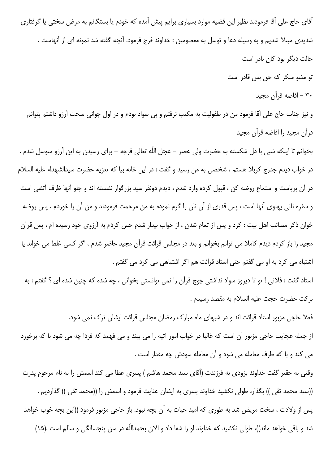اّقای حاج علی آقا فرمودند نظیر این قضیه موارد بسیاری برایم پیش آمده که خودم یا بستگانم به مرض سختی یا گرفتاری شدیدی مبتلا شدیم و به وسیله دعا و توسل به معصومین : خداوند فرج فرمود. آنچه گفته شد نمونه ای از آنهاست . حالت دیگر بود کان نادر است تو مشو منکر که حق بس قادر است ۳۰ – افاضه قرآن مجيد

و نیز جناب حاج علی آقا فرمود من در طفولیت به مکتب نرفتم و بی سواد بودم و در اول جوانی سخت آرزو داشتم بتوانم قرآن مجيد را افاضه قرآن مجيد

بخوانم تا اینکه شبی با دل شکسته به حضرت ولی عصر – عجل اللّه تعالی فرجه – برای رسیدن به این آرزو متوسل شدم . در خواب ديدم جدرج كربلا هستم ، شخصي به من رسيد و گفت : در اين خانه بيا كه تعزيه حضرت سيدالشهداء عليه السلام در آن برپاست و استماع روضه کن ، قبول کرده وارد شدم ، دیدم دونفر سید بزرگوار نشسته اند و جلو آنها ظرف آتشی است و سفره نانی پهلوی آنها است ، پس قدری از آن نان را گرم نموده به من مرحمت فرمودند و من آن را خوردم ، پس روضه خوان ذکر مصائب اهل بیت : کرد و پس از تمام شدن ، از خواب بیدار شدم حس کردم به آرزوی خود رسیده ام ، پس قرآن مجید را باز کردم دیدم کاملا می توانم بخوانم و بعد در مجلس قرائت قرآن مجید حاضر شدم ، اگر کسی غلط می خواند یا اشتباه می کرد به او می گفتم حتی استاد قرائت هم اگر اشتباهی می کرد می گفتم .

استاد گفت : فلانی ! تو تا دیروز سواد نداشتی جوج قرآن را نمی توانستی بخوانی ، چه شده که چنین شده ای ؟ گفتم : به بركت حضرت حجت عليه السلام به مقصد رسيدم .

فعلا حاجی مزبور استاد قرائت اند و در شبهای ماه مبارک رمضان مجلس قرائت ایشان ترک نمی شود. از جمله عجایب حاجی مزبور آن است که غالبا در خواب امور آتیه را می بیند و می فهمد که فردا چه می شود با که برخورد می کند و با که طرف معامله می شود و آن معامله سودش چه مقدار است .

وقتی به حقیر گفت خداوند بزودی به فرزندت (آقای سید محمد هاشم ) پسری عطا می کند اسمش را به نام مرحوم پدرت ((سید محمد تقی )) بگذار، طولی نکشید خداوند پسری به ایشان عنایت فرمود و اسمش را ((محمد تقی )) گذاردیم . پس از ولادت ، سخت مریض شد به طوری که امید حیات به آن بچه نبود. باز حاجی مزبور فرمود ((این بچه خوب خواهد شد و باقی خواهد ماند))، طولی نکشید که خداوند او را شفا داد و الان بحمداللّه در سن پنجسالگی و سالم است .(۱۵)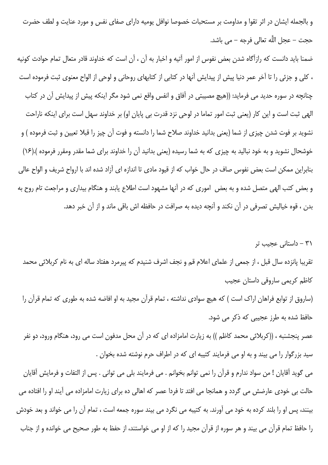و بالجمله ایشان در اثر تقوا و مداومت بر مستحبات خصوصا نوافل یومیه دارای صفای نفس و مورد عنایت و لطف حضرت حجت – عجل اللَّه تعالى فرجه – مي باشد.

ضمنا باید دانست که رازآگاه شدن بعض نفوس از امور آتیه و اخبار به آن ، آن است که خداوند قادر متعال تمام حوادث کونیه ، كلي و جزئي را تا آخر عمر دنيا پيش از پيدايش آنها در كتابي از كتابهاي روحاني و لوحي از الواح معنوي ثبت فرموده است چنانچه در سوره حدید می فرماید: ((هیچ مصیبتی در آفاق و انفس واقع نمی شود مگر اینکه پیش از پیدایش آن در کتاب الهي ثبت است و اين كار (يعني ثبت امور تماما در لوحي نزد قدرت بي پايان او) بر خداوند سهل است براي اينكه ناراحت نشوید بر فوت شدن چیزی از شما (یعنی بدانید خداوند صلاح شما را دانسته و فوت آن چیز را قبلا تعیین و ثبت فرموده ) و خوشحال نشوید و به خود نبالید به چیزی که به شما رسیده (یعنی بدانید آن را خداوند برای شما مقدر ومقرر فرموده ).(۱۶) بنابراین ممکن است بعض نفوس صاف در حال خواب که از قیود مادی تا اندازه ای آزاد شده اند با ارواح شریف و الواح عالی و بعض کتب الهی متصل شده و به بعض اموری که در آنها مشهود است اطلاع یابند و هنگام بیداری و مراجعت تام روح به بدن ، قوه خیالیش تصرفی در آن نکند و آنچه دیده به صرافت در حافظه اش باقی ماند و از آن خبر دهد.

۳۱ – داستانی عجیب تر

تقریبا پانزده سال قبل ، از جمعی از علمای اعلام قم و نجف اشرف شنیدم که پیرمرد هفتاد ساله ای به نام کربلائی محمد كاظم كريمي ساروقي داستان عجيب

(ساروق از توابع فراهان اراک است ) که هیچ سوادی نداشته ، تمام قرآن مجید به او افاضه شده به طوری که تمام قرآن را حافظ شده به طرز عجیبی که ذکر می شود.

عصر پنجشنبه ، ((کربلائی محمد کاظم )) به زیارت امامزاده ای که در آن محل مدفون است می رود، هنگام ورود، دو نفر سید بزرگوار را می بیند و به او می فرمایند کتیبه ای که در اطراف حرم نوشته شده بخوان .

می گوید آقایان ! من سواد ندارم و قرآن را نمی توانم بخوانم . می فرمایند بلی می توانی . پس از التفات و فرمایش آقایان حالت بی خودی عارضش می گردد و همانجا می افتد تا فردا عصر که اهالی ده برای زیارت امامزاده می آیند او را افتاده می بینند، پس او را بلند کرده به خود می آورند. به کتیبه می نگرد می بیند سوره جمعه است ، تمام آن را می خواند و بعد خودش را حافظ تمام قرآن می بیند و هر سوره از قرآن مجید را که از او می خواستند، از حفظ به طور صحیح می خوانده و از جناب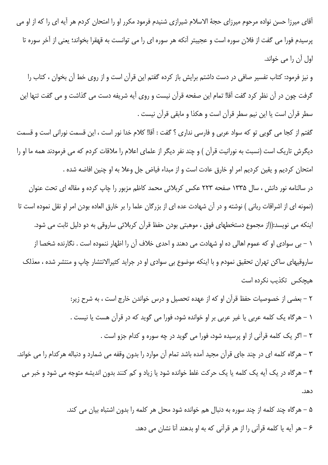آقای میرزا حسن نواده مرحوم میرزای حجهٔ الاسلام شیرازی شنیدم فرمود مکرر او را امتحان کردم هر آیه ای را که از او می پرسیدم فورا می گفت از فلان سوره است و عجیبتر آنکه هر سوره ای را می توانست به قهقرا بخواند؛ یعنی از آخر سوره تا اول آن را می خواند.

و نیز فرمود: کتاب تفسیر صافی در دست داشتم برایش باز کرده گفتم این قرآن است و از روی خط آن بخوان ، کتاب را گرفت چون در آن نظر کرد گفت آقا! تمام این صفحه قرآن نیست و روی آیه شریفه دست می گذاشت و می گفت تنها این سطر قرآن است یا این نیم سطر قرآن است و هکذا و مابقی قرآن نیست .

گفتم از کجا می گویی تو که سواد عربی و فارسی نداری ؟ گفت : آقا! کلام خدا نور است ، این قسمت نورانی است و قسمت دیگرش تاریک است (نسبت به نورانیت قرآن ) و چند نفر دیگر از علمای اعلام را ملاقات کردم که می فرمودند همه ما او را امتحان كرديم و يقين كرديم امر او خارق عادت است و از مبداء فياض جل وعلا به او چنين افاضه شده .

در سالنامه نور دانش ، سال ۱۳۳۵ صفحه ۲۲۳ عکس کربلائی محمد کاظم مزبور را چاپ کرده و مقاله ای تحت عنوان (نمونه ای از اشراقات ربانی ) نوشته و در آن شهادت عده ای از بزرگان علما را بر خارق العاده بودن امر او نقل نموده است تا اینکه می نویسد:((از مجموع دستخطهای فوق ، موهبتی بودن حفظ قرآن کربلائی ساروقی به دو دلیل ثابت می شود. ۱ – بی سوادی او که عموم اهالی ده او شهادت می دهند و احدی خلاف آن را اظهار ننموده است . نگارنده شخصا از ساروقیهای ساکن تهران تحقیق نمودم و با اینکه موضوع بی سوادی او در جراید کثیرالانتشار چاپ و منتشر شده ، معذلک هیچکس تکذیب نکرده است

۲ – بعضی از خصوصیات حفظ قرآن او که از عهده تحصیل و درس خواندن خارج است ، به شرح زیر: ١ – هرگاه يک کلمه عربي يا غير عربي بر او خوانده شود، فورا مي گويد که در قرآن هست يا نيست . ۲ – اگر یک کلمه قرآنی از او پرسیده شود، فورا می گوید در چه سوره و کدام جزو است . ۳ – هرگاه کلمه ای در چند جای قرآن مجید آمده باشد تمام آن موارد را بدون وقفه می شمارد و دنباله هرکدام را می خواند. ۴ – هرگاه در یک آیه یک کلمه یا یک حرکت غلط خوانده شود یا زیاد و کم کنند بدون اندیشه متوجه می شود و خبر می دهد.

> ۵ – هرگاه چند کلمه از چند سوره به دنبال هم خوانده شود محل هر کلمه را بدون اشتباه بیان می کند. ۶ – هر آیه یا کلمه قرآنی را از هر قرآنی که به او بدهند آنا نشان می دهد.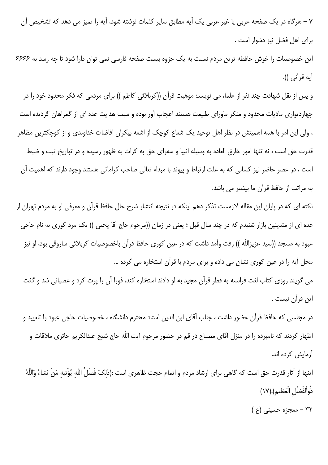٧ – هرگاه در یک صفحه عربی یا غیر عربی یک آیه مطابق سایر کلمات نوشته شود، آیه را تمیز می دهد که تشخیص آن برای اهل فضل نیز دشوار است .

این خصوصیات را خوش حافظه ترین مردم نسبت به یک جزوه بیست صفحه فارسی نمی توان دارا شود تا چه رسد به ۶۶۶۶ آيه قرآني )).

و پس از نقل شهادت چند نفر از علما، می نویسد: موهبت قرآن ((کربلائی کاظم )) برای مردمی که فکر محدود خود را در چهاردیواری مادیات محدود و منکر ماورای طبیعت هستند اعجاب آور بوده و سبب هدایت عده ای از گمراهان گردیده است ، ولی این امر با همه اهمیتش در نظر اهل توحید یک شعاع کوچک از اشعه بیکران افاضات خداوندی و از کوچکترین مظاهر قدرت حق است ، نه تنها امور خارق العاده به وسيله انبيا و سفراى حق به كرات به ظهور رسيده و در تواريخ ثبت و ضبط است ، در عصر حاضر نیز کسانی که به علت ارتباط و پیوند با مبداء تعالی صاحب کراماتی هستند وجود دارند که اهمیت آن به مراتب از حافظ قرآن ما بیشتر می باشد.

نکته ای که در پاپان این مقاله لازمست تذکر دهم اینکه در نتیجه انتشار شرح حال حافظ قرآن و معرفی او به مردم تهران از عده ای از متدینین بازار شنیدم که در چند سال قبل ؛ یعنی در زمان ((مرحوم حاج آقا یحیی )) یک مرد کوری به نام حاجی عبود به مسجد ((سيد عزيزاللّه )) رفت وآمد داشت كه در عين كورى حافظ قرآن باخصوصيات كربلائى ساروقى بود، او نيز محل آیه را در عین کوری نشان می داده و برای مردم با قرآن استخاره می کرده …

می گویند روزی کتاب لغت فرانسه به قطر قرآن مجید به او دادند استخاره کند، فورا آن را پرت کرد و عصبانی شد و گفت اين قرآن نيست .

در مجلسی که حافظ قرآن حضور داشت ، جناب آقای ابن الدین استاد محترم دانشگاه ، خصوصیات حاجی عبود را تاءیید و اظهار کردند که نامبرده را در منزل آقای مصباح در قم در حضور مرحوم آیت اللّه حاج شیخ عبدالکریم حائری ملاقات و آزمایش کرده اند.

اينها از آثار قدرت حق است كه گاهي براي ارشاد مردم و اتمام حجت ظاهري است :(ذلك َ فَضْلُ اللَّه يُؤْتيه مَنْ يَشاءُ وَاللَّهُ ذُواْلفَضْلِ الْعَظيمِ).(١٧)

۳۲ - معجزه حسینی (ع )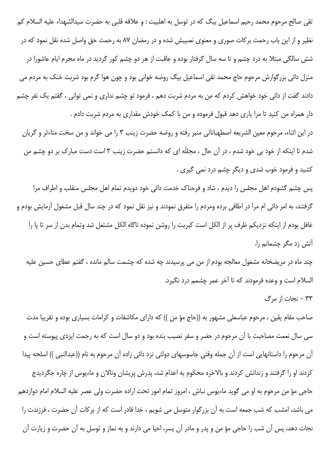تقی صالح مرحوم محمد رحیم اسماعیل بیگ که در توسل به اهلبیت : و علاقه قلبی به حضرت سیدالشهداء علیه السلام کم نظیر و از این باب رحمت برکات صوری و معنوی نصیبش شده و در رمضان ۸۷ به رحمت حق واصل شده نقل نمود که در شش سالگی مبتلا به درد چشم و تا سه سال گرفتار بوده و عاقبت از هر دو چشم کور گردید در ماه محرم ایام عاشورا در منزل دائی بزرگوارش مرحوم حاج محمد تقی اسماعیل بیگ روضه خوانی بود و چون هوا گرم بود شربت خنک به مردم می دادند گفت از دائی خود خواهش کردم که من به مردم شربت دهم ، فرمود تو چشم نداری و نمی توانی ، گفتم یک نفر چشم دار همراه من کنید تا مرا یاری دهد قبول فرموده و من با کمک خودش مقداری به مردم شربت دادم .

در این اثناء، مرحوم معین الشریعه اصطهباناتی منبر رفته و روضه حضرت زینب ۳ را می خواند و من سخت متاءثر و گریان شدم تا اینکه از خود بی خود شدم ، در آن حال ، مجللّه ای که دانستم حضرت زینب ۳ است دست مبارک بر دو چشم من کشید و فرمود خوب شدی و دیگر چشم درد نمی گیری .

پس چشم گشودم اهل مجلس را دیدم ، شاد و فرحناک خدمت دائی خود دویدم تمام اهل مجلس منقلب و اطراف مرا گرفتند، به امر دائی ام مرا در اطاقی برده ومردم را متفرق نمودند و نیز نقل نمود که در چند سال قبل مشغول آزمایش بودم و غافل بودم از اینکه نزدیکم ظرف پر از الکل است کبریت را روشن نموده ناگاه الکل مشتعل شد وتمام بدن از سر تا یا را آتش زد مگر چشمانم را.

چند ماه در مریضخانه مشغول معالجه بودم از من می پرسیدند چه شده که چشمت سالم مانده ، گفتم عطای حسین علیه السلام است و وعده فرمودند که تا آخر عمر چشمم درد نگیرد.

٣٣ - نجات از مرگ

صاحب مقام یقین ، مرحوم عباسعلی مشهور به ((حاج مؤ من )) که دارای مکاشفات و کرامات بسیاری بوده و تقریبا مدت سی سال نعمت مصاحبت با آن مرحوم در حضر و سفر نصیب بنده بود و دو سال است که به رحمت ایزدی پیوسته است و آن مرحوم را داستانهایی است از آن جمله وقتی جاسوسهای دولتی نزد دائی زاده آن مرحوم به نام ((عبدالنبی )) اسلحه پیدا کردند او را گرفتند و زندانش کردند و بالاخره محکوم به اعدام شد، پدرش پریشان ونالان و ماءیوس از چاره جگردیدج حاجي مؤ من مرحوم به او مي گويد ماءيوس نباش ، امروز تمام امور تحت اراده حضرت ولي عصر عليه السلام امام دوازدهم می باشد، امشب که شب جمعه است به آن بزرگوار متوسل می شویم ، خدا قادر است که از برکات آن حضرت ، فرزندت را نجات دهد، پس آن شب را حاجی مؤ من و پدر و مادر آن پسر، احیا می دارند و به نماز و توسل به آن حضرت و زیارت آن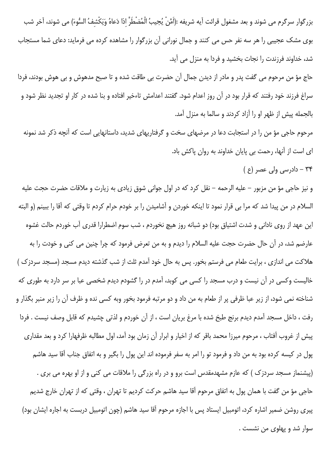بزرگوار سرگرم مي شوند و بعد مشغول قرائت آيه شريفه :(اَمَّنْ يُجِيبُ الْمُضْطَرَّ اذا دَعاهُ وَيَكْشفُ السُّوءَ) مي شوند، آخر شب بوی مشک عجیبی را هر سه نفر حس می کنند و جمال نورانی آن بزرگوار را مشاهده کرده می فرماید: دعای شما مستجاب شد، خداوند فرزندت را نجات بخشید و فردا به منزل می آید.

حاج مؤ من مرحوم می گفت پدر و مادر از دیدن جمال آن حضرت بی طاقت شده و تا صبح مدهوش و بی هوش بودند، فردا سراغ فرزند خود رفتند که قرار بود در آن روز اعدام شود. گفتند اعدامش تاءخیر افتاده و بنا شده در کار او تجدید نظر شود و بالجمله پیش از ظهر او را آزاد کردند و سالما به منزل آمد.

مرحوم حاجی مؤ من را در استجابت دعا در مرضهای سخت و گرفتاریهای شدید، داستانهایی است که آنچه ذکر شد نمونه ای است از آنها، رحمت بی پایان خداوند به روان پاکش باد.

۳۴ – دادرسی ولی عصر (ع )

و نیز حاجی مؤ من مزبور – علیه الرحمه – نقل کرد که در اول جوانی شوق زیادی به زیارت و ملاقات حضرت حجت علیه السلام در من پیدا شد که مرا بی قرار نمود تا اینکه خوردن و آشامیدن را بر خودم حرام کردم تا وقتی که آقا را ببینم (و البته این عهد از روی نادانی و شدت اشتیاق بود) دو شبانه روز هیچ نخوردم ، شب سوم اضطرارا قدری آب خوردم حالت غشوه عارضم شد، در آن حال حضرت حجت عليه السلام را ديدم و به من تعرض فرمود كه چرا چنين مي كني و خودت را به هلاکت می اندازی ، برایت طعام می فرستم بخور. پس به حال خود آمدم ثلث از شب گذشته دیدم مسجد (مسجد سردزک ) خالیست وکسی در آن نیست و درب مسجد را کسی می کوبد، آمدم در را گشودم دیدم شخصی عبا بر سر دارد به طوری که شناخته نمی شود، از زیر عبا ظرفی پر از طعام به من داد و دو مرتبه فرمود بخور وبه کسی نده و ظرف آن را زیر منبر بگذار و رفت ، داخل مسجد آمدم ديدم برنج طبخ شده با مرغ بريان است ، از آن خوردم و لذتي چشيدم كه قابل وصف نيست . فردا پیش از غروب آفتاب ، مرحوم میرزا محمد باقر که از اخیار و ابرار آن زمان بود آمد، اول مطالبه ظرفهارا کرد و بعد مقدارى پول در کیسه کرده بود به من داد و فرمود تو را امر به سفر فرموده اند این پول را بگیر و به اتفاق جناب آقا سید هاشم (پیشنماز مسجد سردزک ) که عازم مشهدمقدس است برو و در راه بزرگی را ملاقات می کنی و از او بهره می بری . حاجي مؤ من گفت با همان پول به اتفاق مرحوم آقا سيد هاشم حركت كرديم تا تهران ، وقتي كه از تهران خارج شديم پیری روشن ضمیر اشاره کرد، اتومبیل ایستاد پس با اجازه مرحوم آقا سید هاشم (چون اتومبیل دربست به اجاره ایشان بود) سوار شد و پهلوی من نشست .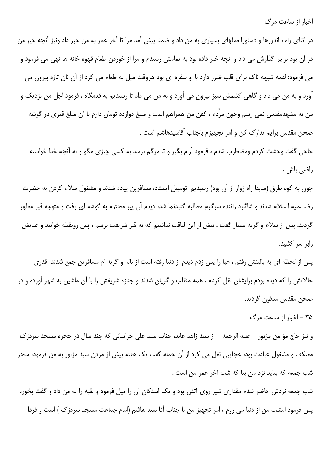اخبار از ساعت مرگ

در اثنای راه ، اندرزها و دستورالعملهای بسیاری به من داد و ضمنا پیش آمد مرا تا آخر عمر به من خبر داد ونیز آنچه خیر من در آن بود برایم گذارش می داد و آنچه خبر داده بود به تمامش رسیدم و مرا از خوردن طعام قهوه خانه ها نهی می فرمود و می فرمود: لقمه شبهه ناک برای قلب ضرر دارد با او سفره ای بود هروقت میل به طعام می کرد از آن نان تازه بیرون می آورد و به من می داد و گاهی کشمش سبز بیرون می آورد و به من می داد تا رسیدیم به قدمگاه ، فرمود اجل من نزدیک و من به مشهدمقدس نمی رسم وچون مرُدم ، کفن من همراهم است و مبلغ دوازده تومان دارم با آن مبلغ قبری در گوشه صحن مقدس برایم تدارک کن و امر تجهیزم باجناب آقاسیدهاشم است .

حاجی گفت وحشت کردم ومضطرب شدم ، فرمود آرام بگیر و تا مرگم برسد به کسی چیزی مگو و به آنچه خدا خواسته راضي باش .

چون به کوه طرق (سابقا راه زوار از آن بود) رسیدیم اتومبیل ایستاد، مسافرین پیاده شدند و مشغول سلام کردن به حضرت رضا علیه السلام شدند و شاگرد راننده سرگرم مطالبه گنبدنما شد، دیدم آن پیر محترم به گوشه ای رفت و متوجه قبر مطهر گردید، پس از سلام و گریه بسیار گفت ، بیش از این لیاقت نداشتم که به قبر شریفت برسم ، پس روبقبله خوابید و عبایش رابر سر کشید.

پس از لحظه ای به بالینش رفتم ، عبا را پس زدم دیدم از دنیا رفته است از ناله و گریه ام مسافرین جمع شدند، قدری حالاتش را که دیده بودم برایشان نقل کردم ، همه منقلب و گریان شدند و جنازه شریفش را با آن ماشین به شهر آورده و در صحن مقدس مدفون گرديد.

۳۵ - اخبار از ساعت مرگ

و نیز حاج مؤ من مزبور – علیه الرحمه – از سید زاهد عابد، جناب سید علی خراسانی که چند سال در حجره مسجد سردزک معتکف و مشغول عبادت بود، عجایبی نقل می کرد از آن جمله گفت یک هفته پیش از مردن سید مزبور به من فرمود، سحر شب جمعه كه بيايد نزد من بيا كه شب آخر عمر من است .

شب جمعه نزدش حاضر شدم مقداری شیر روی آتش بود و یک استکان آن را میل فرمود و بقیه را به من داد و گفت بخور، پس فرمود امشب من از دنیا می روم ، امر تجهیز من با جناب آقا سید هاشم (امام جماعت مسجد سردزک ) است و فردا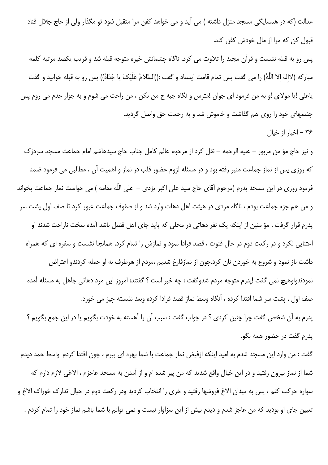عدالت (که در همسایگی مسجد منزل داشته ) می آید و می خواهد کفن مرا متقبل شود تو مگذار ولی از حاج جلال قناد قبول کن که مرا از مال خودش کفن کند.

پس رو به قبله نشست و قرآن مجید را تلاوت می کرد، ناگاه چشمانش خیره متوجه قبله شد و قریب یکصد مرتبه کلمه مباركه (لاالهَ الا اللَّهُ) را مي گفت پس تمام قامت ايستاد و گفت :((السَّلامُ عَلَيْکَ يا جَدّاهُ)) پس رو به قبله خوابيد و گفت یاعلی !یا مولای !و به من فرمود ای جوان !مترس و نگاه جبه ج من نکن ، من راحت می شوم و به جوار جدم می روم پس چشمهای خود را روی هم گذاشت و خاموش شد و به رحمت حق واصل گردید. ۳۶ – اخبار از خیال

و نيز حاج مؤ من مزبور – عليه الرحمه – نقل كرد از مرحوم عالم كامل جناب حاج سيدهاشم امام جماعت مسجد سردزك که روزی پس از نماز جماعت منبر رفته بود و در مسئله لزوم حضور قلب در نماز و اهمیت آن ، مطالبی می فرمود ضمنا فرمود روزی در این مسجد پدرم (مرحوم آقای حاج سید علی اکبر یزدی – اعلی اللّه مقامه ) می خواست نماز جماعت بخواند و من هم جزء جماعت بودم ، ناگاه مردی در هیئت اهل دهات وارد شد و از صفوف جماعت عبور کرد تا صف اول پشت سر پدرم قرار گرفت . مؤ منین از اینکه یک نفر دهاتی در محلی که باید جای اهل فضل باشد آمده سخت ناراحت شدند او اعتنایی نکرد و در رکعت دوم در حال قنوت ، قصد فرادا نمود و نمازش را تمام کرد، همانجا نشست و سفره ای که همراه داشت باز نمود و شروع به خوردن نان کرد.چون از نمازفارغ شدیم ،مردم از هرطرف به او حمله کردندو اعتراض نمودندواوهيچ نمي گفت !يدرم متوجه مردم شدوگفت : چه خبر است ؟ گفتند: امروز اين مرد دهاتي جاهل به مسئله آمده صف اول ، يشت سر شما اقتدا كرده ، آنگاه وسط نماز قصد فرادا كرده وبعد نشسته چيز مي خورد. يدرم به آن شخص گفت چرا چنين كردي ؟ در جواب گفت : سبب آن را آهسته به خودت بگويم يا در اين جمع بگويم ؟ يدرم گفت در حضور همه بگو.

گفت : من وارد این مسجد شدم به امید اینکه ازفیض نماز جماعت با شما بهره ای ببرم ، چون اقتدا کردم اواسط حمد دیدم شما از نماز بیرون رفتید و در این خیال واقع شدید که من پیر شده ام و از آمدن به مسجد عاجزم ، الاغی لازم دارم که سواره حرکت کنم ، پس به میدان الاغ فروشها رفتید و خری را انتخاب کردید ودر رکعت دوم در خیال تدارک خوراک الاغ و تعیین جای او بودید که من عاجز شدم و دیدم بیش از این سزاوار نیست و نمی توانم با شما باشم نماز خود را تمام کردم .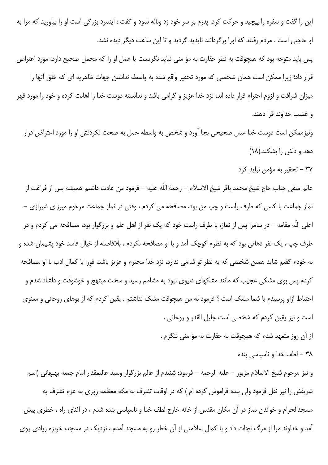این را گفت و سفره را پیچید و حرکت کرد. پدرم بر سر خود زد وناله نمود و گفت : اینمرد بزرگی است او را بیاورید که مرا به او حاجتی است . مردم رفتند که اورا برگردانند ناپدید گردید و تا این ساعت دیگر دیده نشد.

پس باید متوجه بود که هیچوقت به نظر حقارت به مؤ منی نباید نگریست یا عمل او را که محمل صحیح دارد، مورد اعتراض قرار داد؛ زیرا ممکن است همان شخصی که مورد تحقیر واقع شده به واسطه نداشتن جهات ظاهریه ای که خلق آنها را میزان شرافت و لزوم احترام قرار داده اند، نزد خدا عزیز و گرامی باشد و ندانسته دوست خدا را اهانت کرده و خود را مورد قهر و غضب خداوند قرا دهند.

ونیزممکن است دوست خدا عمل صحیحی بجا آورد و شخص به واسطه حمل به صحت نکردنش او را مورد اعتراض قرار دهد و دلش را بشکند.(۱۸)

٣٧ – تحقير به مؤمن نبايد كرد

عالم متقى جناب حاج شيخ محمد باقر شيخ الاسلام – رحمهٔ اللّه عليه – فرمود من عادت داشتم هميشه پس از فراغت از نماز جماعت با کسی که طرف راست و چپ من بود، مصافحه می کردم ، وقتی در نماز جماعت مرحوم میرزای شیرازی – اعلی اللّه مقامه – در سامرا پس از نماز، با طرف راست خود که یک نفر از اهل علم و بزرگوار بود، مصافحه می کردم و در طرف چپ ، یک نفر دهاتی بود که به نظرم کوچک آمد و با او مصافحه نکردم ، بلافاصله از خیال فاسد خود پشیمان شده و به خودم گفتم شاید همین شخصی که به نظر تو شاءنی ندارد، نزد خدا محترم و عزیز باشد، فورا با کمال ادب با او مصافحه کردم پس بوی مشکی عجیب که مانند مشکهای دنیوی نبود به مشامم رسید و سخت مبتهج و خوشوقت و دلشاد شدم و احتیاطا ازاو پرسیدم با شما مشک است ؟ فرمود نه من هیچوقت مشک نداشتم . یقین کردم که از بوهای روحانی و معنوی است و نيز يقين كردم كه شخصي است جليل القدر و روحاني .

از آن روز متعهد شدم كه هيچوقت به حقارت به مؤ مني ننگرم .

٣٨ - لطف خدا و ناسياسى بنده

و نيز مرحوم شيخ الاسلام مزبور – عليه الرحمه – فرمود: شنيدم از عالم بزرگوار وسيد عاليمقدار امام جمعه بهبهاني (اسم شریفش را نیز نقل فرمود ولی بنده فراموش کرده ام ) که در اوقات تشرف به مکه معظمه روزی به عزم تشرف به مسجدالحرام و خواندن نماز در آن مکان مقدس از خانه خارج لطف خدا و ناسپاسی بنده شدم ، در اثنای راه ، خطری پیش آمد و خداوند مرا از مرگ نجات داد و با کمال سلامتی از آن خطر رو به مسجد آمدم ، نزدیک در مسجد، خربزه زیادی روی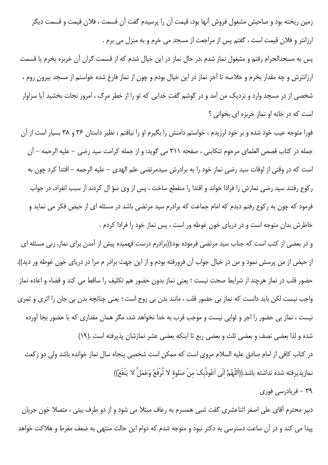زمین ریخته بود و صاحبش مشغول فروش آنها بود، قیمت آن را پرسیدم گفت آن قسمت ، فلان قیمت و قسمت دیگر ارزانتر و فلان قیمت است ، گفتم پس از مراجعت از مسجد می خرم و به منزل می برم .

يس به مسجدالحرام رفتم و مشغول نماز شدم ،در حال نماز در اين خيال شدم كه از قسمت گران آن خربزه بخرم يا قسمت ارزانترش و چه مقدار بخرم و خلاصه تا آخر نماز در این خیال بودم و چون از نماز فارغ شده خواستم از مسجد بیرون روم ، شخصی از در مسجد وارد و نزدیک من آمد و در گوشم گفت خدایی که تو را از خطر مرگ ، امروز نجات بخشید آیا سزاوار است که در خانه او نماز خربزه ای بخوانی ؟

فورا متوجه عیب خود شده و بر خود لرزیدم ، خواستم دامنش را بگیرم او را نیافتم ، نظیر داستان ۳۶ و ۳۸ بسیار است از آن جمله در كتاب قصص العلماى مرحوم تنكابنى ، صفحه ٣١١ مى گويد: و از جمله كرامت سيد رضى – عليه الرحمه – آن است که در وقتی از اوقات سید رضی نماز خود را به برادرش سیدمرتضی علم الهدی – علیه الرحمه – اقتدا کرد چون به ركوع رفتند سيد رضي نمازش را فرادا خواند و اقتدا را منقطع ساخت ، پس از وي سؤ ال كردند از سبب انفراد، در جواب فرمود که چون به رکوع رفتم دیدم که امام جماعت که برادرم سید مرتضی باشد در مسئله ای از حیض فکر می نماید و خاطرش بدان متوجه است و در دریای خون غوطه ور است ، پس نماز خود را فرادا کردم .

و در بعضی از کتب است که جناب سید مرتضی فرموده بود:((برادرم درست فهمیده پیش از آمدن برای نماز، زنی مسئله ای از حیض از من پرسش نمود و من در خیال جواب آن فرورفته بودم و از این جهت برادر م مرا در دریای خون غوطه ور دید)). حضور قلب در نماز هرچند از شرايط صحت نيست ؛ يعني نماز بدون حضور هم تكليف را ساقط مي كند و قضاء و اعاده نماز واجب نیست لکن باید دانست که نماز بی حضور قلب ، مانند بدن بی روح است ؛ یعنی چنانچه بدن بی جان را اثری و ثمری نیست ، نماز بی حضور را اجر و ثوابی نیست و موجب قرب به خدا نخواهد شد، مگر همان مقداری که با حضور بجا آورده شده و لذا بعضی نصف و بعضی ثلث و بعضی ربع تا اینکه بعضی عشر نمازشان پذیرفته است .(١٩)

در كتاب كافي از امام صادق عليه السلام مروى است كه ممكن است شخصى پنجاه سال نماز خوانده باشد ولي دو ركعت نمازپذيرفته شده نداشته باشد.((اَللّهُمَّ انّى اَعُوذُبكَ منْ صَلوهٔ لا تُرفَعُ وَعَمَلُ لا يَنْفَعُ))

۳۹ – فریادرسی فوری

دبیر محترم آقای علی اصغر اثناعشری گفت شبی همسرم به رعاف مبتلا می شود و از دو طرف بینی ، متصلا خون جریان پیدا می کند و در آن ساعت دسترسی به دکتر نبود و متوجه شدم که دوام این حالت منتهی به ضعف مفرط و هلاکت خواهد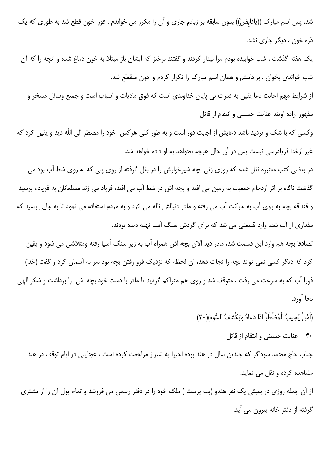شد، پس اسم مبارک ((یاقابِضُ)) بدون سابقه بر زبانم جاری و آن را مکرر می خواندم ، فورا خون قطع شد به طوری که یک ذرّه خون ، دیگر جاری نشد.

یک هفته گذشت ، شب خوابیده بودم مرا بیدار کردند و گفتند برخیز که ایشان باز مبتلا به خون دماغ شده و آنچه را که آن شب خواندی بخوان . برخاستم و همان اسم مبارک را تکرار کردم و خون منقطع شد.

از شرایط مهم اجابت دعا یقین به قدرت بی پایان خداوندی است که فوق مادیات و اسباب است و جمیع وسائل مسخر و مقهور اراده اويند عنايت حسيني و انتقام از قاتل

وکسی که با شک و تردید باشد دعایش از اجابت دور است و به طور کلی هرکس خود را مضطر الی اللّه دید و یقین کرد که غیر ازخدا فریادرسی نیست پس در آن حال هرچه بخواهد به او داده خواهد شد.

در بعضی کتب معتبره نقل شده که روزی زنی بچه شیرخوارش را در بغل گرفته از روی پلی که به روی شط آب بود می گذشت ناگاه بر اثر ازدحام جمعیت به زمین می افتد و بچه اش در شط آب می افتد، فریاد می زند مسلمانان به فریادم برسید و قنداقه بچه به روی آب به حرکت آب می رفته و مادر دنبالش ناله می کرد و به مردم استغاثه می نمود تا به جایی رسید که مقداری از آب شط وارد قسمتی می شد که برای گردش سنگ آسیا تهیه دیده بودند.

تصادفا بچه هم وارد این قسمت شد، مادر دید الان بچه اش همراه آب به زیر سنگ آسیا رفته ومتلاشی می شود و یقین كرد كه ديگر كسي نمي تواند بچه را نجات دهد، آن لحظه كه نزديك فرو رفتن بچه بود سر به آسمان كرد و گفت (خدا) فورا آب که به سرعت می رفت ، متوقف شد و روی هم متراکم گردید تا مادر با دست خود بچه اش ِ را برداشت و شکر الهی بجا آورد.

> (اَمَّنْ يُجِيبُ الْمُضْطَرَّ اذا دَعاهُ وَيَكْشِفُ السُّوءَ)(٢٠) ۴۰ – عنایت حسینی و انتقام از قاتل

جناب حاج محمد سوداگر که چندین سال در هند بوده اخیرا به شیراز مراجعت کرده است ، عجایبی در ایام توقف در هند مشاهده کرده و نقل می نماید.

از آن جمله روزی در بمبئی یک نفر هندو (بت پرست ) ملک خود را در دفتر رسمی می فروشد و تمام پول آن را از مشتری گرفته از دفتر خانه بیرون می آید.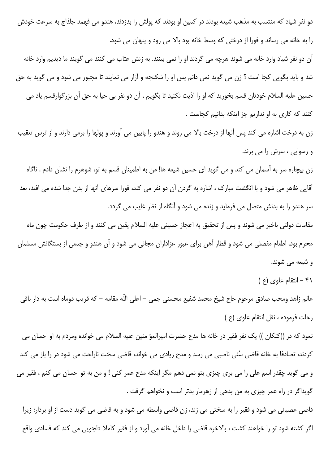دو نفر شیاد که منتسب به مذهب شیعه بودند در کمین او بودند که پولش را بدزدند، هندو می فهمد جلذاج به سرعت خودش را به خانه می رساند و فورا از درختی که وسط خانه بود بالا می رود و پنهان می شود.

آن دو نفر شیاد وارد خانه می شوند هرچه می گردند او را نمی بینند. به زنش عتاب می کنند می گویند ما دیدیم وارد خانه شد و باید بگویی کجا است ؟ زن می گوید نمی دانم پس او را شکنجه و آزار می نمایند تا مجبور می شود و می گوید به حق حسين عليه السلام خودتان قسم بخوريد كه او را اذيت نكنيد تا بگويم ، آن دو نفر بي حيا به حق آن بزرگوارقسم ياد مي كنند كه كارى به او نداريم جز اينكه بدانيم كجاست .

زن به درخت اشاره می کند پس آنها از درخت بالا می روند و هندو را پایین می آورند و پولها را برمی دارند و از ترس تعقیب و رسوایی ، سرش را می برند.

زن بیچاره سر به آسمان می کند و می گوید ای حسین شیعه ها! من به اطمینان قسم به تو، شوهرم را نشان دادم . ناگاه آقایی ظاهر می شود و با انگشت مبارک ، اشاره به گردن آن دو نفر می کند، فورا سرهای آنها از بدن جدا شده می افتد، بعد سر هندو را به بدنش متصل می فرماید و زنده می شود و آنگاه از نظر غایب می گردد.

مقامات دولتی باخبر می شوند و پس از تحقیق به اعجاز حسینی علیه السلام یقین می کنند و از طرف حکومت چون ماه محرم بود، اطعام مفصلی می شود و قطار آهن برای عبور عزاداران مجانی می شود و آن هندو و جمعی از بستگانش مسلمان و شیعه می شوند.

 $(3)$  - انتقام علوی (ع)

عالم زاهد ومحب صادق مرحوم حاج شيخ محمد شفيع محسنى جمى – اعلى اللّه مقامه – كه قريب دوماه است به دار باقى رحلت فرموده ، نقل انتقام علوى (ع)

نمود که در ((کنکان )) یک نفر فقیر در خانه ها مدح حضرت امیرالمؤ منین علیه السلام می خوانده ومردم به او احسان می کردند، تصادفا به خانه قاضی سُنی ناصبی می رسد و مدح زیادی می خواند، قاضی سخت ناراحت می شود در را باز می کند و می گوید چقدر اسم علی را می بری چیزی بتو نمی دهم مگر اینکه مدح عمر کنی ! و من به تو احسان می کنم ، فقیر می گویداگر در راه عمر چیزی به من بدهی از زهرمار بدتر است و نخواهم گرفت .

قاضی عصبانی می شود و فقیر را به سختی می زند، زن قاضی واسطه می شود و به قاضی می گوید دست از او بردار؛ زیرا اگر کشته شود تو را خواهند کشت ، بالاخره قاضی را داخل خانه می آورد و از فقیر کاملا دلجویی می کند که فسادی واقع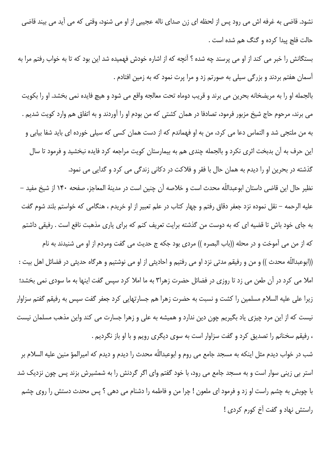نشود. قاضی به غرفه اش می رود پس از لحظه ای زن صدای ناله عجیبی از او می شنود، وقتی که می آید می بیند قاضی حالت فلج پيدا كرده و گنگ هم شده است .

بستگانش را خبر می کند از او می پرسند چه شده ؟ آنچه که از اشاره خودش فهمیده شد این بود که تا به خواب رفتم مرا به آسمان هفتم بردند و بزرگی سیلی به صورتم زد و مرا پرت نمود که به زمین افتادم .

بالجمله او را به مريضخانه بحرين مي برند و قريب دوماه تحت معالجه واقع مي شود و هيچ فايده نمي بخشد. او را بكويت می برند، مرحوم حاج شیخ مزبور فرمود، تصادفا در همان کشتی که من بودم او را آوردند و به اتفاق هم وارد کویت شدیم . به من ملتجی شد و التماس دعا می کرد، من به او فهماندم که از دست همان کسی که سیلی خورده ای باید شفا بیابی و این حرف به آن بدبخت اثری نکرد و بالجمله چندی هم به بیمارستان کویت مراجعه کرد فایده نبخشید و فرمود تا سال گذشته در بحرین او را دیدم به همان حال با فقر و فلاکت در دکانی زندگی می کرد و گدایی می نمود.

نظير حال اين قاضي داستان ابوعبداللّه محدث است و خلاصه آن چنين است در مدينهٔ المعاجز، صفحه ١۴٠ از شيخ مفيد – عليه الرحمه – نقل نموده نزد جعفر دقاق رفتم و چهار كتاب در علم تعبير از او خريدم ، هنگامى كه خواستم بلند شوم گفت به جای خود باش تا قضیه ای که به دوست من گذشته برایت تعریف کنم که برای یاری مذهبت نافع است . رفیقی داشتم

كه از من مي اَموخت و در محله ((باب البصره )) مردى بود جكه ج حديث مي گفت ومردم از او مي شنيدند به نام ((ابوعبداللّه محدث )) و من و رفيقم مدتى نزد او مى رفتيم و احاديثى از او مى نوشتيم و هرگاه حديثى در فضائل اهل بيت : املا می کرد در آن طعن می زد تا روزی در فضائل حضرت زهرا۳ به ما املا کرد سپس گفت اینها به ما سودی نمی بخشد؛ زیرا علی علیه السلام مسلمین را کشت و نسبت به حضرت زهرا هم جسارتهایی کرد جعفر گفت سپس به رفیقم گفتم سزاوار نیست که از این مرد چیزی یاد بگیریم چون دین ندارد و همیشه به علی و زهرا جسارت می کند واین مذهب مسلمان نیست ، رفيقم سخنانم را تصديق كرد و گفت سزاوار است به سوى ديگرى رويم و با او باز نگرديم .

شب در خواب دیدم مثل اینکه به مسجد جامع می روم و ابوعبداللّه محدث را دیدم و دیدم که امیرالمؤ منین علیه السلام بر استر بی زینی سوار است و به مسجد جامع می رود، با خود گفتم وای اگر گردنش را به شمشیرش بزند پس چون نزدیک شد با چوبش به چشم راست او زد و فرمود ای ملعون ! چرا من و فاطمه را دشنام می دهی ؟ پس محدث دستش را روی چشم راستش نهاد و گفت آخ کورم کردی !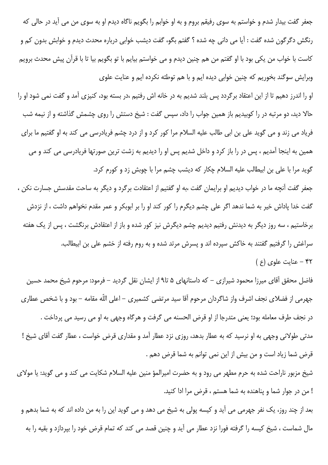جعفر گفت بیدار شدم و خواستم به سوی رفیقم بروم و به او خوابم را بگویم ناگاه دیدم او به سوی من می آید در حالی که رنگش دگرگون شده گفت : آيا مي داني چه شده ؟ گفتم بگو، گفت ديشب خوابي درباره محدث ديدم و خوابش بدون كم و كاست با خواب من يكي بود با او گفتم من هم چنين ديدم و مي خواستم بيايم با تو بگويم بيا تا با قرآن پيش محدث برويم وبرایش سوگند بخوریم که چنین خوابی دیده ایم و با هم توطئه نکرده ایم و عنایت علوی

او را اندرز دهیم تا از این اعتقاد برگردد پس بلند شدیم به در خانه اش رفتیم ،در بسته بود، کنیزی آمد و گفت نمی شود او را حالا دید، دو مرتبه در را کوبیدیم باز همین جواب را داد، سپس گفت : شیخ دستش را روی چشمش گذاشته و از نیمه شب فریاد می زند و می گوید علی بن ابی طالب علیه السلام مرا کور کرد و از درد چشم فریادرسی می کند به او گفتیم ما برای همین به اینجا آمدیم ، پس در را باز کرد و داخل شدیم پس او را دیدیم به زشت ترین صورتها فریادرسی می کند و می گوید مرا با علی بن ابیطالب علیه السلام چکار که دیشب چشم مرا با چوبش زد و کورم کرد.

جعفر گفت آنچه ما در خواب دیدیم او برایمان گفت ،به او گفتیم از اعتقادت برگرد و دیگر به ساحت مقدسش جسارت نکن ، گفت خدا پاداش خیر به شما ندهد اگر علی چشم دیگرم را کور کند او را بر ابوبکر و عمر مقدم نخواهم داشت ، از نزدش برخاستیم ، سه روز دیگر به دیدنش رفتیم دیدیم چشم دیگرش نیز کور شده و باز از اعتقادش برنگشت ، پس از یک هفته سراغش را گرفتیم گفتند به خاکش سپرده اند و پسرش مرتد شده و به روم رفته از خشم علی بن ابیطالب. ۴۲ - عنایت علوی (ع)

فاضل محقق آقای میرزا محمود شیرازی – که داستانهای ۵ تا۹از ایشان نقل گردید – فرمود: مرحوم شیخ محمد حسین جهرمی از فضلای نجف اشرف واز شاگردان مرحوم آقا سید مرتضی کشمیری – اعلی اللّه مقامه – بود و با شخص عطاری در نجف طرف معامله بود؛ يعني متدرجا از او قرض الحسنه مي گرفت و هرگاه وجهي به او مي رسيد مي پرداخت . مدتی طولانی وجهی به او نرسید که به عطار بدهد، روزی نزد عطار آمد و مقداری قرض خواست ، عطار گفت آقای شیخ ! قرض شما زياد است و من بيش از اين نمي توانم به شما قرض دهم .

شیخ مزبور ناراحت شده به حرم مطهر می رود و به حضرت امیرالمؤ منین علیه السلام شکایت می کند و می گوید: یا مولای ! من در جوار شما و پناهنده به شما هستم ، قرض مرا ادا کنید.

بعد از چند روز، یک نفر جهرمی می آید و کیسه پولی به شیخ می دهد و می گوید این را به من داده اند که به شما بدهم و مال شماست ، شیخ کیسه را گرفته فورا نزد عطار می آید و چنین قصد می کند که تمام قرض خود را بپردازد و بقیه را به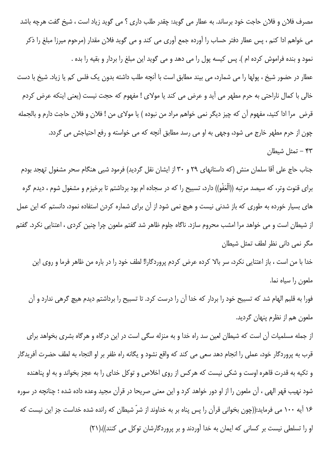مصرف فلان و فلان حاجت خود برساند. به عطار می گوید: چقدر طلب داری ؟ می گوید زیاد است ، شیخ گفت هرچه باشد می خواهم ادا کنم ، پس عطار دفتر حساب را آورده جمع آوری می کند و می گوید فلان مقدار (مرحوم میرزا مبلغ را ذکر نمود و بنده فراموش کرده ام ). پس کیسه پول را می دهد و می گوید این مبلغ را بردار و بقیه را بده . عطار در حضور شیخ ، پولها را می شمارد، می بیند مطابق است با آنچه طلب داشته بدون یک فلس کم یا زیاد. شیخ با دست خالی با کمال ناراحتی به حرم مطهر می آید و عرض می کند یا مولای ! مفهوم که حجت نیست (یعنی اینکه عرض کردم قرض مرا ادا كنيد، مفهوم آن كه چيز ديگر نمي خواهم مراد من نبوده ) يا مولاي من ! فلان و فلان حاجت دارم و بالجمله چون از حرم مطهر خارج می شود، وجهی به او می رسد مطابق آنچه که می خواسته و رفع احتیاجش می گردد.

۴۳ – تمثل شیطان

جناب حاج علی آقا سلمان منش (که داستانهای ۲۹ و ۳۰ از ایشان نقل گردید) فرمود شبی هنگام سحر مشغول تهجد بودم برای قنوت وتر، که سیصد مرتبه ((اَلْعَفْو)) دارد، تسبیح را که در سجاده ام بود برداشتم تا برخیزم و مشغول شوم ، دیدم گره های بسیار خورده به طوری که باز شدنی نیست و هیچ نمی شود از آن برای شماره کردن استفاده نمود، دانستم که این عمل از شیطان است و می خواهد مرا امشب محروم سازد. ناگاه جلوم ظاهر شد گفتم ملعون چرا چنین کردی ، اعتنایی نکرد. گفتم مگر نمی دانی نظر لطف تمثل شیطان

خدا با من است ، باز اعتنایی نکرد، سر بالا کرده عرض کردم پروردگارا! لطف خود را در باره من ظاهر فرما و روی این ملعون را سياه نما.

فورا به قلبم الهام شد که تسبیح خود را بردار که خدا آن را درست کرد. تا تسبیح را برداشتم دیدم هیچ گرهی ندارد و آن ملعون هم از نظرم پنهان گردید.

از جمله مسلمیات آن است که شیطان لعین سد راه خدا و به منزله سگی است در این درگاه و هرگاه بشری بخواهد برای قرب به پروردگار خود، عملی را انجام دهد سعی می کند که واقع نشود و یگانه راه ظفر بر او التجاء به لطف حضرت آفریدگار و تکیه به قدرت قاهره اوست و شکی نیست که هرکس از روی اخلاص و توکل خدای را به عجز بخواند و به او پناهنده شود نهيب قهر الهي ، آن ملعون را از او دور خواهد كرد و اين معنى صريحا در قرآن مجيد وعده داده شده ؛ چنانچه در سوره ۱۶ آیه ۱۰۰ می فرماید:((چون بخوانی قرآن را پس پناه بر به خداوند از شرّ شیطان که رانده شده خداست جز این نیست که او را تسلطی نیست بر کسانی که ایمان به خدا آوردند و بر پروردگارشان توکل می کنند)).(۲۱)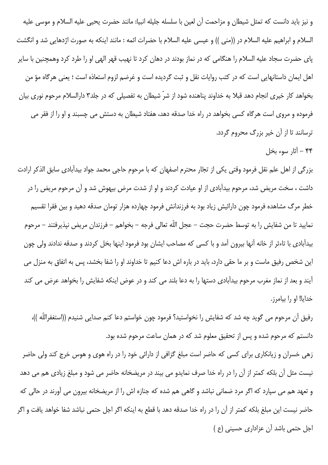و نیز باید دانست که تمثل شیطان و مزاحمت آن لعین با سلسله جلیله انبیا: مانند حضرت یحیی علیه السلام و موسی علیه السلام و ابراهيم عليه السلام در ((منى )) و عيسى عليه السلام با حضرات ائمه : مانند اينكه به صورت اژدهايي شد و انگشت پای حضرت سجاد علیه السلام را هنگامی که در نماز بودند در دهان کرد تا نهیب قهر الهی او را طرد کرد وهمچنین با سایر اهل ايمان داستانهايي است كه در كتب روايات نقل و ثبت گرديده است و غرضم لزوم استعاذه است ؛ يعني هرگاه مؤ من بخواهد کار خیری انجام دهد قبلا به خداوند پناهنده شود از شرّ شیطان به تفصیلی که در جلد۳ دارالسلام مرحوم نوری بیان فرموده و مروی است هرگاه کسی بخواهد در راه خدا صدقه دهد، هفتاد شیطان به دستش می چسبند و او را از فقر می ترسانند تا از آن خیر بزرگ محروم گردد.

۴۴ - آثار سوء بخل

بزرگی از اهل علم نقل فرمود وقتی یکی از تجّار محترم اصفهان که با مرحوم حاجی محمد جواد بیدآبادی سابق الذکر ارادت داشت ، سخت مریض شد، مرحوم بیدآبادی از او عیادت کردند و او از شدت مرض بیهوش شد و آن مرحوم مریض را در خطر مرگ مشاهده فرمود چون دارائیش زیاد بود به فرزندانش فرمود چهارده هزار تومان صدقه دهید و بین فقرا تقسیم نماييد تا من شفايش را به توسط حضرت حجت – عجل اللّه تعالى فرجه – بخواهم – فرزندان مريض نپذيرفتند – مرحوم بیدآبادی با تاءثر از خانه آنها بیرون آمد و با کسی که مصاحب ایشان بود فرمود اینها بخل کردند و صدقه ندادند ولی چون این شخص رفیق ماست و بر ما حقی دارد، باید در باره اش دعا کنیم تا خداوند او را شفا بخشد، پس به اتفاق به منزل می آیند و بعد از نماز مغرب مرحوم بیدآبادی دستها را به دعا بلند می کند و در عوض اینکه شفایش را بخواهد عرض می کند خدايا! او را بيامرز.

رفيق آن مرحوم مي گويد چه شد كه شفايش را نخواستيد؟ فرمود چون خواستم دعا كنم صدايي شنيدم ((استغفراللّه ))، دانستم که مرحوم شده و پس از تحقیق معلوم شد که در همان ساعت مرحوم شده بود.

زهی خسران و زیانکاری برای کسی که حاضر است مبلغ گزافی از دارائی خود را در راه هوی و هوس خرج کند ولی حاضر نیست مثل آن بلکه کمتر از آن را در راه خدا صرف نمایدو می بیند در مریضخانه حاضر می شود و مبلغ زیادی هم می دهد و تعهد هم می سپارد که اگر مرد ضمانی نباشد و گاهی هم شده که جنازه اش را از مریضخانه بیرون می آورند در حالی که حاضر نيست اين مبلغ بلكه كمتر از آن را در راه خدا صدقه دهد با قطع به اينكه اگر اجل حتمي نباشد شفا خواهد يافت و اگر اجل حتمی باشد آن عزاداری حسینی (ع)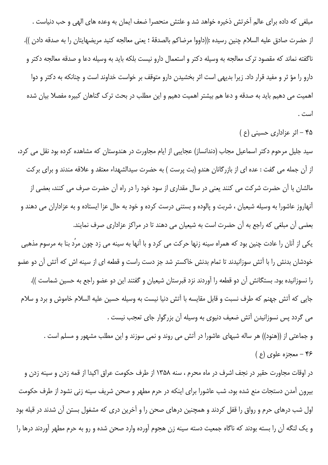مبلغی که داده برای عالم آخرتش ذخیره خواهد شد و علتش منحصرا ضعف ایمان به وعده های الهی و حب دنیاست . از حضرت صادق عليه السلام چنين رسيده :((داووا مرضاكم بالصدقة ؛ يعنى معالجه كنيد مريضهايتان را به صدقه دادن )). ناگفته نماند که مقصود ترک معالجه به وسیله دکتر و استعمال دارو نیست بلکه باید به وسیله دعا و صدقه معالجه دکتر و دارو را مؤ ثر و مفید قرار داد. زیرا بدیهی است اثر بخشیدن دارو متوقف بر خواست خداوند است و چنانکه به دکتر و دوا اهمیت می دهیم باید به صدقه و دعا هم بیشتر اهمیت دهیم و این مطلب در بحث ترک گناهان کبیره مفصلا بیان شده است .

۴۵ - اثر عزاداری حسینی (ع)

سید جلیل مرحوم دکتر اسماعیل مجاب (دندانساز) عجایبی از ایام مجاورت در هندوستان که مشاهده کرده بود نقل می کرد، از آن جمله می گفت : عده ای از بازرگانان هندو (بت پرست ) به حضرت سیدالشهداء معتقد و علاقه مندند و برای برکت مالشان با آن حضرت شرکت می کنند یعنی در سال مقداری از سود خود را در راه آن حضرت صرف می کنند، بعضی از آنهاروز عاشورا به وسیله شیعیان ، شربت و پالوده و بستنی درست کرده و خود به حال عزا ایستاده و به عزاداران می دهند و بعضی آن مبلغی که راجع به آن حضرت است به شیعیان می دهند تا در مراکز عزاداری صرف نمایند. یکی از آنان را عادت چنین بود که همراه سینه زنها حرکت می کرد و با آنها به سینه می زد چون مرد بنا به مرسوم مذهبی خودشان بدنش را با آتش سوزانیدند تا تمام بدنش خاکستر شد جز دست راست و قطعه ای از سینه اش که آتش آن دو عضو را نسوزانیده بود. بستگانش آن دو قطعه را آوردند نزد قبرستان شیعیان و گفتند این دو عضو راجع به حسین شماست )). جايي كه آتش جهنم كه طرف نسبت و قابل مقايسه با آتش دنيا نيست به وسيله حسين عليه السلام خاموش و برد و سلام می گردد پس نسوزانیدن آتش ضعیف دنیوی به وسیله آن بزرگوار جای تعجب نیست . و جماعتی از ((هنود)) هر ساله شبهای عاشورا در آتش می روند و نمی سوزند و این مطلب مشهور و مسلم است . ۴۶ - معجزه علوی (ع)

در اوقات مجاورت حقیر در نجف اشرف در ماه محرم ، سنه ۱۳۵۸ از طرف حکومت عراق اکیدا از قمه زدن و سینه زدن و بیرون آمدن دستجات منع شده بود، شب عاشورا برای اینکه در حرم مطهر و صحن شریف سینه زنی نشود از طرف حکومت اول شب درهای حرم و رواق را قفل کردند و همچنین درهای صحن را و آخرین دری که مشغول بستن آن شدند در قبله بود و یک لنگه آن را بسته بودند که ناگاه جمعیت دسته سینه زن هجوم آورده وارد صحن شده و رو به حرم مطهر آوردند درها را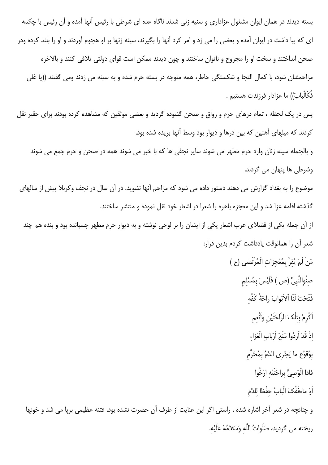بسته دیدند در همان ایوان مشغول عزاداری و سنیه زنی شدند ناگاه عده ای شرطی با رئیس آنها آمده و آن رئیس با چکمه ای که بپا داشت در ایوان آمده و بعضی را می زد و امر کرد آنها را بگیرند، سینه زنها بر او هجوم آوردند و او را بلند کرده ودر صحن انداختند و سخت او را مجروح و ناتوان ساختند و چون دیدند ممکن است قوای دولتی تلافی کنند و بالاخره مزاحمشان شود، با كمال التجا و شكستگی خاطر، همه متوجه در بسته حرم شده و به سینه می زدند ومی گفتند ((یا عَلی فُكَّالْبابَ)) ما عزادار فرزندت هستيم .

پس در یک لحظه ، تمام درهای حرم و رواق و صحن گشوده گردید و بعضی موثقین که مشاهده کرده بودند برای حقیر نقل کردند که میلهای آهنین که بین درها و دیوار بود وسط آنها بریده شده بود.

و بالجمله سینه زنان وارد حرم مطهر می شوند سایر نجفی ها که با خبر می شوند همه در صحن و حرم جمع می شوند وشرطي ها پنهان مي گردند.

موضوع را به بغداد گزارش می دهند دستور داده می شود که مزاحم آنها نشوید. در آن سال در نجف وکربلا بیش از سالهای گذشته اقامه عزا شد و این معجزه باهره را شعرا در اشعار خود نقل نموده و منتشر ساختند.

از آن جمله یکی از فضلای عرب اشعار یکی از ایشان را بر لوحی نوشته و به دیوار حرم مطهر چسبانده بود و بنده هم چند شعر آن را همانوقت يادداشت كردم بدين قرار:

> مَنْ لَمْ يُقِرَّ بِمُعْجِزاتِ الْمُرْتَضى (ع ) صِنْوِالنَّبِىِّ (ص ) فَلَيْسَ بِمُسْلِمٍ فَتَحَتْ لَنَا اْلاَبْوابَ راحَةُ كَفِّه

> > اَكْرِمْ بِتلْكَ الرّاحَتَيْنِ وَأَنْعِم

إِذْ قَدْ اَرِدُوا مَنْعَ اَرْبابِ الْعَزاءِ

بِوُقوُع ما يَجْرِى الدَّمُ بِمُحَرَّمِ

فاذا الْوَصِيُّ بِراحَتَيْهِ ارْخُوا

اَوْ ماءفَفُکَ الْبابُ حفْظا للدَّم

و چنانچه در شعر آخر اشاره شده ، راستی اگر این عنایت از طرف آن حضرت نشده بود، فتنه عظیمی برپا می شد و خونها ريخته مي گرديد، صَلَواتُ اللَّه وَسَلامُهُ عَلَيْه.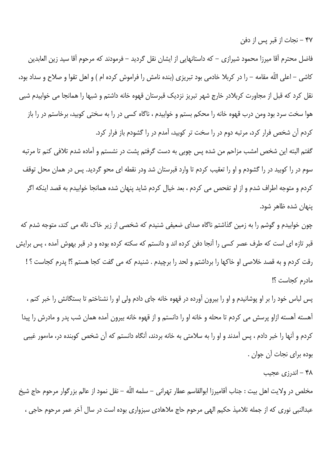۴۷ – نجات از قبر پس از دفن

فاضل محترم آقا میرزا محمود شیرازی – که داستانهایی از ایشان نقل گردید – فرمودند که مرحوم آقا سید زین العابدین كاشي – اعلى اللّه مقامه – را در كربلا خادمي بود تبريزي (بنده نامش را فراموش كرده ام ) و اهل تقوا و صلاح و سداد بود، نقل کرد که قبل از مجاورت کربلادر خارج شهر تبریز نزدیک قبرستان قهوه خانه داشتم و شبها را همانجا می خوابیدم شبی هوا سخت سرد بود ومن درب قهوه خانه را محکم بستم و خوابیدم ، ناگاه کسی در را به سختی کوبید، برخاستم در را باز کردم آن شخص فرار کرد، مرتبه دوم در را سخت تر کوبید، آمدم در را گشودم باز فرار کرد.

گفتم البته این شخص امشب مزاحم من شده پس چوبی به دست گرفتم پشت در نشستم و آماده شدم تلافی کنم تا مرتبه سوم در را کوبید در را گشودم و او را تعقیب کردم تا وارد قبرستان شد ودر نقطه ای محو گردید. پس در همان محل توقف كردم و متوجه اطراف شدم و از او تفحص مي كردم ، بعد خيال كردم شايد پنهان شده همانجا خوابيدم به قصد اينكه اگر پنهان شده ظاهر شود.

چون خوابیدم و گوشم را به زمین گذاشتم ناگاه صدای ضعیفی شنیدم که شخصی از زیر خاک ناله می کند، متوجه شدم که قبر تازه ای است که طرف عصر کسی را آنجا دفن کرده اند و دانستم که سکته کرده بوده و در قبر بهوش آمده ، پس برایش رقت کردم و به قصد خلاصی او خاکها را برداشتم و لحد را برچیدم . شنیدم که می گفت کجا هستم ؟! پدرم کجاست ؟ ! مادرم كجاست ؟!

پس لباس خود را بر او پوشانیدم و او را بیرون آورده در قهوه خانه جای دادم ولی او را نشناختم تا بستگانش را خبر کنم ، آهسته آهسته ازاو پرسش می کردم تا محله و خانه او را دانستم و از قهوه خانه بیرون آمده همان شب پدر و مادرش را پیدا کردم و آنها را خبر دادم ، پس آمدند و او را به سلامتی به خانه بردند، آنگاه دانستم که آن شخص کوبنده در، ماءمور غيبي بوده برای نجات آن جوان .

۴۸ - اندرزي عجيب

مخلص در ولايت اهل بيت : جناب آقاميرزا ابوالقاسم عطار تهراني – سلمه اللّه – نقل نمود از عالم بزرگوار مرحوم حاج شيخ عبدالنبي نوري كه از جمله تلاميذ حكيم الهي مرحوم حاج ملاهادي سبزواري بوده است در سال آخر عمر مرحوم حاجي ،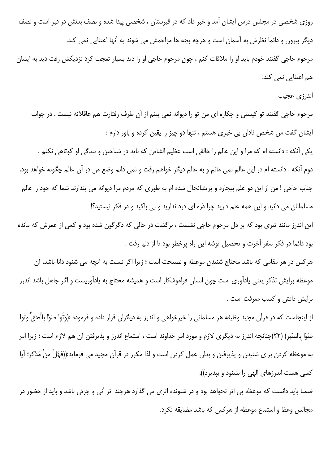روزی شخصی در مجلس درس ایشان آمد و خبر داد که در قبرستان ، شخصی پیدا شده و نصف بدنش در قبر است و نصف دیگر بیرون و دائما نظرش به آسمان است و هرچه بچه ها مزاحمش می شوند به آنها اعتنایی نمی کند. مرحوم حاجي گفتند خودم بايد او را ملاقات كنم ، چون مرحوم حاجي او را ديد بسيار تعجب كرد نزديكش رفت ديد به ايشان هم اعتنایی نمی کند.

اندرزي عجيب

مرحوم حاجی گفتند تو کیستی و چکاره ای من تو را دیوانه نمی بینم از آن طرف رفتارت هم عاقلانه نیست . در جواب ایشان گفت من شخص نادان بی خبری هستم ، تنها دو چیز را یقین کرده و باور دارم : یکی آنکه : دانسته ام که مرا و این عالم را خالقی است عظیم الشاءن که باید در شناختن و بندگی او کوتاهی نکنم . دوم آنکه : دانسته ام در این عالم نمی مانم و به عالم دیگر خواهم رفت و نمی دانم وضع من در آن عالم چگونه خواهد بود. جناب حاجی ! من از این دو علم بیچاره و پریشانحال شده ام به طوری که مردم مرا دیوانه می پندارند شما که خود را عالم مسلمانان می دانید و این همه علم دارید چرا ذره ای درد ندارید و بی باکید و در فکر نیستید؟!

این اندرز مانند تیری بود که بر دل مرحوم حاجی نشست ، برگشت در حالی که دگرگون شده بود و کمی از عمرش که مانده بود دائما در فكر سفر آخرت و تحصيل توشه اين راه پرخطر بود تا از دنيا رفت .

هرکس در هر مقامی که باشد محتاج شنیدن موعظه و نصیحت است ؛ زیرا اگر نسبت به آنچه می شنود دانا باشد، آن موعظه برایش تذکر یعنی یادآوری است چون انسان فراموشکار است و همیشه محتاج به یادآوریست و اگر جاهل باشد اندرز برایش دانش و کسب معرفت است .

از اینجاست که در قرآن مجید وظیفه هر مسلمانی را خیرخواهی و اندرز به دیگران قرار داده و فرموده :(وَتَوا صَوْا بالْحَقِّ وَتَوا صَوْا بالصْبر) (٢٢)چنانچه اندرز به دیگری لازم و مورد امر خداوند است ، استماع اندرز و پذیرفتن آن هم لازم است ؛ زيرا امر به موعظه كردن براي شنيدن و پذيرفتن و بدان عمل كردن است و لذا مكرر در قرآن مجيد مي فرمايد:((فَهَلْ منْ مَدَّكر؛ آيا کسی هست اندرزهای الهی را بشنود و بپذیرد)).

ضمنا بايد دانست كه موعظه بي اثر نخواهد بود و در شنونده اثري مي گذارد هرچند اثر آني و جزئي باشد و بايد از حضور در مجالس وعظ و استماع موعظه از هركس كه باشد مضايقه نكرد.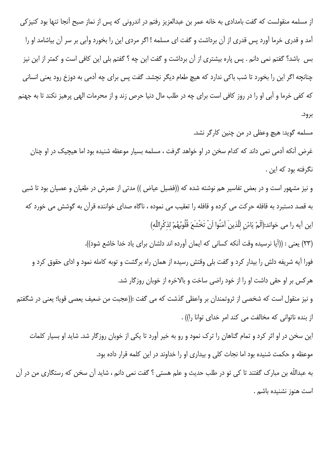از مسلمه منقولست که گفت بامدادی به خانه عمر بن عبدالعزیز رفتم در اندرونی که پس از نماز صبح آنجا تنها بود کنیزکی آمد و قدری خرما آورد پس قدری از آن برداشت و گفت ای مسلمه ! اگر مردی این را بخورد وآبی بر سر آن بیاشامد او را بس باشد؟ گفتم نمی دانم . پس پاره بیشتری از آن برداشت و گفت این چه ؟ گفتم بلی این کافی است و کمتر از این نیز چنانچه اگر این را بخورد تا شب باکی ندارد که هیچ طعام دیگر نچشد. گفت پس برای چه آدمی به دوزخ رود یعنی انسانی که کفی خرما و آبی او را در روز کافی است برای چه در طلب مال دنیا حرص زند و از محرمات الهی پرهیز نکند تا به جهنم برود.

مسلمه گوید: هیچ وعظی در من چنین کارگر نشد.

غرض آنکه آدمی نمی داند که کدام سخن در او خواهد گرفت ، مسلمه بسیار موعظه شنیده بود اما هیچیک در او چنان نگرفته بود که این .

و نیز مشهور است و در بعض تفاسیر هم نوشته شده که ((فضیل عیاض )) مدتی از عمرش در طغیان و عصیان بود تا شبی به قصد دستبرد به قافله حرکت می کرده و قافله را تعقیب می نموده ، ناگاه صدای خواننده قرآن به گوشش می خورد که اين آيه را مي خواند:(اَلَمْ يَاءْنِ للَّذينَ آمَنُوا اَنْ تَخْشَعَ قُلُوبُهُمْ لذكْراللَّه)

(٢٣) يعني : ((أيا نرسيده وقت أنكه كساني كه ايمان أورده اند دلشان براي ياد خدا خاشع شود)).

فورا آیه شریفه دلش را بیدار کرد و گفت بلی وقتش رسیده از همان راه برگشت و توبه کامله نمود و ادای حقوق کرد و هر کس بر او حقی داشت او را از خود راضی ساخت و بالاخره از خوبان روزگار شد.

و نيز منقول است كه شخصي از ثروتمندان بر واعظى گذشت كه مي گفت :((عجبت من ضعيف يعصي قويا؛ يعني در شگفتم از بنده ناتوانی که مخالفت می کند امر خدای توانا را)) .

این سخن در او اثر کرد و تمام گناهان را ترک نمود و رو به خیر آورد تا یکی از خوبان روزگار شد. شاید او بسیار کلمات موعظه و حکمت شنیده بود اما نجات کلی و بیداری او را خداوند در این کلمه قرار داده بود.

به عبداللّه بن مبارک گفتند تا کی تو در طلب حدیث و علم هستی ؟ گفت نمی دانم ، شاید آن سخن که رستگاری من در آن است هنوز نشنیده باشم .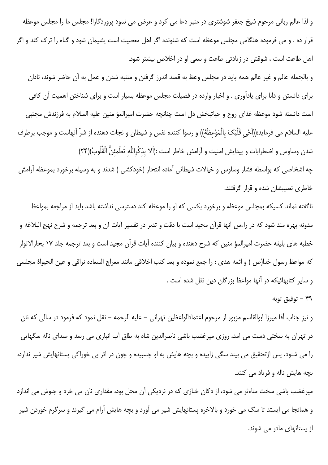و لذا عالم ربانی مرحوم شیخ جعفر شوشتری در منبر دعا می کرد و عرض می نمود پروردگارا! مجلس ما را مجلس موعظه قرار ده . و می فرموده هنگامی مجلس موعظه است که شنونده اگر اهل معصیت است پشیمان شود و گناه را ترک کند و اگر اهل طاعت است ، شوقش در زیادتی طاعت و سعی او در اخلاص بیشتر شود.

و بالجمله عالم و غیر عالم همه باید در مجلس وعظ به قصد اندرز گرفتن و متنبه شدن و عمل به آن حاضر شوند، نادان برای دانستن و دانا برای یادآوری . و اخبار وارده در فضیلت مجلس موعظه بسیار است و برای شناختن اهمیت آن کافی است دانسته شود موعظه غذاي روح و حياتبخش دل است چنانچه حضرت اميرالمؤ منين عليه السلام به فرزندش مجتبي عليه السلام مي فرمايد:((اَحْي قَلْبَکَ بالْمَوْعظَهٔ)) و رسوا کننده نفس و شيطان و نجات دهنده از شرّ آنهاست و موجب برطرف شدن وساوس و اضطرابات و پیدایش امنیت و آرامش خاطر است :(اَلا بذكْراللَّه تَطْمئنُّ الْقُلُوبُ)(٢۴)

چه اشخاصی که بواسطه فشار وساوس و خیالات شیطانی آماده انتحار (خودکشی ) شدند و به وسیله برخورد بموعظه آرامش خاطری نصیبشان شده و قرار گرفتند.

ناگفته نماند کسیکه بمجلس موعظه و برخورد بکسی که او را موعظه کند دسترسی نداشته باشد باید از مراجعه بمواعظ مدونه بهره مند شود که در راءس آنها قرآن مجید است با دقت و تدبر در تفسیر آیات آن و بعد ترجمه و شرح نهج البلاغه و خطبه های بلیغه حضرت امیرالمؤ منین که شرح دهنده و بیان کننده آیات قرآن مجید است و بعد ترجمه جلد ۱۷ بحارالانوار كه مواعظ رسول خدا(ص ) و ائمه هدى : را جمع نموده و بعد كتب اخلاقى مانند معراج السعاده نراقى و عين الحيواة مجلسى و سایر کتابهائیکه در آنها مواعظ بزرگان دین نقل شده است .

# وفيق توبه  $-$  ۴۹

و نيز جناب آقا ميرزا ابوالقاسم مزبور از مرحوم اعتمادالواعظين تهراني – عليه الرحمه – نقل نمود كه فرمود در سالي كه نان در تهران به سختی دست می آمد، روزی میرغضب باشی ناصرالدین شاه به طاق آب انباری می رسد و صدای ناله سگهایی را می شنود، پس ازتحقیق می بیند سگی زاییده و بچه هایش به او چسبیده و چون در اثر بی خوراکی پستانهایش شیر ندارد، بچه هایش ناله و فریاد می کنند.

میرغضب باشی سخت متاءثر می شود، از دکان خبازی که در نزدیکی آن محل بود، مقداری نان می خرد و جلوش می اندازد و همانجا می ایستد تا سگ می خورد و بالاخره پستانهایش شیر می آورد و بچه هایش آرام می گیرند و سرگرم خوردن شیر از یستانهای مادر می شوند.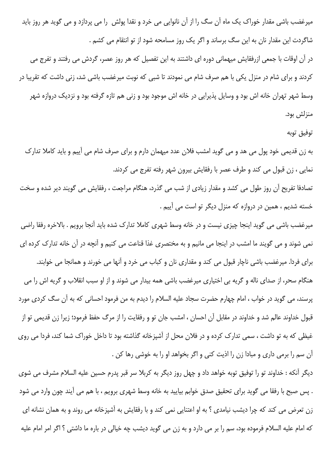میرغضب باشی مقدار خوراک یک ماه آن سگ را از آن نانوایی می خرد و نقدا پولش را می پردازد و می گوید هر روز باید شاگردت این مقدار نان به این سگ برساند و اگر یک روز مسامحه شود از تو انتقام می کشم .

در آن اوقات با جمعی ازرفقایش میهمانی دوره ای داشتند به این تفصیل که هر روز عصر، گردش می رفتند و تفرج می کردند و برای شام در منزل یکی با هم صرف شام می نمودند تا شبی که نوبت میرغضب باشی شد، زنی داشت که تقریبا در وسط شهر تهران خانه اش بود و وسایل پذیرایی در خانه اش موجود بود و زنی هم تازه گرفته بود و نزدیک دروازه شهر منزلش بود.

#### توفيق توبه

به زن قدیمی خود پول می هد و می گوید امشب فلان عدد میهمان دارم و برای صرف شام می آییم و باید کاملا تدارک نمایی ، زن قبول می کند و طرف عصر با رفقایش بیرون شهر رفته تفرج می کردند.

تصادفا تفریح آن روز طول می کشد و مقدار زیادی از شب می گذرد، هنگام مراجعت ، رفقایش می گویند دیر شده و سخت خسته شدیم ، همین در دروازه که منزل دیگر تو است می آییم .

میرغضب باشی می گوید اینجا چیزی نیست و در خانه وسط شهری کاملا تدارک شده باید آنجا برویم . بالاخره رفقا راضی نمی شوند و می گویند ما امشب در اینجا می مانیم و به مختصری غذا قناعت می کنیم و آنچه در آن خانه تدارک کرده ای برای فردا. میرغضب باشی ناچار قبول می کند و مقداری نان و کباب می خرد و آنها می خورند و همانجا می خوابند. هنگام سحر، از صدای ناله و گریه بی اختیاری میرغضب باشی همه بیدار می شوند و از او سبب انقلاب و گریه اش را می پرسند، می گوید در خواب ، امام چهارم حضرت سجاد علیه السلام را دیدم به من فرمود احسانی که به آن سگ کردی مورد قبول خداوند عالم شد و خداوند در مقابل آن احسان ، امشب جان تو و رفقايت را از مرگ حفظ فرمود؛ زيرا زن قديمي تو از غیظی که به تو داشت ، سمی تدارک کرده و در فلان محل از آشپزخانه گذاشته بود تا داخل خوراک شما کند، فردا می روی آن سم را برمی داری و مبادا زن را اذیت کنی و اگر بخواهد او را به خوشی رها کن .

دیگر آنکه : خداوند تو را توفیق توبه خواهد داد و چهل روز دیگر به کربلا سر قبر پدرم حسین علیه السلام مشرف می شوی . پس صبح با رفقا می گوید برای تحقیق صدق خوابم بیایید به خانه وسط شهری برویم ، با هم می آیند چون وارد می شود زن تعرض می کند که چرا دیشب نیامدی ؟ به او اعتنایی نمی کند و با رفقایش به آشپزخانه می روند و به همان نشانه ای كه امام عليه السلام فرموده بود، سم را بر مي دارد و به زن مي گويد ديشب چه خيالي در باره ما داشتي ؟ اگر امر امام عليه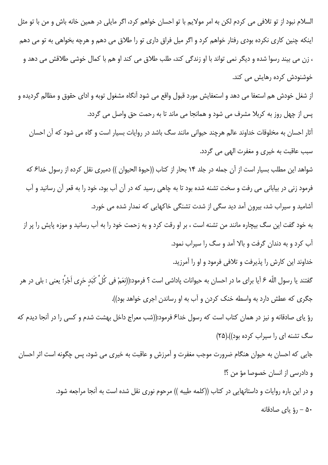السلام نبود از تو تلافی می کردم لکن به امر مولایم با تو احسان خواهم کرد، اگر مایلی در همین خانه باش و من با تو مثل اینکه چنین کاری نکرده بودی رفتار خواهم کرد و اگر میل فراق داری تو را طلاق می دهم و هرچه بخواهی به تو می دهم ، زن می بیند رسوا شده و دیگر نمی تواند با او زندگی کند، طلب طلاق می کند او هم با کمال خوشی طلاقش می دهد و خوشنودش کرده رهایش می کند.

از شغل خودش هم استعفا می دهد و استعفایش مورد قبول واقع می شود آنگاه مشغول توبه و ادای حقوق و مظالم گردیده و پس از چهل روز به کربلا مشرف می شود و همانجا می ماند تا به رحمت حق واصل می گردد. آثار احسان به مخلوقات خداوند عالم هرچند حیوانی مانند سگ باشد در روایات بسیار است و گاه می شود که آن احسان سبب عاقبت به خيري و مغفرت الهي مي گردد.

شواهد این مطلب بسیار است از آن جمله در جلد ۱۴ بحار از کتاب ((حیوهٔ الحیوان )) دمیری نقل کرده از رسول خداع که فرمود زنی در بیابانی می رفت و سخت تشنه شده بود تا به چاهی رسید که در آن آب بود، خود را به قعر آن رسانید و آب آشامید و سیراب شد، بیرون آمد دید سگی از شدت تشنگی خاکهایی که نمدار شده می خورد.

به خود گفت این سگ بیچاره مانند من تشنه است ، بر او رقت کرد و به زحمت خود را به آب رسانید و موزه پایش را پر از آب کرد و به دندان گرفت و بالا آمد و سگ را سیراب نمود.

خداوند این کارش را پذیرفت و تلافی فرمود و او را آمرزید.

گفتند يا رسول اللّه ۶ آيا براى ما در احسان به حيوانات پاداشى است ؟ فرمود:((نعَمْ فى كُلِّ كَبَد حَرى اَجْرُ؛ يعنى : بلى در هر جگری که عطش دارد به واسطه خنک کردن و آب به او رساندن اجری خواهد بود)). رؤ پای صادقانه و نیز در همان کتاب است که رسول خدا۶ فرمود:((شب معراج داخل بهشت شدم و کسی را در آنجا دیدم که سگ تشنه ای را سیراب کرده بود)).(۲۵)

جایی که احسان به حیوان هنگام ضرورت موجب مغفرت و آمرزش و عاقبت به خیری می شود، پس چگونه است اثر احسان و دادرسی از انسان خصوصا مؤ من ؟!

> و در این باره روایات و داستانهایی در کتاب ((کلمه طیبه )) مرحوم نوری نقل شده است به آنجا مراجعه شود. ۵۰ – رؤ ياي صادقانه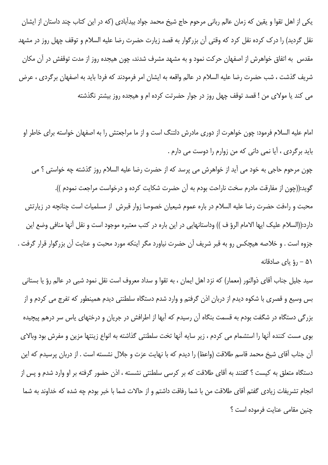یکی از اهل تقوا و یقین که زمان عالم ربانی مرحوم حاج شیخ محمد جواد بیدآبادی (که در این کتاب چند داستان از ایشان نقل گردید) را درک کرده نقل کرد که وقتی آن بزرگوار به قصد زیارت حضرت رضا علیه السلام و توقف چهل روز در مشهد مقدس ٍ به اتفاق خواهرش از اصفهان حرکت نمود و به مشهد مشرف شدند، چون هیجده روز از مدت توقفش در آن مکان شريف گذشت ، شب حضرت رضا عليه السلام در عالم واقعه به ايشان امر فرمودند كه فردا بايد به اصفهان برگردى ، عرض می کند یا مولای من ! قصد توقف چهل روز در جوار حضرتت کرده ام و هیجده روز بیشتر نگذشته

امام علیه السلام فرمود: چون خواهرت از دوری مادرش دلتنگ است و از ما مراجعتش را به اصفهان خواسته برای خاطر او باید برگردی ، آیا نمی دانی که من زوارم را دوست می دارم .

چون مرحوم حاجی به خود می آید از خواهرش می پرسد که از حضرت رضا علیه السلام روز گذشته چه خواستی ؟ می گوید:((چون از مفارقت مادرم سخت ناراحت بودم به آن حضرت شکایت کرده و درخواست مراجعت نمودم )). محبت و راءفت حضرت رضا علیه السلام در باره عموم شیعیان خصوصا زوار قبرش از مسلمیات است چنانچه در زیارتش دارد:((السلام عليک ايها الامام الرؤ ف )) وداستانهايي در اين باره در كتب معتبره موجود است و نقل آنها منافي وضع اين جزوه است . و خلاصه هیچکس رو به قبر شریف آن حضرت نیاورد مگر اینکه مورد محبت و عنایت آن بزرگوار قرار گرفت . ۵۱ – رؤ یای صادقانه

سید جلیل جناب آقای ذوالنور (معمار) که نزد اهل ایمان ، به تقوا و سداد معروف است نقل نمود شبی در عالم رؤ یا بستانی بس وسیع و قصری با شکوه دیدم از دربان اذن گرفتم و وارد شدم دستگاه سلطنتی دیدم همینطور که تفرج می کردم و از بزرگی دستگاه در شگفت بودم به قسمت بنگاه آن رسیدم که آبها از اطرافش در جریان و درختهای یاس سر درهم پیچیده بوی مست کننده آنها را استشمام می کردم ، زیر سایه آنها تخت سلطنتی گذاشته به انواع زینتها مزین و مفرش بود وبالای آن جناب آقای شیخ محمد قاسم طلاقت (واعظ) را دیدم که با نهایت عزت و جلال نشسته است . از دربان پرسیدم که این دستگاه متعلق به کیست ؟ گفتند به آقای طلاقت که بر کرسی سلطنتی نشسته ، اذن حضور گرفته بر او وارد شدم و پس از انجام تشریفات زیادی گفتم آقای طلاقت من با شما رفاقت داشتم و از حالات شما با خبر بودم چه شده که خداوند به شما چنين مقامى عنايت فرموده است ؟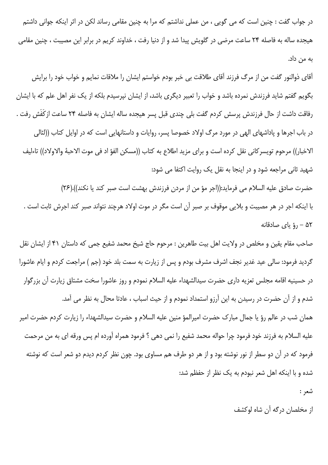در جواب گفت : چنین است که می گویی ، من عملی نداشتم که مرا به چنین مقامی رساند لکن در اثر اینکه جوانی داشتم هیجده ساله به فاصله ۲۴ ساعت مرضی در گلویش پیدا شد و از دنیا رفت ، خداوند کریم در برابر این مصیبت ، چنین مقامی به من داد.

آقای ذوالنور گفت من از مرگ فرزند آقای طلاقت بی خبر بودم خواستم ایشان را ملاقات نمایم و خواب خود را برایش بگویم گفتم شاید فرزندش نمرده باشد و خواب را تعبیر دیگری باشد، از ایشان نیرسیدم بلکه از یک نفر اهل علم که با ایشان رفاقت داشت از حال فرزندش پرسش كردم گفت بلي چندي قبل پسر هيجده ساله ايشان به فاصله ٢۴ ساعت ازكَفَش رفت . در باب اجرها و پاداشهای الهی در مورد مرگ اولاد خصوصا پسر، روایات و داستانهایی است که در اوایل کتاب ((لئالی الاخبار)) مرحوم تويسر كاني نقل كرده است و براي مزيد اطلاع به كتاب ((مسكن الفؤ اد في موت الاحبة والاولاد)) تاءليف شهید ثانی مراجعه شود و در اینجا به نقل یک روایت اکتفا می شود:

حضرت صادق عليه السلام مي فرمايد:((اجر مؤ من از مردن فرزندش بهشت است صبر كند يا نكند)).(٢۶) با اینکه اجر در هر مصیبت و بلایی موقوف بر صبر آن است مگر در موت اولاد هرچند نتواند صبر کند اجرش ثابت است . ه - رؤ ياي صادقانه $-$  ۵۲

صاحب مقام يقين و مخلص در ولايت اهل بيت طاهرين : مرحوم حاج شيخ محمد شفيع جمي كه داستان ۴۱ از ايشان نقل گردید فرمود: سالی عید غدیر نجف اشرف مشرف بودم و پس از زیارت به سمت بلد خود (جم ) مراجعت کردم و ایام عاشورا در حسینیه اقامه مجلس تعزیه داری حضرت سیدالشهداء علیه السلام نمودم و روز عاشورا سخت مشتاق زیارت آن بزرگوار شدم و از آن حضرت در رسیدن به این آرزو استمداد نمودم و از حیث اسباب ، عادتا محال به نظر می آمد. همان شب در عالم رؤ یا جمال مبارک حضرت امیرالمؤ منین علیه السلام و حضرت سیدالشهداء را زیارت کردم حضرت امیر عليه السلام به فرزند خود فرمود چرا حواله محمد شفيع را نمي دهي ؟ فرمود همراه آورده ام پس ورقه اي به من مرحمت فرمود که در آن دو سطر از نور نوشته بود و از هر دو طرف هم مساوی بود. چون نظر کردم دیدم دو شعر است که نوشته شده و با اینکه اهل شعر نبودم به یک نظر از حفظم شد:

شعر :

از مخلصان درگه آن شاه لوکشف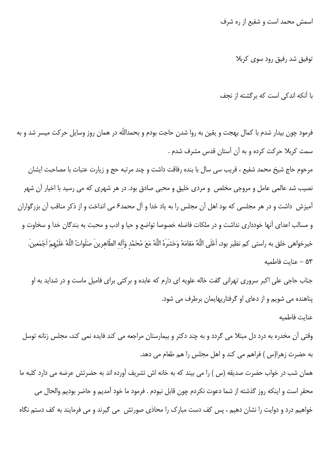اسمش محمد است و شفیع از ره شرف

توفیق شد رفیق رود سوی کربلا

با آنکه اندکی است که برگشته از نجف

فرمود چون بیدار شدم با کمال بهجت و یقین به روا شدن حاجت بودم و بحمداللّه در همان روز وسایل حرکت میسر شد و به سمت کربلا حرکت کرده و به آن آستان قدس مشرف شدم .

مرحوم حاج شیخ محمد شفیع ، قریب سی سال با بنده رفاقت داشت و چند مرتبه حج و زیارت عتبات با مصاحبت ایشان نصیب شد عالمی عامل و مروجی مخلص و مردی خلیق و محبی صادق بود. در هر شهری که می رسید با اخیار آن شهر آمیزش داشت و در هر مجلسی که بود اهل آن مجلس را به یاد خدا و آل محمد۶ می انداخت و از ذکر مناقب آن بزرگواران و مسالب اعدای آنها خودداری نداشت و در ملکات فاضله خصوصا تواضع و حیا و ادب و محبت به بندگان خدا و سخاوت و خيرخواهي خلق به راستي كم نظير بود، اَعْلَى اللَّهُ مَقامَهُ وَحَشَرَهُ اللَّهُ مَعَ مُحَمَّد وَاَله الطّاهرينَ صَلَواتُ اللَّهُ عَلَيْهمْ اَجْمَعينَ. ۵۳ – عنايت فاطميه

جناب حاجی علی اکبر سروری تهرانی گفت خاله علویه ای دارم که عابده و برکتی برای فامیل ماست و در شداید به او یناهنده می شویم و از دعای او گرفتاریهایمان برطرف می شود.

عناىت فاطميه

وقتی آن مخدره به درد دل مبتلا می گردد و به چند دکتر و بیمارستان مراجعه می کند فایده نمی کند، مجلس زنانه توسل به حضرت زهرا(س ) فراهم می کند و اهل مجلس را هم طعام می دهد.

همان شب در خواب حضرت صدیقه (س ) را می بیند که به خانه اش تشریف آورده اند به حضرتش عرضه می دارد کلبه ما محقر است و اینکه روز گذشته از شما دعوت نکردم چون قابل نبودم . فرمود ما خود آمدیم و حاضر بودیم والحال می خواهیم درد و دوایت را نشان دهیم ، پس کف دست مبارک را محاذی صورتش ٍ می گیرند و می فرمایند به کف دستم نگاه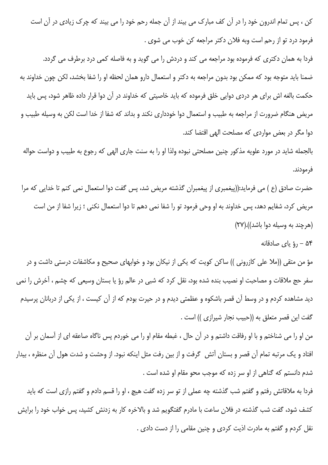کن ، پس تمام اندرون خود را در آن کف مبارک می بیند از آن جمله رحم خود را می بیند که چرک زیادی در آن است فرمود درد تو از رحم است وبه فلان دکتر مراجعه کن خوب می شوی .

فردا به همان دکتری که فرموده بود مراجعه می کند و دردش را می گوید و به فاصله کمی درد برطرف می گردد. ضمنا باید متوجه بود که ممکن بود بدون مراجعه به دکتر و استعمال دارو همان لحظه او را شفا بخشد، لکن چون خداوند به حکمت بالغه اش برای هر دردی دوایی خلق فرموده که باید خاصیتی که خداوند در آن دوا قرار داده ظاهر شود، پس باید مریض هنگام ضرورت از مراجعه به طبیب و استعمال دوا خودداری نکند و بداند که شفا از خدا است لکن به وسیله طبیب و دوا مگر در بعض مواردی که مصلحت الهی اقتضا کند.

بالجمله شاید در مورد علویه مذکور چنین مصلحتی نبوده ولذا او را به سنت جاری الهی که رجوع به طبیب و دواست حواله فر مودند.

حضرت صادق (ع ) می فرماید:((پیغمبری از پیغمبران گذشته مریض شد، پس گفت دوا استعمال نمی کنم تا خدایی که مرا مريض كرد، شفايم دهد، پس خداوند به او وحى فرمود تو را شفا نمى دهم تا دوا استعمال نكنى ؛ زيرا شفا از من است (هرچند به وسیله دوا باشد)).(۲۷)

ه – رؤ ياي صادقانه  $-$  ۵۴

مؤ من متقی ((ملا علی کازرونی )) ساکن کویت که یکی از نیکان بود و خوابهای صحیح و مکاشفات درستی داشت و در سفر حج ملاقات و مصاحبت او نصیب بنده شده بود، نقل کرد که شبی در عالم رؤ یا بستان وسیعی که چشم ، آخرش را نمی دید مشاهده کردم و در وسط آن قصر باشکوه و عظمتی دیدم و در حیرت بودم که از آن کیست ، از یکی از دربانان پرسیدم گفت این قصر متعلق به ((حبیب نجار شیرازی )) است .

من او را می شناختم و با او رفاقت داشتم و در آن حال ، غبطه مقام او را می خوردم پس ناگاه صاعقه ای از آسمان بر آن افتاد و یک مرتبه تمام آن قصر و بستان آتش گرفت و از بین رفت مثل اینکه نبود. از وحشت و شدت هول آن منظره ، بیدار شدم دانستم كه گناهی از او سر زده كه موجب محو مقام او شده است .

فردا به ملاقاتش رفتم و گفتم شب گذشته چه عملی از تو سر زده گفت هیچ ، او را قسم دادم و گفتم رازی است که باید کشف شود، گفت شب گذشته در فلان ساعت با مادرم گفتگویم شد و بالاخره کار به زدنش کشید، پس خواب خود را برایش نقل کردم و گفتم به مادرت اذیت کردی و چنین مقامی را از دست دادی .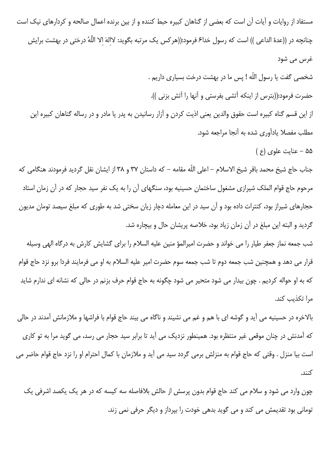مستفاد از روایات و آیات آن است که بعضی از گناهان کبیره حبط کننده و از بین برنده اعمال صالحه و کردارهای نیک است چنانچه در ((عدهٔ الداعی )) است که رسول خدا۶ فرمود:((هرکس یک مرتبه بگوید: لاالهَ الا اللَّهُ درختی در بهشت برایش غرس می شود شخصی گفت یا رسول اللّه ! پس ما در بهشت درخت بسیاری داریم . حضرت فرمود:((بترس از اینکه آتشی بفرستی و آنها را آتش بزنی )). از این قسم گناه کبیره است حقوق والدین یعنی اذیت کردن و آزار رسانیدن به پدر یا مادر و در رساله گناهان کبیره این مطلب مفصلا یادآوری شده به أنجا مراجعه شود.  $( 9)$ ه – عنایت علوی (ع جناب حاج شيخ محمد باقر شيخ الاسلام – اعلى اللّه مقامه – كه داستان ٣٧ و ٣٨ از ايشان نقل گرديد فرمودند هنگامي كه مرحوم حاج قوام الملک شیرازی مشغول ساختمان حسینیه بود، سنگهای آن را به یک نفر سید حجار که در آن زمان استاد حجارهای شیراز بود، کنترات داده بود و آن سید در این معامله دچار زیان سختی شد به طوری که مبلغ سیصد تومان مدیون گردید و البته این مبلغ در آن زمان زیاد بود، خلاصه پریشان حال و بیچاره شد. شب جمعه نماز جعفر طیار را می خواند و حضرت امیرالمؤ منین علیه السلام را برای گشایش کارش به درگاه الهی وسیله قرار می دهد و همچنین شب جمعه دوم تا شب جمعه سوم حضرت امیر علیه السلام به او می فرمایند فردا برو نزد حاج قوام که به او حواله کردیم . چون بیدار می شود متحیر می شود چگونه به حاج قوام حرف بزنم در حالی که نشانه ای ندارم شاید مرا تكذيب كند.

بالاخره در حسینیه می آید و گوشه ای با هم و غم می نشیند و ناگاه می بیند حاج قوام با فراشها و ملازمانش آمدند در حالی که آمدنش در چنان موقعی غیر منتظره بود. همینطور نزدیک می آید تا برابر سید حجار می رسد، می گوید مرا به تو کاری است بيا منزل . وقتى كه حاج قوام به منزلش برمى گردد سيد مى آيد و ملازمان با كمال احترام او را نزد حاج قوام حاضر مى  $1:5$ 

چون وارد می شود و سلام می کند حاج قوام بدون پرسش از حالش بلافاصله سه کیسه که در هر یک یکصد اشرفی یک تومانی بود تقدیمش می کند و می گوید بدهی خودت را بپرداز و دیگر حرفی نمی زند.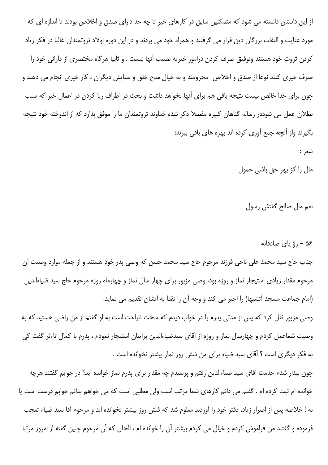از این داستان دانسته می شود که متمکنین سابق در کارهای خیر تا چه حد دارای صدق و اخلاص بودند تا اندازه ای که مورد عنايت و التفات بزرگان دين قرار مي گرفتند و همراه خود مي بردند و در اين دوره اولاد ثروتمندان غالبا در فكر زياد كردن ثروت خود هستند وتوفيق صرف كردن درامور خيريه نصيب آنها نيست . و ثانيا هرگاه مختصرى از دارائي خود را صرف خیری کنند نوعا از صدق و اخلاص محرومند و به خیال مدح خلق و ستایش دیگران ، کار خیری انجام می دهند و چون برای خدا خالص نیست نتیجه باقی هم برای آنها نخواهد داشت و بحث در اطراف ریا کردن در اعمال خیر که سبب بطلان عمل می شوددر رساله گناهان کبیره مفصلا ذکر شده خداوند ثروتمندان ما را موفق بدارد که از اندوخته خود نتیجه بگیرند واز آنچه جمع آوری کرده اند بهره های باقی ببرند:

شعر :

مال را کز بھر حق باشی حمول

نعم مال صالح گفتش رسول

۵۶ – 5 ياي صادقانه

جناب حاج سید محمد علی ناجی فرزند مرحوم حاج سید محمد حسن که وصی پدر خود هستند و از جمله موارد وصیت آن مرحوم مقدار زیادی استیجار نماز و روزه بود، وصی مزبور برای چهار سال نماز و چهارماه روزه مرحوم حاج سید ضیاءالدین (امام جماعت مسجد آتشیها) را اجیر می کند و وجه آن را نقدا به ایشان تقدیم می نماید. وصی مزبور نقل کرد که پس از مدتی پدرم را در خواب دیدم که سخت ناراحت است به او گفتم از من راضی هستید که به

وصیت شماعمل کردم و چهارسال نماز و روزه از آقای سیدضیاءالدین برایتان استیجار نمودم ، پدرم با کمال تاءثر گفت کی به فكر ديگرى است ؟ آقاى سيد ضياء براى من شش روز نماز بيشتر نخوانده است .

چون بیدار شدم خدمت آقای سید ضیاءالدین رفتم و پرسیدم چه مقدار برای پدرم نماز خوانده اید؟ در جوابم گفتند هرچه خوانده ام ثبت کرده ام . گفتم می دانم کارهای شما مرتب است ولی مطلبی است که می خواهم بدانم خوابم درست است یا نه ! خلاصه پس از اصرار زیاد، دفتر خود را آوردند معلوم شد که شش روز بیشتر نخوانده اند و مرحوم آقا سید ضیاء تعجب فرموده و گفتند من فراموش كردم و خيال مي كردم بيشتر آن را خوانده ام ، الحال كه آن مرحوم چنين گفته از امروز مرتبا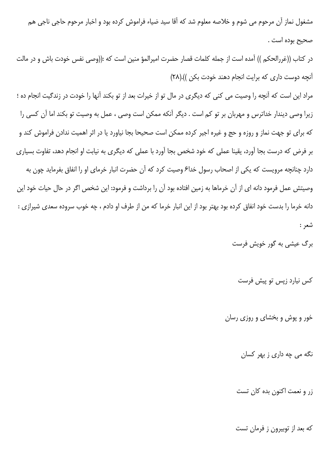مشغول نماز آن مرحوم می شوم و خلاصه معلوم شد که آقا سید ضیاء فراموش کرده بود و اخبار مرحوم حاجی ناجی هم صحيح بوده است .

در كتاب ((غررالحكم )) آمده است از جمله كلمات قصار حضرت اميرالمؤ منين است كه :((وصى نفس خودت باش و در مالت آنچه دوست داری که برایت انجام دهند خودت بکن )).((٢٨)

مراد این است که آنچه را وصیت می کنی که دیگری در مال تو از خیرات بعد از تو بکند آنها را خودت در زندگیت انجام ده ؛ زیرا وصی دیندار خداترس و مهربان بر تو کم است . دیگر آنکه ممکن است وصی ، عمل به وصیت تو بکند اما آن کسی را که برای تو جهت نماز و روزه و حج و غیره اجیر کرده ممکن است صحیحا بجا نیاورد یا در اثر اهمیت ندادن فراموش کند و بر فرض که درست بجا آورد، یقینا عملی که خود شخص بجا آورد با عملی که دیگری به نیابت او انجام دهد، تفاوت بسیاری دارد چنانچه مرویست که یکی از اصحاب رسول خدا۶ وصیت کرد که آن حضرت انبار خرمای او را انفاق بفرماید چون به وصيتش عمل فرمود دانه اى از آن خرماها به زمين افتاده بود آن را برداشت و فرمود: اين شخص اگر در حال حيات خود اين دانه خرما را بدست خود انفاق کرده بود بهتر بود از این انبار خرما که من از طرف او دادم ، چه خوب سروده سعدی شیرازی : شعر :

برگ عیش*ی* به گور خویش فرست

کس نیارد زیس تو پیش فرست

خور و پوش و بخشای و روزی رسان

نگه می چه داری ز بهر کسان

زر و نعمت اکنون بده کان تست

که بعد از توبیرون ز فرمان تست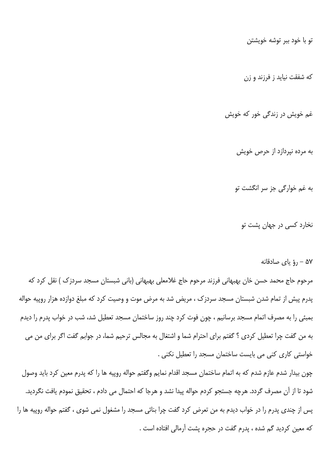تو با خود ببر توشه خویشتن

که شفقت نیاید ز فرزند و زن

غم خویش در زندگی خور که خویش

به مرده نیردازد از حرص خویش

به غم خوارگی جز سر انگشت تو

نخارد کسی در جهان پشت تو

۵۷ – رؤ یای صادقانه

مرحوم حاج محمد حسن خان بهبهاني فرزند مرحوم حاج غلامعلي بهبهاني (باني شبستان مسجد سردزك ) نقل كرد كه پدرم پیش از تمام شدن شبستان مسجد سردزک ، مریض شد به مرض موت و وصیت کرد که مبلغ دوازده هزار روپیه حواله بمبئی را به مصرف اتمام مسجد برسانیم ، چون فوت کرد چند روز ساختمان مسجد تعطیل شد، شب در خواب پدرم را دیدم به من گفت چرا تعطیل کردی ؟ گفتم برای احترام شما و اشتغال به مجالس ترحیم شما، در جوابم گفت اگر برای من می خواستی کاری کنی می بایست ساختمان مسجد را تعطیل نکنی .

چون بیدار شدم عازم شدم که به اتمام ساختمان مسجد اقدام نمایم وگفتم حواله روپیه ها را که پدرم معین کرد باید وصول شود تا از آن مصرف گردد. هرچه جستجو کردم حواله پیدا نشد و هرجا که احتمال می دادم ، تحقیق نمودم یافت نگردید. پس از چندی پدرم را در خواب دیدم به من تعرض کرد گفت چرا بنائی مسجد را مشغول نمی شوی ، گفتم حواله روپیه ها را كه معين كرديد گم شده ، پدرم گفت در حجره پشت آرمالي افتاده است .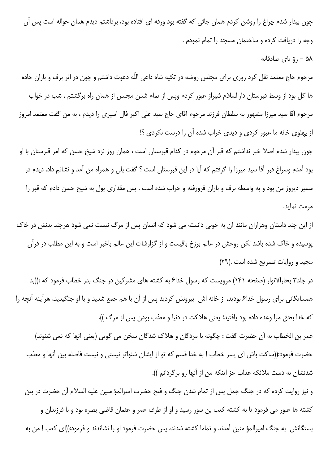چون بیدار شدم چراغ را روشن کردم همان جائی که گفته بود ورقه ای افتاده بود، برداشتم دیدم همان حواله است پس آن وجه را دریافت کرده و ساختمان مسجد را تمام نمودم .

## ۵۸ - رؤ ياي صادقانه

مرحوم حاج معتمد نقل کرد روزی برای مجلس روضه در تکیه شاه داعی اللّه دعوت داشتم و چون در اثر برف و باران جاده ها گل بود از وسط قبرستان دارالسلام شیراز عبور کردم وپس از تمام شدن مجلس از همان راه برگشتم ، شب در خواب مرحوم آقا سید میرزا مشهور به سلطان فرزند مرحوم آقای حاج سید علی اکبر فال اسیری را دیدم ، به من گفت معتمد امروز از پهلوی خانه ما عبور کردی و دیدی خراب شده آن را درست نکردی ؟!

چون بیدار شدم اصلا خبر نداشتم که قبر آن مرحوم در کدام قبرستان است ، همان روز نزد شیخ حسن که امر قبرستان با او بود آمدم وسراغ قبر آقا سید میرزا را گرفتم که آیا در این قبرستان است ؟ گفت بلی و همراه من آمد و نشانم داد. دیدم در مسیر دیروز من بود و به واسطه برف و باران فرورفته و خراب شده است . پس مقداری پول به شیخ حسن دادم که قبر را مرمت نماید.

از این چند داستان وهزاران مانند آن به خوبی دانسته می شود که انسان پس از مرگ نیست نمی شود هرچند بدنش در خاک پوسیده و خاک شده باشد لکن روحش در عالم برزخ باقیست و از گزارشات این عالم باخبر است و به این مطلب در قرآن مجيد و روايات تصريح شده است .(٢٩)

در جلد۳ بحارالانوار (صفحه ۱۴۱) مرویست که رسول خدا۶ به کشته های مشرکین در جنگ بدر خطاب فرمود که :((بد همسایگانی برای رسول خدا۶ بودید، از خانه اش بیرونش کردید پس از آن با هم جمع شدید و با او جنگیدید، هرآینه آنچه را كه خدا بحق مرا وعده داده بود يافتيد؛ يعني هلاكت در دنيا و معذب بودن پس از مرگ )).

عمر بن الخطاب به أن حضرت گفت : چگونه با مردگان و هلاک شدگان سخن می گویی (یعنی أنها که نمی شنوند) حضرت فرمود:((ساكت باش اي پسر خطاب ! به خدا قسم كه تو از ايشان شنواتر نيستي و نيست فاصله بين آنها و معذب شدنشان به دست ملائکه عذاب جز اینکه من از آنها رو برگردانم )).

و نیز روایت کرده که در جنگ جمل پس از تمام شدن جنگ و فتح حضرت امیرالمؤ منین علیه السلام آن حضرت در بین کشته ها عبور می فرمود تا به کشته کعب بن سور رسید و او از طرف عمر و عثمان قاضی بصره بود و با فرزندان و بستگانش ٍ به جنگ امیرالمؤ منین آمدند و تماما کشته شدند، پس حضرت فرمود او را نشاندند و فرمود:((ای کعب ! من به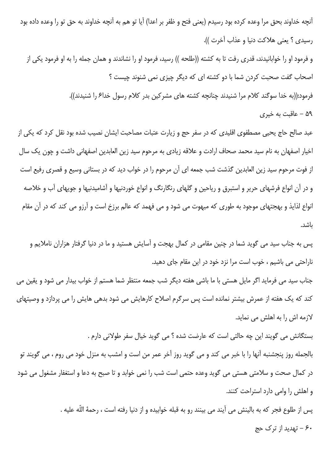آنچه خداوند بحق مرا وعده کرده بود رسیدم (یعنی فتح و ظفر بر اعدا) آیا تو هم به آنچه خداوند به حق تو را وعده داده بود رسيدي ؟ يعني هلاكت دنيا و عذاب آخرت )).

و فرمود او را خوابانیدند، قدری رفت تا به کشته ((طلحه )) رسید، فرمود او را نشاندند و همان جمله را به او فرمود یکی از اصحاب گفت صحبت کردن شما با دو کشته ای که دیگر چیزی نمی شنوند چیست ؟

فرمود:((به خدا سوگند کلام مرا شنیدند چنانچه کشته های مشرکین بدر کلام رسول خداع را شنیدند)).

۵۹ – عاقبت به خیری

عبد صالح حاج یحیی مصطفوی اقلیدی که در سفر حج و زیارت عتبات مصاحبت ایشان نصیب شده بود نقل کرد که یکی از اخیار اصفهان به نام سید محمد صحاف ارادت و علاقه زیادی به مرحوم سید زین العابدین اصفهانی داشت و چون یک سال از فوت مرحوم سيد زين العابدين گذشت شب جمعه اي آن مرحوم را در خواب ديد كه در بستاني وسيع و قصري رفيع است و در آن انواع فرشهای حریر و استبرق و ریاحین و گلهای رنگارنگ و انواع خوردنیها و آشامیدنیها و جویهای آب و خلاصه انواع لذایذ و بهجتهای موجود به طوری که مبهوت می شود و می فهمد که عالم برزخ است و آرزو می کند که در آن مقام ىاشد.

پس به جناب سید می گوید شما در چنین مقامی در کمال بهجت و آسایش هستید و ما در دنیا گرفتار هزاران ناملایم و ناراحتی می باشیم ، خوب است مرا نزد خود در این مقام جای دهید.

جناب سید می فرماید اگر مایل هستی با ما باشی هفته دیگر شب جمعه منتظر شما هستم از خواب بیدار می شود و یقین می کند که یک هفته از عمرش بیشتر نمانده است پس سرگرم اصلاح کارهایش می شود بدهی هایش را می پردازد و وصیتهای لازمه اش را به اهلش می نماید.

بستگانش می گویند این چه حالتی است که عارضت شده ؟ می گوید خیال سفر طولانی دارم . بالجمله روز پنجشنبه آنها را با خبر می کند و می گوید روز آخر عمر من است و امشب به منزل خود می روم ، می گویند تو در کمال صحت و سلامتی هستی می گوید وعده حتمی است شب را نمی خوابد و تا صبح به دعا و استغفار مشغول می شود و اهلش را وامی دارد استراحت کنند.

> پس از طلوع فجر که به بالینش می آیند می بینند رو به قبله خوابیده و از دنیا رفته است ، رحمهٔ اللّه علیه . ۶۰ – تهدید از ترک حج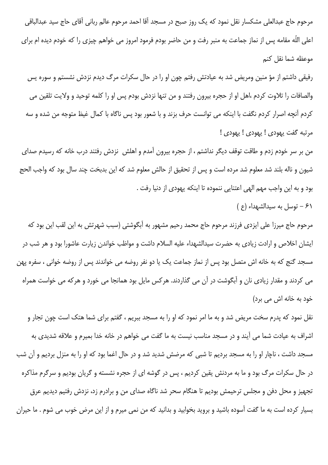مرحوم حاج عبدالعلي مشكسار نقل نمود كه يک روز صبح در مسجد آقا احمد مرحوم عالم رباني آقاي حاج سيد عبدالباقي اعلی اللّه مقامه پس از نماز جماعت به منبر رفت و من حاضر بودم فرمود امروز می خواهم چیزی را که خودم دیده ام برای موعظه شما نقل كنم

رفیقی داشتم از مؤ منین ومریض شد به عیادتش رفتم چون او را در حال سکرات مرگ دیدم نزدش نشستم و سوره یس والصافات را تلاوت كردم ،اهل او از حجره بيرون رفتند و من تنها نزدش بودم پس او را كلمه توحيد و ولايت تلقين مي كردم أنچه اصرار كردم نگفت با اينكه مي توانست حرف بزند و با شعور بود پس ناگاه با كمال غيظ متوجه من شده و سه مرتبه گفت يهودي ! يهودي ! يهودي !

من بر سر خودم زدم و طاقت توقف دیگر نداشتم ، از حجره بیرون آمدم و اهلش نزدش رفتند درب خانه که رسیدم صدای شیون و ناله بلند شد معلوم شد مرده است و پس از تحقیق از حالش معلوم شد که این بدبخت چند سال بود که واجب الحج بود و به اين واجب مهم الهي اعتنايي ننموده تا اينكه يهودي از دنيا رفت .

۶۱ - توسل به سيدالشهداء (ع)

مرحوم حاج میرزا علی ایزدی فرزند مرحوم حاج محمد رحیم مشهور به آبگوشتی (سبب شهرتش به این لقب این بود که ایشان اخلاص و ارادت زیادی به حضرت سیدالشهداء علیه السلام داشت و مواظب خواندن زیارت عاشورا بود و هر شب در مسجد گنج که به خانه اش متصل بود پس از نماز جماعت یک یا دو نفر روضه می خواندند پس از روضه خوانی ، سفره پهن می کردند و مقدار زیادی نان و آبگوشت در آن می گذاردند. هرکس مایل بود همانجا می خورد و هرکه می خواست همراه خود به خانه اش می برد)

نقل نمود که پدرم سخت مریض شد و به ما امر نمود که او را به مسجد ببریم ، گفتم برای شما هتک است چون تجار و اشراف به عیادت شما می آیند و در مسجد مناسب نیست به ما گفت می خواهم در خانه خدا بمیرم و علاقه شدیدی به مسجد داشت ، ناچار او را به مسجد بردیم تا شبی که مرضش شدید شد و در حال اغما بود که او را به منزل بردیم و آن شب در حال سکرات مرگ بود و ما به مردنش یقین کردیم ، پس در گوشه ای از حجره نشسته و گریان بودیم و سرگرم مذاکره تجهیز و محل دفن و مجلس ترحیمش بودیم تا هنگام سحر شد ناگاه صدای من و برادرم زد، نزدش رفتیم دیدیم عرق بسیار کرده است به ما گفت آسوده باشید و بروید بخوابید و بدانید که من نمی میرم و از این مرض خوب می شوم . ما حیران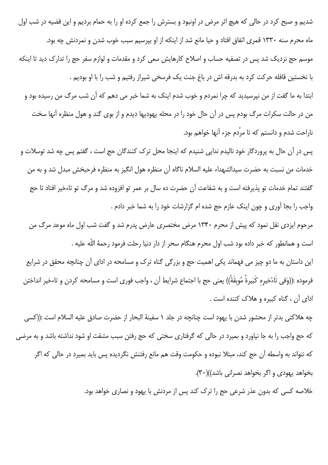شدیم و صبح کرد در حالی که هیچ اثر مرض در اونبود و بسترش را جمع کرده او را به حمام بردیم و این قضیه در شب اول ماه محرم سنه ۱۳۳۰ قمری اتفاق افتاد و حیا مانع شد از اینکه از او بپرسیم سبب خوب شدن و نمردنش چه بود. موسم حج نزدیک شد پس در تصفیه حساب و اصلاح کارهایش سعی کرد و مقدمات و لوازم سفر حج را تدارک دید تا اینکه با نخستین قافله حرکت کرد به بدرقه اش در باغ جنت یک فرسخی شیراز رفتیم و شب را با او بودیم . ابتدا به ما گفت از من نپرسیدید که چرا نمردم و خوب شدم اینک به شما خبر می دهم که آن شب مرگ من رسیده بود و من در حالت سکرات مرگ بودم پس در آن حال خود را در محله یهودیها دیدم و از بوی گند و هول منظره آنها سخت ناراحت شدم و دانستم که تا مردم جزء آنها خواهم بود.

پس در آن حال به پروردگار خود نالیدم ندایی شنیدم که اینجا محل ترک کنندگان حج است ، گفتم پس چه شد توسلات و خدمات من نسبت به حضرت سيدالشهداء عليه السلام ناگاه آن منظره هول انگيز به منظره فرحبخش مبدل شد و به من گفتند تمام خدمات تو پذیرفته است و به شفاعت آن حضرت ده سال بر عمر تو افزوده شد و مرگ تو تاءخیر افتاد تا حج واجب را بجا آوری و چون اینک عازم حج شده ام گزارشات خود را به شما خبر دادم .

مرحوم ایزدی نقل نمود که پیش از محرم ۱۳۴۰ مرض مختصری عارض پدرم شد و گفت شب اول ماه موعد مرگ من است و همانطور که خبر داده بود شب اول محرم هنگام سحر از دار دنیا رحلت فرمود رحمهٔ اللّه علیه .

این داستان به ما دو چیز می فهماند یکی اهمیت حج و بزرگی گناه ترک و مسامحه در ادای آن چنانچه محقق در شرایع فرموده :((وَفى تَاءْخيره كَبَيرةُ مُوبقَةٌ)) يعنى حج با اجتماع شرايط آن ، واجب فورى است و مسامحه كردن و تاءخير انداختن ادای آن ، گناه کبیره و هلاک کننده است .

چه هلاكتي بدتر از محشور شدن با يهود است چنانچه در جلد ١ سفينهٔ البحار از حضرت صادق عليه السلام است :((كسي که حج واجب را به جا نیاورد و بمیرد در حالی که گرفتاری سختی که حج رفتن سبب مشقت او شود نداشته باشد و به مرضی كه نتواند به واسطه آن حج كند، مبتلا نبوده و حكومت وقت هم مانع رفتنش نگرديده پس بايد بميرد در حالي كه اگر بخواهد يهودي و اگر بخواهد نصراني باشد))(٣٠).

خلاصه کسی که بدون عذر شرعی حج را ترک کند پس از مردنش با یهود و نصاری خواهد بود.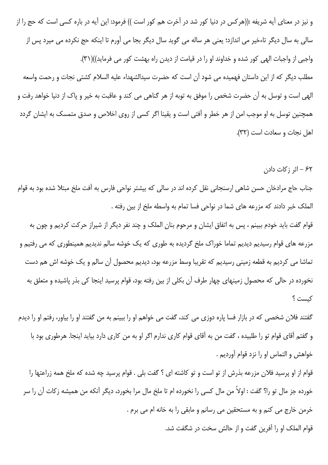و نیز در معنای آیه شریفه :((هرکس در دنیا کور شد در آخرت هم کور است )) فرمود: این آیه در باره کسی است که حج را از سالي به سال ديگر تاءخير مي اندازد؛ يعني هر ساله مي گويد سال ديگر بجا مي آورم تا اينكه حج نكرده مي ميرد پس از واجبی از واجبات الهی کور شده و خداوند او را در قیامت از دیدن راه بهشت کور می فرماید))(۳۱). مطلب دیگر که از این داستان فهمیده می شود آن است که حضرت سیدالشهداء علیه السلام کشتی نجات و رحمت واسعه الهي است و توسل به آن حضرت شخص را موفق به توبه از هر گناهي مي كند و عاقبت به خير و پاک از دنيا خواهد رفت و همچنین توسل به او موجب امن از هر خطر و آفتی است و یقینا اگر کسی از روی اخلاص و صدق متمسک به ایشان گردد اهل نجات و سعادت است (٣٢).

۶۲ – اثر زکات دادن

جناب حاج مرادخان حسن شاهی ارسنجانی نقل کرده اند در سالی که بیشتر نواحی فارس به آفت ملخ مبتلا شده بود به قوام الملک خبر دادند که مزرعه های شما در نواحی فسا تمام به واسطه ملخ از بین رفته .

قوام گفت باید خودم ببینم ، پس به اتفاق ایشان و مرحوم بنان الملک و چند نفر دیگر از شیراز حرکت کردیم و چون به مزرعه های قوام رسیدیم دیدیم تماما خوراک ملخ گردیده به طوری که یک خوشه سالم ندیدیم همینطوری که می رفتیم و تماشا می کردیم به قطعه زمینی رسیدیم که تقریبا وسط مزرعه بود، دیدیم محصول آن سالم و یک خوشه اش هم دست نخورده در حال*ی* که محصول زمینهای چهار طرف آن بکلی از بین رفته بود، قوام پرسید اینجا کی بذر پاشیده و متعلق به كىست ؟

گفتند فلان شخصی که در بازار فسا پاره دوزی می کند، گفت می خواهم او را ببینم به من گفتند او را بیاور، رفتم او را دیدم و گفتم آقای قوام تو را طلبیده ، گفت من به آقای قوام کاری ندارم اگر او به من کاری دارد بیاید اینجا. هرطوری بود با خواهش و التماس او را نزد قوام آورديم .

قوام از او پرسید فلان مزرعه بذرش از تو است و تو کاشته ای ؟ گفت بلی . قوام پرسید چه شده که ملخ همه زراعتها را خورده جز مال تو را؟ گفت : اولاً من مال كسى را نخورده ام تا ملخ مال مرا بخورد، ديگر آنكه من هميشه زكات آن را سر خرمن خارج می کنم و به مستحقین می رسانم و مابقی را به خانه ام می برم . قوام الملک او را آفرین گفت و از حالش سخت در شگفت شد.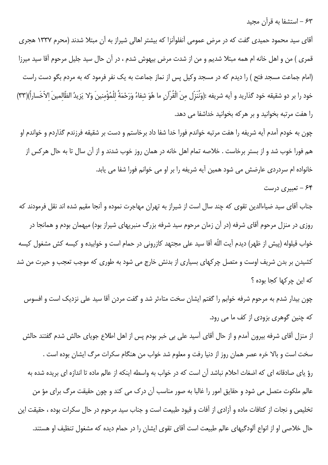۶۳ – استشفا به قرآن مجید

آقای سید محمود حمیدی گفت که در مرض عمومی آنفلوآنزا که بیشتر اهالی شیراز به آن مبتلا شدند (محرم ۱۳۳۷ هجری قمری ) من و اهل خانه ام همه مبتلا شدیم و من از شدت مرض بیهوش شدم ، در آن حال سید جلیل مرحوم آقا سید میرزا (امام جماعت مسجد فتح ) را دیدم که در مسجد وکیل پس از نماز جماعت به یک نفر فرمود که به مردم بگو دست راست خود را بر دو شقيقه خود گذاريد و آيه شريفه :(وَنُنَزّل منَ الْقُرْآن ما هُوَ شفاءُ وَرَحْمَةُ للْمُؤْمنينَ وَلا يَزيدُ الظّالمينَ الاّخَساراً)(٣٣) را هفت مرتبه بخوانید و بر هرکه بخوانید خداشفا می دهد.

چون به خودم آمدم آیه شریفه را هفت مرتبه خواندم فورا خدا شفا داد برخاستم و دست بر شقیقه فرزندم گذاردم و خواندم او هم فورا خوب شد و از بستر برخاست . خلاصه تمام اهل خانه در همان روز خوب شدند و از آن سال تا به حال هركس از خانواده ام سردردی عارضش می شود همین آیه شریفه را بر او می خوانم فورا شفا می یابد.

## ۶۴ - تعبیری درست

جناب آقای سید ضیاءالدین تقوی که چند سال است از شیراز به تهران مهاجرت نموده و آنجا مقیم شده اند نقل فرمودند که روزی در منزل مرحوم آقای شرفه (در آن زمان مرحوم سید شرفه بزرگ منبریهای شیراز بود) میهمان بودم و همانجا در خواب قیلوله (پیش از ظهر) دیدم آیت اللّه آقا سید علی مجتهد کازرونی در حمام است و خوابیده و کیسه کش مشغول کیسه کشیدن بر بدن شریف اوست و متصل چرکهای بسیاری از بدنش خارج می شود به طوری که موجب تعجب و حیرت من شد که این چرکها کجا بوده ؟

چون بیدار شدم به مرحوم شرفه خوابم را گفتم ایشان سخت متاءثر شد و گفت مردن آقا سید علی نزدیک است و افسوس که چنین گوهری بزودی از کف ما می رود.

از منزل آقای شرفه بیرون آمدم و از حال آقای آسید علی بی خبر بودم پس از اهل اطلاع جویای حالش شدم گفتند حالش سخت است و بالا خره عصر همان روز از دنیا رفت و معلوم شد خواب من هنگام سکرات مرگ ایشان بوده است . رؤ یای صادقانه ای که اضغاث احلام نباشد آن است که در خواب به واسطه اینکه از عالم ماده تا اندازه ای بریده شده به عالم ملکوت متصل می شود و حقایق امور را غالبا به صور مناسب آن درک می کند و چون حقیقت مرگ برای مؤ من تخلیص و نجات از کثافات ماده و آزادی از آفات و قیود طبیعت است و جناب سید مرحوم در حال سکرات بوده ، حقیقت این حال خلاصی او از انواع آلودگیهای عالم طبیعت است آقای تقوی ایشان را در حمام دیده که مشغول تنظیف او هستند.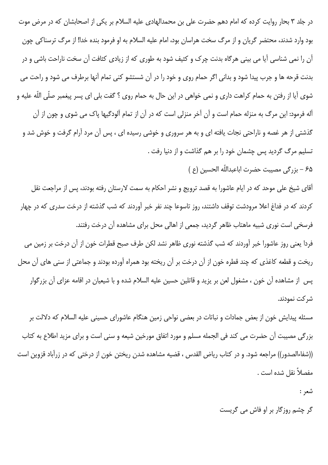در جلد ۳ بحار روایت کرده که امام دهم حضرت علی بن محمدالهادی علیه السلام بر یکی از اصحابشان که در مرض موت بود وارد شدند، محتضر گریان و از مرگ سخت هراسان بود، امام علیه السلام به او فرمود بنده خدا! از مرگ ترسناکی چون آن را نمی شناسی آیا می بینی هرگاه بدنت چرک و کثیف شود به طوری که از زیادی کثافت آن سخت ناراحت باشی و در بدنت قرحه ها و جرب پیدا شود و بدانی اگر حمام روی و خود را در آن شستشو کنی تمام آنها برطرف می شود و راحت می شوی آیا از رفتن به حمام کراهت داری و نمی خواهی در این حال به حمام روی ؟ گفت بلی ای پسر پیغمبر صلّی اللّه علیه و آله فرمود: این مرگ به منزله حمام است و آن آخر منزلی است که در آن از تمام آلودگیها پاک می شوی و چون از آن گذشتی از هر غصه و ناراحتی نجات یافته ای و به هر سروری و خوشی رسیده ای ، پس آن مرد آرام گرفت و خوش شد و تسلیم مرگ گردید پس چشمان خود را بر هم گذاشت و از دنیا رفت .

۶۵ – بزرگی مصیبت حضرت اباعبداللّه الحسین (ع )

آقای شیخ علی موحد که در ایام عاشورا به قصد ترویج و نشر احکام به سمت لارستان رفته بودند، پس از مراجعت نقل کردند که در فداغ اعلا مرودشت توقف داشتند، روز تاسوعا چند نفر خبر آوردند که شب گذشته از درخت سدری که در چهار فرسخی است نوری شبیه ماهتاب ظاهر گردید، جمعی از اهالی محل برای مشاهده آن درخت رفتند.

فردا یعنی روز عاشورا خبر آوردند که شب گذشته نوری ظاهر نشد لکن طرف صبح قطرات خون از آن درخت بر زمین می ریخت و قطعه کاغذی که چند قطره خون از آن درخت بر آن ریخته بود همراه آورده بودند و جماعتی از سنی های آن محل پس از مشاهده آن خون ، مشغول لعن بر پزید و قاتلین حسین علیه السلام شده و با شیعیان در اقامه عزای آن بزرگوار شر کت نمودند.

مسئله پیدایش خون از بعض جمادات و نباتات در بعضی نواحی زمین هنگام عاشورای حسینی علیه السلام که دلالت بر بزرگی مصیبت اّن حضرت می کند فی الجمله مسلم و مورد اتفاق مورخین شیعه و سنی است و برای مزید اطلاع به کتاب ((شفاءالصدور)) مراجعه شود. و در کتاب ریاض القدس ، قضیه مشاهده شدن ریختن خون از درختی که در زرآباد قزوین است مفصلاً نقل شده است .

شعر :

گر چشم روزگار بر او فاش می گریست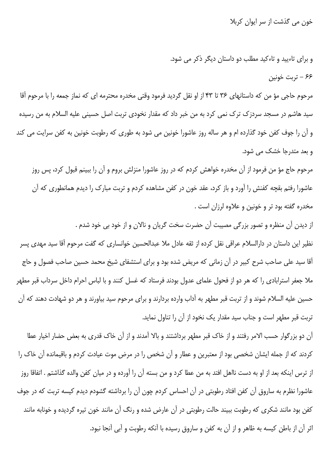خون می گذشت از سر ایوان کربلا

و برای تاءیید و تاءکید مطلب دو داستان دیگر ذکر می شود. ۶۶ – تربت خونین

مرحوم حاجی مؤ من که داستانهای ۳۶ تا ۴۳ از او نقل گردید فرمود وقتی مخدره محترمه ای که نماز جمعه را با مرحوم آقا سید هاشم در مسجد سردزک ترک نمی کرد به من خبر داد که مقدار نخودی تربت اصل حسینی علیه السلام به من رسیده و آن را جوف کفن خود گذارده ام و هر ساله روز عاشورا خونین می شود به طوری که رطوبت خونین به کفن سرایت می کند و بعد متدرجا خشک می شود.

مرحوم حاج مؤ من فرمود از آن مخدره خواهش کردم که در روز عاشورا منزلش بروم و آن را ببینم قبول کرد، پس روز عاشورا رفتم بقچه کفنش را آورد و باز کرد، عقد خون در کفن مشاهده کردم و تربت مبارک را دیدم همانطوری که آن مخدره گفته بود تر و خونین و علاوه لرزان است .

از دیدن آن منظره و تصور بزرگی مصیبت آن حضرت سخت گریان و نالان و از خود بی خود شدم . نظیر این داستان در دارالسلام عراقی نقل کرده از ثقه عادل ملا عبدالحسین خوانساری که گفت مرحوم آقا سید مهدی پسر آقا سید علی صاحب شرح کبیر در آن زمانی که مریض شده بود و برای استشفای شیخ محمد حسین صاحب فصول و حاج ملا جعفر استرابادی را که هر دو از فحول علمای عدول بودند فرستاد که غسل کنند و با لباس احرام داخل سرداب قبر مطهر حسین علیه السلام شوند و از تربت قبر مطهر به آداب وارده بردارند و برای مرحوم سید بیاورند و هر دو شهادت دهند که آن تربت قبر مطهر است و جناب سید مقدار یک نخود از آن را تناول نماید.

آن دو بزرگوار حسب الامر رفتند و از خاک قبر مطهر برداشتند و بالا آمدند و از آن خاک قدری به بعض حضار اخیار عطا كردند كه از جمله ايشان شخصي بود از معتبرين و عطار و آن شخص را در مرض موت عيادت كردم و باقيمانده آن خاك را از ترس اینکه بعد از او به دست نااهل افتد به من عطا کرد و من بسته آن را آورده و در میان کفن والده گذاشتم . اتفاقا روز عاشورا نظرم به ساروق آن کفن افتاد رطوبتی در آن احساس کردم چون آن را برداشته گشودم دیدم کیسه تربت که در جوف کفن بود مانند شکری که رطوبت ببیند حالت رطوبتی در آن عارض شده و رنگ آن مانند خون تیره گردیده و خونابه مانند اثر آن از باطن کیسه به ظاهر و از آن به کفن و ساروق رسیده با آنکه رطوبت و آبی آنجا نبود.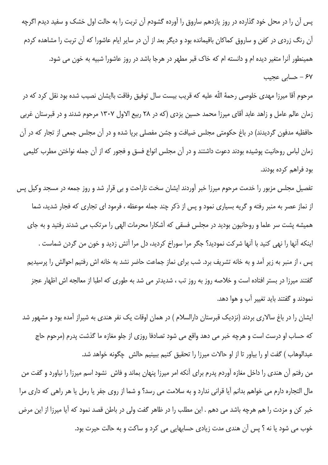پس آن را در محل خود گذارده در روز یازدهم ساروق را آورده گشودم آن تربت را به حالت اول خشک و سفید دیدم اگرچه آن رنگ زردی در کفن و ساروق کماکان باقیمانده بود و دیگر بعد از آن در سایر ایام عاشورا که آن تربت را مشاهده کردم همینطور آنرا متغیر دیده ام و دانسته ام که خاک قبر مطهر در هرجا باشد در روز عاشورا شبیه به خون می شود. ۶۷ – حسابی عجیب

مرحوم آقا میرزا مهدی خلوصی رحمهٔ اللّه علیه که قریب بیست سال توفیق رفاقت باایشان نصیب شده بود نقل کرد که در زمان عالم عامل و زاهد عابد آقای میرزا محمد حسین یزدی (که در ۲۸ ربیع الاول ۱۳۰۷ مرحوم شدند و در قبرستان غربی حافظیه مدفون گردیدند) در باغ حکومتی مجلس ضیافت و جشن مفصلی برپا شده و در آن مجلس جمعی از تجار که در آن زمان لباس روحانیت پوشیده بودند دعوت داشتند و در آن مجلس انواع فسق و فجور که از آن جمله نواختن مطرب کلیمی بود فراهم کرده بودند.

تفصیل مجلس مزبور را خدمت مرحوم میرزا خبر آوردند ایشان سخت ناراحت و بی قرار شد و روز جمعه در مسجد وکیل پس از نماز عصر به منبر رفته و گریه بسیاری نمود و پس از ذکر چند جمله موعظه ، فرمود ای تجاری که فجار شدید، شما همیشه پشت سر علما و روحانیون بودید در مجلس فسقی که آشکارا محرمات الهی را مرتکب می شدند رفتید و به جای اینکه آنها را نهی کنید با آنها شرکت نمودید؟ جگر مرا سوراخ کردید، دل مرا آتش زدید و خون من گردن شماست . پس ، از منبر به زیر آمد و به خانه تشریف برد. شب برای نماز جماعت حاضر نشد به خانه اش رفتیم احوالش را پرسیدیم گفتند میرزا در بستر افتاده است و خلاصه روز به روز تب ، شدیدتر می شد به طوری که اطبا از معالجه اش اظهار عجز نمودند و گفتند باید تغییر آب و هوا دهد.

ایشان را در باغ سالاری بردند (نزدیک قبرستان دارالسلام ) در همان اوقات یک نفر هندی به شیراز آمده بود و مشهور شد که حساب او درست است و هرچه خبر می دهد واقع می شود تصادفا روزی از جلو مغازه ما گذشت پدرم (مرحوم حاج عبدالوهاب ) گفت او را بیاور تا از او حالات میرزا را تحقیق کنیم ببینیم حالش چگونه خواهد شد.

من رفتم آن هندي را داخل مغازه آوردم پدرم براي آنكه امر ميرزا پنهان بماند و فاش نشود اسم ميرزا را نياورد و گفت من مال التجاره دارم می خواهم بدانم آیا قرانی ندارد و به سلامت می رسد؟ و شما از روی جفر یا رمل یا هر راهی که داری مرا خبر کن و مزدت را هم هرچه باشد می دهم . این مطلب را در ظاهر گفت ولی در باطن قصد نمود که آیا میرزا از این مرض خوب می شود یا نه ؟ پس آن هندی مدت زیادی حسابهایی می کرد و ساکت و به حالت حیرت بود.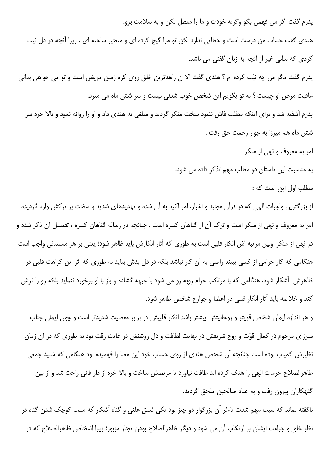پدرم گفت اگر می فهمی بگو وگرنه خودت و ما را معطل نکن و به سلامت برو. هندی گفت حساب من درست است و خطایی ندارد لکن تو مرا گیج کرده ای و متحیر ساخته ای ، زیرا آنچه در دل نیت كردي كه بداني غير از آنچه به زبان گفتي مي باشد. پدرم گفت مگر من چه نیّت کرده ام ؟ هندی گفت الا ن زاهدترین خلق روی کره زمین مریض است و تو می خواهی بدانی عاقبت مرض او چیست ؟ به تو بگویم این شخص خوب شدنی نیست و سر شش ماه می میرد. پدرم آشفته شد و برای اینکه مطلب فاش نشود سخت منکر گردید و مبلغی به هندی داد و او را روانه نمود و بالا خره سر شش ماه هم میرزا به جوار رحمت حق رفت . امر به معروف و نهى از منكر به مناسبت این داستان دو مطلب مهم تذکر داده می شود: مطلب اول این است که : از بزرگترین واجبات الهی که در قرآن مجید و اخبار، امر اکید به آن شده و تهدیدهای شدید و سخت بر ترکش وارد گردیده امر به معروف و نهی از منکر است و ترک آن از گناهان کبیره است . چنانچه در رساله گناهان کبیره ، تفصیل آن ذکر شده و در نهی از منکر اولین مرتبه اش انکار قلبی است به طوری که آثار انکارش باید ظاهر شود؛ یعنی بر هر مسلمانی واجب است هنگامی که کار حرامی از کسی ببیند راضی به آن کار نباشد بلکه در دل بدش بیاید به طوری که اثر این کراهت قلبی در ظاهرش آشکار شود، هنگامی که با مرتکب حرام روبه رو می شود با جبهه گشاده و باز با او برخورد ننماید بلکه رو را ترش

کند و خلاصه باید آثار انکار قلبی در اعضا و جوارح شخص ظاهر شود.

و هر اندازه ایمان شخص قویتر و روحانیتش بیشتر باشد انکار قلبیش در برابر معصیت شدیدتر است و چون ایمان جناب میرزای مرحوم در کمال قوّت و روح شریفش در نهایت لطافت و دل روشنش در غایت رقت بود به طوری که در آن زمان نظیرش کمیاب بوده است چنانچه آن شخص هندی از روی حساب خود این معنا را فهمیده بود هنگامی که شنید جمعی ظاهرالصلاح حرمات الهي را هتک کرده اند طاقت نياورد تا مريضش ساخت و بالا خره از دار فاني راحت شد و از بين گنهکاران بیرون رفت و به عباد صالحین ملحق گردید.

ناگفته نماند که سبب مهم شدت تاءثر آن بزرگوار دو چیز بود یکی فسق علنی و گناه آشکار که سبب کوچک شدن گناه در نظر خلق و جراءت ایشان بر ارتکاب آن می شود و دیگر ظاهرالصلاح بودن تجار مزبور؛ زیرا اشخاص ظاهرالصلاح که در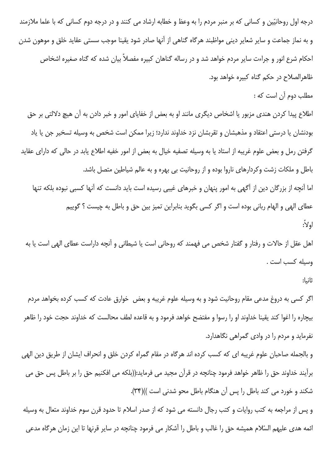درجه اول روحانیّین و کسانی که بر منبر مردم را به وعظ و خطابه ارشاد می کنند و در درجه دوم کسانی که با علما ملازمند و به نماز جماعت و سایر شعایر دینی مواظبند هرگاه گناهی از آنها صادر شود یقینا موجب سستی عقاید خلق و موهون شدن احکام شرع انور و جراءت سایر مردم خواهد شد و در رساله گناهان کبیره مفصلاً بیان شده که گناه صغیره اشخاص ظاهرالصلاح در حکم گناه کبیره خواهد بود.

مطلب دوم آن است که :

اطلاع پیدا کردن هندی مزبور یا اشخاص دیگری مانند او به بعض از خفایای امور و خبر دادن به آن هیچ دلالتی بر حق بودنشان یا درستی اعتقاد و مذهبشان و تقربشان نزد خداوند ندارد؛ زیرا ممکن است شخص به وسیله تسخیر جن یا یاد گرفتن رمل و بعض علوم غريبه از استاد يا به وسيله تصفيه خيال به بعض از امور خفيه اطلاع يابد در حالي كه داراي عقايد باطل و ملکات زشت وکردارهای ناروا بوده و از روحانیت بی بهره و به عالم شیاطین متصل باشد. اما آنچه از بزرگان دین از آگهی به امور پنهان و خبرهای غیبی رسیده است باید دانست که آنها کسبی نبوده بلکه تنها

عطاى الهى و الهام ربانى بوده است و اگر كسى بگويد بنابراين تميز بين حق و باطل به چيست ؟ گوييم اولاً:

اهل عقل از حالات و رفتار و گفتار شخص می فهمند که روحانی است یا شیطانی و آنچه داراست عطای الهی است یا به وسيله كسب است .

ثانىا:

اگر کسی به دروغ مدعی مقام روحانیت شود و به وسیله علوم غریبه و بعض خوارق عادت که کسب کرده بخواهد مردم بیچاره را اغوا کند یقینا خداوند او را رسوا و مفتضح خواهد فرمود و به قاعده لطف محالست که خداوند حجت خود را ظاهر نفرماید و مردم را در وادی گمراهی نگاهدارد.

و بالجمله صاحبان علوم غريبه اي كه كسب كرده اند هرگاه در مقام گمراه كردن خلق و انحراف ايشان از طريق دين الهي برآيند خداوند حق را ظاهر خواهد فرمود چنانچه در قرآن مجيد مي فرمايد:((بلكه مي افكنيم حق را بر باطل پس حق مي شکند و خورد می کند باطل را پس آن هنگام باطل محو شدنی است ))(۳۴).

و پس از مراجعه به کتب روایات و کتب رجال دانسته می شود که از صدر اسلام تا حدود قرن سوم خداوند متعال به وسیله ائمه هدی علیهم السّلام همیشه حق را غالب و باطل را آشکار می فرمود چنانچه در سایر قرنها تا این زمان هرگاه مدعی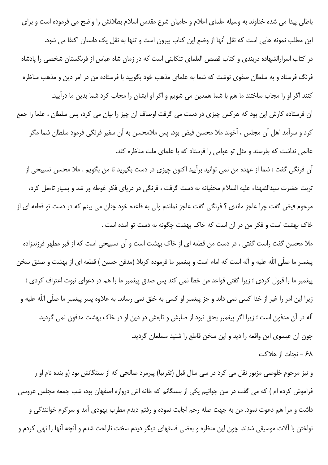باطلی پیدا می شده خداوند به وسیله علمای اعلام و حامیان شرع مقدس اسلام بطلانش را واضح می فرموده است و برای این مطلب نمونه هایی است که نقل آنها از وضع این کتاب بیرون است و تنها به نقل یک داستان اکتفا می شود. در کتاب اسرارالشهاده دربندی و کتاب قصص العلمای تنکابنی است که در زمان شاه عباس از فرنگستان شخصی را پادشاه فرنگ فرستاد و به سلطان صفوی نوشت که شما به علمای مذهب خود بگویید با فرستاده من در امر دین و مذهب مناظره كنند اگر او را مجاب ساختند ما هم با شما همدين مي شويم و اگر او ايشان را مجاب كرد شما بدين ما درآييد.

آن فرستاده کارش این بود که هرکس چیزی در دست می گرفت اوصاف آن چیز را بیان می کرد، پس سلطان ، علما را جمع كرد و سرآمد اهل آن مجلس ، آخوند ملا محسن فيض بود، پس ملامحسن به آن سفير فرنگي فرمود سلطان شما مگر عالمی نداشت که بفرستد و مثل تو عوامی را فرستاد که با علمای ملت مناظره کند.

آن فرنگی گفت : شما از عهده من نمی توانید برآیید اکنون چیزی در دست بگیرید تا من بگویم . ملا محسن تسبیحی از تربت حضرت سیدالشهداء علیه السلام مخفیانه به دست گرفت ، فرنگی در دریای فکر غوطه ور شد و بسیار تاءمل کرد، مرحوم فیض گفت چرا عاجز ماندی ؟ فرنگی گفت عاجز نماندم ولی به قاعده خود چنان می بینم که در دست تو قطعه ای از خاک بهشت است و فکر من در آن است که خاک بهشت چگونه به دست تو آمده است .

ملا محسن گفت راست گفتی ، در دست من قطعه ای از خاک بهشت است و آن تسبیحی است که از قبر مطهر فرزندزاده پیغمبر ما صلّی اللّه علیه و آله است که امام است و پیغمبر ما فرموده کربلا (مدفن حسین ) قطعه ای از بهشت و صدق سخن پیغمبر ما را قبول کردی ؛ زیرا گفتی قواعد من خطا نمی کند پس صدق پیغمبر ما را هم در دعوای نبوت اعتراف کردی ؛ زیرا این امر را غیر از خدا کسی نمی داند و جز پیغمبر او کسی به خلق نمی رساند. به علاوه پسر پیغمبر ما صلّی اللّه علیه و آله در آن مدفون است ؛ زیرا اگر پیغمبر بحق نبود از صلبش و تابعش در دین او در خاک بهشت مدفون نمی گردید. چون آن عیسوی این واقعه را دید و این سخن قاطع را شنید مسلمان گردید.

۶۸ – نجات از هلاكت

و نیز مرحوم خلوصی مزبور نقل می کرد در سی سال قبل (تقریبا) پیرمرد صالحی که از بستگانش بود (و بنده نام او را فراموش کرده ام ) که می گفت در سن جوانیم یکی از بستگانم که خانه اش دروازه اصفهان بود، شب جمعه مجلس عروسی داشت و مرا هم دعوت نمود. من به جهت صله رحم اجابت نموده و رفتم دیدم مطرب یهودی آمد و سرگرم خوانندگی و نواختن با آلات موسیقی شدند. چون این منظره و بعضی فسقهای دیگر دیدم سخت ناراحت شدم و آنچه آنها را نهی کردم و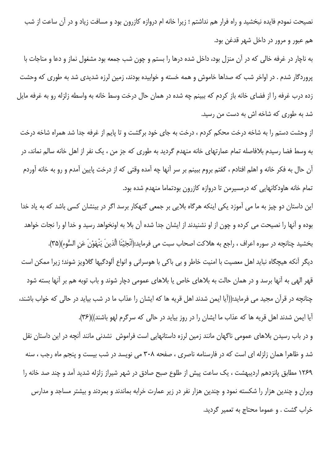نصیحت نمودم فایده نبخشید و راه فرار هم نداشتم ؛ زیرا خانه ام دروازه کازرون بود و مسافت زیاد و در آن ساعت از شب هم عبور و مرور در داخل شهر قدغن بود.

به ناچار در غرفه خالی که در آن منزل بود، داخل شده درها را بستم و چون شب جمعه بود مشغول نماز و دعا و مناجات با پروردگار شدم . در اواخر شب که صداها خاموش و همه خسته و خوابیده بودند، زمین لرزه شدیدی شد به طوری که وحشت زده درب غرفه را از فضای خانه باز کردم که ببینم چه شده در همان حال درخت وسط خانه به واسطه زلزله رو به غرفه مایل شد به طوری که شاخه اش به دست من رسید.

از وحشت دستم را به شاخه درخت محکم کردم ، درخت به جای خود برگشت و تا پایم از غرفه جدا شد همراه شاخه درخت به وسط فضا رسیدم بلافاصله تمام عمارتهای خانه منهدم گردید به طوری که جز من ، یک نفر از اهل خانه سالم نماند، در آن حال به فكر خانه و اهلم افتادم ، گفتم بروم ببينم بر سر آنها چه آمده وقتى كه از درخت پايين آمدم و رو به خانه آوردم تمام خانه هاودکانهایی که درمسیرمن تا دروازه کازرون بودتماما منهدم شده بود.

این داستان دو چیز به ما می آموزد یکی اینکه هرگاه بلایی بر جمعی گنهکار برسد اگر در بینشان کسی باشد که به یاد خدا بوده و آنها را نصیحت می کرده و چون از او نشنیدند از ایشان جدا شده آن بلا به اونخواهد رسید و خدا او را نجات خواهد بخشيد چنانچه در سوره اعراف ، راجع به هلاكت اصحاب سبت مى فرمايد:(اَنْجَيْنَا الَّذينَ يَنْهَوْنَ عَنِ السُّوء)(٣۵).

دیگر آنکه هیچگاه نباید اهل معصیت با امنیت خاطر و بی باکی با هوسرانی و انواع آلودگیها گلاویز شوند؛ زیرا ممکن است قهر الهی به آنها برسد و در همان حالت به بلاهای خاص یا بلاهای عمومی دچار شوند و باب توبه هم بر آنها بسته شود چنانچه در قرآن مجید می فرماید:((آیا ایمن شدند اهل قریه ها که ایشان را عذاب ما در شب بیاید در حالی که خواب باشند، آيا ايمن شدند اهل قريه ها كه عذاب ما ايشان را در روز بيايد در حالي كه سرگرم لهو باشند))(۳۶).

و در باب رسیدن بلاهای عمومی ناگهان مانند زمین لرزه داستانهایی است فراموش نشدنی مانند آنچه در این داستان نقل شد و ظاهرا همان زلزله ای است که در فارسنامه ناصری ، صفحه ۳۰۸ می نویسد در شب بیست و پنجم ماه رجب ، سنه ۱۲۶۹ مطابق پانزدهم اردیبهشت ، یک ساعت پیش از طلوع صبح صادق در شهر شیراز زلزله شدید آمد و چند صد خانه را ویران و چندین هزار را شکسته نمود و چندین هزار نفر در زیر عمارت خرابه بماندند و بمردند و بیشتر مساجد و مدارس خراب گشت . و عموما محتاج به تعمیر گردید.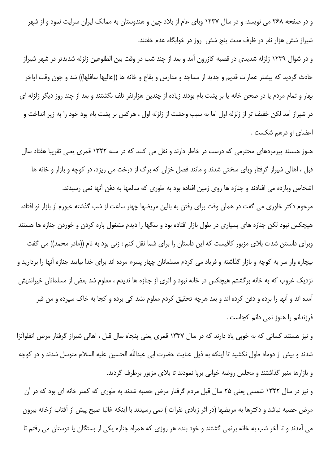و در صفحه ۲۶۸ می نویسد: و در سال ۱۲۳۷ وبای عام از بلاد چین و هندوستان به ممالک ایران سرایت نمود و از شهر شیراز شش هزار نفر در ظرف مدت پنج شش روز در خوابگاه عدم خفتند.

و در شوال ۱۲۳۹ زلزله شدیدی در قصبه کازرون آمد و بعد از چند شب در وقت بین الطلوعین زلزله شدیدتر در شهر شیراز حادث گردید که بیشتر عمارات قدیم و جدید از مساجد و مدارس و بقاع و خانه ها ((عالیها سافلها)) شد و چون وقت اواخر بهار و تمام مردم یا در صحن خانه یا بر پشت بام بودند زیاده از چندین هزارنفر تلف نگشتند و بعد از چند روز دیگر زلزله ای در شیراز آمد لکن خفیف تر از زلزله اول اما به سبب وحشت از زلزله اول ، هرکس بر پشت بام بود خود را به زیر انداخت و اعضای او درهم شکست .

هنوز هستند پیرمردهای محترمی که درست در خاطر دارند و نقل می کنند که در سنه ۱۳۲۲ قمری یعنی تقریبا هفتاد سال قبل ، اهالی شیراز گرفتار وبای سختی شدند و مانند فصل خزان که برگ از درخت می ریزد، در کوچه و بازار و خانه ها اشخاص وبازده می افتادند و جنازه ها روی زمین افتاده بود به طوری که سالمها به دفن آنها نمی رسیدند.

مرحوم دکتر خاوری می گفت در همان وقت برای رفتن به بالین مریضها چهار ساعت از شب گذشته عبورم از بازار نو افتاد، هیچکس نبود لکن جنازه های بسیاری در طول بازار افتاده بود و سگها را دیدم مشغول پاره کردن و خوردن جنازه ها هستند وبرای دانستن شدت بلای مزبور کافیست که این داستان را برای شما نقل کنم : زنی بود به نام ((مادر محمد)) می گفت بیچاره وار سر به کوچه و بازار گذاشته و فریاد می کردم مسلمانان چهار پسرم مرده اند برای خدا بیایید جنازه آنها را بردارید و نزدیک غروب که به خانه برگشتم هیچکس در خانه نبود و اثری از جنازه ها ندیدم ، معلوم شد بعض از مسلمانان خیراندیش آمده اند و آنها را برده و دفن کرده اند و بعد هرچه تحقیق کردم معلوم نشد کی برده و کجا به خاک سپرده و من قبر فرزندانم را هنوز نمی دانم کجاست .

و نیز هستند کسانی که به خوبی یاد دارند که در سال ۱۳۳۷ قمری یعنی پنجاه سال قبل ، اهالی شیراز گرفتار مرض آنفلوآنزا شدند و بیش از دوماه طول نکشید تا اینکه به ذیل عنایت حضرت ابی عبداللّه الحسین علیه السلام متوسل شدند و در کوچه و بازارها منبر گذاشتند و مجلس روضه خوانی برپا نمودند تا بلای مزبور برطرف گردید.

و نیز در سال ۱۳۲۲ شمسی یعنی ۲۵ سال قبل مردم گرفتار مرض حصبه شدند به طوری که کمتر خانه ای بود که در آن مرض حصبه نباشد و دکترها به مریضها (در اثر زیادی نفرات ) نمی رسیدند با اینکه غالبا صبح پیش از آفتاب ازخانه بیرون می آمدند و تا آخر شب به خانه برنمی گشتند و خود بنده هر روزی که همراه جنازه یکی از بستگان یا دوستان می رفتم تا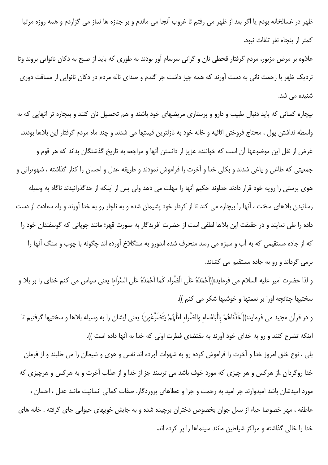ظهر در غسالخانه بودم یا اگر بعد از ظهر می رفتم تا غروب آنجا می ماندم و بر جنازه ها نماز می گزاردم و همه روزه مرتبا كمتر از ينجاه نفر تلفات نبود.

علاوه بر مرض مزبور، مردم گرفتار قحطی نان و گرانی سرسام آور بودند به طوری که باید از صبح به دکان نانوایی بروند وتا نزدیک ظهر با زحمت نانی به دست آورند که همه چیز داشت جز گندم و صدای ناله مردم در دکان نانوایی از مسافت دوری شنیدہ مے شد.

بیچاره کسانی که باید دنبال طبیب و دارو و پرستاری مریضهای خود باشند و هم تحصیل نان کنند و بیچاره تر آنهایی که به واسطه نداشتن پول ، محتاج فروختن اثاثيه و خانه خود به نازلترين قيمتها مي شدند و چند ماه مردم گرفتار اين بلاها بودند. غرض از نقل این موضوعها آن است که خواننده عزیز از دانستن آنها و مراجعه به تاریخ گذشتگان بداند که هر قوم و جمعیتی که طاغی و یاغی شدند و بکلی خدا و آخرت را فراموش نمودند و طریقه عدل و احسان را کنار گذاشته ، شهوترانی و هوی پرستی را رویه خود قرار دادند خداوند حکیم آنها را مهلت می دهد ولی پس از اینکه از حدگذرانیدند ناگاه به وسیله رسانیدن بلاهای سخت ، آنها را بیچاره می کند تا از کردار خود پشیمان شده و به ناچار رو به خدا آورند و راه سعادت از دست داده را طی نمایند و در حقیقت این بلاها لطفی است از حضرت آفریدگار به صورت قهر؛ مانند چوپانی که گوسفندان خود را که از جاده مستقیمی که به آب و سبزه می رسد منحرف شده اندورو به سنگلاخ آورده اند چگونه با چوب و سنگ آنها را برمي گرداند و رو به جاده مستقيم مي كشاند.

و لذا حضرت امير عليه السلام مى فرمايد:((اَحْمَدُهُ عَلَى الْضَّراء كَما اَحْمَدُهُ عَلَى السَّرّاء؛ يعنى سپاس مى كنم خداى را بر بلا و سختيها چنانچه اورا بر نعمتها و خوشيها شكر مى كنم )).

و در قرآن مجيد مي فرمايد:((اَخَذْناهُمْ بِالْبَاءْساء وَالضَّراء لَعَلَّهُمْ يَتَضَرَّعُونَ؛ يعني ايشان را به وسيله بلاها و سختيها گرفتيم تا اینکه تضرع کنند و رو به خدای خود آورند به مقتضای فطرت اولی که خدا به آنها داده است )).

بلی ، نوع خلق امروز خدا و آخرت را فراموش کرده رو به شهوات آورده اند نفس و هوی و شیطان را می طلبند و از فرمان خدا روگردان ،از هرکس و هر چیزی که مورد خوف باشد می ترسند جز از خدا و از عذاب آخرت و به هرکس و هرچیزی که مورد امیدشان باشد امیدوارند جز امید به رحمت و جزا و عطاهای پروردگار. صفات کمالی انسانیت مانند عدل ، احسان ، عاطفه ، مهر خصوصا حیاء از نسل جوان بخصوص دختران برچیده شده و به جایش خویهای حیوانی جای گرفته . خانه های خدا را خالی گذاشته و مراکز شیاطین مانند سینماها را پر کرده اند.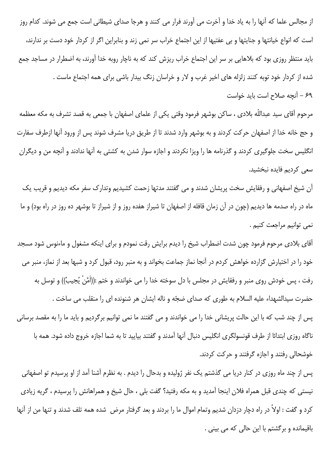از مجالس علما که آنها را به ياد خدا و آخرت مي آورند فرار مي کنند و هرجا صداي شيطاني است جمع مي شوند. کدام روز است که انواع خیانتها و جنایتها و بی عفتیها از این اجتماع خراب سر نمی زند و بنابراین اگر از کردار خود دست بر ندارند، باید منتظر روزی بود که بلاهایی بر سر این اجتماع خراب ریزش کند که به ناچار روبه خدا آورند، به اضطرار در مساجد جمع شده از کردار خود توبه کنند زلزله های اخیر غرب و لار و خراسان زنگ بیدار باشی برای همه اجتماع ماست . ۶۹ – آنچه صلاح است باید خواست

مرحوم آقای سید عبداللّه بلادی ، ساکن بوشهر فرمود وقتی یکی از علمای اصفهان با جمعی به قصد تشرف به مکه معظمه و حج خانه خدا از اصفهان حرکت کردند و به بوشهر وارد شدند تا از طریق دریا مشرف شوند پس از ورود آنها ازطرف سفارت انگلیس سخت جلوگیری کردند و گذرنامه ها را ویزا نکردند و اجازه سوار شدن به کشتی به آنها ندادند و آنچه من و دیگران س*عى* كرديم فايده نبخشيد.

آن شیخ اصفهانی و رفقایش سخت پریشان شدند و می گفتند مدتها زحمت کشیدیم وتدارک سفر مکه دیدیم و قریب یک ماه در راه صدمه ها دیدیم (چون در آن زمان قافله از اصفهان تا شیراز هفده روز و از شیراز تا بوشهر ده روز در راه بود) و ما نمي توانيم مراجعت كنيم .

آقای بلادی مرحوم فرمود چون شدت اضطراب شیخ را دیدم برایش رقت نمودم و برای اینکه مشغول و ماءنوس شود مسجد خود را در اختیارش گزارده خواهش کردم در آنجا نماز جماعت بخواند و به منبر رود، قبول کرد و شبها بعد از نماز، منبر می رفت ، پس خودش روى منبر و رفقايش در مجلس با دل سوخته خدا را مى خواندند و ختم :((اَمَّنْ يُجِيبُ)) و توسل به حضرت سيدالشهداء عليه السلام به طوري كه صداي ضجّه و ناله ايشان هر شنونده اي را منقلب مي ساخت . يس از چند شب كه با اين حالت پريشاني خدا را مي خواندند و مي گفتند ما نمي توانيم برگرديم و بايد ما را به مقصد برساني ناگاه روزی ابتدائا از طرف قونسولگری انگلیس دنبال آنها آمدند و گفتند بیایید تا به شما اجازه خروج داده شود. همه با خوشحالی رفتند و اجازه گرفتند و حرکت کردند.

پس از چند ماه روزی در کنار دریا می گذشتم یک نفر ژولیده و بدحال را دیدم . به نظرم آشنا آمد از او پرسیدم تو اصفهانی نیستی که چندی قبل همراه فلان اینجا آمدید و به مکه رفتید؟ گفت بلی ، حال شیخ و همراهانش را پرسیدم ، گریه زیادی كرد و گفت : اولاً در راه دچار دزدان شديم وتمام اموال ما را بردند و بعد گرفتار مرض شده همه تلف شدند و تنها من از آنها باقیمانده و برگشتم با این حالی که می بینی .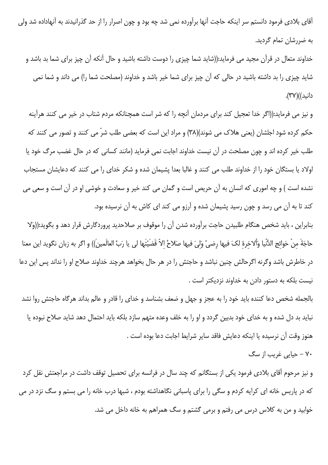آقای بلادی فرمود دانستم سر اینکه حاجت آنها برآورده نمی شد چه بود و چون اصرار را از حد گذرانیدند به آنهاداده شد ولی به ضررشان تمام گردید.

خداوند متعال در قرآن مجید می فرماید:((شاید شما چیزی را دوست داشته باشید و حال آنکه آن چیز برای شما بد باشد و شاید چیزی را بد داشته باشید در حالی که آن چیز برای شما خیر باشد و خداوند (مصلحت شما را) می داند و شما نمی دانيد))(٣٧).

و نیز می فرماید:((اگر خدا تعجیل کند برای مردمان آنچه را که شر است همچنانکه مردم شتاب در خیر می کنند هرآینه حکم کرده شود اجلشان (یعنی هلاک می شوند)(۳۸) و مراد این است که بعضی طلب شرّ می کنند و تصور می کنند که طلب خیر کرده اند و چون مصلحت در آن نیست خداوند اجابت نمی فرماید (مانند کسانی که در حال غضب مرگ خود یا اولاد یا بستگان خود را از خداوند طلب می کنند و غالبا بعدا پشیمان شده و شکر خدای را می کنند که دعایشان مستجاب نشده است ) و چه اموری که انسان به آن حریص است و گمان می کند خیر و سعادت و خوشی او در آن است و سعی می کند تا به آن می رسد و چون رسید پشیمان شده و آرزو می کند ای کاش به آن نرسیده بود.

بنابراین ، باید شخص هنگام طلبیدن حاجت برآورده شدن آن را موقوف بر صلاحدید پروردگارش قرار دهد و بگوید:((وَلا حاجَةَ مِنْ حَوائج الدُّنْيا وَألاخرة لكَ فيها رضيَّ وَليَ فيها صَلاحُ الاّ قَضَيْتَها لي يا رَبَّ العالَمين)) و اگر به زبان نگويد اين معنا در خاطرش باشد وگرنه اگرحالش چنین نباشد و حاجتش را در هر حال بخواهد هرچند خداوند صلاح او را نداند پس این دعا نیست بلکه به دستور دادن به خداوند نزدیکتر است .

بالجمله شخص دعا كننده بايد خود را به عجز و جهل و ضعف بشناسد و خداى را قادر و عالم بداند هرگاه حاجتش روا نشد نباید بد دل شده و به خدای خود بدبین گردد و او را به خلف وعده متهم سازد بلکه باید احتمال دهد شاید صلاح نبوده یا هنوز وقت آن نرسيده يا اينكه دعايش فاقد ساير شرايط اجابت دعا بوده است .

۷۰ – حیایی غریب از سگ

و نیز مرحوم آقای بلادی فرمود یکی از بستگانم که چند سال در فرانسه برای تحصیل توقف داشت در مراجعتش نقل کرد که در پاریس خانه ای کرایه کردم و سگی را برای پاسبانی نگاهداشته بودم ، شبها درب خانه را می بستم و سگ نزد در می خوابید و من به کلاس درس می رفتم و برمی گشتم و سگ همراهم به خانه داخل می شد.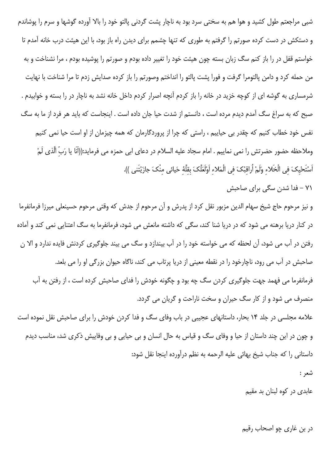شبی مراجعتم طول کشید و هوا هم به سختی سرد بود به ناچار پشت گردنی پالتو خود را بالا آورده گوشها و سرم را پوشاندم و دستکش در دست کرده صورتم را گرفتم به طوری که تنها چشمم برای دیدن راه باز بود، با این هیئت درب خانه آمدم تا خواستم قفل در را باز کنم سگ زبان بسته چون هیئت خود را تغییر داده بودم و صورتم را پوشیده بودم ، مرا نشناخت و به من حمله كرد و دامن پالتومرا گرفت و فورا پشت پالتو را انداختم وصورتم را باز كرده صدايش زدم تا مرا شناخت با نهايت شرمساری به گوشه ای از کوچه خزید در خانه را باز کردم آنچه اصرار کردم داخل خانه نشد به ناچار در را بسته و خوابیدم . صبح که به سراغ سگ آمدم دیدم مرده است ، دانستم از شدت حیا جان داده است . اینجاست که باید هر فرد از ما به سگ نفس خود خطاب کنیم که چقدر بی حیاییم ، راستی که چرا از پروردگارمان که همه چیزمان از او است حیا نمی کنیم وملاحظه حضور حضرتش را نمی نماییم . امام سجاد علیه السلام در دعای ابی حمزه می فرماید:((اَنَا یا رَبّ الَّذی لَمْ أَسْتَحْيكَ في الْخَلاء وَلَمْ أُراقِبْكَ في الْمَلاءِ أَوْلَعَلَّكَ بِقلَّهُ حَيائي منْكَ جازَيْتَني )).

۷۱ – فدا شدن سگی برای صاحبش

و نیز مرحوم حاج شیخ سهام الدین مزبور نقل کرد از پدرش و آن مرحوم از جدش که وقتی مرحوم حسینعلی میرزا فرمانفرما در کنار دریا برهنه می شود که در دریا شنا کند، سگی که داشته مانعش می شود، فرمانفرما به سگ اعتنایی نمی کند و آماده رفتن در آب می شود، آن لحظه که می خواسته خود را در آب بیندازد و سگ می بیند جلوگیری کردنش فایده ندارد و الا ن صاحبش در آب می رود، ناچارخود را در نقطه معینی از دریا پرتاب می کند، ناگاه حیوان بزرگی او را می بلعد. فرمانفرما می فهمد جهت جلوگیری کردن سگ چه بود و چگونه خودش را فدای صاحبش کرده است ، از رفتن به آب منصرف می شود و از کار سگ حیران و سخت ناراحت و گریان می گردد.

علامه مجلسی در جلد ۱۴ بحار، داستانهای عجیبی در باب وفای سگ و فدا کردن خودش را برای صاحبش نقل نموده است و چون در این چند داستان از حیا و وفای سگ و قیاس به حال انسان و بی حیایی و بی وفاییش ذکری شد، مناسب دیدم داستانی را که جناب شیخ بهائی علیه الرحمه به نظم درآورده اینجا نقل شود:

شعر :

عابدی در کوه لبنان بد مقیم

در بن غاري چو اصحاب رقيم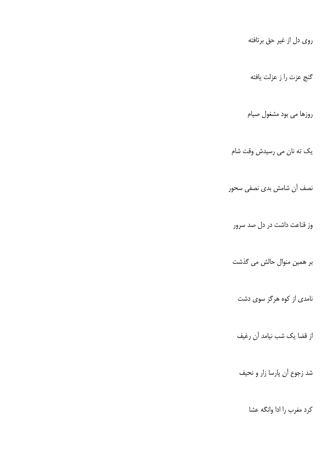روي دل از غير حق برتافته

گنج عزت را ز عزلت يافته

روزها می بود مشغول صیام

یک ته نان می رسیدش وقت شام

نصف آن شامش بدى نصفى سحور

وز قناعت داشت در دل صد سرور

بر همین منوال حالش می گذشت

نامدی از کوه هرگز سوی دشت

از قضا یک شب نیامد آن رغیف

شد زجوع آن پارسا زار و نحیف

كرد مغرب را ادا وانگه عشا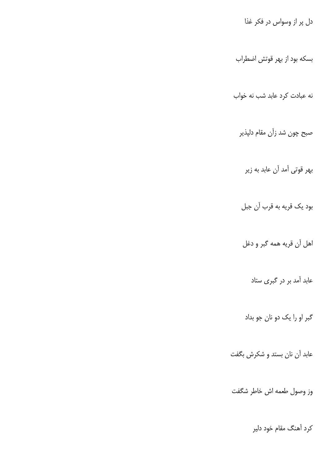دل پر از وسواس در فکر غذا

بسکه بود از بهر قوتش اضطراب

نه عبادت کرد عابد شب نه خواب

صبح چون شد زآن مقام دلپذیر

بهر قوتی آمد آن عابد به زیر

بود یک قریه به قرب آن جبل

اهل أن قريه همه گبر و دغل

عابد آمد بر در گبری ستاد

گبر او را یک دو نان جو بداد

عابد آن نان بستد و شکرش بگفت

وز وصول طعمه اش خاطر شگفت

کرد آهنگ مقام خود دلیر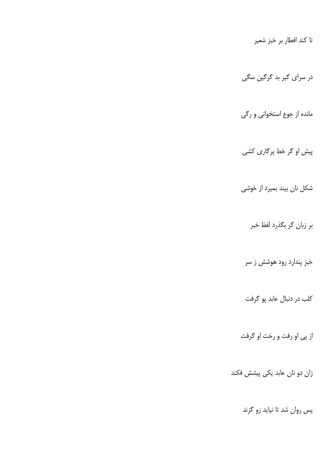تا كند افطار بر خبز شعير

در سرای گبر بد گرگین سگی

مانده از جوع استخوانی و رگی

پیش او گر خط پرگاری کشی

شکل نان بیند بمیرد از خوشی

بر زبان گر بگذرد لفظ خبر

خبز پندارد رود هوشش ز سر

کلب در دنبال عابد پو گرفت

از پی او رفت و رخت او گرفت

زان دو نان عابد یکی پیشش فکند

پس روان شد تا نیاید زو گزند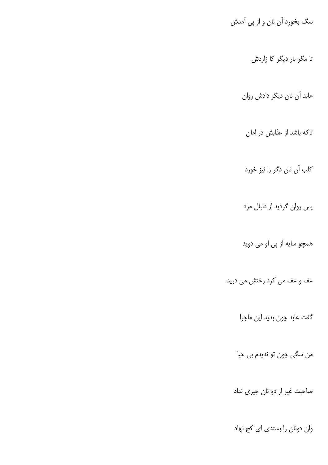سگ بخورد آن نان و از پی آمدش

تا مگر بار دیگر کا زاردش

عابد آن نان دیگر دادش روان

تاکه باشد از عذابش در امان

كلب آن نان دگر را نيز خورد

پس روان گردید از دنبال مرد

همچو سایه از پی او می دوید

عف و عف می کرد رختش می درید

گفت عابد چون بدید این ماجرا

من سگي چون تو نديدم بي حيا

صاحبت غیر از دو نان چیزی نداد

وان دونان را بستدى اى كج نهاد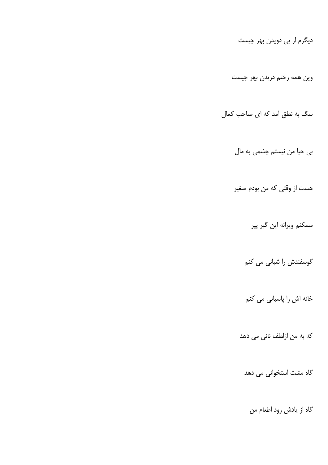دیگرم از پی دویدن بهر چیست وین همه رختم دریدن بهر چیست سگ به نطق آمد که ای صاحب کمال بی حیا من نیستم چشمی به مال هست از وقتی که من بودم صغیر مسكنم ويرانه اين گبر پير گوسفندش را شبانی می کنم خانه اش را پاسبانی می کنم که به من ازلطف نانی می دهد گاه مشت استخوانی می دهد گاه از یادش رود اطعام من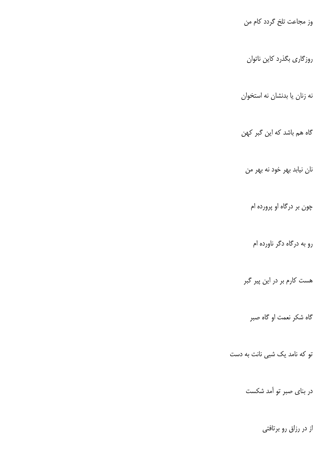وز مجاعت تلخ گردد کام من

روزگاری بگذرد کاین ناتوان

نه زنان يا بدنشان نه استخوان

گاه هم باشد که این گبر کهن

نان نیابد بهر خود نه بهر من

چون بر درگاه او پرورده ام

رو به درگاه دگر ناورده ام

هست کارم بر در این پیر گبر

گاه شکر نعمت او گاه صبر

تو که نامد یک شبی نانت به دست

در بنای صبر تو آمد شکست

از در رزاق رو برتافتی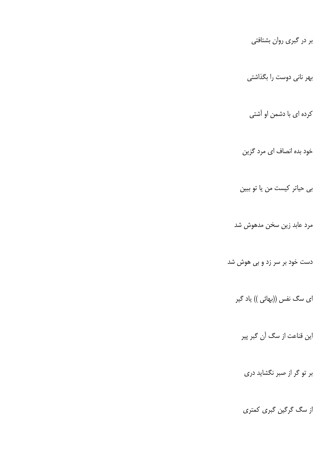بر در گبری روان بشتافتی

بهر نانی دوست را بگذاشتی

کرده ای با دشمن او آشتی

خود بده انصاف ای مرد گزین

بی حیاتر کیست من یا تو ببین

مرد عابد زین سخن مدهوش شد

دست خود بر سر زد و بی هوش شد

ای سگ نفس ((بهائی )) یاد گیر

این قناعت از سگ آن گبر پیر

بر تو گر از صبر نگشاید دری

از سگ گرگین گبری کمتری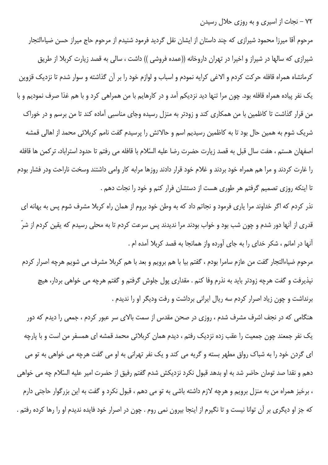۷۲ – نجات از اسپری و به روزی حلال رسیدن

مرحوم آقا میرزا محمود شیرازی که چند داستان از ایشان نقل گردید فرمود شنیدم از مرحوم حاج میراز حسن ضیاءالتجار شیرازی که سالها در شیراز و اخیرا در تهران داروخانه ((عمده فروشی )) داشت ، سالی به قصد زیارت کربلا از طریق كرمانشاه همراه قافله حركت كردم و الاغى كرايه نمودم و اسباب و لوازم خود را بر آن گذاشته و سوار شدم تا نزديك قزوين یک نفر پیاده همراه قافله بود. چون مرا تنها دید نزدیکم آمد و در کارهایم با من همراهی کرد و با هم غذا صرف نمودیم و با من قرار گذاشت تا کاظمین با من همکاری کند و زودتر به منزل رسیده وجای مناسبی آماده کند تا من برسم و در خوراک شریک شوم به همین حال بود تا به کاظمین رسیدیم اسم و حالاتش را پرسیدم گفت نامم کربلائی محمد از اهالی قمشه اصفهان هستم ، هفت سال قبل به قصد زيارت حضرت رضا عليه السّلام با قافله مي رفتم تا حدود استراباد، تركمن ها قافله را غارت کردند و مرا هم همراه خود بردند و غلام خود قرار دادند روزها مرابه کار وامی داشتند وسخت ناراحت ودر فشار بودم تا اینکه روزی تصمیم گرفتم هر طوری هست از دستشان فرار کنم و خود را نجات دهم .

نذر کردم که اگر خداوند مرا یاری فرمود و نجاتم داد که به وطن خود بروم از همان راه کربلا مشرف شوم پس به بهانه ای قدری از آنها دور شدم و چون شب بود و خواب بودند مرا ندیدند پس سرعت کردم تا به محلی رسیدم که یقین کردم از شرّ أنها در امانم ، شكر خداي را به جاي آورده واز همانجا به قصد كربلا آمده ام .

مرحوم ضیاءالتجار گفت من عازم سامرا بودم ، گفتم بیا با هم برویم و بعد با هم کربلا مشرف می شویم هرچه اصرار کردم نیذیرفت و گفت هرچه زودتر باید به نذرم وفا کنم . مقداری پول جلوش گرفتم و گفتم هرچه می خواهی بردار، هیچ برنداشت و چون زیاد اصرار کردم سه ریال ایرانی برداشت و رفت ودیگر او را ندیدم .

هنگامی که در نجف اشرف مشرف شدم ، روزی در صحن مقدس از سمت بالای سر عبور کردم ، جمعی را دیدم که دور یک نفر جمعند چون جمعیت را عقب زده نزدیک رفتم ، دیدم همان کربلائی محمد قمشه ای همسفر من است و با پارچه ای گردن خود را به شباک رواق مطهر بسته و گریه می کند و یک نفر تهرانی به او می گفت هرچه می خواهی به تو می دهم و نقدا صد تومان حاضر شد به او بدهد قبول نكرد نزديكش شدم گفتم رفيق از حضرت امير عليه السّلام چه مي خواهي ، برخیز همراه من به منزل برویم و هرچه لازم داشته باشی به تو می دهم ، قبول نکرد و گفت به این بزرگوار حاجتی دارم که جز او دیگری بر آن توانا نیست و تا نگیرم از اینجا بیرون نمی روم . چون در اصرار خود فایده ندیدم او را رها کرده رفتم .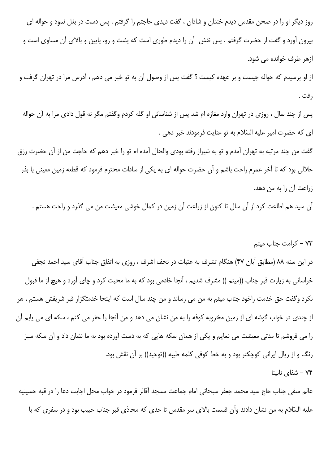روز دیگر او را در صحن مقدس دیدم خندان و شادان ، گفت دیدی حاجتم را گرفتم . پس دست در بغل نمود و حواله ای بیرون آورد و گفت از حضرت گرفتم . پس نقش آن را دیدم طوری است که پشت و رو، پایین و بالای آن مساوی است و ازهر طرف خوانده می شود.

از او پرسیدم که حواله چیست و بر عهده کیست ؟ گفت پس از وصول آن به تو خبر می دهم ، آدرس مرا در تهران گرفت و , فت .

پس از چند سال ، روزی در تهران وارد مغازه ام شد پس از شناسائی او گله کردم وگفتم مگر نه قول دادی مرا به آن حواله اى كه حضرت امير عليه السّلام به تو عنايت فرمودند خبر دهى .

گفت من چند مرتبه به تهران آمدم و تو به شیراز رفته بودی والحال آمده ام تو را خبر دهم که حاجت من از آن حضرت رزق حلالی بود که تا آخر عمرم راحت باشم و آن حضرت حواله ای به یکی از سادات محترم فرمود که قطعه زمین معینی با بذر زراعت آن را به من دهد.

آن سید هم اطاعت کرد از آن سال تا کنون از زراعت آن زمین در کمال خوشی معیشت من می گذرد و راحت هستم .

## ۷۳ - کرامت جناب میثم

در این سنه ۸۸ (مطابق آبان ۴۷) هنگام تشرف به عتبات در نجف اشرف ، روزی به اتفاق جناب آقای سید احمد نجفی خراسانی به زیارت قبر جناب ((میثم )) مشرف شدیم ، آنجا خادمی بود که به ما محبت کرد و چای آورد و هیچ از ما قبول نکرد وگفت حق خدمت راخود جناب میثم به من می رساند و من چند سال است که اینجا خدمتگزار قبر شریفش هستم ، هر از چندی در خواب گوشه ای از زمین مخروبه کوفه را به من نشان می دهد و من آنجا را حفر می کنم ، سکه ای می یابم آن را می فروشم تا مدتی معیشت می نمایم و یکی از همان سکه هایی که به دست آورده بود به ما نشان داد و آن سکه سبز رنگ و از ریال ایرانی کوچکتر بود و به خط کوفی کلمه طیبه ((توحید)) بر آن نقش بود. لا – شفای ناسنا $-$  ۷۴

عالم متقى جناب حاج سيد محمد جعفر سبحاني امام جماعت مسجد آقالر فرمود در خواب محل اجابت دعا را در قبه حسينيه علیه السّلام به من نشان دادند وآن قسمت بالای سر مقدس تا حدی که محاذی قبر جناب حبیب بود و در سفری که با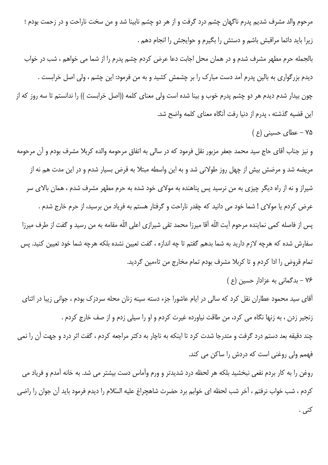مرحوم والد مشرف شديم پدرم ناگهان چشم درد گرفت و از هر دو چشم نابينا شد و من سخت ناراحت و در زحمت بودم ؛ زیرا باید دائما مراقبش باشم و دستش را بگیرم و حوایجش را انجام دهم .

بالجمله حرم مطهر مشرف شدم و در همان محل اجابت دعا عرض کردم چشم پدرم را از شما می خواهم ، شب در خواب دیدم بزرگواری به بالین پدرم آمد دست مبارک را بر چشمش کشید و به من فرمود: این چشم ، ولی اصل خرابست . چون بیدار شدم دیدم هر دو چشم پدرم خوب و بینا شده است ولی معنای کلمه ((اصل خرابست )) را ندانستم تا سه روز که از این قضیه گذشته ، پدرم از دنیا رفت آنگاه معنای کلمه واضح شد.

۷۵ - عطای حسینی (ع)

و نیز جناب آقای حاج سید محمد جعفر مزبور نقل فرمود که در سالی به اتفاق مرحومه والده کربلا مشرف بودم و آن مرحومه مریضه شد و مرضش بیش از چهل روز طولانی شد و به این واسطه مبتلا به قرض بسیار شدم و در این مدت هم نه از شیراز و نه از راه دیگر چیزی به من نرسید پس پناهنده به مولای خود شده به حرم مطهر مشرف شدم ، همان بالای سر عرض کردم یا مولای ! شما خود می دانید که چقدر ناراحت و گرفتار هستم به فریاد من برسید، از حرم خارج شدم . پس از فاصله كمى نماينده مرحوم آيت اللّه آقا ميرزا محمد تقى شيرازى اعلى اللّه مقامه به من رسيد و گفت از طرف ميرزا سفارش شده که هرچه لازم دارید به شما بدهم گفتم تا چه اندازه ، گفت تعیین نشده بلکه هرچه شما خود تعیین کنید. پس تمام قروض را ادا کردم و تا کربلا مشرف بودم تمام مخارج من تاءمین گردید.

۷۶ - بدگمانی به عزادار حسین (ع)

آقای سید محمود عطاران نقل کرد که سالی در ایام عاشورا جزء دسته سینه زنان محله سردزک بودم ، جوانی زیبا در اثنای زنجير زدن ، به زنها نگاه مي كرد، من طاقت نياورده غيرت كردم و او را سيلي زدم و از صف خارج كردم . چند دقیقه بعد دستم درد گرفت و متدرجا شدت کرد تا اینکه به ناچار به دکتر مراجعه کردم ، گفت اثر درد و جهت آن را نمی فهمم ولي روغني است كه دردش را ساكن مي كند.

روغن را به كار بردم نفعي نبخشيد بلكه هر لحظه درد شديدتر و ورم وآماس دست بيشتر مي شد. به خانه آمدم و فرياد مي كردم ، شب خواب نرفتم ، آخر شب لحظه اي خوابم برد حضرت شاهچراغ عليه السّلام را ديدم فرمود بايد آن جوان را راضي کنی .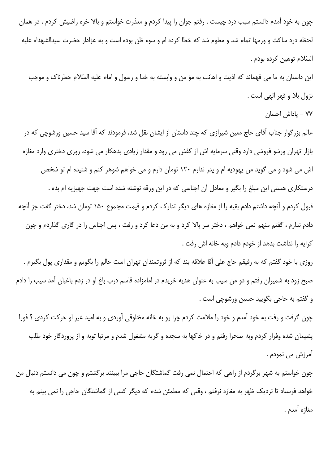چون به خود آمدم دانستم سبب درد چیست ، رفتم جوان را پیدا کردم و معذرت خواستم و بالا خره راضیش کردم ، در همان لحظه درد ساكت و ورمها تمام شد و معلوم شد كه خطا كرده ام و سوء ظن بوده است و به عزادار حضرت سيدالشهداء عليه السّلام توهين كرده بودم .

این داستان به ما می فهماند که اذیت و اهانت به مؤ من و وابسته به خدا و رسول و امام علیه السّلام خطرناک و موجب نزول بلا و قهر الهي است .

٧٧ – پاداش احسان

عالم بزرگوار جناب آقای حاج معین شیرازی که چند داستان از ایشان نقل شد، فرمودند که آقا سید حسین ورشوچی که در بازار تهران ورشو فروشی دارد وقتی سرمایه اش از کفش می رود و مقدار زیادی بدهکار می شود، روزی دختری وارد مغازه اش می شود و می گوید من یهودیه ام و پدر ندارم ۱۲۰ تومان دارم و می خواهم شوهر کنم و شنیده ام تو شخص درستکاری هستی این مبلغ را بگیر و معادل آن اجناسی که در این ورقه نوشته شده است جهت جهیزیه ام بده . قبول کردم و آنچه داشتم دادم بقیه را از مغازه های دیگر تدارک کردم و قیمت مجموع ۱۵۰ تومان شد، دختر گفت جز آنچه دادم ندارم ، گفتم منهم نمی خواهم ، دختر سر بالا کرد و به من دعا کرد و رفت ، پس اجناس را در گاری گذاردم و چون كرايه را نداشت بدهد از خودم دادم وبه خانه اش رفت .

روزی با خود گفتم که به رفیقم حاج علی آقا علاقه بند که از ثروتمندان تهران است حالم را بگویم و مقداری پول بگیرم . صبح زود به شمیران رفتم و دو من سیب به عنوان هدیه خریدم در امامزاده قاسم درب باغ او در زدم باغبان آمد سیب را دادم و گفتم به حاجي بگوييد حسين ورشوچي است .

چون گرفت و رفت به خود آمدم و خود را ملامت کردم چرا رو به خانه مخلوقی آوردی و به امید غیر او حرکت کردی ؟ فورا یشیمان شده وفرار کردم وبه صحرا رفتم و در خاکها به سجده و گریه مشغول شدم و مرتبا توبه و از پروردگار خود طلب آمرزش می نمودم .

چون خواستم به شهر برگردم از راهی که احتمال نمی رفت گماشتگان حاجی مرا ببینند برگشتم و چون می دانستم دنبال من خواهد فرستاد تا نزدیک ظهر به مغازه نرفتم ، وقتی که مطمئن شدم که دیگر کسی از گماشتگان حاجی را نمی بینم به مغازه آمدم .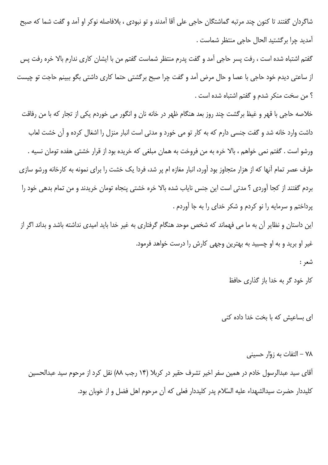شاگردان گفتند تا کنون چند مرتبه گماشتگان حاجی علی آقا آمدند و تو نبودی ، بلافاصله نوکر او آمد و گفت شما که صبح آمديد چرا برگشتيد الحال حاجي منتظر شماست .

گفتم اشتباه شده است ، رفت پسر حاجي آمد و گفت پدرم منتظر شماست گفتم من با ايشان كاري ندارم بالا خره رفت پس از ساعتی دیدم خود حاجی با عصا و حال مرض آمد و گفت چرا صبح برگشتی حتما کاری داشتی بگو ببینم حاجت تو چیست ؟ من سخت منكر شدم و گفتم اشتباه شده است .

خلاصه حاجی با قهر و غیظ برگشت چند روز بعد هنگام ظهر در خانه نان و انگور می خوردم یکی از تجار که با من رفاقت داشت وارد خانه شد و گفت جنسی دارم که به کار تو می خورد و مدتی است انبار منزل را اشغال کرده و آن خشت لعاب ورشو است . گفتم نمی خواهم ، بالا خره به من فروخت به همان مبلغی که خریده بود از قرار خشتی هفده تومان نسیه . طرف عصر تمام آنها که از هزار متجاوز بود آورد، انبار مغازه ام پر شد، فردا یک خشت را برای نمونه به کارخانه ورشو سازی بردم گفتند از كجا آوردى ؟ مدتى است اين جنس ناياب شده بالا خره خشتى پنجاه تومان خريدند و من تمام بدهى خود را پرداختم و سرمایه را نو کردم و شکر خدای را به جا آوردم .

این داستان و نظایر آن به ما می فهماند که شخص موحد هنگام گرفتاری به غیر خدا باید امیدی نداشته باشد و بداند اگر از غیر او برید و به او چسبید به بهترین وجهی کارش را درست خواهد فرمود.

شعر :

کار خود گر به خدا باز گذاری حافظ

ای بساعیش که با بخت خدا داده کنی

۷۸ – التفات به زوّار حسینی آقای سید عبدالرسول خادم در همین سفر اخیر تشرف حقیر در کربلا (۱۴ رجب ۸۸) نقل کرد از مرحوم سید عبدالحسین كليددار حضرت سيدالشهداء عليه السّلام يدر كليددار فعلى كه آن مرحوم اهل فضل و از خوبان بود.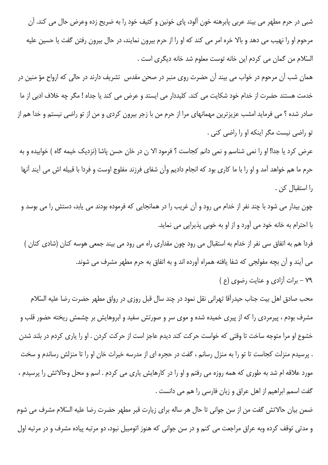شبی در حرم مطهر می بیند عربی پابرهنه خون آلود، پای خونین و کثیف خود را به ضریح زده وعرض حال می کند. آن مرحوم او را نهیب می دهد و بالا خره امر می کند که او را از حرم بیرون نمایند، در حال بیرون رفتن گفت یا حسین علیه السّلام من گمان می کردم این خانه توست معلوم شد خانه دیگری است .

همان شب آن مرحوم در خواب می بیند آن حضرت روی منبر در صحن مقدس تشریف دارند در حالی که ارواح مؤ منین در خدمت هستند حضرت از خدام خود شكايت مي كند. كليددار مي ايستد و عرض مي كند يا جداه ! مگر چه خلاف ادبي از ما صادر شده ؟ می فرماید امشب عزیزترین مهمانهای مرا از حرم من با زجر بیرون کردی و من از تو راضی نیستم و خدا هم از تو راضي نيست مگر اينكه او را راضي كني .

عرض كرد يا جدا! او را نمي شناسم و نمي دانم كجاست ؟ فرمود الا ن در خان حسن پاشا (نزديک خيمه گاه ) خوابيده و به حرم ما هم خواهد آمد و او را با ما كارى بود كه انجام داديم وآن شفاى فرزند مفلوج اوست و فردا با قبيله اش مى آيند آنها را استقبال كن .

چون بیدار می شود با چند نفر از خدام می رود و آن غریب را در همانجایی که فرموده بودند می یابد، دستش را می بوسد و با احترام به خانه خود می آورد و از او به خوبی پذیرایی می نماید.

فردا هم به اتفاق سی نفر از خدام به استقبال می رود چون مقداری راه می رود می بیند جمعی هوسه کنان (شادی کنان ) می آیند و آن بچه مفولجی که شفا یافته همراه آورده اند و به اتفاق به حرم مطهر مشرف می شوند. ٧٩ - برات آزادي و عنايت رضوي (ع )

محب صادق اهل بیت جناب حیدرآقا تهرانی نقل نمود در چند سال قبل روزی در رواق مطهر حضرت رضا علیه السّلام مشرف بودم ، پیرمردی را که از پیری خمیده شده و موی سر و صورتش سفید و ابروهایش بر چشمش ریخته حضور قلب و خشوع او مرا متوجه ساخت تا وقتی که خواست حرکت کند دیدم عاجز است از حرکت کردن . او را پاری کردم در بلند شدن . پرسیدم منزلت کجاست تا تو را به منزل رسانم ، گفت در حجره ای از مدرسه خیرات خان او را تا منزلش رساندم و سخت مورد علاقه ام شد به طوری که همه روزه می رفتم و او را در کارهایش پاری می کردم . اسم و محل وحالاتش را پرسیدم ، گفت اسمم ابراهیم از اهل عراق و زبان فارسی را هم می دانست .

ضمن بیان حالاتش گفت من از سن جوانی تا حال هر ساله برای زیارت قبر مطهر حضرت رضا علیه السّلام مشرف می شوم و مدتی توقف کرده وبه عراق مراجعت می کنم و در سن جوانی که هنوز اتومبیل نبود، دو مرتبه پیاده مشرف و در مرتبه اول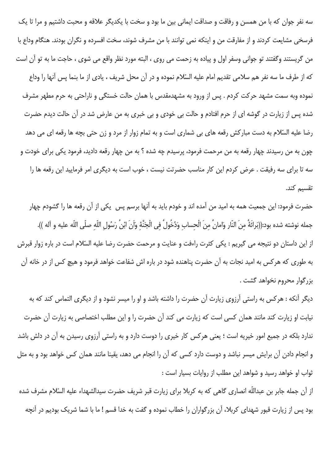سه نفر جوان که با من همسن و رفاقت و صداقت ایمانی بین ما بود و سخت با یکدیگر علاقه و محبت داشتیم و مرا تا یک فرسخی مشایعت کردند و از مفارقت من و اینکه نمی توانند با من مشرف شوند، سخت افسرده و نگران بودند. هنگام وداع با من گريستند وگفتند تو جواني وسفر اول و پياده به زحمت مي روي ، البته مورد نظر واقع مي شوي ، حاجت ما به تو آن است كه از طرف ما سه نفر هم سلامي تقديم امام عليه السّلام نموده و در آن محل شريف ، يادى از ما بنما پس آنها را وداع نموده وبه سمت مشهد حرکت کردم . پس از ورود به مشهدمقدس با همان حالت خستگی و ناراحتی به حرم مطهر مشرف شده پس از زیارت در گوشه ای از حرم افتادم و حالت بی خودی و بی خبری به من عارض شد در آن حالت دیدم حضرت رضا علیه السّلام به دست مبارکش رقعه های بی شماری است و به تمام زوار از مرد و زن حتی بچه ها رقعه ای می دهد چون به من رسیدند چهار رقعه به من مرحمت فرمود، پرسیدم چه شده ؟ به من چهار رقعه دادید، فرمود یکی برای خودت و سه تا برای سه رفیقت . عرض کردم این کار مناسب حضرتت نیست ، خوب است به دیگری امر فرمایید این رقعه ها را تقسیم کند.

حضرت فرمود: این جمعیت همه به امید من آمده اند و خودم باید به آنها برسم پس یکی از آن رقعه ها را گشودم چهار جمله نوشته شده بود:((بَرائَةٌ مِنَ النّارِ وَامانٌ مِنَ الْحِسابِ وَدُخُولٌ فِي الْجَنَّةِ وَأَنَ ابْنُ رَسُولِ اللّهِ صلّى اللّه عليه و آله )). از این داستان دو نتیجه می گیریم : یکی کثرت راءفت و عنایت و مرحمت حضرت رضا علیه السّلام است در باره زوار قبرش به طوری که هرکس به امید نجات به آن حضرت پناهنده شود در باره اش شفاعت خواهد فرمود و هیچ کس از در خانه آن بزرگوار محروم نخواهد گشت .

دیگر آنکه : هرکس به راستی آرزوی زیارت آن حضرت را داشته باشد و او را میسر نشود و از دیگری التماس کند که به نیابت او زیارت کند مانند همان کسی است که زیارت می کند آن حضرت را و این مطلب اختصاصی به زیارت آن حضرت ندارد بلکه در جمیع امور خیریه است ؛ یعنی هرکس کار خیری را دوست دارد و به راستی آرزوی رسیدن به آن در دلش باشد و انجام دادن آن برایش میسر نباشد و دوست دارد کسی که آن را انجام می دهد، یقینا مانند همان کس خواهد بود و به مثل ثواب او خواهد رسید و شواهد این مطلب از روایات بسیار است :

از آن جمله جابر بن عبداللّه انصاری گاهی که به کربلا برای زیارت قبر شریف حضرت سیدالشهداء علیه السّلام مشرف شده بود پس از زیارت قبور شهدای کربلا، آن بزرگواران را خطاب نموده و گفت به خدا قسم ! ما با شما شریک بودیم در آنچه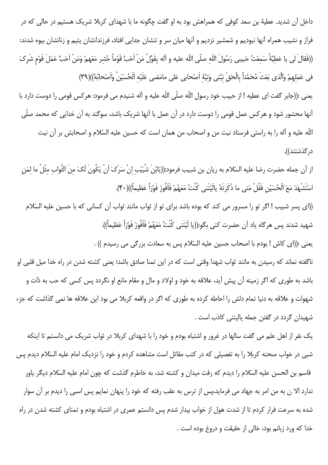داخل آن شدید. عطیهٔ بن سعد کوفی که همراهش بود به او گفت چگونه ما با شهدای کربلا شریک هستیم در حالی که در فراز و نشیب همراه آنها نبودیم و شمشیر نزدیم و آنها میان سر و تنشان جدایی افتاد، فرزندانشان یتیم و زنانشان بیوه شدند: ((فَقالَ لي يا عَطيَّةُ سَمعْتُ حَبيبي رَسُولَ اللّه صلّى اللّه عليه و آله يقَوُلُ مَنْ أَحَبَّ قَوْماً حُشر مَعَهمْ وَمَنْ أَحَبَّ عَمَلَ قَوْم شَركَ في عَمَلهمْ وَالَّذي بَعَثَ مُحَمَّداً بِالْحَقِّ نيَّتي وَنيَّهٔ اَصْحابي عَلى مامَضي عَلَيْه الْحُسَيْنُ وَاَصْحابُهُ))(٣٩)

يعني :((جابر گفت اي عطيه ! از حبيب خود رسول اللّه صلّى اللّه عليه و آله شنيدم مي فرمود: هركس قومي را دوست دارد با آنها محشور شود و هرکس عمل قومی را دوست دارد در آن عمل با آنها شریک باشد، سوگند به آن خدایی که محمد صلّی اللّه عليه و آله را به راستي فرستاد نيت من و اصحاب من همان است كه حسين عليه السّلام و اصحابش بر آن نيت د, گذشتند)).

از آن جمله حضرت رضا عليه السّلام به ريان بن شبيب فرمود:((يَابْنَ شُبَيْبِ اِنْ سَرَكَ اَنْ يَكُونَ لَكَ منَ الثّواب مثْلُ ما لمَن اسْتَشْهَدَ مَعَ الْحُسَيْنِ فَقُلْ مَتى ما ذَكَرتَهُ يالَيْتَني كُنْتُ مَعَهُمْ فَأَفُوزَ فَوْزاً عَظيماً))(۴۰).

((ای پسر شبیب ! اگر تو را مسرور می کند که بوده باشد برای تو از ثواب مانند ثواب آن کسانی که با حسین علیه السّلام شهيد شدند پس هرگاه ياد اَن حضرت كني بگو:((يا لَيْتَني كُنْتُ مَعَهُمْ فَاَفُوزَ فَوْزاً عَظيماً)).

يعني :((اي كاش ! بودم با اصحاب حسين عليه السّلام پس به سعادت بزرگي مي رسيدم )) .

ناگفته نماند که رسیدن به مانند ثواب شهدا وقتی است که در این تمنا صادق باشد؛ یعنی کشته شدن در راه خدا میل قلبی او باشد به طوری که اگر زمینه آن پیش آید، علاقه به خود و اولاد و مال و مقام مانع او نگردد پس کسی که حب به ذات و شهوات و علاقه به دنیا تمام دلش را احاطه کرده به طوری که اگر در واقعه کربلا می بود این علاقه ها نمی گذاشت که جزء شهیدان گردد در گفتن جمله پالیتنی کاذب است .

یک نفر از اهل علم می گفت سالها در غرور و اشتباه بودم و خود را با شهدای کربلا در ثواب شریک می دانستم تا اینکه شبی در خواب صحنه کربلا را به تفصیلی که در کتب مقاتل است مشاهده کردم و خود را نزدیک امام علیه السّلام دیدم پس قاسم بن الحسن عليه السّلام را ديدم كه رفت ميدان و كشته شد، به خاطرم گذشت كه چون امام عليه السّلام ديگر ياور ندارد الا ن به من امر به جهاد می فرماید،پس از ترس به عقب رفته که خود را پنهان نمایم پس اسبی را دیدم بر آن سوار شده به سرعت فرار کردم تا از شدت هول از خواب بیدار شدم پس دانستم عمری در اشتباه بودم و تمنای کشته شدن در راه خدا كه ورد زبانم بود، خالي از حقيقت و دروغ بوده است .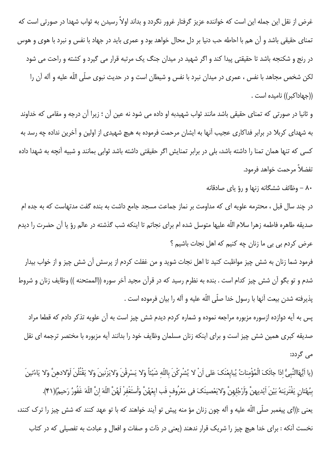غرض از نقل این جمله این است که خواننده عزیز گرفتار غرور نگردد و بداند اولاً رسیدن به ثواب شهدا در صورتی است که تمنای حقیقی باشد و آن هم با احاطه حب دنیا بر دل محال خواهد بود و عمری باید در جهاد با نفس و نبرد با هوی و هوس در رنج و شکنجه باشد تا حقیقتی پیدا کند و اگر شهید در میدان جنگ یک مرتبه قرار می گیرد و کشته و راحت می شود لکن شخص مجاهد با نفس ، عمری در میدان نبرد با نفس و شیطان است و در حدیث نبوی صلّی اللّه علیه و آله آن را ((جهاداكبر)) ناميده است .

و ثانیا در صورتی که تمنای حقیقی باشد مانند ثواب شهیدبه او داده می شود نه عین آن ؛ زیرا آن درجه و مقامی که خداوند به شهدای کربلا در برابر فداکاری عجیب آنها به ایشان مرحمت فرموده به هیچ شهیدی از اولین و آخرین نداده چه رسد به کسی که تنها همان تمنا را داشته باشد، بلی در برابر تمنایش اگر حقیقتی داشته باشد ثوابی بمانند و شبیه آنچه به شهدا داده تفضلاً مرحمت خواهد فرمود.

۸۰ – وظائف ششگانه زنها و رؤ ياي صادقانه

در چند سال قبل ، محترمه علویه ای که مداومت بر نماز جماعت مسجد جامع داشت به بنده گفت مدتهاست که به جده ام صدیقه طاهره فاطمه زهرا سلام اللّه علیها متوسل شده ام برای نجاتم تا اینکه شب گذشته در عالم رؤ یا آن حضرت را دیدم عرض كردم بي بي ما زنان چه كنيم كه اهل نجات باشيم ؟

فرمود شما زنان به شش چیز مواظبت کنید تا اهل نجات شوید و من غفلت کردم از پرسش آن شش چیز و از خواب بیدار شدم و تو بگو آن شش چیز کدام است . بنده به نظرم رسید که در قرآن مجید آخر سوره ((الممتحنه )) وظایف زنان و شروط پذيرفته شدن بيعت آنها با رسول خدا صلَّى اللَّه عليه و آله را بيان فرموده است .

پس به آیه دوازده ازسوره مزبوره مراجعه نموده و شماره کردم دیدم شش چیز است به آن علویه تذکر دادم که قطعا مراد صدیقه کبری همین شش چیز است و برای اینکه زنان مسلمان وظایف خود را بدانند آیه مزبوره با مختصر ترجمه ای نقل می گردد:

(يا اَيُّهَاالنَّبيُّ اذا جائَکَ الْمُؤْمناتُ يُبايعْنَکَ عَلی اَنْ لا يُشْرِكْنَ بِاللّهِ شَيْئاً وَلا يَسْرِقْنَ وَلايَزْنينَ وَلا يَقْتُلْنَ اَوْلادهنَّ وَلا يَاءْتينَ بِبُهْتانِ يَفْتَرِيَنهُ بَيْنَ اَيْديهنَّ وَاَرْجُلِهِنَّ وَلايَعْصِينَكَ في مَعْرُوف فَب ايِعْهُنَّ وَأستَغْفِرْ لَهُنَّ اللّهَ إِنَّ اللّهَ غَفُورٌ رَحيمٌ)(۴۱). يعني :((اي پيغمبر صلّي اللّه عليه و آله چون زنان مؤ منه پيش تو آيند خواهند كه با تو عهد كنند كه شش چيز را ترك كنند، نخست آنکه : برای خدا هیچ چیز را شریک قرار ندهند (یعنی در ذات و صفات و افعال و عبادت به تفصیلی که در کتاب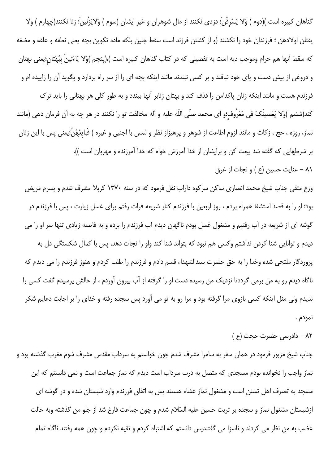گناهان کبیره است )(دوم ) وَلا یَسْرقْنَ؛ دزدی نکنند از مال شوهران و غیر ایشان (سوم ) وَلایَزْنینَ؛ زنا نکنند(چهارم ) ولا يقتلن اولادهن ؛ فرزندان خود را نكشند (و از كشتن فرزند است سقط جنين بلكه ماده تكوين بچه يعنى نطفه و علقه و مضغه كه سقط آنها هم حرام وموجب ديه است به تفصيلي كه در كتاب گناهان كبيره است )،(پنجم )وَلا يَاءْتينَ ببُهْتان؛يعني بهتان و دروغی از پیش دست و پای خود نبافند و بر کسی نبندند مانند اینکه بچه ای را از سر راه بردارد و بگوید آن را زاییده ام و فرزندم هست و مانند اینکه زنان پاکدامن را قذف کند و بهتان زنابر آنها ببندد و به طور کلی هر بهتانی را باید ترک كند(ششم )وَلا يَعْصينَكَ في مَعْرُوف؛و اي محمد صلّى اللّه عليه و آله مخالفت تو را نكنند در هر چه به آن فرمان دهي (مانند نماز، روزه ، حج ، زكات و مانند لزوم اطاعت از شوهر و پرهيزاز نظر و لمس با اجنبي و غيره ) فَبايعْهُنَّ؛يعني پس با اين زنان بر شرطهایی که گفته شد بیعت کن و برایشان از خدا آمرزش خواه که خدا آمرزنده و مهربان است )).

٨١ - عنايت حسين (ع ) و نجات از غرق

ورع متقی جناب شیخ محمد انصاری ساکن سرکوه داراب نقل فرمود که در سنه ۱۳۷۰ کربلا مشرف شدم و پسرم مریض بود؛ او را به قصد استشفا همراه بردم ، روز اربعین با فرزندم کنار شریعه فرات رفتم برای غسل زیارت ، پس با فرزندم در گوشه ای از شریعه در آب رفتیم و مشغول غسل بودم ناگهان دیدم آب فرزندم را برده و به فاصله زیادی تنها سر او را می دیدم و توانایی شنا کردن نداشتم وکسی هم نبود که بتواند شنا کند واو را نجات دهد، پس با کمال شکستگی دل به پروردگار ملتجی شده وخدا را به حق حضرت سیدالشهداء قسم دادم و فرزندم را طلب کردم و هنوز فرزندم را می دیدم که ناگاه دیدم رو به من برمی گرددتا نزدیک من رسیده دست او را گرفته از آب بیرون آوردم ، از حالش پرسیدم گفت کسی را ندیدم ولی مثل اینکه کسی بازوی مرا گرفته بود و مرا رو به تو می آورد پس سجده رفته و خدای را بر اجابت دعایم شکر نمودم .

٨٢ - دادرسی حضرت حجت (ع)

جناب شیخ مزبور فرمود در همان سفر به سامرا مشرف شدم چون خواستم به سرداب مقدس مشرف شوم مغرب گذشته بود و نماز واجب را نخوانده بودم مسجدی که متصل به درب سرداب است دیدم که نماز جماعت است و نمی دانستم که این مسجد به تصرف اهل تسنن است و مشغول نماز عشاء هستند پس به اتفاق فرزندم وارد شبستان شده و در گوشه ای ازشبستان مشغول نماز و سجده بر تربت حسین علیه السّلام شدم و چون جماعت فارغ شد از جلو من گذشته وبه حالت غضب به من نظر می کردند و ناسزا می گفتندپس دانستم که اشتباه کردم و تقیه نکردم و چون همه رفتند ناگاه تمام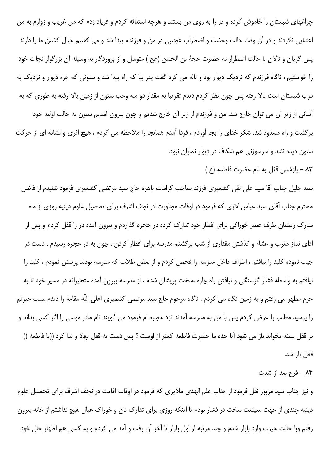چراغهای شبستان را خاموش کرده و در را به روی من بستند و هرچه استغاثه کردم و فریاد زدم که من غریب و زوارم به من اعتنایی نکردند و در آن وقت حالت وحشت و اضطراب عجیبی در من و فرزندم پیدا شد و می گفتیم خیال کشتن ما را دارند پس گریان و نالان با حالت اضطرار به حضرت حجهٔ بن الحسن (عج ) متوسل و از پروردگار به وسیله آن بزرگوار نجات خود را خواستیم ، ناگاه فرزندم که نزدیک دیوار بود و ناله می کرد گفت پدر بیا که راه پیدا شد و ستونی که جزء دیوار و نزدیک به درب شبستان است بالا رفته پس چون نظر کردم دیدم تقریبا به مقدار دو سه وجب ستون از زمین بالا رفته به طوری که به آسانی از زیر آن می توان خارج شد. من و فرزندم از زیر آن خارج شدیم و چون بیرون آمدیم ستون به حالت اولیه خود برگشت و راه مسدود شد، شکر خدای را بجا آوردم ، فردا آمدم همانجا را ملاحظه می کردم ، هیچ اثری و نشانه ای از حرکت ستون دیده نشد و سرسوزنی هم شکاف در دیوار نمایان نبود.

٨٣ - بازشدن قفل به نام حضرت فاطمه (ع )

سید جلیل جناب آقا سید علی نقی کشمیری فرزند صاحب کرامات باهره حاج سید مرتضی کشمیری فرمود شنیدم از فاضل محترم جناب اّقای سید عباس لاری که فرمود در اوقات مجاورت در نجف اشرف برای تحصیل علوم دینیه روزی از ماه مبارک رمضان طرف عصر خوراکی برای افطار خود تدارک کرده در حجره گذاردم و بیرون آمده در را قفل کردم و پس از ادای نماز مغرب و عشاء و گذشتن مقداری از شب برگشتم مدرسه برای افطار کردن ، چون به در حجره رسیدم ، دست در جیب نموده کلید را نیافتم ، اطراف داخل مدرسه را فحص کردم و از بعض طلاب که مدرسه بودند پرسش نمودم ، کلید را نیافتم به واسطه فشار گرسنگی و نیافتن راه چاره ،سخت پریشان شدم ، از مدرسه بیرون آمده متحیرانه در مسیر خود تا به حرم مطهر می رفتم و به زمین نگاه می کردم ، ناگاه مرحوم حاج سید مرتضی کشمیری اعلی اللّه مقامه را دیدم سبب حیرتم را پرسید مطلب را عرض کردم پس با من به مدرسه آمدند نزد حجره ام فرمود می گویند نام مادر موسی را اگر کسی بداند و بر قفل بسته بخواند باز می شود آیا جده ما حضرت فاطمه کمتر از اوست ؟ پس دست به قفل نهاد و ندا کرد ((یا فاطمه )) قفل باز شد.

٨۴ - فرج بعد از شدت

و نیز جناب سید مزبور نقل فرمود از جناب علم الهدی ملایری که فرمود در اوقات اقامت در نجف اشرف برای تحصیل علوم دینیه چندی از جهت معیشت سخت در فشار بودم تا اینکه روزی برای تدارک نان و خوراک عیال هیچ نداشتم از خانه بیرون رفتم وبا حالت حيرت وارد بازار شدم و چند مرتبه از اول بازار تا آخر آن رفت و آمد مي كردم و به كسي هم اظهار حال خود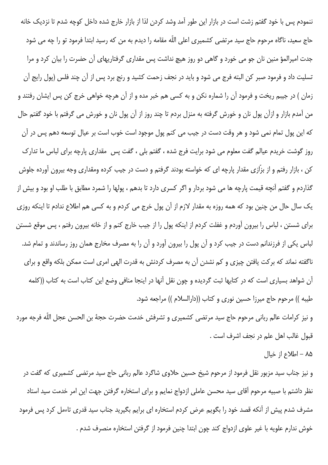ننمودم پس با خود گفتم زشت است در بازار این طور آمد وشد کردن لذا از بازار خارج شده داخل کوچه شدم تا نزدیک خانه حاج سعید، ناگاه مرحوم حاج سید مرتضی کشمیری اعلی اللّه مقامه را دیدم به من که رسید ابتدا فرمود تو را چه می شود جدت امیرالمؤ منین نان جو می خورد و گاهی دو روز هیچ نداشت پس مقداری گرفتاریهای آن حضرت را بیان کرد و مرا تسلیت داد و فرمود صبر کن البته فرج می شود و باید در نجف زحمت کشید و رنج برد پس از آن چند فلس (پول رایج آن زمان ) در جیبم ریخت و فرمود آن را شماره نکن و به کسی هم خبر مده و از آن هرچه خواهی خرج کن پس ایشان رفتند و من آمدم بازار و ازآن پول نان و خورش گرفته به منزل بردم تا چند روز از آن پول نان و خورش می گرفتم با خود گفتم حال که این پول تمام نمی شود و هر وقت دست در جیب می کنم پول موجود است خوب است بر عیال توسعه دهم پس در آن روز گوشت خریدم عیالم گفت معلوم می شود برایت فرج شده ، گفتم بلی ، گفت پس ٍ مقداری پارچه برای لباس ما تدارک کن ، بازار رفتم و از بزّازی مقدار پارچه ای که خواسته بودند گرفتم و دست در جیب کرده ومقداری وجه بیرون آورده جلوش گذاردم و گفتم آنچه قیمت پارچه ها می شود بردار و اگر کسری دارد تا بدهم ، پولها را شمرد مطابق با طلب او بود و بیش از یک سال حال من چنین بود که همه روزه به مقدار لازم از آن پول خرج می کردم و به کسی هم اطلاع ندادم تا اینکه روزی برای شستن ، لباس را بیرون آوردم و غفلت کردم از اینکه پول را از جیب خارج کنم و از خانه بیرون رفتم ، پس موقع شستن لباس یکی از فرزندانم دست در جیب کرد و آن پول را بیرون آورد و آن را به مصرف مخارج همان روز رساندند و تمام شد. ناگفته نماند که برکت یافتن چیزی و کم نشدن آن به مصرف کردنش به قدرت الهی امری است ممکن بلکه واقع و برای آن شواهد بسیاری است که در کتابها ثبت گردیده و چون نقل آنها در اینجا منافی وضع این کتاب است به کتاب ((کلمه طیبه )) مرحوم حاج میرزا حسین نوری و کتاب ((دارالسلام )) مراجعه شود.

و نیز کرامات عالم ربانی مرحوم حاج سید مرتضی کشمیری و تشرفش خدمت حضرت حجهٔ بن الحسن عجل اللّه فرجه مورد قبول غالب اهل علم در نجف اشرف است .

٨۵ - اطلاع از خيال

و نیز جناب سید مزبور نقل فرمود از مرحوم شیخ حسین حلاوی شاگرد عالم ربانی حاج سید مرتضی کشمیری که گفت در نظر داشتم با صبیه مرحوم آقای سید محسن عاملی ازدواج نمایم و برای استخاره گرفتن جهت این امر خدمت سید استاد مشرف شدم پیش از آنکه قصد خود را بگویم عرض کردم استخاره ای برایم بگیرید جناب سید قدری تاءمل کرد پس فرمود خوش ندارم علويه با غير علوى ازدواج كند چون ابتدا چنين فرمود از گرفتن استخاره منصرف شدم .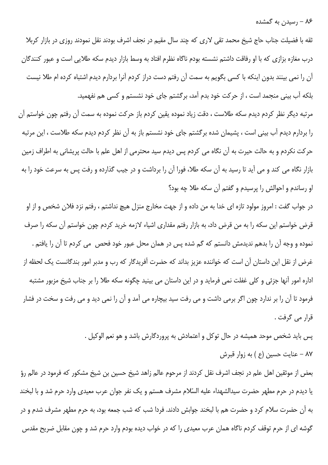۸۶ – رسیدن به گمشده

ثقه با فضیلت جناب حاج شیخ محمد تقی لاری که چند سال مقیم در نجف اشرف بودند نقل نمودند روزی در بازار کربلا درب مغازه بزازی که با او رفاقت داشتم نشسته بودم ناگاه نظرم افتاد به وسط بازار دیدم سکه طلایی است و عبور کنندگان آن را نمی بینند بدون اینکه با کسی بگویم به سمت آن رفتم دست دراز کردم آنرا بردارم دیدم اشتباه کرده ام طلا نیست بلکه آب بینی منجمد است ، از حرکت خود بدم آمد، برگشتم جای خود نشستم و کسی هم نفهمید.

مرتبه دیگر نظر کردم دیدم سکه طلاست ، دقت زیاد نموده یقین کردم باز حرکت نموده به سمت آن رفتم چون خواستم آن را بردارم دیدم آب بینی است ، پشیمان شده برگشتم جای خود نشستم باز به آن نظر کردم دیدم سکه طلاست ، این مرتبه حرکت نکردم و به حالت حیرت به آن نگاه می کردم پس دیدم سید محترمی از اهل علم با حالت پریشانی به اطراف زمین بازار نگاه می کند و می آید تا رسید به آن سکه طلا، فورا آن را برداشت و در جیب گذارده و رفت پس به سرعت خود را به او رساندم و احوالش را پرسیدم و گفتم آن سکه طلا چه بود؟

در جواب گفت : امروز مولود تازه اي خدا به من داده و از جهت مخارج منزل هيچ نداشتم ، رفتم نزد فلان شخص و از او قرض خواستم این سکه را به من قرض داد، به بازار رفتم مقداری اشیاء لازمه خرید کردم چون خواستم آن سکه را صرف نموده و وجه آن را بدهم ندیدمش دانستم که گم شده پس در همان محل عبور خود فحص ً می کردم تا آن را یافتم . غرض از نقل این داستان آن است که خواننده عزیز بداند که حضرت آفریدگار که رب و مدبر امور بندگانست یک لحظه از اداره امور آنها جزئی و کلی غفلت نمی فرماید و در این داستان می بینید چگونه سکه طلا را بر جناب شیخ مزبور مشتبه فرمود تا آن را بر ندارد چون اگر برمی داشت و می رفت سید بیچاره می آمد و آن را نمی دید و می رفت و سخت در فشار قرار مے گرفت .

> پس باید شخص موحد همیشه در حال توکل و اعتمادش به پروردگارش باشد و هو نعم الوکیل . ٨٧ – عنايت حسين (ع ) به زوار قبرش

بعض از موثقین اهل علم در نجف اشرف نقل کردند از مرحوم عالم زاهد شیخ حسین بن شیخ مشکور که فرمود در عالم رؤ یا دیدم در حرم مطهر حضرت سیدالشهداء علیه السّلام مشرف هستم و یک نفر جوان عرب معیدی وارد حرم شد و با لبخند به آن حضرت سلام کرد و حضرت هم با لبخند جوابش دادند. فردا شب که شب جمعه بود، به حرم مطهر مشرف شدم و در گوشه ای از حرم توقف کردم ناگاه همان عرب معیدی را که در خواب دیده بودم وارد حرم شد و چون مقابل ضریح مقدس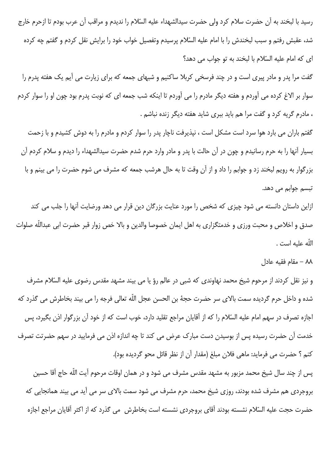رسيد با لبخند به آن حضرت سلام كرد ولي حضرت سيدالشهداء عليه السّلام را نديدم و مراقب آن عرب بودم تا ازحرم خارج شد، عقبش رفتم و سبب لبخندش را با امام علیه السّلام پرسیدم وتفصیل خواب خود را برایش نقل کردم و گفتم چه کرده ای که امام علیه السّلام با لبخند به تو جواب می دهد؟

گفت مرا پدر و مادر پیری است و در چند فرسخی کربلا ساکنیم و شبهای جمعه که برای زیارت می آیم یک هفته پدرم را سوار بر الاغ کرده می آوردم و هفته دیگر مادرم را می آوردم تا اینکه شب جمعه ای که نوبت پدرم بود چون او را سوار کردم ، مادرم گریه کرد و گفت مرا هم باید ببری شاید هفته دیگر زنده نباشم .

گفتم باران می بارد هوا سرد است مشکل است ، نپذیرفت ناچار پدر را سوار کردم و مادرم را به دوش کشیدم و با زحمت بسیار آنها را به حرم رسانیدم و چون در آن حالت با پدر و مادر وارد حرم شدم حضرت سیدالشهداء را دیدم و سلام کردم آن بزرگوار به رویم لبخند زد و جوابم را داد و از آن وقت تا به حال هرشب جمعه که مشرف می شوم حضرت را می بینم و با تبسم جوابم می دهد.

ازاین داستان دانسته می شود چیزی که شخص را مورد عنایت بزرگان دین قرار می دهد ورضایت آنها را جلب می کند صدق و اخلاص و محبت ورزى و خدمتگزارى به اهل ايمان خصوصا والدين و بالا خص زوار قبر حضرت ابى عبداللّه صلوات اللّه عليه است .

## ٨٨ – مقام فقيه عادل

و نیز نقل کردند از مرحوم شیخ محمد نهاوندی که شبی در عالم رؤ یا می بیند مشهد مقدس رضوی علیه السّلام مشرف شده و داخل حرم گردیده سمت بالای سر حضرت حجهٔ بن الحسن عجل اللّه تعالی فرجه را می بیند بخاطرش می گذرد که اجازه تصرف در سهم امام علیه السّلام را که از آقایان مراجع تقلید دارد، خوب است که از خود آن بزرگوار اذن بگیرد، پس خدمت آن حضرت رسیده پس از بوسیدن دست مبارک عرض می کند تا چه اندازه اذن می فرمایید در سهم حضرتت تصرف كنم ؟ حضرت مي فرمايد: ماهي فلان مبلغ (مقدار أن از نظر قائل محو گرديده بود).

پس از چند سال شیخ محمد مزبور به مشهد مقدس مشرف می شود و در همان اوقات مرحوم آیت اللّه حاج آقا حسین بروجردی هم مشرف شده بودند، روزی شیخ محمد، حرم مشرف می شود سمت بالای سر می آید می بیند همانجایی که حضرت حجت عليه السّلام نشسته بودند أقاى بروجردى نشسته است بخاطرش ٍ مي گذرد كه از اكثر أقايان مراجع اجازه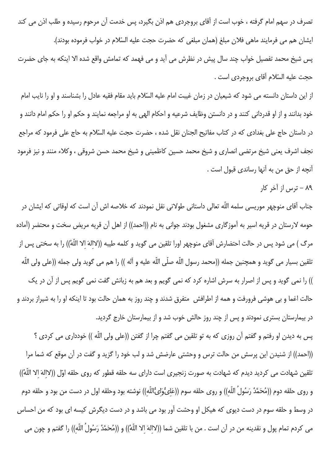تصرف در سهم امام گرفته ، خوب است از آقای بروجردی هم اذن بگیرد، پس خدمت آن مرحوم رسیده و طلب اذن می کند ايشان هم مي فرمايند ماهي فلان مبلغ (همان مبلغي كه حضرت حجت عليه السّلام در خواب فرموده بودند). پس شیخ محمد تفصیل خواب چند سال پیش در نظرش می آید و می فهمد که تمامش واقع شده الا اینکه به جای حضرت حجت عليه السّلام آقاي بروجردي است .

از این داستان دانسته می شود که شیعیان در زمان غیبت امام علیه السّلام باید مقام فقیه عادل را بشناسند و او را نایب امام خود بدانند و از او قدردانی کنند و در دانستن وظایف شرعیه و احکام الهی به او مراجعه نمایند و حکم او را حکم امام دانند و در داستان حاج علی بغدادی که در کتاب مفاتیح الجنان نقل شده ، حضرت حجت علیه السّلام به حاج علی فرمود که مراجع نجف اشرف يعني شيخ مرتضى انصارى و شيخ محمد حسين كاظميني و شيخ محمد حسن شروقي ، وكلاء منند و نيز فرمود آنچه از حق من به آنها رساندي قبول است .

۸۹ – ترس از آخر کار

جناب آقای منوچهر موریسی سلمه اللّه تعالی داستانی طولانی نقل نمودند که خلاصه اش آن است که اوقاتی که ایشان در حومه لارستان در قریه اسیر به آموزگاری مشغول بودند جوانی به نام ((احمد)) از اهل آن قریه مریض سخت و محتضر (آماده مرگ ) می شود پس در حالت احتضارش آقای منوچهر اورا تلقین می گوید و کلمه طیبه ((لاالهَ الا اللّهُ)) را به سختی پس از تلقين بسيار مى گويد و همچنين جمله ((محمد رسول اللّه صلّى اللّه عليه و آله )) را هم مى گويد ولى جمله ((على ولى اللّه )) را نمی گوید و پس از اصرار به سرش اشاره کرد که نمی گویم و بعد هم به زبانش گفت نمی گویم پس از آن در یک حالت اغما و بی هوشی فرورفت و همه از اطرافش ٍ متفرق شدند و چند روز به همان حالت بود تا اینکه او را به شیراز بردند و در بیمارستان بستری نمودند و پس از چند روز حالش خوب شد و از بیمارستان خارج گردید.

پس به دیدن او رفتم و گفتم آن روزی که به تو تلقین می گفتم چرا از گفتن ((علی ولی اللّه )) خودداری می کردی ؟ ((احمد)) از شنیدن این پرسش من حالت ترس و وحشتی عارضش شد و لب خود را گزید و گفت در آن موقع که شما مرا تلقين شهادت مي كرديد ديدم كه شهادت به صورت زنجيري است داراي سه حلقه قطور كه روى حلقه اوّل ((لاالهَ الا اللّهُ)) و روى حلقه دوم ((مُحَمَّدُ رَسُولُ اللّه)) و روى حلقه سوم ((عَلىُّوَلىُّاللّه)) نوشته بود وحلقه اول در دست من بود و حلقه دوم در وسط و حلقه سوم در دست دیوی که هیکل او وحشت آور بود می باشد و در دست دیگرش کیسه ای بود که من احساس مى كردم تمام پول و نقدينه من در آن است . من با تلقين شما ((لاالهَ الا اللّهْ)) و ((مُحَمَّدُ رَسُولُ اللّه)) را گفتم و چون مى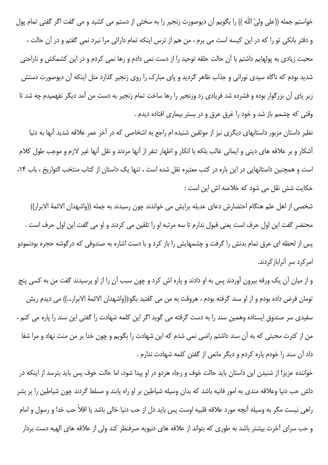خواستم جمله ((على وليّ اللّه )) را بگويم آن ديوصورت زنجير را به سختي از دستم مي كشيد و مي گفت اگر گفتي تمام پول و دفتر بانکی تو را که در این کیسه است می برم ، من هم از ترس اینکه تمام دارائی مرا نبرد نمی گفتم و در آن حالت ، محبت زیادی به پولهایم داشتم با آن حالت حلقه توحید را از دست نمی دادم و رها نمی کردم و در این کشمکش و ناراحتی شدید بودم که ناگاه سیدی نورانی و جذاب ظاهر گردید و پای مبارک را روی زنجیر گذارد مثل اینکه آن دیوصورت دستش زیر پای آن بزرگوار بوده و فشرده شد فریادی زد وزنجیر را رها ساخت تمام زنجیر به دست من آمد دیگر نفهمیدم چه شد تا وقتی که چشمم باز شد و خود را غرق عرق و در بستر بیماری افتاده دیدم .

نظیر داستان مزبور داستانهای دیگری نیز از موثقین شنیده ام راجع به اشخاصی که در آخر عمر علاقه شدید آنها به دنیا آشکار و بر علاقه های دینی و ایمانی غالب بلکه با انکار و اظهار تنفر از آنها مردند و نقل آنها غیر لازم و موجب طول کلام است و همچنین داستانهایی در این باره در کتب معتبره نقل شده است ، تنها یک داستان از کتاب منتخب التواریخ ، باب ۱۴، حکایت شش نقل می شود که خلاصه اش این است :

شخصی از اهل علم هنگام احتضارش دعای عدیله برایش می خواندند چون رسیدند به جمله ((واشهدان الائمهٔ الابرار)) محتضر گفت این اول حرف است یعنی قبول ندارم تا سه مرتبه او را تلقین می کردند و او می گفت این اول حرف است . پس از لحظه ای عرق تمام بدنش را گرفت و چشمهایش را باز کرد و با دست اشاره به صندوقی که درگوشه حجره بودنمودو امرکرد سر آنرابازکردند.

و از میان آن یک ورقه بیرون آوردند پس به او دادند و پاره اش کرد و چون سبب آن را از او پرسیدند گفت من به کسی پنج تومان قرض داده بودم و از او سند گرفته بودم ، هروقت به من می گفتید بگو:((واشهدان الائمهٔ الابرار…)) می دیدم ریش سفیدی سر صندوق ایستاده وهمین سند را به دست گرفته می گوید اگر این کلمه شهادت را گفتی این سند را یاره می کنم ، من از کثرت محبتی که به آن سند داشتم راضی نمی شدم که این شهادت را بگویم و چون خدا بر من منت نهاد و مرا شفا داد آن سند را خودم پاره کردم و دیگر مانعی از گفتن کلمه شهادت ندارم .

خواننده عزیز! از شنیدن این داستان باید حالت خوف و رجاء هردو در او پیدا شود، اما حالت خوف پس باید بترسد از اینکه در دلش حب دنیا وعلاقه مندی به امور فانیه باشد که بدان وسیله شیاطین بر او راه یابند و مسلط گردند چون شیاطین را بر بشر راهی نیست مگر به وسیله آنچه مورد علاقه قلبیه اوست پس باید دل از حب دنیا خالی باشد یا اقلاً حب خدا و رسول و امام و حب سرای آخرت بیشتر باشد به طوری که بتواند از علاقه های دنیویه صرفنظر کند ولی از علاقه های الهیه دست بردار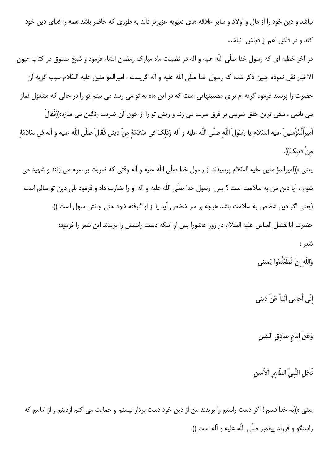نباشد و دین خود را از مال و اولاد و سایر علاقه های دنیویه عزیزتر داند به طوری که حاضر باشد همه را فدای دین خود کند و در دلش اهم از دینش نباشد.

در آخر خطبه ای که رسول خدا صلّی اللّه علیه و آله در فضیلت ماه مبارک رمضان انشاء فرمود و شیخ صدوق در کتاب عیون الاخبار نقل نموده چنین ذکر شده که رسول خدا صلّی اللّه علیه و آله گریست ، امیرالمؤ منین علیه السّلام سبب گریه آن حضرت را پرسید فرمود گریه ام برای مصیبتهایی است که در این ماه به تو می رسد می بینم تو را در حالی که مشغول نماز می باشی ، شقی ترین خلق ضربتی بر فرق سرت می زند و ریش تو را از خون آن ضربت رنگین می سازد:((فَقالَ اَميرُالْمُؤْمنينَ عليه السّلام يا رَسُولَ اللّهِ صلّى اللّه عليه و اَله وَذلكَ في سَلامَهٔ مِنْ ديني فَقالَ صلّى اللّه عليه و اَله في سَلامَهٔ منْ دينكَ)).

يعني :((اميرالمؤ منين عليه السّلام پرسيدند از رسول خدا صلّي اللّه عليه و آله وقتي كه ضربت بر سرم مي زنند و شهيد مي شوم ، آيا دين من به سلامت است ؟ پس رسول خدا صلّى اللّه عليه و آله او را بشارت داد و فرمود بلى دين تو سالم است (یعنی اگر دین شخص به سلامت باشد هرچه بر سر شخص آید یا از او گرفته شود حتی جانش سهل است )). حضرت اباالفضل العباس عليه السّلام در روز عاشورا پس از اينكه دست راستش را بريدند اين شعر را فرمود: شعر :

وَاللّهِ إنْ قَطَعْتُمُوا يَمينى

انّي أُحامي اَبَداً عَنْ ديني

وَعَنْ إمامِ صادِقِ الْيَقينِ

نَجْلِ النَّبِيِّ الطَّاهِرِ اْلاَمينِ

يعني :((به خدا قسم ! اگر دست راستم را بريدند من از دين خود دست بردار نيستم و حمايت مي كنم ازدينم و از امامم كه راستگو و فرزند پیغمبر صلّی اللّه علیه و آله است )).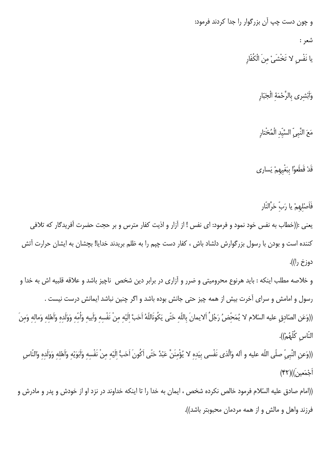و چون دست چپ آن بزرگوار را جدا کردند فرمود:

شعر :

يا نَفْس لا تَخْشَىْ مِنَ الْكُفّارِ

وَأَبْشِري بِالرَّحْمَةِ الْجَبّارِ

مَعَ النَّبِيِّ السَّيِّدِ الْمُخْتارِ

قَدْ قَطَعوُا بِبَغْيِهِمْ يَسارى

فَأَصْلَهِمْ يا رَبِّ حَرَّالنّار يعني :((خطاب به نفس خود نمود و فرمود: اي نفس ! از آزار و اذيت كفار مترس و بر حجت حضرت آفريدگار كه تلافي كننده است و بودن با رسول بزرگوارش دلشاد باش ، كفار دست چپم را به ظلم بريدند خدايا! بچشان به ايشان حرارت آتش دوزخ را)).

و خلاصه مطلب اینکه : باید هرنوع محرومیتی و ضرر و آزاری در برابر دین شخص ناچیز باشد و علاقه قلبیه اش به خدا و رسول و امامش و سرای آخرت بیش از همه چیز حتی جانش بوده باشد و اگر چنین نباشد ایمانش درست نیست . ((وَعَنِ الصّادقِ عليه السّلام لا يُمَحّضُ رَجُلُ اَلايمانَ باللّه حَتّى يَكُونَاللّهُ اَحَبَّ الَيْه منْ نَفْسه وَأبيه وَأُمّه وَوَلَده وَأَهْله وَماله وَمنَ النّاسِ كُلّهُمْ)).

((وَعنِ النَّبِيِّ صلَّى اللَّه عليه و آله وَالَّذى نَفْسى بِيَدِهِ لا يُؤْمِنَنَّ عَبْدٌ حَتَّى اَكُونَ اَحَبُّ إِلَيْهِ مِنْ نَفْسِهِ وَاَبَوَيْهِ وَاَهْلِهِ وَوَلَدِهِ وَالنَّاسِ أَجْمَعِينَ))(۴۲)

((امام صادق عليه السّلام فرمود خالص نكرده شخص ، ايمان به خدا را تا اينكه خداوند در نزد او از خودش و پدر و مادرش و فرزند واهل و مالش و از همه مردمان محبوبتر باشد)).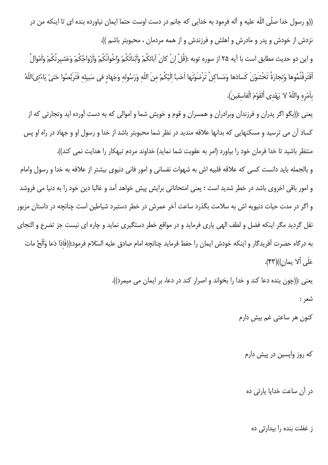((و رسول خدا صلَّى اللَّه عليه و آله فرمود به خدايي كه جانم در دست اوست حتما ايمان نياورده بنده اي تا اينكه من در نزدش از خودش و پدر و مادرش و اهلش و فرزندش و از همه مردمان ، محبوبتر باشم )).

و اين دو حديث مطابق است با آيه ٢۵ از سوره توبه :(قُلْ انْ كانَ آبائكُمْ وَآبْنائُكُمْ وَاخْوانُكُمْ وَأزْواجُكُمْ وَعَشيرتُكُمْ وَأَمْوالُ أقَتَرفْتُمُوها وَتجارَةُ تَخْشَوْنَ كَسادَها وَمَساكِنُ تَرْضَوْنَها اَحَبَّ اِلَيْكُمْ منَ اللّه وَرَسُوله وَجَهاد فى سَبيله فَتَرَبَّصُوا حَتىّ يَاءْتىَاللّهُ بِاَمْرِهِ واللَّهُ لا يَهْدِي اْلقَوْمَ الْفاسقين).

يعني :((بگو اگر پدران و فرزندان وبرادران و همسران و قوم و خويش شما و اموالي كه به دست آورده ايد وتجارتي كه از کساد آن می ترسید و مسکنهایی که بدانها علاقه مندید در نظر شما محبوبتر باشد از خدا و رسول او و جهاد در راه او پس منتظر باشید تا خدا فرمان خود را بیاورد (امر به عقوبت شما نماید) خداوند مردم تبهکار را هدایت نمی کند)). و بالجمله باید دانست کسی که علاقه قلبیه اش به شهوات نفسانی و امور فانی دنیوی بیشتر از علاقه به خدا و رسول وامام و امور باقی اخروی باشد در خطر شدید است ؛ یعنی امتحاناتی برایش پیش خواهد آمد و غالبا دین خود را به دنیا می فروشد و اگر در مدت حیات دنیویه اش به سلامت بگذرد ساعت آخر عمرش در خطر دستبرد شیاطین است چنانچه در داستان مزبور

نقل گردید مگر اینکه فضل و لطف الهی یاری فرماید و در مواقع خطر دستگیری نماید و چاره ای نیست جز تضرع و التجای به درگاه حضرت آفريدگار و اينكه خودش ايمان را حفظ فرمايد چنانچه امام صادق عليه السّلام فرمود:((فَاذا دَعا وَآلَحَ ماتَ عَلَى ألا يمان))(۴۳).

> يعني :((چون بنده دعا كند و خدا را بخواند و اصرار كند در دعا، بر ايمان مي ميمرد)). شعر :

> > کنون هر ساعت*ی* غم بیش دارم

که روز وایسین در پیش دارم

در آن ساعت خدایا پارئی ده

ز غفلت بنده را بیدارئی ده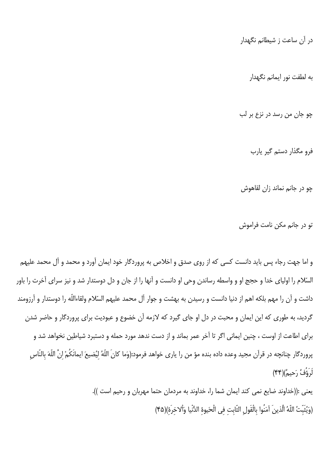در آن ساعت ز شیطانم نگهدار

به لطفت نور ایمانم نگهدار

چو جان من رسد در نزع بر لب

فرو مگذار دستم گیر یارب

چو در جانم نماند زان لقاهوش

تو در جانم مکن نامت فراموش

و اما جهت رجاء پس باید دانست کسی که از روی صدق و اخلاص به پروردگار خود ایمان آورد و محمد و آل محمد علیهم السّلام را اولیای خدا و حجج او و واسطه رساندن وحی او دانست و آنها را از جان و دل دوستدار شد و نیز سرای آخرت را باور داشت و آن را مهم بلکه اهم از دنیا دانست و رسیدن به بهشت و جوار آل محمد علیهم السّلام ولقاءاللّه را دوستدار و آرزومند گردید، به طوری که این ایمان و محبت در دل او جای گیرد که لازمه آن خضوع و عبودیت برای پروردگار و حاضر شدن برای اطاعت از اوست ، چنین ایمانی اگر تا آخر عمر بماند و از دست ندهد مورد حمله و دستبرد شیاطین نخواهد شد و پروردگار چنانچه در قرآن مجيد وعده داده بنده مؤ من را يارى خواهد فرمود:(وَما كانَ اللّهُ ليُضيعَ ايمانَكُمْ انَّ اللّهَ بالنّاس لَرَوَّفُ رَحِيمٌ)(۴۴)

> يعني :((خداوند ضايع نمي كند ايمان شما را، خداوند به مردمان حتما مهربان و رحيم است )). (وَيُثَبِّتُ اللَّهُ الَّذينَ آمَنُوا بِالْقَولِ الثّابتِ في الْحَيوةِ الدُّنْيا وَأَلاخِرَةَ)(۴۵)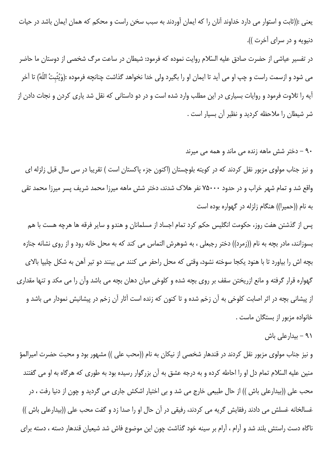يعني :((ثابت و استوار مي دارد خداوند آنان را كه ايمان آوردند به سبب سخن راست و محكم كه همان ايمان باشد در حيات دنيويه و در سراى آخرت )).

در تفسیر عیاشی از حضرت صادق علیه السّلام روایت نموده که فرمود: شیطان در ساعت مرگ شخصی از دوستان ما حاضر می شود و ازسمت راست و چپ او می آید تا ایمان او را بگیرد ولی خدا نخواهد گذاشت چنانچه فرموده :(وَيُثّبتُ اللّهُ) تا آخر آیه را تلاوت فرمود و روایات بسیاری در این مطلب وارد شده است و در دو داستانی که نقل شد یاری کردن و نجات دادن از شر شیطان را ملاحظه کردید و نظیر آن بسیار است .

۹۰ – دختر شش ماهه زنده می ماند و همه می میرند

و نیز جناب مولوی مزبور نقل کردند که در کویته بلوچستان (اکنون جزء پاکستان است ) تقریبا در سی سال قبل زلزله ای واقع شد و تمام شهر خراب و در حدود ۷۵۰۰۰ نفر هلاک شدند، دختر شش ماهه میرزا محمد شریف پسر میرزا محمد تقی به نام ((حمیرا)) هنگام زلزله در گهواره بوده است

پس از گذشتن هفت روز، حکومت انگلیس حکم کرد تمام اجساد از مسلمانان و هندو و سایر فرقه ها هرچه هست با هم بسوزانند، مادر بچه به نام ((زمرد)) دختر رجبعلی ، به شوهرش التماس می کند که به محل خانه رود و از روی نشانه جنازه بچه اش را بیاورد تا با هنود یکجا سوخته نشود، وقتی که محل راحفر می کنند می بینند دو تیر آهن به شکل چلیپا بالای گھواره قرار گرفته و مانع ازریختن سقف بر روی بچه شده و کلوخی میان دهان بچه می باشد وآن را می مکد و تنها مقداری از پیشانی بچه در اثر اصابت کلوخی به آن زخم شده و تا کنون که زنده است آثار آن زخم در پیشانیش نمودار می باشد و خانواده مزبور از بستگان ماست .

۹۱ – بیدارعلی باش

و نیز جناب مولوی مزبور نقل کردند در قندهار شخصی از نیکان به نام ((محب علی )) مشهور بود و محبت حضرت امیرالمؤ منین علیه السّلام تمام دل او را احاطه کرده و به درجه عشق به آن بزرگوار رسیده بود به طوری که هرگاه به او می گفتند محب علی ((بیدارعلی باش )) از حال طبیعی خارج می شد و بی اختیار اشکش جاری می گردید و چون از دنیا رفت ، در غسالخانه غسلش می دادند رفقایش گریه می کردند، رفیقی در آن حال او را صدا زد و گفت محب علی ((بیدارعلی باش )) ناگاه دست راستش بلند شد و آرام ، آرام بر سینه خود گذاشت چون این موضوع فاش شد شیعیان قندهار دسته ، دسته برای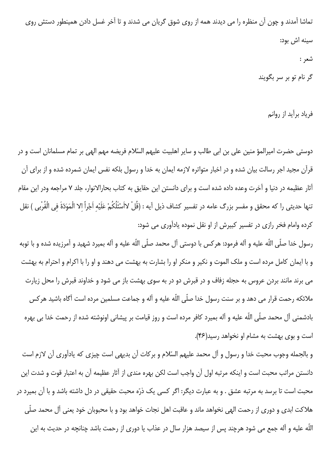تماشا آمدند و چون آن منظره را می دیدند همه از روی شوق گریان می شدند و تا آخر غسل دادن همینطور دستش روی سينه اش بود: شعر : گر نام تو بر سر بگویند

فرياد برأيد از روانم

دوستی حضرت امیرالمؤ منین علی بن ابی طالب و سایر اهلبیت علیهم السّلام فریضه مهم الهی بر تمام مسلمانان است و در قرآن مجید اجر رسالت بیان شده و در اخبار متواتره لازمه ایمان به خدا و رسول بلکه نفس ایمان شمرده شده و از برای آن آثار عظیمه در دنیا و آخرت وعده داده شده است و برای دانستن این حقایق به کتاب بحارالانوار، جلد ۷ مراجعه ودر این مقام تنها حديثي را كه محقق و مفسر بزرگ عامه در تفسير كشاف ذيل آيه : (قُلْ لااَسْئَلُكُمْ عَلَيْه اَجْراً الا الْمَوَدّةَ في الْقُرْبي ) نقل كرده وامام فخر رازي در تفسير كبيرش از او نقل نموده يادآوري مي شود:

رسول خدا صلّى اللّه عليه و آله فرمود: هركس با دوستى آل محمد صلّى اللّه عليه و آله بميرد شهيد و آمرزيده شده و با توبه و با ایمان کامل مرده است و ملک الموت و نکیر و منکر او را بشارت به بهشت می دهند و او را با اکرام و احترام به بهشت می برند مانند بردن عروس به حجله زفاف و در قبرش دو در به سوی بهشت باز می شود و خداوند قبرش را محل زیارت ملائکه رحمت قرار می دهد و بر سنت رسول خدا صلّی اللّه علیه و آله و جماعت مسلمین مرده است آگاه باشید هرکس بادشمنی آل محمد صلّی اللّه علیه و آله بمیرد کافر مرده است و روز قیامت بر پیشانی اونوشته شده از رحمت خدا بی بهره است و بوی بهشت به مشام او نخواهد رسید(۴۶).

و بالجمله وجوب محبت خدا و رسول و آل محمد عليهم السّلام و بركات آن بديهي است چيزي كه يادآوري آن لازم است دانستن مراتب محبت است و اینکه مرتبه اول آن واجب است لکن بهره مندی از آثار عظیمه آن به اعتبار قوت و شدت این محبت است تا برسد به مرتبه عشق . و به عبارت دیگر: اگر کسی یک ذرّه محبت حقیقی در دل داشته باشد و با آن بمیرد در هلاکت ابدی و دوری از رحمت الهی نخواهد ماند و عاقبت اهل نجات خواهد بود و با محبوبان خود یعنی آل محمد صلّی اللّه عليه و آله جمع مي شود هرچند پس از سيصد هزار سال در عذاب يا دوري از رحمت باشد چنانچه در حديث به اين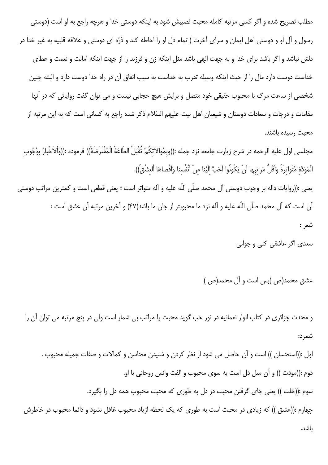مطلب تصریح شده و اگر کسی مرتبه کامله محبت نصیبش شود به اینکه دوستی خدا و هرچه راجع به او است (دوستی رسول و آل او و دوستی اهل ایمان و سرای آخرت ) تمام دل او را احاطه کند و ذرّه ای دوستی و علاقه قلبیه به غیر خدا در دلش نباشد و اگر باشد برای خدا و به جهت الهی باشد مثل اینکه زن و فرزند را از جهت اینکه امانت و نعمت و عطای خداست دوست دارد مال را از حیث اینکه وسیله تقرب به خداست به سبب انفاق آن در راه خدا دوست دارد و البته چنین شخصی از ساعت مرگ با محبوب حقیقی خود متصل و برایش هیچ حجابی نیست و می توان گفت روایاتی که در آنها مقامات و درجات و سعادات دوستان و شیعیان اهل بیت علیهم السّلام ذکر شده راجع به کسانی است که به این مرتبه از محىت رسىدە ياشند.

مجلسى اول عليه الرحمه در شرح زيارت جامعه نزد جمله :((وبمُوالاتكُمْ تُقْبَلُ الطَّاعَةُ الْمُفْتَرَضَةُ)) فرموده :((وَألاَخْبارُ بوُجُوب الْمَوَدَّة مُتَواترةً وَآقَلُّ مَراتبها أنْ يَكُونُوا اَحَبَّ الَيْنا مِنْ اَنْفُسنا وَاَقْصاهَا اْلعشْقُ)).

يعنى :((روايات داله بر وجوب دوستى آل محمد صلّى اللّه عليه و آله متواتر است ؛ يعنى قطعى است و كمترين مراتب دوستى آن است كه آل محمد صلَّى اللَّه عليه و آله نزد ما محبوبتر از جان ما باشد(۴۷) و آخرين مرتبه آن عشق است : شعر :

سعدی اگر عاشقی کنی و جوانی

عشق محمد(ص)بس است و آل محمد(ص)

و محدث جزائری در کتاب انوار نعمانیه در نور حب گوید محبت را مراتب بی شمار است ولی در پنج مرتبه می توان آن را شمر د:

اول :((استحسان )) است و آن حاصل می شود از نظر کردن و شنیدن محاسن و کمالات و صفات جمیله محبوب . دوم :((مودت )) و آن ميل دل است به سوى محبوب و الفت وانس روحاني با او. سوم :((خلت )) یعنی جای گرفتن محبت در دل به طوری که محبت محبوب همه دل را بگیرد. چهارم :((عشق )) که زیادی در محبت است به طوری که یک لحظه ازیاد محبوب غافل نشود و دائما محبوب در خاطرش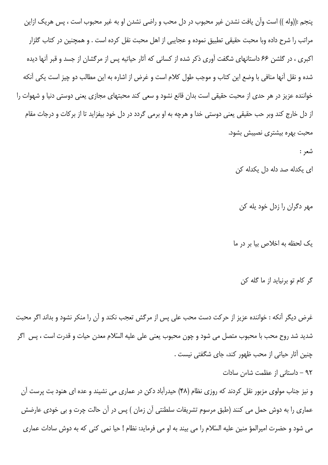پنجم :((وله )) است وآن یافت نشدن غیر محبوب در دل محب و راضی نشدن او به غیر محبوب است ، پس هریک ازاین مراتب را شرح داده وبا محبت حقیقی تطبیق نموده و عجایبی از اهل محبت نقل کرده است . و همچنین در کتاب گلزار اکبری ، در گلشن ۶۶ داستانهای شگفت آوری ذکر شده از کسانی که آثار حیاتیه پس از مرگشان از جسد و قبر آنها دیده شده و نقل آنها منافی با وضع این کتاب و موجب طول کلام است و غرض از اشاره به این مطالب دو چیز است یکی آنکه خواننده عزیز در هر حدی از محبت حقیقی است بدان قانع نشود و سعی کند محبتهای مجازی یعنی دوستی دنیا و شهوات را از دل خارج کند وبر حب حقیقی یعنی دوستی خدا و هرچه به او برمی گردد در دل خود بیفزاید تا از برکات و درجات مقام محبت بهره بیشتری نصیبش بشود.

شعر :

ای یکدله صد دله دل یکدله کن

مهر دگران را زدل خود يله كن

یک لحظه به اخلاص بیا بر در ما

گر کام تو برنیاید از ما گله کن

غرض دیگر آنکه : خواننده عزیز از حرکت دست محب علی پس از مرگش تعجب نکند و آن را منکر نشود و بداند اگر محبت شدید شد روح محب با محبوب متصل می شود و چون محبوب یعنی علی علیه السّلام معدن حیات و قدرت است ، پس اگر چنین آثار حیاتی از محب ظهور کند، جای شگفتی نیست .

۹۲ - داستانی از عظمت شاءن سادات

و نیز جناب مولوی مزبور نقل کردند که روزی نظام (۴۸) حیدرآباد دکن در عماری می نشیند و عده ای هنود بت پرست آن عماری را به دوش حمل می کنند (طبق مرسوم تشریفات سلطنتی آن زمان ) پس در آن حالت چرت و بی خودی عارضش می شود و حضرت امیرالمؤ منین علیه السّلام را می بیند به او می فرماید: نظام ! حیا نمی کنی که به دوش سادات عماری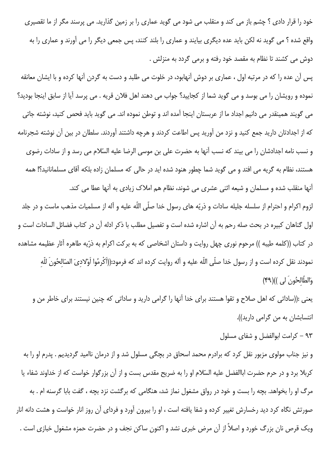خود را قرار دادی ؟ چشم باز می کند و منقلب می شود می گوید عماری را بر زمین گذارید. می پرسند مگر از ما تقصیری واقع شده ؟ می گوید نه لکن باید عده دیگری بیایند و عماری را بلند کنند، پس جمعی دیگر را می آورند و عماری را به دوش می کشند تا نظام به مقصد خود رفته و برمی گردد به منزلش .

پس آن عده را که در مرتبه اول ، عماری بر دوش آنهابود، در خلوت می طلبد و دست به گردن آنها کرده و با ایشان معانقه نموده و رویشان را می بوسد و می گوید شما از کجایید؟ جواب می دهند اهل فلان قریه . می پرسد آیا از سابق اینجا بودید؟ می گویند همینقدر می دانیم اجداد ما از عربستان اینجا آمده اند و توطن نموده اند. می گوید باید فحص کنید، نوشته جاتی که از اجدادتان دارید جمع کنید و نزد من آورید پس اطاعت کردند و هرچه داشتند آوردند. سلطان در بین آن نوشته شجرنامه و نسب نامه اجدادشان را می بیند که نسب آنها به حضرت علی بن موسی الرضا علیه السّلام می رسد و از سادات رضوی هستند، نظام به گریه می افتد و می گوید شما چطور هنود شده اید در حالی که مسلمان زاده بلکه آقای مسلمانانید؟! همه أنها منقلب شده و مسلمان و شیعه اثنی عشری می شوند، نظام هم املاک زیادی به أنها عطا می کند.

لزوم اکرام و احترام از سلسله جلیله سادات و ذریّه های رسول خدا صلّی اللّه علیه و آله از مسلمیات مذهب ماست و در جلد اول گناهان کبیره در بحث صله رحم به آن اشاره شده است و تفصیل مطلب با ذکر ادله آن در کتاب فضائل السادات است و در کتاب ((کلمه طیبه )) مرحوم نوری چهل روایت و داستان اشخاصی که به برکت اکرام به ذرّیه طاهره آثار عظیمه مشاهده نمودند نقل کرده است و از رسول خدا صلّى اللّه عليه و آله روايت کرده اند که فرمود:((اَکْرِمُوا اَوْلادىَ الصّالحُونَ للّه وَالطَّالِحُونَ لِي ))(۴۹)

یعنی :((ساداتی که اهل صلاح و تقوا هستند برای خدا آنها را گرامی دارید و ساداتی که چنین نیستند برای خاطر من و انتسابشان به من گرامی دارید)).

۹۳ - کرامت ابوالفضل و شفای مسلول

و نیز جناب مولوی مزبور نقل کرد که برادرم محمد اسحاق در بچگی مسلول شد و از درمان ناامید گردیدیم . پدرم او را به كربلا برد و در حرم حضرت اباالفضل عليه السّلام او را به ضريح مقدس بست و از آن بزرگوار خواست كه از خداوند شفاء يا مرگ او را بخواهد. بچه را بست و خود در رواق مشغول نماز شد، هنگامی که برگشت نزد بچه ، گفت بابا گرسنه ام . به صورتش نگاه کرد دید رخسارش تغییر کرده و شفا یافته است ، او را بیرون آورد و فردای آن روز انار خواست و هشت دانه انار ویک قرص نان بزرگ خورد و اصلاً از آن مرض خبری نشد و اکنون ساکن نجف و در حضرت حمزه مشغول خبازی است .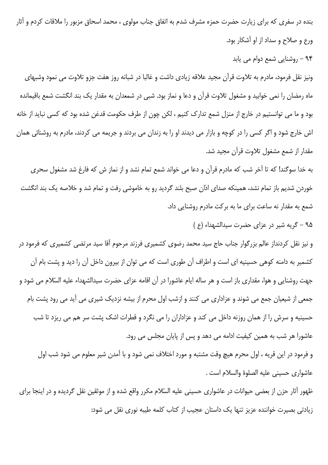بنده در سفری که برای زیارت حضرت حمزه مشرف شدم به اتفاق جناب مولوی ، محمد اسحاق مزبور را ملاقات کردم و آثار ورع و صلاح و سداد از او آشکار بود.

۹۴ - روشنایی شمع دوام می یابد

ونیز نقل فرمود، مادرم به تلاوت قرآن مجید علاقه زیادی داشت و غالبا در شبانه روز هفت جزو تلاوت می نمود وشبهای ماه رمضان را نمی خوابید و مشغول تلاوت قرآن و دعا و نماز بود. شبی در شمعدان به مقدار یک بند انگشت شمع باقیمانده بود و ما می توانستیم در خارج از منزل شمع تدارک کنیم ، لکن چون از طرف حکومت قدغن شده بود که کسی نباید از خانه اش خارج شود و اگر کسی را در کوچه و بازار می دیدند او را به زندان می بردند و جریمه می کردند، مادرم به روشنائی همان مقدار از شمع مشغول تلاوت قرآن مجيد شد.

به خدا سوگند! که تا آخر شب که مادرم قرآن و دعا می خواند شمع تمام نشد و از نماز ش که فارغ شد مشغول سحری خوردن شدیم باز تمام نشد، همینکه صدای اذان صبح بلند گردید رو به خاموشی رفت و تمام شد و خلاصه یک بند انگشت شمع به مقدار نه ساعت برای ما به برکت مادرم روشنایی داد.

۹۵ - گريه شير در عزاى حضرت سيدالشهداء (ع)

و نیز نقل کردنداز عالم بزرگوار جناب حاج سید محمد رضوی کشمیری فرزند مرحوم آقا سید مرتضی کشمیری که فرمود در کشمیر به دامنه کوهی حسینیه ای است و اطراف آن طوری است که می توان از بیرون داخل آن را دید و پشت بام آن جهت روشنایی و هوا، مقداری باز است و هر ساله ایام عاشورا در آن اقامه عزای حضرت سیدالشهداء علیه السّلام می شود و جمعی از شیعیان جمع می شوند و عزاداری می کنند و ازشب اول محرم از بیشه نزدیک شیری می آید می رود پشت بام حسینیه و سرش را از همان روزنه داخل می کند و عزاداران را می نگرد و قطرات اشک پشت سر هم می ریزد تا شب عاشورا هر شب به همین کیفیت ادامه می دهد و پس از پایان مجلس می رود.

و فرمود در این قریه ، اول محرم هیچ وقت مشتبه و مورد اختلاف نمی شود و با آمدن شیر معلوم می شود شب اول عاشواري حسيني عليه الصلوة والسلام است .

ظهور آثار حزن از بعضی حیوانات در عاشواری حسینی علیه السّلام مکرر واقع شده و از موثقین نقل گردیده و در اینجا برای زیادتی بصیرت خواننده عزیز تنها یک داستان عجیب از کتاب کلمه طیبه نوری نقل می شود: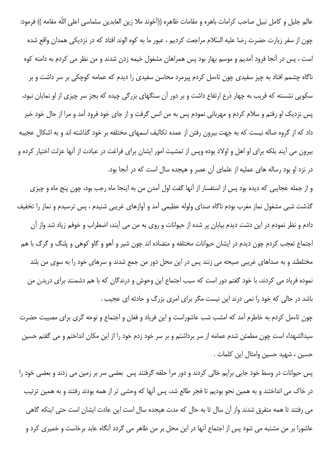عالم جليل و كامل نبيل صاحب كرامات باهره و مقامات ظاهره ((اَخوند ملا زين العابدين سلماسي اعلى اللّه مقامه )) فرمود: چون از سفر زیارت حضرت رضا علیه السّلام مراجعت کردیم ، عبور ما به کوه الوند افتاد که در نزدیکی همدان واقع شده است ، پس در آنجا فرود آمدیم و موسم بهار بود پس همراهان مشغول خیمه زدن شدند و من نظر می کردم به دامنه کوه ناگاه چشمم افتاد به چیز سفید*ی* چون تاءمل کردم پیرمرد محاسن سفیدی را دیدم که عمامه کوچکی بر سر داشت و بر سکویی نشسته که قریب به چهار ذرع ارتفاع داشت و بر دور آن سنگهای بزرگی چیده که بجز سر چیزی از او نمایان نبود، پس نزدیک او رفتم و سلام کردم و مهربانی نمودم پس به من انس گرفت و از جای خود فرود آمد و مرا از حال خود خبر داد که از گروه ضاله نیست که به جهت بیرون رفتن از عمده تکالیف اسمهای مختلفه بر خود گذاشته اند و به اشکال عجیبه بیرون می آیند بلکه برای او اهل و اولاد بوده وپس از تمشیت امور ایشان برای فراغت در عبادت از آنها عزلت اختیار کرده و در نزد او بود رساله های عملیه از علمای آن عصر و هیجده سال است که در آنجا بود.

و از جمله عجایبی که دیده بود پس از استفسار از آنها گفت اول آمدن من به اینجا ماه رجب بود، چون پنج ماه و چیزی گذشت شبی مشغول نماز مغرب بودم ناگاه صدای ولوله عظیمی آمد و آوازهای غریبی شنیدم ، پس ترسیدم و نماز را تخفیف دادم و نظر نمودم در این دشت دیدم بیابان پر شده از حیوانات و روی به من می آیند، اضطراب و خوفم زیاد شد واز آن اجتماع تعجب کردم چون دیدم در ایشان حیوانات مختلفه و متضاده اند چون شیر و آهو و گاو کوهی و پلنگ و گرگ با هم مختلطند و به صداهای غریبی صیحه می زنند پس در این محل دور من جمع شدند و سرهای خود را به سوی من بلند نموده فریاد می کردند، با خود گفتم دور است که سبب اجتماع این وحوش و درندگان که با هم دشمنند برای دریدن من باشد در حالی که خود را نمی درند این نیست مگر برای امری بزرگ و حادثه ای عجیب .

چون تاءمل کردم به خاطرم آمد که امشب شب عاشوراست و این فریاد و فغان و اجتماع و نوحه گری برای مصیبت حضرت سیدالشهداء است چون مطمئن شدم عمامه از سر برداشتم و بر سر خود زدم خود را از این مکان انداختم و می گفتم حسین حسين ، شهيد حسين وامثال اين كلمات .

پس حیوانات در وسط خود جایی برایم خالی کردند و دور مرا حلقه گرفتند پس بعضی سر بر زمین می زدند و بعضی خود را در خاک می انداختند و به همین نحو بودیم تا فجر طالع شد، پس آنها که وحشی تر از همه بودند رفتند و به همین ترتیب می رفتند تا همه متفرق شدند واز آن سال تا به حال که مدت هیجده سال است این عادت ایشان است حتی اینکه گاهی عاشورا بر من مشتبه می شود پس از اجتماع آنها در این محل بر من ظاهر می گردد آنگاه عابد برخاست و خمیری کرد و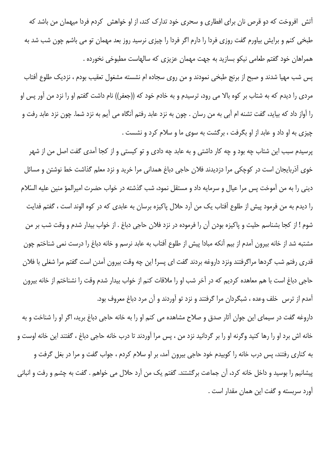آتش افروخت که دو قرص نان برای افطاری و سحری خود تدارک کند، از او خواهش کردم فردا میهمان من باشد که طبخی کنم و برایش بیاورم گفت روزی فردا را دارم اگر فردا را چیزی نرسید روز بعد مهمان تو می باشم چون شب شد به همراهان خود گفتم طعامی نیکو بسازید به جهت مهمان عزیزی که سالهاست مطبوخی نخورده .

پس شب مهیا شدند و صبح از برنج طبخی نمودند و من روی سجاده ام نشسته مشغول تعقیب بودم ، نزدیک طلوع آفتاب مردی را دیدم که به شتاب بر کوه بالا می رود، ترسیدم و به خادم خود که ((جعفر)) نام داشت گفتم او را نزد من آور پس او را آواز داد که بیاید، گفت تشنه ام آبی به من رسان . چون به نزد عابد رفتم آنگاه می آیم به نزد شما. چون نزد عابد رفت و چیزی به او داد و عابد از او بگرفت ، برگشت به سوی ما و سلام کرد و نشست .

پرسیدم سبب این شتاب چه بود و چه کار داشتی و به عابد چه دادی و تو کیستی و از کجا آمدی گفت اصل من از شهر خوی آذربایجان است در کوچکی مرا دزدیدند فلان حاجی دباغ همدانی مرا خرید و نزد معلم گذاشت خط نوشتن و مسائل دینی را به من آموخت پس مرا عیال و سرمایه داد و مستقل نمود، شب گذشته در خواب حضرت امیرالمؤ منین علیه السّلام را دیدم به من فرمود پیش از طلوع آفتاب یک من آرد حلال پاکیزه برسان به عابدی که در کوه الوند است ، گفتم فدایت شوم ! از كجا بشناسم حليت و پاكيزه بودن آن را فرموده در نزد فلان حاجي دباغ . از خواب بيدار شدم و وقت شب بر من مشتبه شد از خانه بیرون آمدم از بیم آنکه مبادا پیش از طلوع آفتاب به عابد نرسم و خانه دباغ را درست نمی شناختم چون قدري رفتم شب گردها مراگرفتند ونزد داروغه بردند گفت اي پسر! اين چه وقت بيرون آمدن است گفتم مرا شغلي با فلان حاجی دباغ است با هم معاهده کردیم که در آخر شب او را ملاقات کنم از خواب بیدار شدم وقت را نشناختم از خانه بیرون آمدم از ترس خلف وعده ، شبگردان مرا گرفتند و نزد تو آوردند و آن مرد دباغ معروف بود.

داروغه گفت در سیمای این جوان آثار صدق و صلاح مشاهده می کنم او را به خانه حاجی دباغ برید، اگر او را شناخت و به خانه اش برد او را رها کنید وگرنه او را بر گردانید نزد من ، پس مرا آوردند تا درب خانه حاجی دباغ ، گفتند این خانه اوست و به کناری رفتند، پس درب خانه را کوبیدم خود حاجی بیرون آمد، بر او سلام کردم ، جواب گفت و مرا در بغل گرفت و پیشانیم را بوسید و داخل خانه کرد، آن جماعت برگشتند. گفتم یک من آرد حلال می خواهم . گفت به چشم و رفت و انبانی آورد سربسته و گفت این همان مقدار است .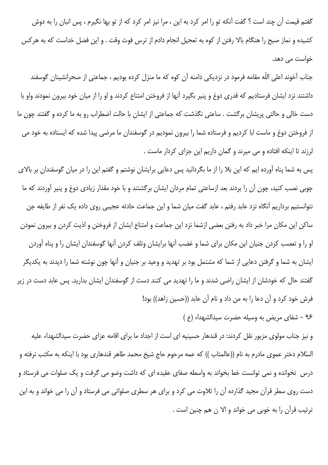گفتم قیمت آن چند است ؟ گفت آنکه تو را امر کرد به این ، مرا نیز امر کرد که از تو بها نگیرم ، پس انبان را به دوش كشيده و نماز صبح را هنگام بالا رفتن از كوه به تعجيل انجام دادم از ترس فوت وقت . و اين فضل خداست كه به هركس خواست مے ردھد.

جناب آخوند اعلی اللّه مقامه فرمود در نزدیکی دامنه آن کوه که ما منزل کرده بودیم ، جماعتی از صحرانشینان گوسفند داشتند نزد ایشان فرستادیم که قدری دوغ و پنیر بگیرد آنها از فروختن امتناع کردند و او را از میان خود بیرون نمودند واو با دست خالی و حالتی پریشان برگشت . ساعتی نگذشت که جماعتی از ایشان با حالت اضطراب رو به ما کرده و گفتند چون ما از فروختن دوغ و ماست ابا کردیم و فرستاده شما را بیرون نمودیم در گوسفندان ما مرضی پیدا شده که ایستاده به خود می لرزند تا اینکه افتاده و می میرند و گمان داریم این جزای کردار ماست .

پس به شما پناه آورده ایم که این بلا را از ما بگردانید پس دعایی برایشان نوشتم و گفتم این را در میان گوسفندان بر بالای چوبی نصب کنید، چون آن را بردند بعد ازساعتی تمام مردان ایشان برگشتند و با خود مقدار زیادی دوغ و پنیر آوردند که ما نتوانستیم برداریم آنگاه نزد عابد رفتم ، عابد گفت میان شما و این جماعت حادثه عجیبی روی داده یک نفر از طایفه جن ساکن این مکان مرا خبر داد به رفتن بعضی ازشما نزد این جماعت و امتناع ایشان از فروختن و اذیت کردن و بیرون نمودن او را و تعصب کردن جنیان این مکان برای شما و غضب آنها برایشان وتلف کردن آنها گوسفندان ایشان را و پناه آوردن ایشان به شما و گرفتن دعایی از شما که مشتمل بود بر تهدید و وعید بر جنیان و آنها چون نوشته شما را دیدند به یکدیگر گفتند حال که خودشان از ایشان راضی شدند و ما را تهدید می کنند دست از گوسفندان ایشان بدارید. پس عابد دست در زیر فرش خود کرد و آن دعا را به من داد و نام آن عابد ((حسین زاهد)) بود! ۹۶ - شفای مریض به وسیله حضرت سیدالشهداء (ع)

و نیز جناب مولوی مزبور نقل کردند: در قندهار حسینیه ای است از اجداد ما برای اقامه عزای حضرت سیدالشهداء علیه السّلام دختر عموى مادرم به نام ((عالمتاب )) كه عمه مرحوم حاج شيخ محمد طاهر قندهاري بود با اينكه به مكتب نرفته و درس ِ نخوانده و نمی توانست خط بخواند به واسطه صفای عقیده ای که داشت وضو می گرفت و یک صلوات می فرستاد و دست روی سطر قرآن مجید گذارده آن را تلاوت می کرد و برای هر سطری صلواتی می فرستاد و آن را می خواند و به این ترتيب قرآن را به خوبي مي خواند و الا ن هم چنين است .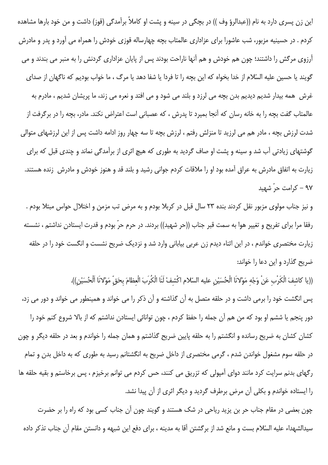این زن پسری دارد به نام ((عبدالرؤ وف )) در بچگی در سینه و پشت او کاملاً برآمدگی (قوز) داشت و من خود بارها مشاهده کردم . در حسینیه مزبور، شب عاشورا برای عزاداری عالمتاب بچه چهارساله قوزی خودش را همراه می آورد و پدر و مادرش آرزوی مرگش را داشتند؛ چون هم خودش و هم آنها ناراحت بودند پس از پایان عزاداری گردنش را به منبر می بندند و می گویند یا حسین علیه السّلام از خدا بخواه که این بچه را تا فردا یا شفا دهد یا مرگ ، ما خواب بودیم که ناگهان از صدای غرش همه بیدار شدیم دیدیم بدن بچه می لرزد و بلند می شود و می افتد و نعره می زند، ما پریشان شدیم ، مادرم به عالمتاب گفت بچه را به خانه رسان که آنجا بمیرد تا پدرش ، که عصبانی است اعتراض نکند. مادر، بچه را در برگرفت از شدت لرزش بچه ، مادر هم می لرزید تا منزلش رفتم ، لرزش بچه تا سه چهار روز ادامه داشت پس از این لرزشهای متوالی گوشتهای زیادتی آب شد و سینه و پشت او صاف گردید به طوری که هیچ اثری از برآمدگی نماند و چندی قبل که برای زیارت به اتفاق مادرش به عراق آمده بود او را ملاقات کردم جوانی رشید و بلند قد و هنوز خودش و مادرش زنده هستند. ۹۷ – کرامت حرّ شهید

و نیز جناب مولوی مزبور نقل کردند بنده ۲۳ سال قبل در کربلا بودم و به مرض تب مزمن و اختلال حواس مبتلا بودم . رفقا مرا برای تفریح و تغییر هوا به سمت قبر جناب ((حر شهید)) بردند. در حرم حرّ بودم و قدرت ایستادن نداشتم ، نشسته زیارت مختصری خواندم ، در این اثناء دیدم زن عربی بیابانی وارد شد و نزدیک ضریح نشست و انگست خود را در حلقه ضریح گذارد و این دعا را خواند:

((يا كاشفَ الْكَرْب عَنْ وَجْهِ مَوْلانَا الْحُسَيْنِ عليه السّلام اكْشفْ لَنَا الْكُرِبَ الْعظامَ بحَقّ مَوْلانَا اَلْحُسَيْنِ)).

پس انگشت خود را برمی داشت و در حلقه متصل به آن گذاشته و آن ذکر را می خواند و همینطور می خواند و دور می زد، دور پنجم یا ششم او بود که من هم آن جمله را حفظ کردم ، چون توانائی ایستادن نداشتم که از بالا شروع کنم خود را کشان کشان به ضریح رسانده و انگشتم را به حلقه پایین ضریح گذاشتم و همان جمله را خواندم و بعد در حلقه دیگر و چون در حلقه سوم مشغول خواندن شدم ، گرمی مختصری از داخل ضریح به انگشتانم رسید به طوری که به داخل بدن و تمام رگهای بدنم سرایت کرد مانند دوای آمپولی که تزریق می کنند، حس کردم می توانم برخیزم ، پس برخاستم و بقیه حلقه ها را ایستاده خواندم و بکلی آن مرض برطرف گردید و دیگر اثری از آن پیدا نشد.

چون بعضی در مقام جناب حر بن یزید ریاحی در شک هستند و گویند چون آن جناب کسی بود که راه را بر حضرت سيدالشهداء عليه السّلام بست و مانع شد از برگشتن آقا به مدينه ، براي دفع اين شبهه و دانستن مقام آن جناب تذكر داده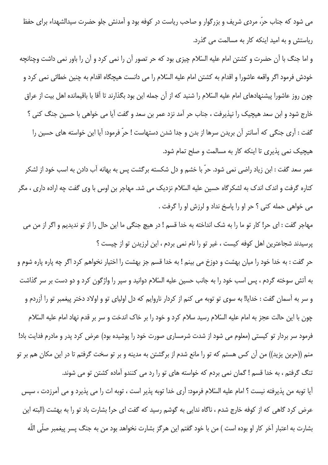می شود که جناب حرّ، مردی شریف و بزرگوار و صاحب ریاست در کوفه بود و آمدنش جلو حضرت سیدالشهداء برای حفظ ریاستش و به امید اینکه کار به مسالمت می گذرد.

و اما جنگ با آن حضرت و کشتن امام علیه السّلام چیزی بود که حر تصور آن را نمی کرد و آن را باور نمی داشت وچنانچه خودش فرمود اگر واقعه عاشورا و اقدام به کشتن امام علیه السّلام را می دانست هیچگاه اقدام به چنین خطائی نمی کرد و چون روز عاشورا پیشنهادهای امام علیه السّلام را شنید که از آن جمله این بود بگذارند تا آقا با باقیمانده اهل بیت از عراق خارج شود و ابن سعد هیچیک را نپذیرفت ، جناب حر آمد نزد عمر بن سعد و گفت آیا می خواهی با حسین جنگ کنی ؟ گفت : آری جنگی که آسانتر آن بریدن سرها از بدن و جدا شدن دستهاست ! حرّ فرمود: آیا این خواسته های حسین را هیچیک نمی پذیری تا اینکه کار به مسالمت و صلح تمام شود.

عمر سعد گفت : ابن زياد راضي نمي شود. حرّ با خشم و دل شكسته برگشت پس به بهانه آب دادن به اسب خود از لشكر کناره گرفت و اندک اندک به لشکرگاه حسین علیه السّلام نزدیک می شد. مهاجر بن اوس با وی گفت چه اراده داری ، مگر مي خواهي حمله كني ؟ حر او را پاسخ نداد و لرزش او را گرفت .

مهاجر گفت : اي حر! كار تو ما را به شک انداخته به خدا قسم ! در هيچ جنگي ما اين حال را از تو نديديم و اگر از من مي پرسیدند شجاعترین اهل کوفه کیست ، غیر تو را نام نمی بردم ، این لرزیدن تو از چیست ؟

حر گفت : به خدا خود را میان بهشت و دوزخ می بینم ! به خدا قسم جز بهشت را اختیار نخواهم کرد اگر چه پاره پاره شوم و به آتش سوخته گردم ، پس اسب خود را به جانب حسین علیه السّلام دوانید و سپر را واژگون کرد و دو دست بر سر گذاشت و سر به آسمان گفت : خدایا! به سوی تو توبه می کنم از کردار ناروایم که دل اولیای تو و اولاد دختر پیغمبر تو را آزردم و چون با این حالت عجز به امام علیه السّلام رسید سلام کرد و خود را بر خاک اندخت و سر بر قدم نهاد امام علیه السّلام فرمود سر بردار تو کیستی (معلوم می شود از شدت شرمساری صورت خود را پوشیده بود) عرض کرد پدر و مادرم فدایت باد! منم ((حربن يزيد)) من آن كس هستم كه تو را مانع شدم از برگشتن به مدينه و بر تو سخت گرفتم تا در اين مكان هم بر تو تنگ گرفتم ، به خدا قسم ! گمان نمی بردم که خواسته های تو را رد می کنندو آماده کشتن تو می شوند.

آيا توبه من يذيرفته نيست ؟ امام عليه السّلام فرمود: آرى خدا توبه يذير است ، توبه ات را مي يذيرد و مي آمرزدت ، سيس عرض کرد گاهی که از کوفه خارج شدم ، ناگاه ندایی به گوشم رسید که گفت ای حر! بشارت باد تو را به بهشت (البته این بشارت به اعتبار آخر كار او بوده است ) من با خود گفتم اين هرگز بشارت نخواهد بود من به جنگ پسر پيغمبر صلّى اللّه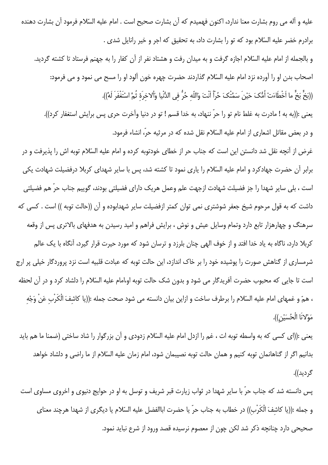عليه و آله مي روم بشارت معنا ندارد، اكنون فهميدم كه آن بشارت صحيح است . امام عليه السّلام فرمود آن بشارت دهنده برادرم خضر عليه السّلام بود كه تو را بشارت داد، به تحقيق كه اجر و خير رانايل شدى .

و بالجمله از امام علیه السّلام اجازه گرفت و به میدان رفت و هشتاد نفر از آن کفار را به جهنم فرستاد تا کشته گردید. اصحاب بدن او را آورده نزد امام عليه السّلام گذاردند حضرت چهره خون آلود او را مسح می نمود و می فرمود: ((بَخٍّ بَخٍّ ما اَخْطَاءَتْ اُمُّکَ حَيْنَ سَمَّتْکَ حُرّاً اَنْتَ وَاللّه حُرُّ في الدُّنْيا وَألاخرَهٔ ثُمَّ اسْتَغْفَرَ لَهُ)).

يعني :((به به ! مادرت به غلط نام تو را حرّ ننهاد، به خدا قسم ! تو در دنيا وآخرت حرى پس برايش استغفار كرد)). و در بعض مقاتل اشعاري از امام عليه السّلام نقل شده كه در مرثيه حرّ، انشاء فرمود.

غرض از آنچه نقل شد دانستن این است که جناب حر از خطای خودتوبه کرده و امام علیه السّلام توبه اش را پذیرفت و در برابر آن حضرت جهادکرد و امام علیه السّلام را یاری نمود تا کشته شد، پس با سایر شهدای کربلا درفضیلت شهادت یکی است ، بلی سایر شهدا را جز فضیلت شهادت ازجهت علم وعمل هریک دارای فضیلتی بودند، گوییم جناب حرّ هم فضیلتی داشت که به قول مرحوم شیخ جعفر شوشتری نمی توان کمتر ازفضیلت سایر شهدابوده و آن ((حالت توبه )) است . کسی که سرهنگ و چهارهزار تابع دارد وتمام وسایل عیش و نوش ، برایش فراهم و امید رسیدن به هدفهای بالاتری پس از وقعه کربلا دارد، ناگاه به یاد خدا افتد و از خوف الهی چنان بلرزد و ترسان شود که مورد حیرت قرار گیرد، آنگاه با یک عالم شرمساری از گناهش صورت را پوشیده خود را بر خاک اندازد، این حالت توبه که عبادت قلبیه است نزد پروردگار خیلی پر ارج است تا جایی که محبوب حضرت آفریدگار می شود و بدون شک حالت توبه او،امام علیه السّلام را دلشاد کرد و در آن لحظه ، همّ و غمهاى امام عليه السّلام را برطرف ساخت و ازاين بيان دانسته مى شود صحت جمله :((يا كاشفَ الْكَرْب عَنْ وَجْه مَوْلانَا الْحُسَيْنِ)).

يعني :((اي كسي كه به واسطه توبه ات ، غم را ازدل امام عليه السّلام زدودي و آن بزرگوار را شاد ساختي (ضمنا ما هم بايد بدانیم اگر از گناهانمان توبه کنیم و همان حالت توبه نصیبمان شود، امام زمان علیه السّلام از ما راضی و دلشاد خواهد گردید)).

پس دانسته شد که جناب حرّ با سایر شهدا در ثواب زیارت قبر شریف و توسل به او در حوایج دنیوی و اخروی مساوی است و جمله :((يا كاشفَ الْكَرْب)) در خطاب به جناب حرّ يا حضرت اباالفضل عليه السّلام يا ديگرى از شهدا هرچند معناى صحيحي دارد چنانچه ذكر شد لكن چون از معصوم نرسيده قصد ورود از شرع نبايد نمود.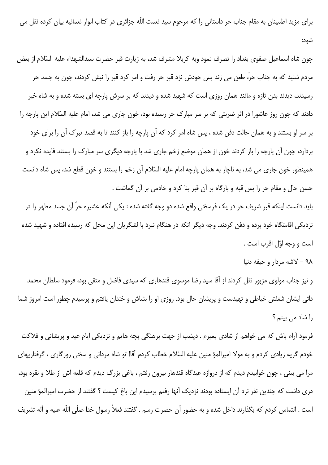برای مزید اطمینان به مقام جناب حر داستانی را که مرحوم سید نعمت اللّه جزائری در کتاب انوار نعمانیه بیان کرده نقل می شود:

چون شاه اسماعیل صفوی بغداد را تصرف نمود وبه کربلا مشرف شد، به زیارت قبر حضرت سیدالشهداء علیه السّلام از بعض مردم شنید که به جناب حرّ، طعن می زند پس خودش نزد قبر حر رفت و امر کرد قبر را نبش کردند، چون به جسد حر رسیدند، دیدند بدن تازه و مانند همان روزی است که شهید شده و دیدند که بر سرش پارچه ای بسته شده و به شاه خبر دادند که چون روز عاشورا در اثر ضربتی که بر سر مبارک حر رسیده بود، خون جاری می شد، امام علیه السّلام این پارچه را بر سر او بستند و به همان حالت دفن شده ، پس شاه امر کرد که آن پارچه را باز کنند تا به قصد تبرک آن را برای خود بردارد، چون آن پارچه را باز کردند خون از همان موضع زخم جاری شد با پارچه دیگری سر مبارک را بستند فایده نکرد و همینطور خون جاری می شد، به ناچار به همان پارچه امام علیه السّلام آن زخم را بستند و خون قطع شد، پس شاه دانست حسن حال و مقام حر را پس قبه و بارگاه بر آن قبر بنا کرد و خادمی بر آن گماشت .

باید دانست اینکه قبر شریف حر در یک فرسخی واقع شده دو وجه گفته شده : یکی آنکه عشیره حرّ آن جسد مطهر را در نزدیکی اقامتگاه خود برده و دفن کردند. وجه دیگر آنکه در هنگام نبرد با لشگریان این محل که رسیده افتاده و شهید شده است و وجه اوّل اقرب است .

۹۸ - لاشه مردار و جيفه دنيا

و نیز جناب مولوی مزبور نقل کردند از آقا سید رضا موسوی قندهاری که سیدی فاضل و متقی بود، فرمود سلطان محمد دائی ایشان شغلش خیاطی و تهیدست و پریشان حال بود. روزی او را بشاش و خندان یافتم و پرسیدم چطور است امروز شما را شاد می بینم ؟

فرمود آرام باش که می خواهم از شادی بمیرم . دیشب از جهت برهنگی بچه هایم و نزدیکی ایام عید و پریشانی و فلاکت خودم گریه زیادی کردم و به مولا امیرالمؤ منین علیه السّلام خطاب کردم آقا! تو شاه مردانی و سخی روزگاری ، گرفتاریهای مرا می بینی ، چون خوابیدم دیدم که از دروازه عیدگاه قندهار بیرون رفتم ، باغی بزرگ دیدم که قلعه اش از طلا و نقره بود، دري داشت كه چندين نفر نزد آن ايستاده بودند نزديک آنها رفتم پرسيدم اين باغ كيست ؟ گفتند از حضرت اميرالمؤ منين است . التماس كردم كه بگذارند داخل شده و به حضور آن حضرت رسم . گفتند فعلاً رسول خدا صلّى اللّه عليه و آله تشريف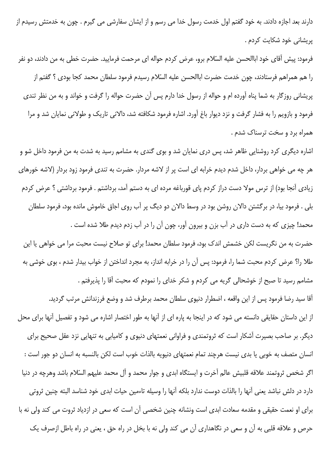دارند بعد اجازه دادند. به خود گفتم اول خدمت رسول خدا می رسم و از ایشان سفارشی می گیرم . چون به خدمتش رسیدم از پریشانی خود شکایت کردم .

فرمود: پیش آقای خود اباالحسن علیه السّلام برو، عرض کردم حواله ای مرحمت فرمایید. حضرت خطی به من دادند، دو نفر را هم همراهم فرستادند، چون خدمت حضرت اباالحسن عليه السّلام رسيدم فرمود سلطان محمد كجا بودي ؟ گفتم از پریشانی روزگار به شما پناه آورده ام و حواله از رسول خدا دارم پس آن حضرت حواله را گرفت و خواند و به من نظر تندی فرمود و بازویم را به فشار گرفت و نزد دیوار باغ آورد. اشاره فرمود شکافته شد، دالانی تاریک و طولانی نمایان شد و مرا همراه برد و سخت ترسناک شدم .

اشاره دیگری کرد روشنایی ظاهر شد، پس دری نمایان شد و بوی گندی به مشامم رسید به شدت به من فرمود داخل شو و هر چه می خواهی بردار، داخل شدم دیدم خرابه ای است پر از لاشه مردار. حضرت به تندی فرمود زود بردار (لاشه خورهای زیادی آنجا بود) از ترس مولا دست دراز کردم پای قورباغه مرده ای به دستم آمد، برداشتم . فرمود برداشتی ؟ عرض کردم بلی . فرمود بیا، در برگشتن دالان روشن بود در وسط دالان دو دیگ پر آب روی اجاق خاموش مانده بود، فرمود سلطان محمد! چیزی که به دست داری در آب بزن و بیرون آور، چون آن را در آب زدم دیدم طلا شده است .

حضرت به من نگریست لکن خشمش اندک بود، فرمود سلطان محمد! برای تو صلاح نیست محبت مرا می خواهی یا این طلا را؟ عرض كردم محبت شما را، فرمود: پس آن را در خرابه انداز، به مجرد انداختن از خواب بيدار شدم ، بوى خوشى به مشامم رسید تا صبح از خوشحالی گریه می کردم و شکر خدای را نمودم که محبت آقا را پذیرفتم .

آقا سید رضا فرمود پس از این واقعه ، اضطرار دنیوی سلطان محمد برطرف شد و وضع فرزندانش مرتب گردید. از این داستان حقایقی دانسته می شود که در اینجا به یاره ای از آنها به طور اختصار اشاره می شود و تفصیل آنها برای محل دیگر. بر صاحب بصیرت آشکار است که ثروتمندی و فراوانی نعمتهای دنیوی و کامیابی به تنهایی نزد عقل صحیح برای انسان متصف به خوبی یا بدی نیست هرچند تمام نعمتهای دنیویه بالذات خوب است لکن بالنسبه به انسان دو جور است : اگر شخص ثروتمند علاقه قلبیش عالم آخرت و ایستگاه ابدی و جوار محمد و آل محمد علیهم السّلام باشد وهرچه در دنیا دارد در دلش نباشد يعني آنها را بالذات دوست ندارد بلكه آنها را وسيله تاءمين حيات ابدى خود شناسد البته چنين ثروتي برای او نعمت حقیقی و مقدمه سعادت ابدی است ونشانه چنین شخصی آن است که سعی در ازدیاد ثروت می کند ولی نه با حرص و علاقه قلبی به آن و سعی در نگاهداری آن می کند ولی نه با بخل در راه حق ، یعنی در راه باطل ازصرف یک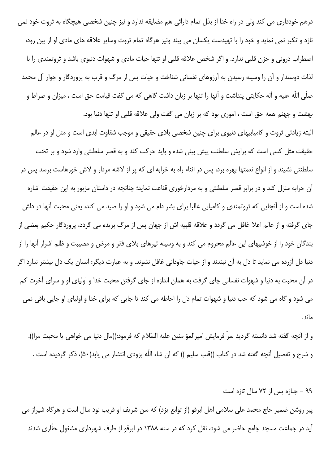درهم خودداری می کند ولی در راه خدا از بذل تمام دارائی هم مضایقه ندارد و نیز چنین شخصی هیچگاه به ثروت خود نمی نازد و تکبر نمی نماید و خود را با تهیدست یکسان می بیند ونیز هرگاه تمام ثروت وسایر علاقه های مادی او از بین رود، اضطراب درونی و حزن قلبی ندارد. و اگر شخص علاقه قلبی او تنها حیات مادی و شهوات دنیوی باشد و ثروتمندی را با لذات دوستدار و آن را وسیله رسیدن به آرزوهای نفسانی شناخت و حیات پس از مرگ و قرب به پروردگار و جوار آل محمد صلَّى اللَّه عليه و أله حكايتي ينداشت و أنها را تنها بر زبان داشت گاهي كه مي گفت قيامت حق است ، ميزان و صراط و بهشت و جهنم همه حق است ، امورى بود كه بر زبان مى گفت ولى علاقه قلبى او تنها دنيا بود. البته زیادتی ثروت و کامیابیهای دنیوی برای چنین شخصی بلای حقیقی و موجب شقاوت ابدی است و مثل او در عالم حقیقت مثل کسی است که برایش سلطنت پیش بینی شده و باید حرکت کند و به قصر سلطنتی وارد شود و بر تخت سلطنتی نشیند و از انواع نعمتها بهره برد، پس در اثناء راه به خرابه ای که پر از لاشه مردار و لاش خورهاست برسد پس در آن خرابه منزل کند و در برابر قصر سلطنتی و به مردارخوری قناعت نماید؛ چنانچه در داستان مزبور به این حقیقت اشاره شده است و از آنجایی که ثروتمندی و کامیابی غالبا برای بشر دام می شود و او را صید می کند، یعنی محبت آنها در دلش جای گرفته و از عالم اعلا غافل می گردد و علاقه قلبیه اش از جهان پس از مرگ بریده می گردد، پروردگار حکیم بعضی از بندگان خود را از خوشیهای این عالم محروم می کند و به وسیله تیرهای بلای فقر و مرض و مصیبت و ظلم اشرار آنها را از دنیا دل آزرده می نماید تا دل به آن نبندند و از حیات جاودانی غافل نشوند. و به عبارت دیگر: انسان یک دل بیشتر ندارد اگر در آن محبت به دنیا و شهوات نفسانی جای گرفت به همان اندازه از جای گرفتن محبت خدا و اولیای او و سرای آخرت کم می شود و گاه می شود که حب دنیا و شهوات تمام دل را احاطه می کند تا جایی که برای خدا و اولیای او جایی باقی نمی ماند.

و از آنچه گفته شد دانسته گردید سرّ فرمایش امیرالمؤ منین علیه السّلام که فرمود:((مال دنیا می خواهی یا محبت مرا)). و شرح و تفصیل آنچه گفته شد در کتاب ((قلب سلیم )) که ان شاء اللّه بزودی انتشار می یابد(۵۰)، ذکر گردیده است .

پیر روشن ضمیر حاج محمد علی سلامی اهل ابرقو (از توابع یزد) که سن شریف او قریب نود سال است و هرگاه شیراز می آید در جماعت مسجد جامع حاضر می شود، نقل کرد که در سنه ۱۳۸۸ در ابرقو از طرف شهرداری مشغول حفّاری شدند

۹۹ – جنازه پس از ۷۲ سال تازه است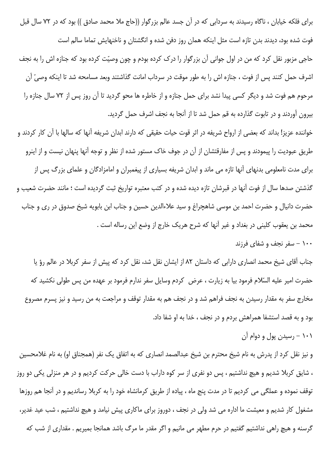برای فلکه خیابان ، ناگاه رسیدند به سردابی که در آن جسد عالم بزرگوار ((حاج ملا محمد صادق )) بود که در ۷۲ سال قبل فوت شده بود، دیدند بدن تازه است مثل اینکه همان روز دفن شده و انگشتان و ناخنهایش تماما سالم است حاجی مزبور نقل کرد که من در اول جوانی آن بزرگوار را درک کرده بودم و چون وصیّت کرده بود که جنازه اش را به نجف اشرف حمل كنند پس از فوت ، جنازه اش را به طور موقت در سرداب امانت گذاشتند وبعد مسامحه شد تا اينكه وصيّ آن مرحوم هم فوت شد و دیگر کسی پیدا نشد برای حمل جنازه و از خاطره ها محو گردید تا آن روز پس از ۷۲ سال جنازه را بیرون آوردند و در تابوت گذارده به قم حمل شد تا از آنجا به نجف اشرف حمل گردید.

خواننده عزیز! بداند که بعضی از ارواح شریفه در اثر قوت حیات حقیقی که دارند ابدان شریفه آنها که سالها با آن کار کردند و طریق عبودیت را پیمودند و پس از مفارقتشان از آن در جوف خاک مستور شده از نظر و توجه آنها پنهان نیست و از اینرو برای مدت نامعلومی بدنهای آنها تازه می ماند و ابدان شریفه بسیاری از پیغمبران و امامزادگان و علمای بزرگ پس از گذشتن صدها سال از فوت آنها در قبرشان تازه دیده شده و در کتب معتبره تواریخ ثبت گردیده است ؛ مانند حضرت شعیب و حضرت دانیال و حضرت احمد بن موسی شاهچراغ و سید علاءالدین حسین و جناب ابن بابویه شیخ صدوق در ری و جناب محمد بن يعقوب كليني در بغداد و غير آنها كه شرح هريك خارج از وضع اين رساله است .

۱۰۰ – سفر نجف و شفای فرزند

جناب آقای شیخ محمد انصاری دارابی که داستان ۸۲ از ایشان نقل شد، نقل کرد که پیش از سفر کربلا در عالم رؤ یا حضرت امیر علیه السّلام فرمود بیا به زیارت ، عرض کردم وسایل سفر ندارم فرمود بر عهده من پس طولی نکشید که مخارج سفر به مقدار رسیدن به نجف فراهم شد و در نجف هم به مقدار توقف و مراجعت به من رسید و نیز پسرم مصروع بود و به قصد استشفا همراهش بردم و در نجف ، خدا به او شفا داد.

۱۰۱ – رسیدن پول و دوام آن

و نیز نقل کرد از پدرش به نام شیخ محترم بن شیخ عبدالصمد انصاری که به اتفاق یک نفر (همجناق او) به نام غلامحسین ، شایق کربلا شدیم و هیچ نداشتیم ، پس دو نفری از سر کوه داراب با دست خالی حرکت کردیم و در هر منزلی یکی دو روز توقف نموده و عملگی می کردیم تا در مدت پنج ماه ، پیاده از طریق کرمانشاه خود را به کربلا رساندیم و در آنجا هم روزها مشغول کار شدیم و معیشت ما اداره می شد ولی در نجف ، دوروز برای ماکاری پیش نیامد و هیچ نداشتیم ، شب عید غدیر، گرسنه و هیچ راهی نداشتیم گفتیم در حرم مطهر می مانیم و اگر مقدر ما مرگ باشد همانجا بمیریم . مقداری از شب که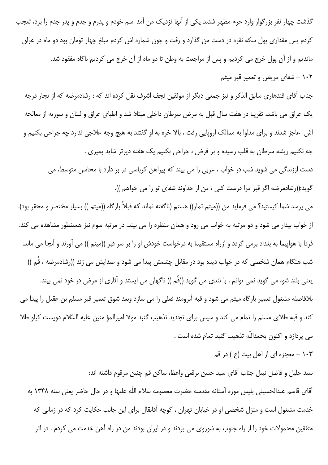گذشت چهار نفر بزرگوار وارد حرم مطهر شدند یکی از آنها نزدیک من آمد اسم خودم و پدرم و جدم و پدر جدم را برد، تعجب کردم پس مقداری پول سکه نقره در دست من گذارد و رفت و چون شماره اش کردم مبلغ چهار تومان بود دو ماه در عراق ماندیم و از آن پول خرج می کردیم و پس از مراجعت به وطن تا دو ماه از آن خرج می کردیم ناگاه مفقود شد. ۱۰۲ – شفای مریض و تعمیر قبر میثم

جناب آقای قندهاری سابق الذکر و نیز جمعی دیگر از موثقین نجف اشرف نقل کرده اند که : رشادمرضه که از تجار درجه یک عراق می باشد، تقریبا در هفت سال قبل به مرض سرطان داخلی مبتلا شد و اطبای عراق و لبنان و سوریه از معالجه اش عاجز شدند و برای مداوا به ممالک اروپایی رفت ، بالا خره به او گفتند به هیچ وجه علاجی ندارد چه جراحی بکنیم و چه نکنیم ریشه سرطان به قلب رسیده و بر فرض ، جراحی بکنیم یک هفته دیرتر شاید بمیری .

دست اززندگی می شوید شب در خواب ، عربی را می بیند که پیراهن کرباسی در بر دارد با محاسن متوسط، می گوید:((رشادمرضه اگر قبر مرا درست کنی ، من از خداوند شفای تو را می خواهم )).

می پرسد شما کیستید؟ می فرماید من ((میثم تمار)) هستم (ناگفته نماند که قبلاً بارگاه ((میثم )) بسیار مختصر و محقر بود). از خواب بیدار می شود و دو مرتبه به خواب می رود و همان منظره را می بیند. در مرتبه سوم نیز همینطور مشاهده می کند. فردا با هواپیما به بغداد برمی گردد و ازراه مستقیما به درخواست خودش او را بر سر قبر ((میثم )) می آورند و آنجا می ماند. شب هنگام همان شخصی که در خواب دیده بود در مقابل چشمش پیدا می شود و صدایش می زند ((رشادمرضه ، قُم )) یعنی بلند شو، می گوید نمی توانم . با تندی می گوید ((قُم )) ناگهان می ایستد و آثاری از مرض در خود نمی بیند. بلافاصله مشغول تعمیر بارگاه میثم می شود و قبه آبرومند فعلی را می سازد وبعد شوق تعمیر قبر مسلم بن عقیل را پیدا می كند و قبه طلاى مسلم را تمام مى كند و سپس براى تجديد تذهيب گنبد مولا اميرالمؤ منين عليه السّلام دويست كيلو طلا می پردازد و اکنون بحمداللّه تذهیب گنبد تمام شده است .

۱۰۳ - معجزه ای از اهل بیت (ع ) در قم

سيد جليل و فاضل نبيل جناب آقاى سيد حسن برقعي واعظ، ساكن قم چنين مرقوم داشته اند: آقاي قاسم عبدالحسيني پليس موزه آستانه مقدسه حضرت معصومه سلام اللّه عليها و در حال حاضر يعني سنه ١٣۴٨ به خدمت مشغول است و منزل شخصی او در خیابان تهران ، کوچه آقابقال برای این جانب حکایت کرد که در زمانی که متفقین محمولات خود را از راه جنوب به شوروی می بردند و در ایران بودند من در راه آهن خدمت می کردم . در اثر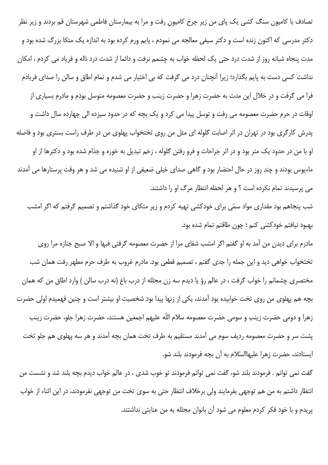تصادف با کامیون سنگ کشی یک پای من زیر چرخ کامیون رفت و مرا به بیمارستان فاطمی شهرستان قم بردند و زیر نظر دکتر مدرسی که اکنون زنده است و دکتر سیفی معالجه می نمودم ، پایم ورم کرده بود به اندازه یک متکا بزرگ شده بود و مدت پنجاه شبانه روز از شدت درد حتی یک لحظه خواب به چشمم نرفت و دائما از شدت درد ناله و فریاد می کردم ، امکان نداشت کسی دست به پایم بگذارد؛ زیرا آنچنان درد می گرفت که بی اختیار می شدم و تمام اطاق و سالن را صدای فریادم فرا می گرفت و در خلال این مدت به حضرت زهرا و حضرت زینب و حضرت معصومه متوسل بودم و مادرم بسیاری از اوقات در حرم حضرت معصومه می رفت و توسل پیدا می کرد و یک بچه که در حدود سیزده الی چهارده سال داشت و پدرش کارگری بود در تهران در اثر اصابت گلوله ای مثل من روی تختخواب پهلوی من در طرف راست بستری بود و فاصله او با من در حدود یک متر بود و در اثر جراحات و فرو رفتن گلوله ، زخم تبدیل به خوره و جذام شده بود و دکترها از او ماءیوس بودند و چند روز در حال احتضار بود و گاهی صدای خیلی ضعیفی از او شنیده می شد و هر وقت پرستارها می آمدند می پرسیدند تمام نکرده است ؟ و هر لحظه انتظار مرگ او را داشتند.

شب پنجاهم بود مقداری مواد سمّی برای خودکشی تهیه کردم و زیر متکای خود گذاشتم و تصمیم گرفتم که اگر امشب بهبود نيافتم خودكشي كنم ؛ چون طاقتم تمام شده بود.

مادرم برای دیدن من آمد به او گفتم اگر امشب شفای مرا از حضرت معصومه گرفتی فبها و الا صبح جنازه مرا روی تختخواب خواهي ديد و اين جمله را جدي گفتم ، تصميم قطعي بود. مادرم غروب به طرف حرم مطهر رفت همان شب مختصری چشمانم را خواب گرفت ، در عالم رؤ یا دیدم سه زن مجلله از درب باغ (نه درب سالن ) وارد اطاق من که همان بچه هم پهلوی من روی تخت خوابیده بود آمدند، یکی از زنها پیدا بود شخصیت او بیشتر است و چنین فهمیدم اولی حضرت زهرا و دومی حضرت زینب و سومی حضرت معصومه سلام اللّه علیهم اجمعین هستند، حضرت زهرا جلو، حضرت زینب يشت سر و حضرت معصومه رديف سوم مي آمدند مستقيم به طرف تخت همان بچه آمدند و هر سه پهلوي هم جلو تخت ایستادند، حضرت زهرا علیهاالسّلام به آن بچه فرمودند بلند شو.

گفت نمی توانم . فرمودند بلند شو، گفت نمی توانم فرمودند تو خوب شدی ، در عالم خواب دیدم بچه بلند شد و نشست من انتظار داشتم به من هم توجهي بفرمايند ولي برخلاف انتظار حتى به سوى تخت من توجهي نفرمودند، در اين اثناء از خواب پریدم و با خود فکر کردم معلوم می شود آن بانوان مجلله به من عنایتی نداشتند.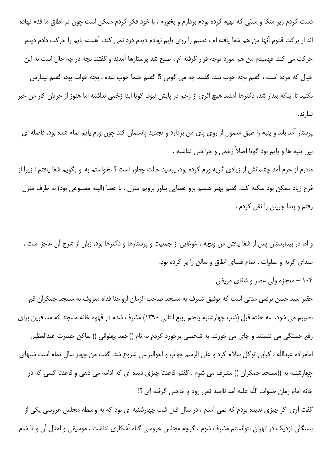دست کردم زیر متکا و سمّی که تهیه کرده بودم بردارم و بخورم ، با خود فکر کردم ممکن است چون در اطاق ما قدم نهاده اند از بركت قدوم آنها من هم شفا يافته ام ، دستم را روى پايم نهادم ديدم درد نمى كند، آهسته پايم را حركت دادم ديدم حرکت می کند، فهمیدم من هم مورد توجه قرار گرفته ام ، صبح شد پرستارها آمدند و گفتند بچه در چه حال است به این خیال که مرده است ، گفتم بچه خوب شد، گفتند چه می گویی ؟! گفتم حتما خوب شده ، بچه خواب بود، گفتم بیدارش نکنید تا اینکه بیدار شد، دکترها آمدند هیچ اثری از زخم در پایش نبود، گویا ابدا زخمی نداشته اما هنوز از جریان کار من خبر ندار ند.

پرستار آمد باند و پنبه را طبق معمول از روی پای من بردارد و تجدید پانسمان کند چون ورم پایم تمام شده بود، فاصله ای بين پنبه ها و پايم بود گويا اصلاً زخمى و جراحتى نداشته .

مادرم از حرم آمد چشمانش از زیادی گریه ورم کرده بود، پرسید حالت چطور است ؟ نخواستم به او بگویم شفا یافتم ؛ زیرا از فرح زياد ممكن بود سكته كند، گفتم بهتر هستم برو عصايي بياور برويم منزل . با عصا (البته مصنوعي بود) به طرف منزل رفتم و بعدا جريان را نقل كردم .

و اما در بیمارستان پس از شفا یافتن من وبچه ، غوغایی از جمعیت و پرستارها و دکترها بود، زبان از شرح آن عاجز است ، صدای گریه و صلوات ، تمام فضای اطاق و سالن را پر کرده بود.

۱۰۴ – معجزه ولی عصر و شفای مریض

حقیر سید حسن برقعی مدتی است که توفیق تشرف به مسجد صاحب الزمان ارواحنا فداه معروف به مسجد جمکران قم نصیبم می شود، سه هفته قبل (شب چهارشنبه پنجم ربیع الثانی ۱۳۹۰) مشرف شدم در قهوه خانه مسجد که مسافرین برای رفع خستگی می نشینند و چای می خورند، به شخصی برخورد کردم به نام ((احمد پهلوانی )) ساکن حضرت عبدالعظیم امامزاده عبداللّه ، كبابي توكل سلام كرد و على الرسم جواب و احوالپرسي شروع شد. گفت من چهار سال تمام است شبهاي چهارشنبه به ((مسجد جمکران )) مشرف می شوم . گفتم قاعدتا چیزی دیده ای که ادامه می دهی و قاعدتا کسی که در خانه امام زمان صلوات اللّه عليه آمد نااميد نمي رود و حاجتي گرفته اي ؟!

گفت آری اگر چیزی ندیده بودم که نمی آمدم ، در سال قبل شب چهارشنبه ای بود که به واسطه مجلس عروسی یکی از بستگان نزدیک در تهران نتوانستم مشرف شوم ، گرچه مجلس عروسی گناه آشکاری نداشت ، موسیقی و امثال آن و تا شام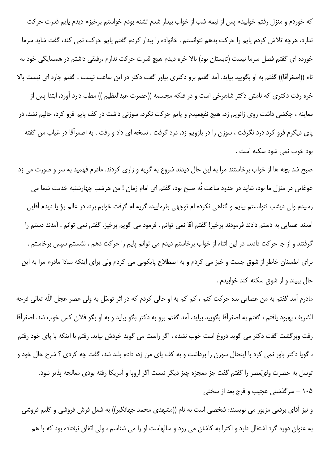که خوردم و منزل رفتم خوابیدم پس از نیمه شب از خواب بیدار شدم تشنه بودم خواستم برخیزم دیدم پایم قدرت حرکت ندارد، هرچه تلاش کردم پایم را حرکت بدهم نتوانستم . خانواده را بیدار کردم گفتم پایم حرکت نمی کند، گفت شاید سرما خورده ای گفتم فصل سرما نیست (تابستان بود) بالا خره دیدم هیچ قدرت حرکت ندارم ،رفیقی داشتم در همسایگی خود به نام ((اصغرآقا)) گفتم به او بگویید بیاید. آمد گفتم برو دکتری بیاور گفت دکتر در این ساعت نیست . گفتم چاره ای نیست بالا خره رفت دكترى كه نامش دكتر شاهرخى است و در فلكه مجسمه ((حضرت عبدالعظيم )) مطب دارد آورد، ابتدا پس از معاینه ، چکشی داشت روی زانویم زد، هیچ نفهمیدم و پایم حرکت نکرد، سوزنی داشت در کف پایم فرو کرد، حالیم نشد، در پای دیگرم فرو کرد درد نگرفت ، سوزن را در بازویم زد، درد گرفت . نسخه ای داد و رفت ، به اصغرآقا در غیاب من گفته بود خوب نمي شود سكته است .

صبح شد بچه ها از خواب برخاستند مرا به این حال دیدند شروع به گریه و زاری کردند. مادرم فهمید به سر و صورت می زد غوغایی در منزل ما بود، شاید در حدود ساعت نُه صبح بود، گفتم ای امام زمان ! من هرشب چهارشنبه خدمت شما می رسیدم ولی دیشب نتوانستم بیایم و گناهی نکرده ام توجهی بفرمایید، گریه ام گرفت خوابم برد، در عالم رؤ یا دیدم آقایی آمدند عصايي به دستم دادند فرمودند برخيز! گفتم آقا نمي توانم . فرمود مي گويم برخيز. گفتم نمي توانم . آمدند دستم را گرفتند و از جا حرکت دادند. در این اثناء از خواب برخاستم دیدم می توانم پایم را حرکت دهم ، نشستم سپس برخاستم ، برای اطمینان خاطر از شوق جست و خیز می کردم و به اصطلاح پایکوبی می کردم ولی برای اینکه مبادا مادرم مرا به این حال ببيند و از شوق سكته كند خوابيدم .

مادرم آمد گفتم به من عصایی بده حرکت کنم ، کم کم به او حالی کردم که در اثر توسّل به ولی عصر عجل اللّه تعالی فرجه الشريف بهبود يافتم ، گفتم به اصغرآقا بگوييد بيايد، آمد گفتم برو به دكتر بگو بيايد و به او بگو فلان كس خوب شد. اصغرآقا رفت وبرگشت گفت دکتر می گوید دروغ است خوب نشده ، اگر راست می گوید خودش بیاید. رفتم با اینکه با پای خود رفتم ، گویا دکتر باور نمی کرد با اینحال سوزن را برداشت و به کف پای من زد، دادم بلند شد، گفت چه کردی ؟ شرح حال خود و توسل به حضرت وليِّعصر را گفتم گفت جز معجزه چيز ديگر نيست اگر اروپا و آمريکا رفته بودي معالجه پذير نبود. ۱۰۵ – سرگذشتی عجیب و فرج بعد از سختی

و نیز آقای برقعی مزبور می نویسند: شخصی است به نام ((مشهدی محمد جهانگیر)) به شغل فرش فروشی و گلیم فروشی به عنوان دوره گرد اشتغال دارد و اکثرا به کاشان می رود و سالهاست او را می شناسم ، ولی اتفاق نیفتاده بود که با هم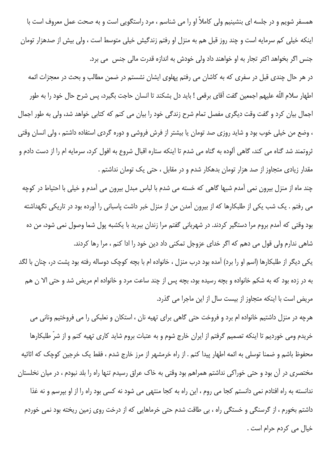همسفر شویم و در جلسه ای بنشینیم ولی کاملاً او را می شناسم ، مرد راستگویی است و به صحت عمل معروف است با اینکه خیلی کم سرمایه است و چند روز قبل هم به منزل او رفتم زندگیش خیلی متوسط است ، ولی بیش از صدهزار تومان جنس اگر بخواهد اکثر تجار به او خواهند داد ولی خودش به اندازه قدرت مالی جنس می برد.

در هر حال چندی قبل در سفری که به کاشان می رفتم پهلوی ایشان نشستم در ضمن مطالب و بحث در معجزات ائمه اطهار سلام اللّه عليهم اجمعين گفت آقاي برقعي ! بايد دل بشكند تا انسان حاجت بگيرد، پس شرح حال خود را به طور اجمال بیان کرد و گفت وقت دیگری مفصل تمام شرح زندگی خود را بیان می کنم که کتابی خواهد شد، ولی به طور اجمال ، وضع من خیلی خوب بود و شاید روزی صد تومان یا بیشتر از فرش فروشی و دوره گردی استفاده داشتم ، ولی انسان وقتی ثروتمند شد گناه می کند، گاهی آلوده به گناه می شدم تا اینکه ستاره اقبال شروع به افول کرد، سرمایه ام را از دست دادم و مقدار زیادی متجاوز از صد هزار تومان بدهکار شدم و در مقابل ، حتی یک تومان نداشتم .

چند ماه از منزل بیرون نمی آمدم شبها گاهی که خسته می شدم با لباس مبدل بیرون می آمدم و خیلی با احتیاط در کوچه می رفتم . یک شب یکی از طلبکارها که از بیرون آمدن من از منزل خبر داشت پاسبانی را آورده بود در تاریکی نگهداشته بود وقتی که آمدم بروم مرا دستگیر کردند. در شهربانی گفتم مرا زندان ببرید با یکشبه پول شما وصول نمی شود، من ده شاهی ندارم ولی قول می دهم که اگر خدای عزوجل تمکنی داد دین خود را ادا کنم ، مرا رها کردند.

یکی دیگر از طلبکارها (اسم او را برد) آمده بود درب منزل ، خانواده ام با بچه کوچک دوساله رفته بود پشت در، چنان با لگد به در زده بود که به شکم خانواده و بچه رسیده بود، بچه پس از چند ساعت مرد و خانواده ام مریض شد و حتی الا ن هم مریض است با اینکه متجاوز از بیست سال از این ماجرا می گذرد.

هرچه در منزل داشتیم خانواده ام برد و فروخت حتی گاهی برای تهیه نان ، استکان و نعلبکی را می فروختیم ونانی می خریدم ومی خوردیم تا اینکه تصمیم گرفتم از ایران خارج شوم و به عتبات بروم شاید کاری تهیه کنم و از شرّ طلبکارها محفوظ باشم و ضمنا توسلی به ائمه اطهار پیدا کنم . از راه خرمشهر از مرز خارج شدم ، فقط یک خرجین کوچک که اثاثیه مختصری در آن بود و حتی خوراکی نداشتم همراهم بود وقتی به خاک عراق رسیدم تنها راه را بلد نبودم ، در میان نخلستان ندانسته به راه افتادم نمی دانستم کجا می روم ، این راه به کجا منتهی می شود نه کسی بود راه را از او بپرسم و نه غذا داشتم بخورم ، از گرسنگی و خستگی راه ، بی طاقت شدم حتی خرماهایی که از درخت روی زمین ریخته بود نمی خوردم خيال مي كردم حرام است .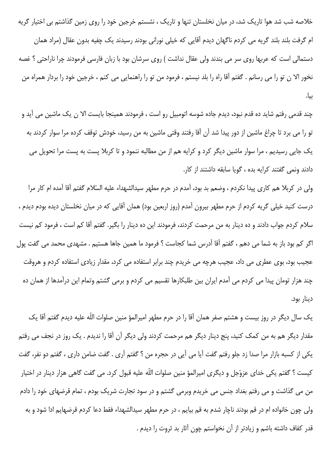خلاصه شب شد هوا تاریک شد، در میان نخلستان تنها و تاریک ، نشستم خرجین خود را روی زمین گذاشتم بی اختیار گریه ام گرفت بلند بلند گریه می کردم ناگهان دیدم آقایی که خیلی نورانی بودند رسیدند یک چفیه بدون عقال (مراد همان دستمالي است كه عربها روى سر مى بندند ولى عقال نداشت ) روى سرشان بود با زبان فارسى فرمودند چرا ناراحتى ؟ غصه نخور الا ن تو را مي رسانم . گفتم آقا راه را بلد نيستم ، فرمود من تو را راهنمايي مي كنم ، خرجين خود را بردار همراه من ىىا.

چند قدمی رفتم شاید ده قدم نبود، دیدم جاده شوسه اتومبیل رو است ، فرمودند همینجا بایست الا ن یک ماشین می اید و تو را می برد تا چراغ ماشین از دور پیدا شد آن آقا رفتند وقتی ماشین به من رسید، خودش توقف کرده مرا سوار کردند به یک جایی رسیدیم ، مرا سوار ماشین دیگر کرد و کرایه هم از من مطالبه ننمود و تا کربلا پست به پست مرا تحویل می دادند ونمي گفتند كرايه بده ، گويا سابقه داشتند از كار.

ولی در کربلا هم کاری پیدا نکردم ، وضعم بد بود، آمدم در حرم مطهر سیدالشهداء علیه السّلام گفتم آقا آمده ام کار مرا درست کنید خیلی گریه کردم از حرم مطهر بیرون آمدم (روز اربعین بود) همان آقایی که در میان نخلستان دیده بودم دیدم ، سلام کردم جواب دادند و ده دینار به من مرحمت کردند، فرمودند این ده دینار را بگیر. گفتم آقا کم است ، فرمود کم نیست اگر کم بود باز به شما می دهم ، گفتم آقا آدرس شما کجاست ؟ فرمود ما همین جاها هستیم . مشهدی محمد می گفت پول عجیب بود، بوی عطری می داد، عجیب هرچه می خریدم چند برابر استفاده می کرد، مقدار زیادی استفاده کردم و هروقت چند هزار تومان پیدا می کردم می آمدم ایران بین طلبکارها تقسیم می کردم و برمی گشتم وتمام این درآمدها از همان ده دينار بود.

یک سال دیگر در روز بیست و هشتم صفر همان آقا را در حرم مطهر امیرالمؤ منین صلوات اللّه علیه دیدم گفتم آقا یک مقدار دیگر هم به من کمک کنید، پنج دینار دیگر هم مرحمت کردند ولی دیگر آن آقا را ندیدم . یک روز در نجف می رفتم یکی از کسبه بازار مرا صدا زد جلو رفتم گفت آیا می آیی در حجره من ؟ گفتم آری . گفت ضامن داری ، گفتم دو نفر، گفت کیست ؟ گفتم یکی خدای عزوّجل و دیگری امیرالمؤ منین صلوات اللّه علیه قبول کرد. می گفت گاهی هزار دینار در اختیار من می گذاشت و می رفتم بغداد جنس می خریدم وبرمی گشتم و در سود تجارت شریک بودم ، تمام قرضهای خود را دادم ولي چون خانواده ام در قم بودند ناچار شدم به قم بيايم ، در حرم مطهر سيدالشهداء فقط دعا كردم قرضهايم ادا شود و به قدر كفاف داشته باشم و زيادتر از آن نخواستم چون آثار بد ثروت را ديدم .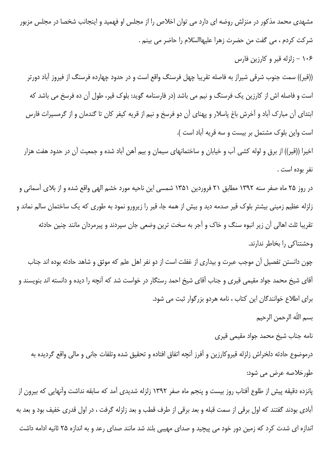مشهدی محمد مذکور در منزلش روضه ای دارد می توان اخلاص را از مجلس او فهمید و اینجانب شخصا در مجلس مزبور شركت كردم ، مي گفت من حضرت زهرا عليهاالسّلام را حاضر مي بينم .

۱۰۶ – زلزله قیر و کارزین فارس

((قیر)) سمت جنوب شرقی شیراز به فاصله تقریبا چهل فرسنگ واقع است و در حدود چهارده فرسنگ از فیروز آباد دورتر است و فاصله اش از کارزین یک فرسنگ و نیم می باشد (در فارسنامه گوید: بلوک قیر، طول آن ده فرسخ می باشد که ابتدای آن مبارک آباد و آخرش باغ پاسلار و پهنای آن دو فرسخ و نیم از قریه کیفر کان تا گندمان و از گرمسیرات فارس است واین بلوک مشتمل بر بیست و سه قریه آباد است ).

اخیرا ((قیر)) از برق و لوله کشی آب و خیابان و ساختمانهای سیمان و بیم آهن آباد شده و جمعیت آن در حدود هفت هزار نفر بوده است .

در روز ۲۵ ماه صفر سنه ۱۳۹۲ مطابق ۲۱ فروردین ۱۳۵۱ شمسی این ناحیه مورد خشم الهی واقع شده و از بلای آسمانی و زلزله عظیم زمینی بیشتر بلوک قیر صدمه دید و بیش از همه جا، قیر را زیرورو نمود به طوری که یک ساختمان سالم نماند و تقریبا ثلث اهالی آن زیر انبوه سنگ و خاک و آجر به سخت ترین وضعی جان سپردند و پیرمردان مانند چنین حادثه وحشتناكي را بخاطر ندارند.

چون دانستن تفصیل آن موجب عبرت و بیداری از غفلت است از دو نفر اهل علم که موثق و شاهد حادثه بوده اند جناب آقای شیخ محمد جواد مقیمی قیری و جناب آقای شیخ احمد رستگار در خواست شد که آنچه را دیده و دانسته اند بنویسند و برای اطلاع خوانندگان این کتاب ، نامه هردو بزرگوار ثبت می شود.

بسم اللّه الرحمن الرحيم

نامه جناب شيخ محمد جواد مقيمي قيرى

درموضوع حادثه دلخراش زلزله قيروكارزين و آفرز آنچه اتفاق افتاده و تحقيق شده وتلفات جاني و مالي واقع گرديده به طورخلاصه عرض می شود:

پانزده دقیقه پیش از طلوع آفتاب روز بیست و پنجم ماه صفر ۱۳۹۲ زلزله شدیدی آمد که سابقه نداشت وآنهایی که بیرون از آبادی بودند گفتند که اول برقی از سمت قبله و بعد برقی از طرف قطب و بعد زلزله گرفت ، در اول قدری خفیف بود و بعد به اندازه ای شدت کرد که زمین دور خود می پیچید و صدای مهیبی بلند شد مانند صدای رعد و به اندازه ۲۵ ثانیه ادامه داشت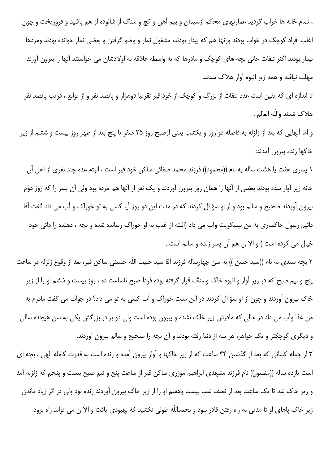، تمام خانه ها خراب گردید عمارتهای محکم ازسیمان و بیم آهن و گچ و سنگ از شالوده از هم پاشید و فروریخت و چون اغلب افراد کوچک در خواب بودند وزنها هم که بیدار بودند، مشغول نماز و وضو گرفتن و بعضی نماز خوانده بودند ومردها بیدار بودند اکثر تلفات جانی بچه های کوچک و مادرها که به واسطه علاقه به اولادشان می خواستند آنها را بیرون آورند مهلت نیافته و همه زیر انبوه آوار هلاک شدند.

تا اندازه ای که یقین است عدد تلفات از بزرگ و کوچک از خود قیر تقریبا دوهزار و پانصد نفر و از توابع ، قریب پانصد نفر هلاك شدند واللّه العالم .

و اما آنهایی که بعد از زلزله به فاصله دو روز و یکشب یعنی ازصبح روز ۲۵ صفر تا پنج بعد از ظهر روز بیست و ششم از زیر خاكها زنده بيرون آمدند:

١ پسرى هفت يا هشت ساله به نام ((محمود)) فرزند محمد صفائى ساكن خود قير است ، البته عده چند نفرى از اهل آن خانه زیر آوار شده بودند بعضی از آنها را همان روز بیرون آوردند و یک نفر از آنها هم مرده بود ولی آن پسر را که روز دوّم بیرون آوردند صحیح و سالم بود و از او سؤ ال کردند که در مدت این دو روز آیا کسی به تو خوراک و آب می داد گفت آقا دائیم رسول خاکساری به من بیسکویت وآب می داد (البته از غیب به او خوراک رسانده شده و بچه ، دهنده را دائی خود خيال مي كرده است ) و الا ن هم آن پسر زنده و سالم است .

۲ بچه سیدی به نام ((سید حسن )) به سن چهارساله فرزند آقا سید حبیب اللّه حسینی ساکن قیر، بعد از وقوع زلزله در ساعت ینج و نیم صبح که در زیر آوار و انبوه خاک وسنگ قرار گرفته بوده فردا صبح تاساعت ده ، روز بیست و ششم او را از زیر خاک بیرون آوردند و چون از او سؤ ال کردند در این مدت خوراک و آب کسی به تو می داد؟ در جواب می گفت مادرم به من غذا وآب می داد در حالی که مادرش زیر خاک نشده و بیرون بوده است ولی دو برادر بزرگش یکی به سن هیجده سالی و دیگری کوچکتر و یک خواهر، هر سه از دنیا رفته بودند و آن بچه را صحیح و سالم بیرون آوردند.

۳ از جمله کسانی که بعد از گذشتن ۴۴ ساعت که از زیر خاکها و آوار بیرون آمده و زنده است به قدرت کامله الهی ، بچه ای است یازده ساله ((منصور)) نام فرزند مشهدی ابراهیم موزری ساکن قیر از ساعت پنج و نیم صبح بیست و پنجم که زلزله آمد و زیر خاک شد تا یک ساعت بعد از نصف شب بیست وهفتم او را از زیر خاک بیرون آوردند زنده بود ولی در اثر زیاد ماندن زیر خاک پاهای او تا مدتی به راه رفتن قادر نبود و بحمداللّه طولی نکشید که بهبودی یافت و الا ن می تواند راه برود.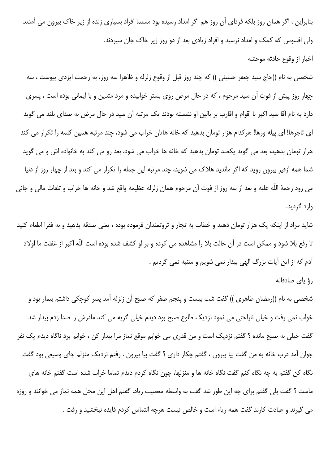بنابراین ، اگر همان روز بلکه فردای آن روز هم اگر امداد رسیده بود مسلما افراد بسیاری زنده از زیر خاک بیرون می آمدند ولی افسوس که کمک و امداد نرسید و افراد زیادی بعد از دو روز زیر خاک جان سپردند.

اخبار از وقوع حادثه موحشه

شخصی به نام ((حاج سید جعفر حسینی )) که چند روز قبل از وقوع زلزله و ظاهرا سه روز، به رحمت ایزدی پیوست ، سه چهار روز پیش از فوت آن سید مرحوم ، که در حال مرض روی بستر خوابیده و مرد متدین و با ایمانی بوده است ، پسری دارد به نام آقا سید اکبر با اقوام و اقارب بر بالین او نشسته بودند یک مرتبه آن سید در حال مرض به صدای بلند می گوید ای تاجرها! ای پیله ورها! هرکدام هزار تومان بدهید که خانه هاتان خراب می شود، چند مرتبه همین کلمه را تکرار می کند هزار تومان بدهید، بعد می گوید یکصد تومان بدهید که خانه ها خراب می شود، بعد رو می کند به خانواده اش و می گوید شما همه ازقیر بیرون روید که اگر ماندید هلاک می شوید، چند مرتبه این جمله را تکرار می کند و بعد از چهار روز از دنیا مي رود رحمهٔ اللّه عليه و بعد از سه روز از فوت آن مرحوم همان زلزله عظيمه واقع شد و خانه ها خراب و تلفات مالي و جاني وارد گردید.

شاید مراد از اینکه یک هزار تومان دهید و خطاب به تجار و ثروتمندان فرموده بوده ، یعنی صدقه بدهید و به فقرا اطعام کنید تا رفع بلا شود و ممکن است در آن حالت بلا را مشاهده می کرده و بر او کشف شده بوده است اللّه اکبر از غفلت ما اولاد آدم كه از اين آيات بزرگ الهي بيدار نمي شويم و متنبه نمي گرديم .

رؤ ياي صادقانه

شخصی به نام ((رمضان طاهری )) گفت شب بیست و پنجم صفر که صبح آن زلزله آمد پسر کوچکی داشتم بیمار بود و خواب نمی رفت و خیلی ناراحتی می نمود نزدیک طلوع صبح بود دیدم خیلی گریه می کند مادرش را صدا زدم بیدار شد گفت خيلي به صبح مانده ؟ گفتم نزديک است و من قدري مي خوابم موقع نماز مرا بيدار کن ، خوابم برد ناگاه ديدم يک نفر جوان آمد درب خانه به من گفت بیا بیرون ، گفتم چکار داری ؟ گفت بیا بیرون . رفتم نزدیک منزلم جای وسیعی بود گفت نگاه کن گفتم به چه نگاه کنم گفت نگاه خانه ها و منزلها، چون نگاه کردم دیدم تماما خراب شده است گفتم خانه های ماست ؟ گفت بلی گفتم برای چه این طور شد گفت به واسطه معصیت زیاد. گفتم اهل این محل همه نماز می خوانند و روزه می گیرند و عبادت کارند گفت همه ریاء است و خالص نیست هرچه التماس کردم فایده نبخشید و رفت .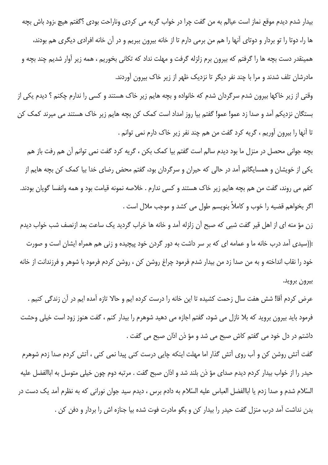بیدار شدم دیدم موقع نماز است عیالم به من گفت چرا در خواب گریه می کردی وناراحت بودی ؟گفتم هیچ ،زود باش بچه ها را، دوتا را تو بردار و دوتای آنها را هم من برمی دارم تا از خانه بیرون ببریم و در آن خانه افرادی دیگری هم بودند، همینقدر دست بچه ها را گرفتم که بیرون برم زلزله گرفت و مهلت نداد که تکانی بخوریم ، همه زیر آوار شدیم چند بچه و مادرشان تلف شدند و مرا با چند نفر دیگر تا نزدیک ظهر از زیر خاک بیرون آوردند.

وقتی از زیر خاکها بیرون شدم سرگردان شدم که خانواده و بچه هایم زیر خاک هستند و کسی را ندارم چکنم ؟ دیدم یکی از بستگان نزدیکم آمد و صدا زد عمو! عمو! گفتم بیا روز امداد است کمک کن بچه هایم زیر خاک هستند می میرند کمک کن تا أنها را بيرون أوريم ، گريه كرد گفت من هم چند نفر زير خاک دارم نمي توانم .

بچه جوانی محصل در منزل ما بود دیدم سالم است گفتم بیا کمک بکن ، گریه کرد گفت نمی توانم آن هم رفت باز هم یکی از خویشان و همسایگانم آمد در حالی که حیران و سرگردان بود، گفتم محض رضای خدا بیا کمک کن بچه هایم از كفم مي روند، گفت من هم بچه هايم زير خاک هستند و کسي ندارم . خلاصه نمونه قيامت بود و همه وانفسا گويان بودند. اگر بخواهم قضیه را خوب و کاملاً بنویسم طول می کشد و موجب ملال است .

زن مؤ منه اي از اهل قير گفت شبي كه صبح آن زلزله آمد و خانه ها خراب گرديد يک ساعت بعد ازنصف شب خواب ديدم :((سیدی آمد درب خانه ما و عمامه ای که بر سر داشت به دور گردن خود پیچیده و زنی هم همراه ایشان است و صورت خود را نقاب انداخته و به من صدا زد من بيدار شدم فرمود چراغ روشن كن ، روشن كردم فرمود با شوهر و فرزندانت از خانه بيرون برويد.

عرض كردم آقا! شش هفت سال زحمت كشيده تا اين خانه را درست كرده ايم و حالا تازه آمده ايم در آن زندگي كنيم . فرمود باید بیرون بروید که بلا نازل می شود، گفتم اجازه می دهید شوهرم را بیدار کنم ، گفت هنوز زود است خیلی وحشت داشتم در دل خود می گفتم کاش صبح می شد و مؤ ذن اذان صبح می گفت .

گفت آتش روشن کن و آب روی آتش گذار اما مهلت اینکه چایی درست کنی پیدا نمی کنی ، آتش کردم صدا زدم شوهرم حيدر را از خواب بيدار كردم ديدم صداي مؤ ذن بلند شد و اذان صبح گفت . مرتبه دوم چون خيلي متوسل به اباالفضل عليه السّلام شدم و صدا زدم یا اباالفضل العباس علیه السّلام به دادم برس ، دیدم سید جوان نورانی که به نظرم آمد یک دست در بدن نداشت آمد درب منزل گفت حیدر را بیدار کن و بگو مادرت فوت شده بیا جنازه اش را بردار و دفن کن .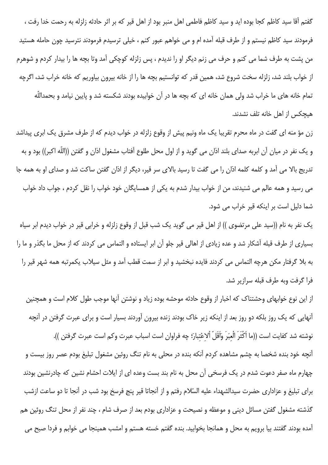گفتم آقا سید کاظم کجا بوده اید و سید کاظم فاطمی اهل منبر بود از اهل قیر که بر اثر حادثه زلزله به رحمت خدا رفت ، فرمودند سید کاظم نیستم و از طرف قبله آمده ام و می خواهم عبور کنم ، خیلی ترسیدم فرمودند نترسید چون حامله هستید من پشت به طرف شما می کنم و حرف می زنم دیگر او را ندیدم ، پس زلزله کوچکی آمد وتا بچه ها را بیدار کردم و شوهرم از خواب بلند شد، زلزله سخت شروع شد، همین قدر که توانستیم بچه ها را از خانه بیرون بیاوریم که خانه خراب شد، اگرچه تمام خانه های ما خراب شد ولی همان خانه ای که بچه ها در آن خوابیده بودند شکسته شد و پایین نیامد و بحمداللّه هیچکس از اهل خانه تلف نشدند.

زن مؤ منه ای گفت در ماه محرم تقریبا یک ماه ونیم پیش از وقوع زلزله در خواب دیدم که از طرف مشرق یک ابری پیداشد و يک نفر در ميان آن ابربه صداي بلند اذان مي گويد و از اول محل طلوع آفتاب مشغول اذان و گفتن ((اللّه اکبر)) بود و به تدریج بالا می آمد و کلمه کلمه اذان را می گفت تا رسید بالای سر قیر، دیگر از اذان گفتن ساکت شد و صدای او به همه جا می رسید و همه عالم می شنیدند، من از خواب بیدار شدم به یکی از همسایگان خود خواب را نقل کردم ، جواب داد خواب شما دلیل است بر اینکه قیر خراب می شود.

یک نفر به نام ((سید علی مرتضوی )) از اهل قیر می گوید یک شب قبل از وقوع زلزله و خرابی قیر در خواب دیدم ابر سیاه بسیاری از طرف قبله آشکار شد و عده زیادی از اهالی قیر جلو آن ابر ایستاده و التماس می کردند که از محل ما بگذر و ما را به بلا گرفتار مکن هرچه التماس می کردند فایده نبخشید و ابر از سمت قطب آمد و مثل سیلاب یکمرتبه همه شهر قیر را فرا گرفت وبه طرف قبله سرازير شد.

از این نوع خوابهای وحشتناک که اخبار از وقوع حادثه موحشه بوده زیاد و نوشتن آنها موجب طول کلام است و همچنین آنهایی که یک روز بلکه دو روز بعد از اینکه زیر خاک بودند زنده بیرون آوردند بسیار است و برای عبرت گرفتن در آنچه نوشته شد كفايت است ((ما اَكْثَرَ الْعبَرَ وَأَقَلّ اْلاعْتبارَ؛ چه فراوان است اسباب عبرت وكم است عبرت گرفتن )). آنچه خود بنده شخصا به چشم مشاهده کردم آنکه بنده در محلی به نام تنگ روئین مشغول تبلیغ بودم عصر روز بیست و چهارم ماه صفر دعوت شدم در یک فرسخی آن محل به نام بند بست وعده ای از ایلات احشام نشین که چادرنشین بودند برای تبلیغ و عزاداری حضرت سیدالشهداء علیه السّلام رفتم و از آنجاتا قیر پنج فرسخ بود شب در آنجا تا دو ساعت ازشب گذشته مشغول گفتن مسائل دینی و موعظه و نصیحت و عزاداری بودم بعد از صرف شام ، چند نفر از محل تنگ روئین هم آمده بودند گفتند بیا برویم به محل و همانجا بخوابید. بنده گفتم خسته هستم و امشب همینجا می خوابم و فردا صبح می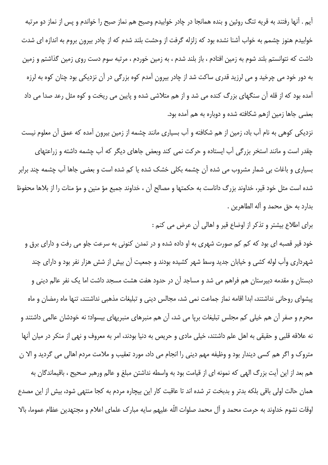آیم . آنها رفتند به قریه تنگ روئین و بنده همانجا در چادر خوابیدم وصبح هم نماز صبح را خواندم و پس از نماز دو مرتبه خوابیدم هنوز چشمم به خواب آشنا نشده بود که زلزله گرفت از وحشت بلند شدم که از چادر بیرون بروم به اندازه ای شدت داشت که نتوانستم بلند شوم به زمین افتادم ، باز بلند شدم ، به زمین خوردم ، مرتبه سوم دست روی زمین گذاشتم و زمین به دور خود می چرخید و می لرزید قدری ساکت شد از چادر بیرون آمدم کوه بزرگی در آن نزدیکی بود چنان کوه به لرزه آمده بود که از قله آن سنگهای بزرگ کنده می شد و از هم متلاشی شده و پایین می ریخت و کوه مثل رعد صدا می داد بعضی جاها زمین ازهم شکافته شده و دوباره به هم آمده بود.

نزدیکی کوهی به نام آب باد، زمین از هم شکافته و آب بسیاری مانند چشمه از زمین بیرون آمده که عمق آن معلوم نیست چقدر است و مانند استخر بزرگی آب ایستاده و حرکت نمی کند وبعض جاهای دیگر که آب چشمه داشته و زراعتهای بسیاری و باغات بی شمار مشروب می شده آن چشمه بکلی خشک شده یا کم شده است و بعضی جاها آب چشمه چند برابر شده است مثل خود قیر، خداوند بزرگ داناست به حکمتها و مصالح آن ، خداوند جمیع مؤ منین و مؤ منات را از بلاها محفوظ بدارد به حق محمد و آله الطاهرين .

برای اطلاع بیشتر و تذکر از اوضاع قیر و اهالی آن عرض می کنم :

خود قیر قصبه ای بود که کم کم صورت شهری به او داده شده و در تمدن کنونی به سرعت جلو می رفت و دارای برق و شهرداری وآب لوله کشی و خیابان جدید وسط شهر کشیده بودند و جمعیت آن بیش از شش هزار نفر بود و دارای چند دبستان و مقدمه دبیرستان هم فراهم می شد و مساجد آن در حدود هفت هشت مسجد داشت اما یک نفر عالم دینی و پیشوای روحانی نداشتند، ابدا اقامه نماز جماعت نمی شد، مجالس دینی و تبلیغات مذهبی نداشتند، تنها ماه رمضان و ماه محرم و صفر آن هم خیلی کم مجلس تبلیغات برپا می شد، آن هم منبرهای منبریهای بیسواد؛ نه خودشان عالمی داشتند و نه علاقه قلبي و حقيقي به اهل علم داشتند، خيلي مادي و حريص به دنيا بودند، امر به معروف و نهي از منكر در ميان آنها متروک و اگر هم کسی دیندار بود و وظیفه مهم دینی را انجام می داد، مورد تعقیب و ملامت مردم اهالی می گردید و الا ن هم بعد از این آیت بزرگ الهی که نمونه ای از قیامت بود به واسطه نداشتن مبلغ و عالم ورهبر صحیح ، باقیماندگان به همان حالت اولی باقی بلکه بدتر و بدبخت تر شده اند تا عاقبت کار این بیچاره مردم به کجا منتهی شود، بیش از این مصدع اوقات نشوم خداوند به حرمت محمد و آل محمد صلوات اللّه عليهم سايه مبارك علماي اعلام و مجتهدين عظام عموما، بالا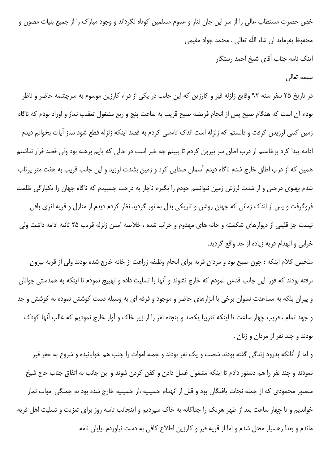خص حضرت مستطاب عالی را از سر این جان نثار و عموم مسلمین کوتاه نگرداند و وجود مبارک را از جمیع بلیات مصون و محفوظ بفرمايد ان شاء اللّه تعالى . محمد جواد مقيمي

اینک نامه جناب آقای شیخ احمد رستگار

### بسمه تعالى

در تاریخ ۲۵ سفر سنه ۹۲ وقایع زلزله قیر و کارزین که این جانب در یکی از قراء کارزین موسوم به سرچشمه حاضر و ناظر بودم أن است كه هنگام صبح پس از انجام فريضه صبح قريب به ساعت پنج و ربع مشغول تعقيب نماز و اوراد بودم كه ناگاه زمین کمی لرزیدن گرفت و دانستم که زلزله است اندک تاءملی کردم به قصد اینکه زلزله قطع شود نماز آیات بخوانم دیدم ادامه پیدا کرد برخاستم از درب اطاق سر بیرون کردم تا ببینم چه خبر است در حالی که پایم برهنه بود ولی قصد فرار نداشتم همین که از درب اطاق خارج شدم ناگاه دیدم آسمان صدایی کرد و زمین بشدت لرزید و این جانب قریب به هفت متر پرتاب شدم پهلوی درختی و از شدت لرزش زمین نتوانسم خودم را بگیرم ناچار به درخت چسبیدم که ناگاه جهان را یکبارگی ظلمت فروگرفت و پس از اندک زمانی که جهان روشن و تاریکی بدل به نور گردید نظر کردم دیدم از منازل و قریه اثری باقی نیست جز قلیلی از دیوارهای شکسته و خانه های مهدوم و خراب شده ، خلاصه آمدن زلزله قریب ۲۵ ثانیه ادامه داشت ولی خرابي و انهدام قريه زياده از حد واقع گرديد.

ملخص كلام اينكه : چون صبح بود و مردان قريه براى انجام وظيفه زراعت از خانه خارج شده بودند ولى از قريه بيرون نرفته بودند که فورا این جانب قدغن نمودم که خارج نشوند و آنها را تسلیت داده و تهییج نمودم تا اینکه به همدستی جوانان و پیران بلکه به مساعدت نسوان برخی با ابزارهای حاضر و موجود و فرقه ای به وسیله دست کوشش نموده به کوشش و جد و جهد تمام ، قریب چهار ساعت تا اینکه تقریبا یکصد و پنجاه نفر را از زیر خاک و آوار خارج نمودیم که غالب آنها کودک بودند و چند نفر از مردان و زنان .

و اما از آنانکه بدرود زندگی گفته بودند شصت و یک نفر بودند و جمله اموات را جنب هم خوابانیده و شروع به حفر قبر نمودند و چند نفر را هم دستور دادم تا اینکه مشغول غسل دادن و کفن کردن شوند و این جانب به اتفاق جناب حاج شیخ منصور محمودی که از جمله نجات یافتگان بود و قبل از انهدام حسینیه ،از حسینیه خارج شده بود به جملگی اموات نماز خواندیم و تا چهار ساعت بعد از ظهر هریک را جداگانه به خاک سپردیم و اینجانب تاسه روز برای تعزیت و تسلیت اهل قریه ماندم و بعدا رهسپار محل شدم و اما از قریه قیر و کارزین اطلاع کافی به دست نیاوردم .پایان نامه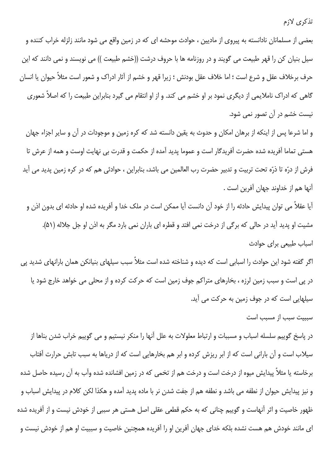## تذكري لازم

بعضی از مسلمانان نادانسته به پیروی از مادیین ، حوادث موحشه ای که در زمین واقع می شود مانند زلزله خراب کننده و سيل بنيان كن را قهر طبيعت مي گويند و در روزنامه ها با حروف درشت ((خشم طبيعت )) مي نويسند و نمي دانند كه اين حرف برخلاف عقل و شرع است ؛ اما خلاف عقل بودنش ؛ زيرا قهر و خشم از آثار ادراک و شعور است مثلاً حيوان يا انسان گاهی که ادراک ناملایمی از دیگری نمود بر او خشم می کند. و از او انتقام می گیرد بنابراین طبیعت را که اصلاً شعوری نیست خشم در آن تصور نمی شود.

و اما شرعا پس از اینکه از برهان امکان و حدوث به یقین دانسته شد که کره زمین و موجودات در آن و سایر اجزاء جهان هستی تماما آفریده شده حضرت آفریدگار است و عموما پدید آمده از حکمت و قدرت بی نهایت اوست و همه از عرش تا فرش از درّه تا ذرّه تحت تربیت و تدبیر حضرت رب العالمین می باشد، بنابراین ، حوادثی هم که در کره زمین پدید می آید آنها هم از خداوند جهان آفرين است .

آیا عقلاً می توان پیدایش حادثه را از خود آن دانست آیا ممکن است در ملک خدا و آفریده شده او حادثه ای بدون اذن و مشیت او پدید آید در حالی که برگی از درخت نمی افتد و قطره ای باران نمی بارد مگر به اذن او جل جلاله (۵۱). اسباب طبیعی برای حوادث

اگر گفته شود این حوادث را اسبابی است که دیده و شناخته شده است مثلاً سبب سیلهای بنیانکن همان بارانهای شدید پی در پی است و سبب زمین لرزه ، بخارهای متراکم جوف زمین است که حرکت کرده و از محلی می خواهد خارج شود یا سیلهایی است که در جوف زمین به حرکت می آید.

سببیت سبب از مسبب است

در پاسخ گوییم سلسله اسباب و مسببات و ارتباط معلولات به علل آنها را منکر نیستیم و می گوییم خراب شدن بناها از سیلاب است و آن بارانی است که از ابر ریزش کرده و ابر هم بخارهایی است که از دریاها به سبب تابش حرارت آفتاب برخاسته یا مثلاً پیدایش میوه از درخت است و درخت هم از تخمی که در زمین افشانده شده وآب به آن رسیده حاصل شده و نیز پیدایش حیوان از نطفه می باشد و نطفه هم از جفت شدن نر با ماده پدید آمده و هکذا لکن کلام در پیدایش اسباب و ظهور خاصیت و اثر آنهاست و گوییم چنانی که به حکم قطعی عقلی اصل هستی هر سببی از خودش نیست و از آفریده شده ای مانند خودش هم هست نشده بلکه خدای جهان آفرین او را آفریده همچنین خاصیت و سببیت او هم از خودش نیست و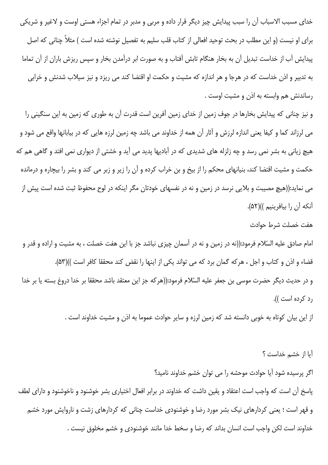خدای مسبب الاسباب آن را سبب پیدایش چیز دیگر قرار داده و مربی و مدبر در تمام اجزاء هستی اوست و لاغیر و شریکی برای او نیست (و این مطلب در بحث توحید افعالی از کتاب قلب سلیم به تفصیل نوشته شده است ) مثلاً چنانی که اصل پیدایش آب از خداست تبدیل آن به بخار هنگام تابش آفتاب و به صورت ابر درآمدن بخار و سپس ریزش باران از آن تماما به تدبیر و اذن خداست که در هرجا و هر اندازه که مشیت و حکمت او اقتضا کند می ریزد و نیز سیلاب شدنش و خرابی رساندنش هم وابسته به اذن و مشیت اوست .

و نیز چنانی که پیدایش بخارها در جوف زمین از خدای زمین آفرین است قدرت آن به طوری که زمین به این سنگینی را می لرزاند کما و کیفا یعنی اندازه لرزش و آثار آن همه از خداوند می باشد چه زمین لرزه هایی که در بیابانها واقع می شود و هیچ زیانی به بشر نمی رسد و چه زلزله های شدیدی که در آبادیها پدید می آید و خشتی از دیواری نمی افتد و گاهی هم که حکمت و مشیت اقتضا کند، بنیانهای محکم را از بیخ و بن خراب کرده و آن را زیر و زبر می کند و بشر را بیچاره و درمانده می نماید:((هیچ مصیبت و بلایی نرسد در زمین و نه در نفسهای خودتان مگر اینکه در لوح محفوظ ثبت شده است پیش از آنكه آن را بيافرينيم ))(۵۲).

#### هفت خصلت شرط حوادث

امام صادق علیه السّلام فرمود:((نه در زمین و نه در آسمان چیزی نباشد جز با این هفت خصلت ، به مشیت و اراده و قدر و قضاء و اذن و كتاب و اجل ، هركه گمان برد كه مى تواند يكى از اينها را نقض كند محققا كافر است ))(۵۳). و در حديث ديگر حضرت موسى بن جعفر عليه السّلام فرمود:((هر كه جز اين معتقد باشد محققا بر خدا دروغ بسته يا بر خدا رد کرده است )).

از این بیان کوتاه به خوبی دانسته شد که زمین لرزه و سایر حوادث عموما به اذن و مشیت خداوند است .

آیا از خشم خداست ؟ اگر پرسیده شود آیا حوادث موحشه را می توان خشم خداوند نامید؟ پاسخ آن است که واجب است اعتقاد و یقین داشت که خداوند در برابر افعال اختیاری بشر خوشنود و ناخوشنود و دارای لطف و قهر است ؛ یعنی کردارهای نیک بشر مورد رضا و خوشنودی خداست چنانی که کردارهای زشت و ناروایش مورد خشم خداوند است لكن واجب است انسان بداند كه رضا و سخط خدا مانند خوشنودى و خشم مخلوق نيست .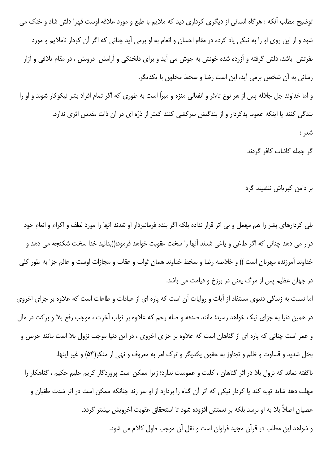توضیح مطلب آنکه : هرگاه انسانی از دیگری کرداری دید که ملایم با طبع و مورد علاقه اوست قهرا دلش شاد و خنک می شود و از این روی او را به نیکی یاد کرده در مقام احسان و انعام به او برمی آید چنانی که اگر آن کردار ناملایم و مورد نفرتش باشد، دلش گرفته و آزرده شده خونش به جوش می آید و برای دلخنکی و آرامش درونش ، در مقام تلافی و آزار رسانی به آن شخص برمی آید، این است رضا و سخط مخلوق با یکدیگر.

و اما خداوند جل جلاله پس از هر نوع تاءثر و انفعالی منزه و مبراً است به طوری که اگر تمام افراد بشر نیکوکار شوند و او را بندگی کنند یا اینکه عموما بدکردار و از بندگیش سرکشی کنند کمتر از ذرّه ای در آن ذات مقدس اثری ندارد. شعر :

گر حمله کائنات کافر گردند

بر دامن کبریاش ننشیند گرد

بلی کردارهای بشر را هم مهمل و بی اثر قرار نداده بلکه اگر بنده فرمانبردار او شدند آنها را مورد لطف و اکرام و انعام خود قرار می دهد چنانی که اگر طاغی و یاغی شدند آنها را سخت عقوبت خواهد فرمود:((بدانید خدا سخت شکنجه می دهد و خداوند آمرزنده مهربان است )) و خلاصه رضا و سخط خداوند همان ثواب و عقاب و مجازات اوست و عالم جزا به طور كلي در جهان عظیم پس از مرگ یعنی در برزخ و قیامت می باشد.

اما نسبت به زندگی دنیوی مستفاد از آیات و روایات آن است که پاره ای از عبادات و طاعات است که علاوه بر جزای اخروی در همین دنیا به جزای نیک خواهد رسید؛ مانند صدقه و صله رحم که علاوه بر ثواب آخرت ، موجب رفع بلا و برکت در مال و عمر است چنانی که پاره ای از گناهان است که علاوه بر جزای اخروی ، در این دنیا موجب نزول بلا است مانند حرص و بخل شدید و قساوت و ظلم و تجاوز به حقوق یکدیگر و ترک امر به معروف و نهی از منکر(۵۴) و غیر اینها. ناگفته نماند که نزول بلا در اثر گناهان ، کلیت و عمومیت ندارد؛ زیرا ممکن است پروردگار کریم حلیم حکیم ، گناهکار را مهلت دهد شاید توبه کند یا کردار نیکی که اثر آن گناه را بردارد از او سر زند چنانکه ممکن است در اثر شدت ط<del>ن</del>یان و عصیان اصلاً بلا به او نرسد بلکه بر نعمتش افزوده شود تا استحقاق عقوبت اخرویش بیشتر گردد. و شواهد این مطلب در قرآن مجید فراوان است و نقل آن موجب طول کلام می شود.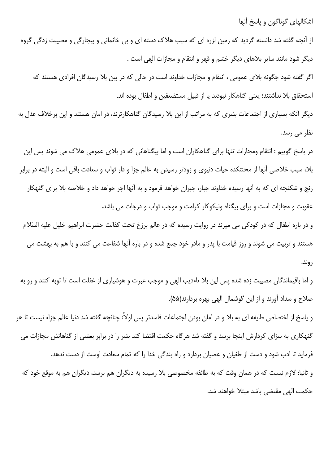اشکالهای گوناگون و پاسخ آنها

از آنچه گفته شد دانسته گردید که زمین لزره ای که سبب هلاک دسته ای و بی خانمانی و بیچارگی و مصیبت زدگی گروه دیگر شود مانند سایر بلاهای دیگر خشم و قهر و انتقام و مجازات الهی است .

اگر گفته شود چگونه بلای عمومی ، انتقام و مجازات خداوند است در حالی که در بین بلا رسیدگان افرادی هستند که استحقاق بلا نداشتند؛ یعنی گناهکار نبودند یا از قبیل مستضعفین و اطفال بوده اند.

دیگر آنکه بسیاری از اجتماعات بشری که به مراتب از این بلا رسیدگان گناهکارترند، در امان هستند و این برخلاف عدل به نظر می رسد.

در پاسخ گوییم : انتقام ومجازات تنها برای گناهکاران است و اما بیگناهانی که در بلای عمومی هلاک می شوند پس این بلا، سبب خلاصی آنها از محنتکده حیات دنیوی و زودتر رسیدن به عالم جزا و دار ثواب و سعادت باقی است و البته در برابر رنج و شکنجه ای که به آنها رسیده خداوند جبار، جبران خواهد فرمود و به آنها اجر خواهد داد و خلاصه بلا برای گنهکار عقوبت و مجازات است و برای بیگناه ونیکوکار کرامت و موجب ثواب و درجات می باشد.

و در باره اطفال که در کودکی می میرند در روایت رسیده که در عالم برزخ تحت کفالت حضرت ابراهیم خلیل علیه السّلام هستند و تربیت می شوند و روز قیامت با پدر و مادر خود جمع شده و در باره آنها شفاعت می کنند و با هم به بهشت می روند.

و اما باقیماندگان مصیبت زده شده پس این بلا تاءدیب الهی و موجب عبرت و هوشیاری از غفلت است تا توبه کنند و رو به صلاح و سداد آورند و از این گوشمال الهی بهره بردارند(۵۵).

و پاسخ از اختصاص طایفه ای به بلا و در امان بودن اجتماعات فاسدتر پس اولاً: چنانچه گفته شد دنیا عالم جزاء نیست تا هر گنهکاری به سزای کردارش اینجا برسد و گفته شد هرگاه حکمت اقتضا کند بشر را در برابر بعضی از گناهانش مجازات می فرماید تا ادب شود و دست از طغیان و عصیان بردارد و راه بندگی خدا را که تمام سعادت اوست از دست ندهد. و ثانیا: لازم نیست که در همان وقت که به طائفه مخصوصی بلا رسیده به دیگران هم برسد، دیگران هم به موقع خود که حكمت الهي مقتضى باشد مبتلا خواهند شد.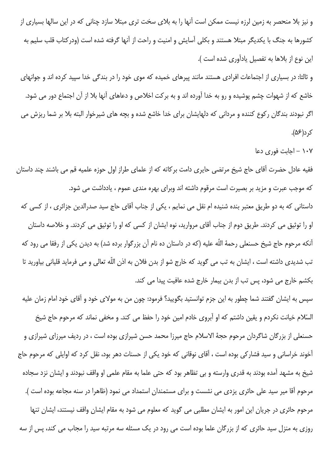و نیز بلا منحصر به زمین لرزه نیست ممکن است آنها را به بلای سخت تری مبتلا سازد چنانی که در این سالها بسیاری از کشورها به جنگ با یکدیگر مبتلا هستند و بکلی آسایش و امنیت و راحت از آنها گرفته شده است (ودرکتاب قلب سلیم به این نوع از بلاها به تفصیل یادآوری شده است ).

و ثالثا: در بسیاری از اجتماعات افرادی هستند مانند پیرهای خمیده که موی خود را در بندگی خدا سپید کرده اند و جوانهای خاشع که از شهوات چشم پوشیده و رو به خدا آورده اند و به برکت اخلاص و دعاهای آنها بلا از آن اجتماع دور می شود. اگر نبودند بندگان رکوع کننده و مردانی که دلهایشان برای خدا خاشع شده و بچه های شیرخوار البته بلا بر شما ریزش می ک د(۵۶).

۱۰۷ – اجابت فوری دعا

فقیه عادل حضرت آقای حاج شیخ مرتضی حایری دامت برکاته که از علمای طراز اول حوزه علمیه قم می باشند چند داستان که موجب عبرت و مزید بر بصیرت است مرقوم داشته اند وبرای بهره مندی عموم ، یادداشت می شود.

داستانی که به دو طریق معتبر بنده شنیده ام نقل می نمایم ، یکی از جناب آقای حاج سید صدرالدین جزائری ، از کسی که او را توثیق می کردند. طریق دوم از جناب آقای مروارید، نوه ایشان از کسی که او را توثیق می کردند. و خلاصه داستان آنکه مرحوم حاج شیخ حسنعلی رحمهٔ اللّه علیه (که در داستان ده نام آن بزرگوار برده شد) به دیدن یکی از رفقا می رود که تب شدیدی داشته است ، ایشان به تب می گوید که خارج شو از بدن فلان به اذن اللّه تعالی و می فرماید قلیانی بیاورید تا بکشم خارج می شود، پس تب از بدن بیمار خارج شده عافیت پیدا می کند.

سپس به ایشان گفتند شما چطور به این جزم توانستید بگویید؟ فرمود: چون من به مولای خود و آقای خود امام زمان علیه السّلام خيانت نكردم و يقين داشتم كه او آبروي خادم امين خود را حفظ مي كند. و مخفى نماند كه مرحوم حاج شيخ حسنعلی از بزرگان شاگردان مرحوم حجهٔ الاسلام حاج میرزا محمد حسن شیرازی بوده است ، در ردیف میرزای شیرازی و آخوند خراسانی و سید فشارکی بوده است ، آقای نوقانی که خود یکی از حسنات دهر بود، نقل کرد که اوایلی که مرحوم حاج شیخ به مشهد آمده بودند به قدری وارسته و بی تظاهر بود که حتی علما به مقام علمی او واقف نبودند و ایشان نزد سجاده مرحوم آقا میر سید علی حائری پزدی می نشست و برای مستمندان استمداد می نمود (ظاهرا در سنه مجاعه بوده است ). مرحوم حائری در جریان این امور به ایشان مطلبی می گوید که معلوم می شود به مقام ایشان واقف نیستند، ایشان تنها روزی به منزل سید حائری که از بزرگان علما بوده است می رود در یک مسئله سه مرتبه سید را مجاب می کند، پس از سه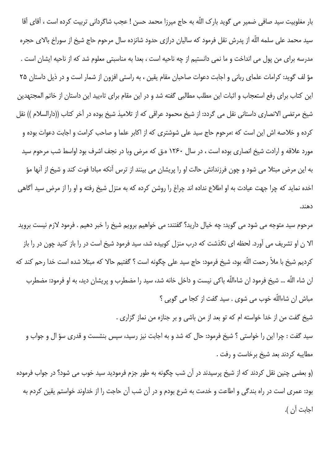بار مغلوبیت سید صافی ضمیر می گوید بارک اللّه به حاج میرزا محمد حسن ! عجب شاگردانی تربیت کرده است ، آقای آقا سید محمد علی سلمه اللّه از پدرش نقل فرمود که سالیان درازی حدود شانزده سال مرحوم حاج شیخ از سوراخ بالای حجره مدرسه براي من پول مي انداخت و ما نمي دانستيم از چه ناحيه است ، بعدا به مناسبتي معلوم شد كه از ناحيه ايشان است . مؤ لف گوید: کرامات علمای ربانی و اجابت دعوات صاحبان مقام یقین ، به راستی افزون از شمار است و در ذیل داستان ۲۵ این کتاب برای رفع استعجاب و اثبات این مطلب مطالبی گفته شد و در این مقام برای تاءیید این داستان از خاتم المجتهدین شيخ مرتضى الانصارى داستانى نقل مى گردد: از شيخ محمود عراقى كه از تلاميذ شيخ بوده در آخر كتاب ((دارالسلام )) نقل کرده و خلاصه اش این است که :مرحوم حاج سید علی شوشتری که از اکابر علما و صاحب کرامت و اجابت دعوات بوده و مورد علاقه و ارادت شیخ انصاری بوده است ، در سال ۱۲۶۰ ه.ق که مرض وبا در نجف اشرف بود اواسط شب مرحوم سید به این مرض مبتلا می شود و چون فرزندانش حالت او را پریشان می بینند از ترس آنکه مبادا فوت کند و شیخ از آنها مؤ اخده نماید که چرا جهت عیادت به او اطلاع نداده اند چراغ را روشن کرده که به منزل شیخ رفته و او را از مرض سید آگاهی دهند.

مرحوم سید متوجه می شود می گوید: چه خیال دارید؟ گفتند: می خواهیم برویم شیخ را خبر دهیم . فرمود لازم نیست بروید الا ن او تشریف می آورد. لحظه ای نگذشت که درب منزل کوبیده شد، سید فرمود شیخ است در را باز کنید چون در را باز كرديم شيخ با ملاً رحمت اللّه بود، شيخ فرمود: حاج سيد على چگونه است ؟ گفتيم حالا كه مبتلا شده است خدا رحم كند كه ان شاء اللّه … شیخ فرمود ان شاءاللّه باکی نیست و داخل خانه شد، سید را مضطرب و پریشان دید، به او فرمود: مضطرب مباش ان شاءاللَّه خوب مي شوي . سيد گفت از كجا مي گويي ؟ شيخ گفت من از خدا خواسته ام كه تو بعد از من باشي و بر جنازه من نماز گزاري .

سيد گفت : چرا اين را خواستي ؟ شيخ فرمود: حال كه شد و به اجابت نيز رسيد، سپس بنشست و قدري سؤ ال و جواب و مطايبه كردند بعد شيخ برخاست و رفت .

(و بعضی چنین نقل کردند که از شیخ پرسیدند در آن شب چگونه به طور جزم فرمودید سید خوب می شود؟ در جواب فرموده بود: عمري است در راه بندگي و اطاعت و خدمت به شرع بودم و در آن شب آن حاجت را از خداوند خواستم يقين كردم به اجابت آن ).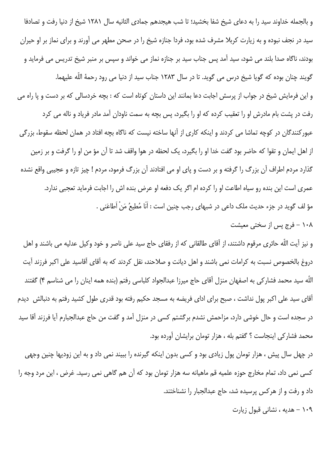و بالجمله خداوند سيد را به دعاى شيخ شفا بخشيد؛ تا شب هيجدهم جمادى الثانيه سال ١٢٨١ شيخ از دنيا رفت و تصادفا سید در نجف نبوده و به زیارت کربلا مشرف شده بود، فردا جنازه شیخ را در صحن مطهر می آورند و برای نماز بر او حیران بودند، ناگاه صدا بلند می شود، سید آمد پس جناب سید بر جنازه نماز می خواند و سپس بر منبر شیخ تدریس می فرماید و گویند چنان بوده که گویا شیخ درس می گوید. تا در سال ۱۲۸۳ جناب سید از دنیا می رود رحمهٔ اللّه علیهما. و این فرمایش شیخ در جواب از پرسش اجابت دعا بمانند این داستان کوتاه است که : بچه خردسالی که بر دست و یا راه می رفت در پشت بام مادرش او را تعقیب کرده که او را بگیرد، پس بچه به سمت ناودان آمد مادر فریاد و ناله می کرد عبورکنندگان در کوچه تماشا می کردند و اینکه کاری از آنها ساخته نیست که ناگاه بچه افتاد در همان لحظه سقوط، بزرگی از اهل ايمان و تقوا كه حاضر بود گفت خدا او را بگيرد، يک لحظه در هوا واقف شد تا آن مؤ من او را گرفت و بر زمين گذارد مردم اطراف آن بزرگ را گرفته و بر دست و پای او می افتادند آن بزرگ فرمود، مردم ! چیز تازه و عجیبی واقع نشده عمری است این بنده رو سیاه اطاعت او را کرده ام اگر یک دفعه او عرض بنده اش را اجابت فرماید تعجبی ندارد. مؤ لف گوید در جزء حدیث ملک داعی در شبهای رجب چنین است : اَنَا مُطیعُ مَنْ اَطاعَنی .

# ۰۸۸ – فرج پس از سختی معیشت

و نیز آیت اللّه حائری مرقوم داشتند، از آقای طالقانی که از رفقای حاج سید علی ناصر و خود وکیل عدلیه می باشند و اهل دروغ بالخصوص نسبت به كرامات نمي باشند و اهل ديانت و صلاحند، نقل كردند كه به آقاي آقاسيد على اكبر فرزند آيت اللّه سيد محمد فشاركي به اصفهان منزل آقاي حاج ميرزا عبدالجواد كلباسي رفتم (بنده همه اينان را مي شناسم ۴) گفتند آقای سید علی اکبر پول نداشت ، صبح برای ادای فریضه به مسجد حکیم رفته بود قدری طول کشید رفتم به دنبالش دیدم در سجده است و حال خوشی دارد، مزاحمش نشدم برگشتم کسی در منزل آمد و گفت من حاج عبدالجبارم آیا فرزند آقا سید محمد فشاركي اينجاست ؟ گفتم بله ، هزار تومان برايشان آورده بود.

در چهل سال پیش ، هزار تومان پول زیادی بود و کسی بدون اینکه گیرنده را ببیند نمی داد و به این زودیها چنین وجهی کسی نمی داد، تمام مخارج حوزه علمیه قم ماهیانه سه هزار تومان بود که آن هم گاهی نمی رسید. غرض ، این مرد وجه را داد و رفت و از هرکس پرسیده شد، حاج عبدالجبار را نشناختند.

۱۰۹ - هدیه ، نشانی قبول زیارت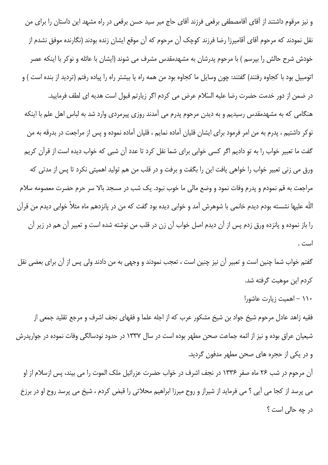و نیز مرقوم داشتند از آقای آقامصطفی برقعی فرزند آقای حاج میر سید حسن برقعی در راه مشهد این داستان را برای من نقل نمودند که مرحوم آقای آقامیرزا رضا فرزند کوچک آن مرحوم که آن موقع ایشان زنده بودند (نگارنده موفق نشدم از خودش شرح حالش را بیرسم ) با مرحوم پدرشان به مشهدمقدس مشرف می شوند (ایشان با عائله و نوکر با اینکه عصر اتومبیل بود با کجاوه رفتند) گفتند: چون وسایل ما کجاوه بود من همه راه یا بیشتر راه را پیاده رفتم (تردید از بنده است ) و در ضمن از دور خدمت حضرت رضا عليه السّلام عرض مي كردم اگر زيارتم قبول است هديه اي لطف فرماييد. هنگامی که به مشهدمقدس رسیدیم و به دیدن مرحوم پدرم می آمدند روزی پیرمردی وارد شد به لباس اهل علم با اینکه نوکر داشتیم ، پدرم به من امر فرمود برای ایشان قلیان آماده نمایم ، قلیان آماده نموده و پس از مراجعت در بدرقه به من گفت ما تعبیر خواب را به تو دادیم اگر کسی خوابی برای شما نقل کرد تا عدد آن شبی که خواب دیده است از قرآن کریم ورق می زنی تعبیر خواب را خواهی یافت این را بگفت و برفت و در قلب من هم تولید اهمیتی نکرد تا پس از مدتی که مراجعت به قم نمودم و پدرم وفات نمود و وضع مالی ما خوب نبود. یک شب در مسجد بالا سر حرم حضرت معصومه سلام اللّه علیها نشسته بودم دیدم خانمی با شوهرش آمد و خوابی دیده بود گفت که من در پانزدهم ماه مثلاً خوابی دیدم من قرآن را باز نموده و پانزده ورق زدم پس از آن دیدم اصل خواب آن زن در قلب من نوشته شده است و تعبیر آن هم در زیر آن است .

گفتم خواب شما چنین است و تعبیر آن نیز چنین است ، تعجب نمودند و وجهی به من دادند ولی پس از آن برای بعضی نقل كردم اين موهبت گرفته شد.

۱۱۰ – اهمیت زیارت عاشورا

فقیه زاهد عادل مرحوم شیخ جواد بن شیخ مشکور عرب که از اجله علما و فقهای نجف اشرف و مرجع تقلید جمعی از شیعیان عراق بوده و نیز از ائمه جماعت صحن مطهر بوده است در سال ۱۳۳۷ در حدود نودسالگی وفات نموده در جواریدرش و در یکی از حجره های صحن مطهر مدفون گردید.

آن مرحوم در شب ۲۶ ماه صفر ۱۳۳۶ در نجف اشرف در خواب حضرت عزرائیل ملک الموت را می بیند، پس ازسلام از او می پرسد از کجا می آیی ؟ می فرماید از شیراز و روح میرزا ابراهیم محلاتی را قبض کردم ، شیخ می پرسد روح او در برزخ در چه حالی است ؟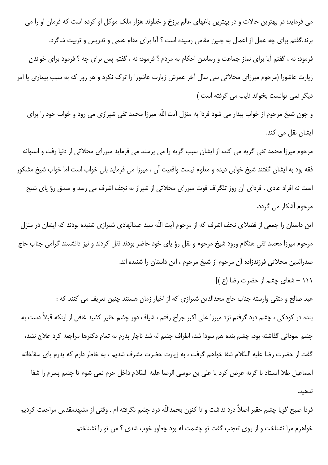می فرماید: در بهترین حالات و در بهترین باغهای عالم برزخ و خداوند هزار ملک موکل او کرده است که فرمان او را می برند.گفتم برای چه عمل از اعمال به چنین مقامی رسیده است ؟ آیا برای مقام علمی و تدریس و تربیت شاگرد. فرمود: نه ، گفتم آیا برای نماز جماعت و رساندن احکام به مردم ؟ فرمود: نه ، گفتم پس برای چه ؟ فرمود برای خواندن زیارت عاشورا (مرحوم میرزای محلاتی سی سال آخر عمرش زیارت عاشورا را ترک نکرد و هر روز که به سبب بیماری یا امر دیگر نمی توانست بخواند نایب می گرفته است )

و چون شیخ مرحوم از خواب بیدار می شود فردا به منزل آیت اللّه میرزا محمد تقی شیرازی می رود و خواب خود را برای ایشان نقل می کند.

مرحوم میرزا محمد تقی گریه می کند، از ایشان سبب گریه را می پرسند می فرماید میرزای محلاتی از دنیا رفت و استوانه فقه بود به ایشان گفتند شیخ خوابی دیده و معلوم نیست واقعیت آن ، میرزا می فرماید بلی خواب است اما خواب شیخ مشکور است نه افراد عادی . فردای آن روز تلگراف فوت میرزای محلاتی از شیراز به نجف اشرف می رسد و صدق رؤ یای شیخ مرحوم آشکار می گردد.

این داستان را جمعی از فضلای نجف اشرف که از مرحوم آیت اللّه سید عبدالهادی شیرازی شنیده بودند که ایشان در منزل مرحوم میرزا محمد تقی هنگام ورود شیخ مرحوم و نقل رؤ یای خود حاضر بودند نقل کردند و نیز دانشمند گرامی جناب حاج صدرالدین محلاتی فرزندزاده آن مرحوم از شیخ مرحوم ، این داستان را شنیده اند.

۱۱۱ – شفای چشم از حضرت رضا (ع )]

عبد صالح و متقى وارسته جناب حاج مجدالدين شيرازي كه از اخيار زمان هستند چنين تعريف مي كنند كه : بنده در کودکی ، چشم درد گرفتم نزد میرزا علی اکبر جراح رفتم ، شیاف دور چشم حقیر کشید غافل از اینکه قبلاً دست به چشم سودائی گذاشته بود، چشم بنده هم سودا شد، اطراف چشم له شد ناچار پدرم به تمام دکترها مراجعه کرد علاج نشد، گفت از حضرت رضا علیه السّلام شفا خواهم گرفت ، به زیارت حضرت مشرف شدیم ، به خاطر دارم که پدرم پای سقاخانه اسماعيل طلا ايستاد با گريه عرض كرد يا على بن موسى الرضا عليه السّلام داخل حرم نمى شوم تا چشم يسرم را شفا ندهىد.

فردا صبح گویا چشم حقیر اصلاً درد نداشت و تا کنون بحمداللّه درد چشم نگرفته ام . وقتی از مشهدمقدس مراجعت کردیم خواهرم مرا نشناخت و از روى تعجب گفت تو چشمت له بود چطور خوب شدى ؟ من تو را نشناختم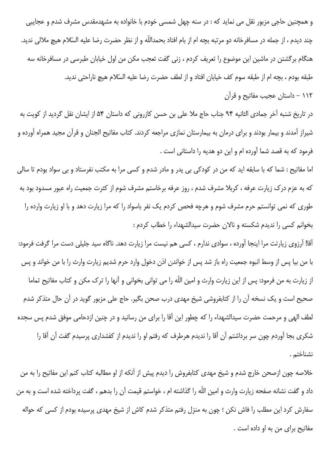و همچنین حاجی مزبور نقل می نماید که : در سنه چهل شمسی خودم با خانواده به مشهدمقدس مشرف شدم و عجایبی چند دیدم ، از جمله در مسافرخانه دو مرتبه بچه ام از بام افتاد بحمداللّه و از نظر حضرت رضا علیه السّلام هیچ ملالی ندید. هنگام برگشتن در ماشین این موضوع را تعریف کردم ، زنی گفت تعجب مکن من اول خیابان طبرسی در مسافرخانه سه طبقه بودم ، بچه ام از طبقه سوم كف خيابان افتاد و از لطف حضرت رضا عليه السّلام هيچ ناراحتى نديد. ۱۱۲ – داستان عجیب مفاتیح و قرآن

در تاریخ شنبه آخر جمادی الثانیه ۹۴ جناب حاج ملا علی بن حسن کازرونی که داستان ۵۴ از ایشان نقل گردید از کویت به شیراز آمدند و بیمار بودند و برای درمان به بیمارستان نمازی مراجعه کردند. کتاب مفاتیح الجنان و قرآن مجید همراه آورده و فرمود که به قصد شما آورده ام و این دو هدیه را داستانی است .

اما مفاتیح : شما که با سابقه اید که من در کودکی بی پدر و مادر شدم و کسی مرا به مکتب نفرستاد و بی سواد بودم تا سالی که به عزم درک زیارت عرفه ، کربلا مشرف شدم ، روز عرفه برخاستم مشرف شوم از کثرت جمعیت راه عبور مسدود بود به طوری که نمی توانستم حرم مشرف شوم و هرچه فحص کردم یک نفر باسواد را که مرا زیارت دهد و با او زیارت وارده را بخوانم كسى را نديدم شكسته و نالان حضرت سيدالشهداء را خطاب كردم :

أقا! أرزوي زيارتت مرا اينجا أورده ، سوادي ندارم ، كسي هم نيست مرا زيارت دهد. ناگاه سيد جليلي دست مرا گرفت فرمود: با من بيا پس از وسط انبوه جمعيت راه باز شد پس از خواندن اذن دخول وارد حرم شديم زيارت وارث را با من خواند و پس از زیارت به من فرمود: پس از این زیارت وارث و امین اللّه را می توانی بخوانی و آنها را ترک مکن و کتاب مفاتیح تماما صحیح است و یک نسخه آن را از کتابفروشی شیخ مهدی درب صحن بگیر. حاج علی مزبور گوید در آن حال متذکر شدم لطف الهی و مرحمت حضرت سیدالشهداء را که چطور این آقا را برای من رسانید و در چنین ازدحامی موفق شدم پس سجده شکری بجا آوردم چون سر برداشتم آن آقا را ندیدم هرطرف که رفتم او را ندیدم از کفشداری پرسیدم گفت آن آقا را نشناختم .

خلاصه چون ازصحن خارج شدم و شیخ مهدی کتابفروش را دیدم پیش از آنکه از او مطالبه کتاب کنم این مفاتیح را به من داد و گفت نشانه صفحه زیارت وارث و امین اللّه را گذاشته ام ، خواستم قیمت آن را بدهم ، گفت پرداخته شده است و به من سفارش کرد این مطلب را فاش نکن ؛ چون به منزل رفتم متذکر شدم کاش از شیخ مهدی پرسیده بودم از کسی که حواله مفاتيح براي من به او داده است .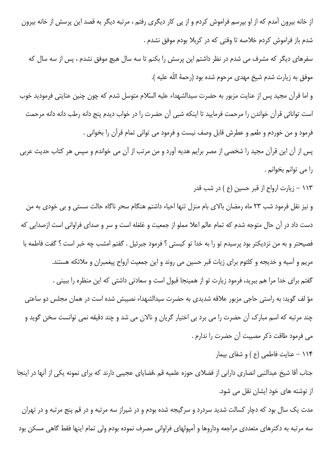از خانه بیرون آمدم که از او بپرسم فراموش کردم و از پی کار دیگری رفتم ، مرتبه دیگر به قصد این پرسش از خانه بیرون شدم باز فراموش كردم خلاصه تا وقتى كه در كربلا بودم موفق نشدم .

سفرهای دیگر که مشرف می شدم در نظر داشتم این پرسش را بکنم تا سه سال هیچ موفق نشدم ، پس از سه سال که موفق به زيارت شدم شيخ مهدى مرحوم شده بود (رحمهٔ اللّه عليه ).

و اما قرآن مجید پس از عنایت مزبور به حضرت سیدالشهداء علیه السّلام متوسل شدم که چون چنین عنایتی فرمودید خوب است توانائی قرآن خواندن را مرحمت فرمایید تا اینکه شبی آن حضرت را در خواب دیدم پنج دانه رطب دانه دانه مرحمت فرمود و من خوردم و طعم و عطرش قابل وصف نیست و فرمود می توانی تمام قرآن را بخوانی .

پس از آن این قرآن مجید را شخصی از مصر برایم هدیه آورد و من مرتب از آن می خواندم و سپس هر کتاب حدیث عربی را می توانم بخوانم .

۱۱۳ – زیارت ارواح از قبر حسین (ع ) در شب قدر

و نیز نقل فرمود شب ۲۳ ماه رمضان بالای بام منزل تنها احیاء داشتم هنگام سحر ناگاه حالت سستی و بی خودی به من دست داد در آن حال متوجه شدم که تمام عالم اعلا مملو از جمعیت و غلغله است و سر و صدای فراوانی است ازصدایی که فصيحتر و به من نزديكتر بود پرسيدم تو را به خدا تو كيستى ؟ فرمود جبرئيل . گفتم امشب چه خبر است ؟ گفت فاطمه با مریم و آسیه و خدیجه و کلثوم برای زیات قبر حسین می روند و این جمعیت ارواح پیغمبران و ملائکه هستند. گفتم برای خدا مرا هم ببرید، فرمود زیارت تو از همینجا قبول است و سعادتی داشتی که این منظره را ببینی . مؤ لف گوید: به راستی حاجی مزبور علاقه شدیدی به حضرت سیدالشهداء نصیبش شده است در همان مجلس دو ساعتی چند مرتبه که اسم مبارک آن حضرت را می برد بی اختیار گریان و نالان می شد و چند دقیقه نمی توانست سخن گوید و می فرمود طاقت ذکر مصیبت آن حضرت را ندارم .

۱۱۴ - عنایت فاطمی (ع ) و شفای بیمار

جناب آقا شیخ عبدالنبی انصاری دارابی از فضلای حوزه علمیه قم ،قضایای عجیبی دارند که برای نمونه یکی از آنها در اینجا از نوشته های خود ایشان نقل می شود.

مدت یک سال بود که دچار کسالت شدید سردرد و سرگیجه شده بودم و در شیراز سه مرتبه و در قم پنج مرتبه و در تهران سه مرتبه به دکترهای متعددی مراجعه وداروها و آمپولهای فراوانی مصرف نموده بودم ولی تمام اینها فقط گاهی مسکن بود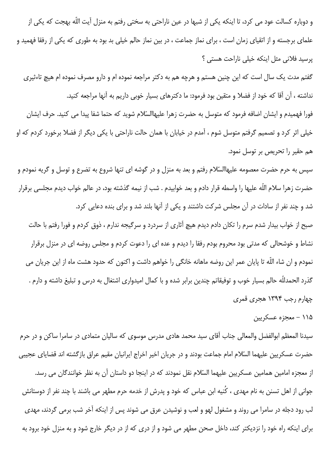و دوباره کسالت عود می کرد، تا اینکه یکی از شبها در عین ناراحتی به سختی رفتم به منزل آیت اللّه بهجت که یکی از علمای برجسته و از اتقیای زمان است ، برای نماز جماعت ، در بین نماز حالم خیلی بد بود به طوری که یکی از رفقا فهمید و پرسید فلانی مثل اینکه خیلی ناراحت هستی ؟

گفتم مدت یک سال است که این چنین هستم و هرچه هم به دکتر مراجعه نموده ام و دارو مصرف نموده ام هیچ تاءثیری نداشته ، آن آقا که خود از فضلا و متقین بود فرمود: ما دکترهای بسیار خوبی داریم به آنها مراجعه کنید.

فورا فهمیدم و ایشان اضافه فرمود که متوسل به حضرت زهرا علیهاالسّلام شوید که حتما شفا پیدا می کنید. حرف ایشان خیلی اثر کرد و تصمیم گرفتم متوسل شوم ، آمدم در خیابان با همان حالت ناراحتی با یکی دیگر از فضلا برخورد کردم که او هم حقير را تحريص بر توسل نمود.

سپس به حرم حضرت معصومه علیهاالسّلام رفتم و بعد به منزل و در گوشه ای تنها شروع به تضرع و توسل و گریه نمودم و حضرت زهرا سلام اللّه عليها را واسطه قرار دادم و بعد خوابيدم . شب از نيمه گذشته بود، در عالم خواب ديدم مجلسي برقرار شد و چند نفر از سادات در آن مجلس شرکت داشتند و یکی از آنها بلند شد و برای بنده دعایی کرد.

صبح از خواب بیدار شدم سرم را تکان دادم دیدم هیچ آثاری از سردرد و سرگیجه ندارم ، ذوق کردم و فورا رفتم با حالت نشاط و خوشحالی که مدتی بود محروم بودم رفقا را دیدم و عده ای را دعوت کردم و مجلس روضه ای در منزل برقرار نمودم و ان شاء اللّه تا پایان عمر این روضه ماهانه خانگی را خواهم داشت و اکنون که حدود هشت ماه از این جریان می گذرد الحمدللّه حالم بسیار خوب و توفیقاتم چندین برابر شده و با کمال امیدواری اشتغال به درس و تبلیغ داشته و دارم . چهارم رجب ۱۳۹۴ هجری قمری

 $\cdots$ معجزه عسکریت (۱۱۵

سیدنا المعظم ابوالفضل والمعالی جناب آقای سید محمد هادی مدرس موسوی که سالیان متمادی در سامرا ساکن و در حرم حضرت عسكريين عليهما السّلام امام جماعت بودند و در جريان اخير اخراج ايرانيان مقيم عراق بازگشته اند قضاياي عجيبي از معجزه امامین همامین عسکریین علیهما السّلام نقل نمودند که در اینجا دو داستان آن به نظر خوانندگان می رسد. جوانی از اهل تسنن به نام مهدی ، کُنیه ابن عباس که خود و پدرش از خدمه حرم مطهر می باشند با چند نفر از دوستانش لب رود دجله در سامرا می روند و مشغول لهو و لعب و نوشیدن عرق می شوند پس از اینکه آخر شب برمی گردند، مهدی برای اینکه راه خود را نزدیکتر کند، داخل صحن مطهر می شود و از دری که از در دیگر خارج شود و به منزل خود برود به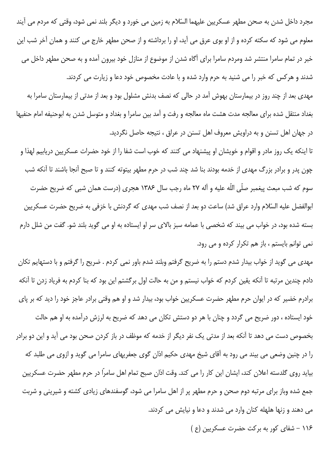مجرد داخل شدن به صحن مطهر عسکریین علیهما السّلام به زمین می خورد و دیگر بلند نمی شود، وقتی که مردم می آیند معلوم می شود که سکته کرده و از او بوی عرق می آید، او را برداشته و از صحن مطهر خارج می کنند و همان آخر شب این خبر در تمام سامرا منتشر شد ومردم سامرا براي آگاه شدن از موضوع از منازل خود بيرون آمده و به صحن مطهر داخل مي شدند و هرکس که خبر را می شنید به حرم وارد شده و با عادت مخصوص خود دعا و زیارت می کردند.

مهدی بعد از چند روز در بیمارستان بهوش آمد در حالی که نصف بدنش مشلول بود و بعد از مدتی از بیمارستان سامرا به بغداد منتقل شده براى معالجه مدت هشت ماه معالجه و رفت و آمد بين سامرا و بغداد و متوسل شدن به ابوحنيفه امام حنفيها در جهان اهل تسنن و به دراویش معروف اهل تسنن در عراق ، نتیجه حاصل نگردید.

تا اینکه یک روز مادر و اقوام و خویشان او پیشنهاد می کنند که خوب است شفا را از خود حضرات عسکریین دریابیم لهذا و چون پدر و برادر بزرگ مهدی از خدمه بودند بنا شد چند شب در حرم مطهر بیتوته کنند و تا صبح آنجا باشند تا آنکه شب سوم که شب مبعث پیغمبر صلّی اللّه علیه و آله ٢٧ ماه رجب سال ١٣٨۶ هجری (درست همان شبی که ضریح حضرت ابوالفضل عليه السّلام وارد عراق شد) ساعت دو بعد از نصف شب مهدى كه گردنش با خزفى به ضريح حضرت عسكريين بسته شده بود، در خواب می بیند که شخصی با عمامه سبز بالای سر او ایستاده به او می گوید بلند شو. گفت من شلل دارم نمی توانم بایستم ، باز هم تکرار کرده و می رود.

مهدی می گوید از خواب بیدار شدم دستم را به ضریح گرفتم وبلند شدم باور نمی کردم . ضریح را گرفتم و با دستهایم تکان دادم چندین مرتبه تا آنکه یقین کردم که خواب نیستم و من به حالت اول برگشتم این بود که بنا کردم به فریاد زدن تا آنکه برادرم خضیر که در ایوان حرم مطهر حضرت عسکریین خواب بود، بیدار شد و او هم وقتی برادر عاجز خود را دید که بر پای خود ایستاده ، دور ضریح می گردد و چنان با هر دو دستش تکان می دهد که ضریح به لرزش درآمده به او هم حالت بخصوص دست می دهد تا آنکه بعد از مدتی یک نفر دیگر از خدمه که موظف در باز کردن صحن بود می آید و این دو برادر را در چنین وضعی می بیند می رود به آقای شیخ مهدی حکیم اذان گوی جعفریهای سامرا می گوید و ازوی می طلبد که بیاید روی گلدسته اعلان کند، ایشان این کار را می کند. وقت اذان صبح تمام اهل سامراً در حرم مطهر حضرت عسکریین جمع شده وباز برای مرتبه دوم صحن و حرم مطهر پر از اهل سامرا می شود، گوسفندهای زیادی کشته و شیرینی و شربت می دهند و زنها هلهله کنان وارد می شدند و دعا و نیایش می کردند. ۱۱۶ – شفای کور به برکت حضرت عسکریین (ع )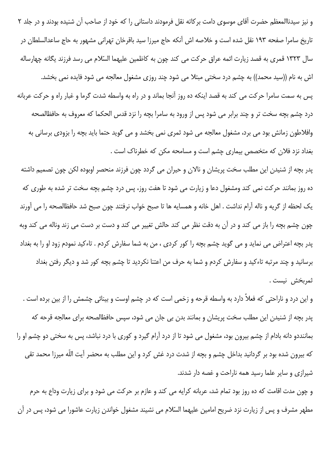و نیز سیدناالمعظم حضرت آقای موسوی دامت برکاته نقل فرمودند داستانی را که خود از صاحب آن شنیده بودند و در جلد ۲ تاریخ سامرا صفحه ۱۹۳ نقل شده است و خلاصه اش آنکه حاج میرزا سید باقرخان تهرانی مشهور به حاج ساعدالسلطان در سال ۱۳۲۳ قمری به قصد زیارت ائمه عراق حرکت می کند چون به کاظمین علیهما السّلام می رسد فرزند یگانه چهارساله اش به نام ((سید محمد)) به چشم درد سختی مبتلا می شود چند روزی مشغول معالجه می شود فایده نمی بخشد. پس به سمت سامرا حرکت می کند به قصد اینکه ده روز آنجا بماند و در راه به واسطه شدت گرما و غبار راه و حرکت عربانه درد چشم بچه سخت تر و چند برابر می شود پس از ورود به سامرا بچه را نزد قدس الحکما که معروف به حافظالصحه وافلاطون زمانش بود می برد، مشغول معالجه می شود ثمری نمی بخشد و می گوید حتما باید بچه را بزودی برسانی به بغداد نزد فلان که متخصص بیماری چشم است و مسامحه مکن که خطرناک است .

پدر بچه از شنیدن این مطلب سخت پریشان و نالان و حیران می گردد چون فرزند منحصر اوبوده لکن چون تصمیم داشته ده روز بمانند حرکت نمی کند ومشغول دعا و زیارت می شود تا هفت روز، پس درد چشم بچه سخت تر شده به طوری که يک لحظه از گريه و ناله آرام نداشت . اهل خانه و همسايه ها تا صبح خواب نرفتند چون صبح شد حافظالصحه را مى آورند چون چشم بچه را باز می کند و در آن به دقت نظر می کند حالش تغییر می کند و دست بر دست می زند وناله می کند وبه پدر بچه اعتراض می نماید و می گوید چشم بچه را کور کردی ، من به شما سفارش کردم . تاءکید نمودم زود او را به بغداد برسانید و چند مرتبه تاءکید و سفارش کردم و شما به حرف من اعتنا نکردید تا چشم بچه کور شد و دیگر رفتن بغداد ثمربخش نيست .

و این درد و ناراحتی که فعلاً دارد به واسطه قرحه و زخمی است که در چشم اوست و بینائی چشمش را از بین برده است . پدر بچه از شنیدن این مطلب سخت پریشان و بمانند بدن بی جان می شود، سپس حافظالصحه برای معالجه قرحه که بماننددو دانه بادام از چشم بیرون بود، مشغول می شود تا از درد آرام گیرد و کوری با درد نباشد، پس به سختی دو چشم او را که بیرون شده بود بر گردانید بداخل چشم و بچه از شدت درد غش کرد و این مطلب به محضر آیت اللّه میرزا محمد تقی شیرازی و سایر علما رسید همه ناراحت و غصه دار شدند.

و چون مدت اقامت که ده روز بود تمام شد، عربانه کرایه می کند و عازم بر حرکت می شود و برای زیارت وداع به حرم مطهر مشرف و پس از زیارت نزد ضریح امامین علیهما السّلام می نشیند مشغول خواندن زیارت عاشورا می شود، پس در آن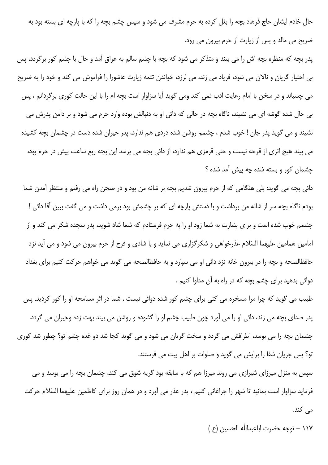حال خادم ایشان حاج فرهاد بچه را بغل کرده به حرم مشرف می شود و سپس چشم بچه را که با پارچه ای بسته بود به ضریح می مالد و پس از زیارت از حرم بیرون می رود.

یدر بچه که منظره بچه اش را می بیند و متذکر می شود که بچه با چشم سالم به عراق آمد و حال با چشم کور برگردد، پس بی اختیار گریان و نالان می شود، فریاد می زند، می لرزد، خواندن تتمه زیارت عاشورا را فراموش می کند و خود را به ضریح می چسباند و در سخن با امام رعایت ادب نمی کند ومی گوید آیا سزاوار است بچه ام را با این حالت کوری برگردانم ، پس بی حال شده گوشه ای می نشیند، ناگاه بچه در حالی که دائی او به دنبالش بوده وارد حرم می شود و بر دامن پدرش می نشیند و می گوید پدر جان ! خوب شدم ، چشمم روشن شده دردی هم ندارد، پدر حیران شده دست در چشمان بچه کشیده می بیند هیچ اثری از قرحه نیست و حتی قرمزی هم ندارد، از دائی بچه می پرسد این بچه ربع ساعت پیش در حرم بود، چشمان کور و بسته شده چه پیش آمد شده ؟

دائی بچه می گوید: بلی هنگامی که از حرم بیرون شدیم بچه بر شانه من بود و در صحن راه می رفتم و منتظر آمدن شما بودم ناگاه بچه سر از شانه من برداشت و با دستش پارچه ای که بر چشمش بود برمی داشت و می گفت ببین آقا دائی ! چشمم خوب شده است و برای بشارت به شما زود او را به حرم فرستادم که شما شاد شوید، پدر سجده شکر می کند و از امامین همامین علیهما السّلام عذرخواهی و شکرگزاری می نماید و با شادی و فرح از حرم بیرون می شود و می آید نزد حافظالصحه و بچه را در بیرون خانه نزد دائی او می سپارد و به حافظالصحه می گوید می خواهم حرکت کنیم برای بغداد دوائی بدهید برای چشم بچه که در راه به آن مداوا کنیم .

طبیب می گوید که چرا مرا مسخره می کنی برای چشم کور شده دوائی نیست ، شما در اثر مسامحه او را کور کردید. پس يدر صداي بچه مي زند، دائي او را مي آورد چون طبيب چشم او را گشوده و روشن مي بيند بهت زده وحيران مي گردد. چشمان بچه را می بوسد، اطرافش می گردد و سخت گریان می شود و می گوید کجا شد دو غده چشم تو؟ چطور شد کوری تو؟ پس جریان شفا را برایش می گوید و صلوات بر اهل بیت می فرستند.

سپس به منزل میرزای شیرازی می روند میرزا هم که با سابقه بود گریه شوق می کند، چشمان بچه را می بوسد و می فرماید سزاوار است بمانید تا شهر را چراغانی کنیم ، پدر عذر می آورد و در همان روز برای کاظمین علیهما السّلام حرکت مے کند.

١١٧ - توجه حضرت اباعبداللّه الحسين (ع)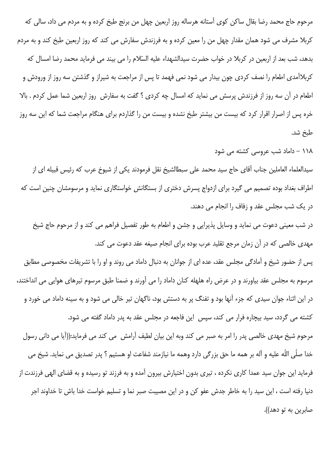مرحوم حاج محمد رضا بقال ساکن کوی آستانه هرساله روز اربعین چهل من برنج طبخ کرده و به مردم می داد، سالی که کربلا مشرف می شود همان مقدار چهل من را معین کرده و به فرزندش سفارش می کند که روز اربعین طبخ کند و به مردم بدهد، شب بعد از اربعین در کربلا در خواب حضرت سیدالشهداء علیه السّلام را می بیند می فرماید محمد رضا امسال که کربلاآمدی اطعام را نصف کردی چون بیدار می شود نمی فهمد تا پس از مراجعت به شیراز و گذشتن سه روز از ورودش و اطعام در آن سه روز از فرزندش پرسش می نماید که امسال چه کردی ؟ گفت به سفارش روز اربعین شما عمل کردم . بالا خره پس از اصرار اقرار کرد که بیست من بیشتر طبخ نشده و بیست من را گذاردم برای هنگام مراجعت شما که این سه روز طبخ شد.

۱۱۸ – داماد شب عروسی کشته می شود

سیدالعلماء العاملین جناب آقای حاج سید محمد علی سبطالشیخ نقل فرمودند یکی از شیوخ عرب که رئیس قبیله ای از اطراف بغداد بوده تصمیم می گیرد برای ازدواج پسرش دختری از بستگانش خواستگاری نماید و مرسومشان چنین است که در یک شب مجلس عقد و زفاف را انجام می دهند.

در شب معینی دعوت می نماید و وسایل پذیرایی و جشن و اطعام به طور تفصیل فراهم می کند و از مرحوم حاج شیخ مهدی خالصی که در آن زمان مرجع تقلید عرب بوده برای انجام صیغه عقد دعوت می کند.

پس از حضور شیخ و آمادگی مجلس عقد، عده ای از جوانان به دنبال داماد می روند و او را با تشریفات مخصوصی مطابق مرسوم به مجلس عقد بیاورند و در عرض راه هلهله کنان داماد را می آورند و ضمنا طبق مرسوم تیرهای هوایی می انداختند، در این اثناء جوان سیدی که جزء آنها بود و تفنگ پر به دستش بود، ناگهان تیر خالی می شود و به سینه داماد می خورد و کشته می گردد، سید بیچاره فرار می کند، سپس این فاجعه در مجلس عقد به پدر داماد گفته می شود. مرحوم شیخ مهدی خالصی پدر را امر به صبر می کند وبه این بیان لطیف آرامش می کند می فرماید:((آیا می دانی رسول خدا صلَّى اللَّه عليه و آله بر همه ما حق بزرگي دارد وهمه ما نيازمند شفاعت او هستيم ؟ پدر تصديق مي نمايد. شيخ مي فرماید این جوان سید عمدا کاری نکرده ، تیری بدون اختیارش بیرون آمده و به فرزند تو رسیده و به قضای الهی فرزندت از دنیا رفته است ، این سید را به خاطر جدش عفو کن و در این مصیبت صبر نما و تسلیم خواست خدا باش تا خداوند اجر صابرين به تو دهد)).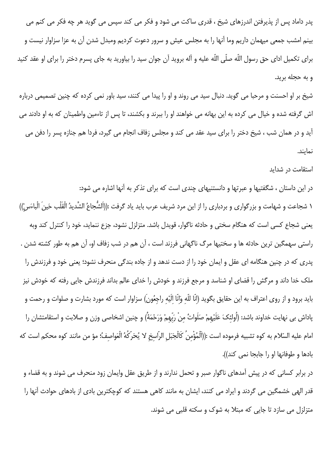پدر داماد پس از پذیرفتن اندرزهای شیخ ، قدری ساکت می شود و فکر می کند سپس می گوید هر چه فکر می کنم می بینم امشب جمعی میهمان داریم وما آنها را به مجلس عیش و سرور دعوت کردیم ومبدل شدن آن به عزا سزاوار نیست و براي تكميل اداي حق رسول اللّه صلّى اللّه عليه و آله برويد آن جوان سيد را بياوريد به جاي پسرم دختر را براي او عقد كنيد و به حجله برید.

شیخ بر او احسنت و مرحبا می گوید. دنبال سید می روند و او را پیدا می کنند، سید باور نمی کرده که چنین تصمیمی درباره اش گرفته شده و خیال می کرده به این بهانه می خواهند او را ببرند و بکشند، تا پس از تاءمین واطمینان که به او دادند می آيد و در همان شب ، شيخ دختر را براي سيد عقد مي كند و مجلس زفاف انجام مي گيرد، فردا هم جنازه پسر را دفن مي نمايند.

#### استقامت در شداید

در این داستان ، شگفتیها و عبرتها و دانستنیهای چندی است که برای تذکر به آنها اشاره می شود: ١ شجاعت و شهامت و بزرگواري و بردباري را از اين مرد شريف عرب بايد ياد گرفت :((اَلشُّجاعُ الشَّديدُ الْقَلْب حَينَ الْباءَسْ)) یعنی شجاع کسی است که هنگام سختی و حادثه ناگوار، قویدل باشد. متزلزل نشود، جزع ننماید، خود را کنترل کند وبه راستي سهمگين ترين حادثه ها و سختيها مرگ ناگهاني فرزند است ، آن هم در شب زفاف او، آن هم به طور كشته شدن . پدری که در چنین هنگامه ای عقل و ایمان خود را از دست ندهد و از جاده بندگی منحرف نشود؛ یعنی خود و فرزندش را ملک خدا داند و مرگش را قضای او شناسد و مرجع فرزند و خودش را خدای عالم بداند فرزندش جایی رفته که خودش نیز باید برود و از روی اعتراف به این حقایق بگوید (انّا للّه وَانّا الَیْه راجعُون) سزاوار است که مورد بشارت و صلوات و رحمت و پاداش بی نهایت خداوند باشد: (اُولئکَ عَلَیْهمْ صَلَواتُ مِنْ رَبّهمْ وَرَحْمَةُ) و چنین اشخاصی وزن و صلابت و استقامتشان را امام عليه السّلام به كوه تشبيه فرموده است :((اَلْمُؤْمنُ كَالْجَبَلِ الرّاسخ لا يُحَرّكُهُ الْعَواصفُ؛ مؤ من مانند كوه محكم است كه بادها و طوفانها او را جابجا نمی کند)).

در برابر کسانی که در پیش آمدهای ناگوار صبر و تحمل ندارند و از طریق عقل وایمان زود منحرف می شوند و به قضاء و قدر الهی خشمگین می گردند و ایراد می کنند، ایشان به مانند کاهی هستند که کوچکترین بادی از بادهای حوادث آنها را متزلزل می سازد تا جایی که مبتلا به شوک و سکته قلبی می شوند.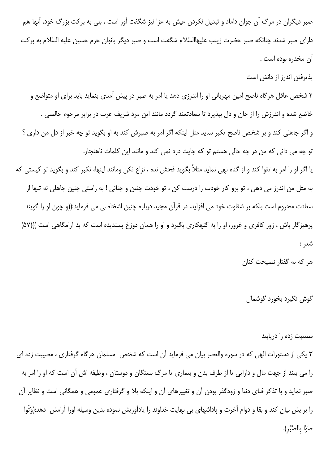صبر دیگران در مرگ آن جوان داماد و تبدیل نکردن عیش به عزا نیز شگفت آور است ، بلی به برکت بزرگ خود، آنها هم دارای صبر شدند چنانکه صبر حضرت زینب علیهاالسّلام شگفت است و صبر دیگر بانوان حرم حسین علیه السّلام به برکت آن مخدره بوده است .

يذيرفتن اندرز از دانش است

۲ شخص عاقل هرگاه ناصح امین مهربانی او را اندرزی دهد یا امر به صبر در پیش آمدی بنماید باید برای او متواضع و خاضع شده و اندرزش را از جان و دل بپذیرد تا سعادتمند گردد مانند این مرد شریف عرب در برابر مرحوم خالصی . و اگر جاهلی کند و بر شخص ناصح تکبر نماید مثل اینکه اگر امر به صبرش کند به او بگوید تو چه خبر از دل من داری ؟ تو چه می دانی که من در چه حالی هستم تو که جایت درد نمی کند و مانند این کلمات ناهنجار. یا اگر او را امر به تقوا کند و از گناه نهی نماید مثلاً بگوید فحش نده ، نزاع نکن ومانند اینها، تکبر کند و بگوید تو کیستی که به مثل من اندرز می دهی ، تو برو کار خودت را درست کن ، تو خودت چنین و چنانی ! به راستی چنین جاهلی نه تنها از سعادت محروم است بلکه بر شقاوت خود می افزاید. در قرآن مجید درباره چنین اشخاصی می فرماید:((و چون او را گویند پرهیزگار باش ، زور کافری و غرور، او را به گنهکاری بگیرد و او را همان دوزخ پسندیده است که بد آرامگاهی است ))(۵۷) شعر :

هر که به گفتار نصیحت کنان

گوش نگيرد بخورد گوشمال

مصیبت زده را دریابید

۳ یکی از دستورات الهی که در سوره والعصر بیان می فرماید آن است که شخص مسلمان هرگاه گرفتاری ، مصیبت زده ای را می بیند از جهت مال و دارایی یا از طرف بدن و بیماری یا مرگ بستگان و دوستان ، وظیفه اش آن است که او را امر به صبر نماید و با تذکر فنای دنیا و زودگذر بودن آن و تغییرهای آن و اینکه بلا و گرفتاری عمومی و همگانی است و نظایر آن را برایش بیان کند و بقا و دوام آخرت و پاداشهای بی نهایت خداوند را یادآوریش نموده بدین وسیله اورا آرامش دهد:(وَتَوا صَوْا بالصَّبْر).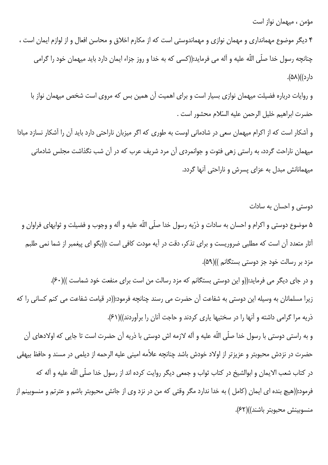مؤمن ، میهمان نواز است

۴ دیگر موضوع مهمانداری و مهمان نوازی و مهماندوستی است که از مکارم اخلاق و محاسن افعال و از لوازم ایمان است ، چنانچه رسول خدا صلّى اللّه عليه و آله مى فرمايد:((كسى كه به خدا و روز جزاء ايمان دارد بايد ميهمان خود را گرامى دار د))(۵۸).

و روایات درباره فضیلت میهمان نوازی بسیار است و برای اهمیت آن همین بس که مروی است شخص میهمان نواز با حضرت ابراهيم خليل الرحمن عليه السّلام محشور است .

و آشکار است که از اکرام میهمان سعی در شادمانی اوست به طوری که اگر میزبان ناراحتی دارد باید آن را آشکار نسازد مبادا میهمان ناراحت گردد، به راستی زهی فتوت و جوانمردی آن مرد شریف عرب که در آن شب نگذاشت مجلس شادمانی میهمانانش مبدل به عزای پسرش و ناراحتی آنها گردد.

دوستی و احسان به سادات

۵ موضوع دوستی و اکرام و احسان به سادات و ذرّیه رسول خدا صلّی اللّه علیه و آله و وجوب و فضیلت و ثوابهای فراوان و آثار متعدد آن است که مطلبی ضروریست و برای تذکر، دقت در آیه مودت کافی است :((بگو ای پیغمبر از شما نمی طلبم مزد بر رسالت خود جز دوستی بستگانم ))(۵۹).

و در جای دیگر می فرماید:((و این دوستی بستگانم که مزد رسالت من است برای منفعت خود شماست ))(۶۰). زيرا مسلمانان به وسيله اين دوستي به شفاعت آن حضرت مي رسند چنانچه فرمود:((در قيامت شفاعت مي كنم كساني را كه ذریه مرا گرامی داشته و آنها را در سختیها یاری کردند و حاجت آنان را برآوردند))(۶۱). و به راستی دوستی با رسول خدا صلّی اللّه علیه و آله لازمه اش دوستی با ذریه آن حضرت است تا جایی که اولادهای آن حضرت در نزدش محبوبتر و عزیزتر از اولاد خودش باشد چنانچه علاّمه امینی علیه الرحمه از دیلمی در مسند و حافظ بیهقی

در كتاب شعب الايمان و ابوالشيخ در كتاب ثواب و جمعي ديگر روايت كرده اند از رسول خدا صلّى اللّه عليه و آله كه فرمود:((هيچ بنده اي ايمان (كامل ) به خدا ندارد مگر وقتي كه من در نزد وي از جانش محبوبتر باشم و عترتم و منسوبينم از منسوبينش محبوبتر باشند))(۶۲).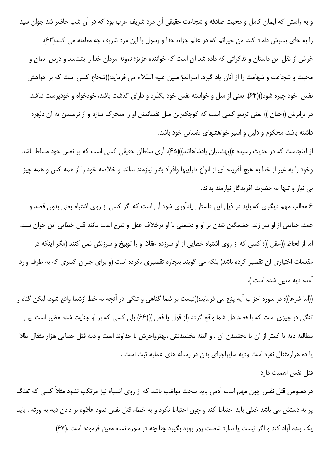و به راستی که ایمان کامل و محبت صادقه و شجاعت حقیقی آن مرد شریف عرب بود که در آن شب حاضر شد جوان سید را به جای پسرش داماد کند. من حیرانم که در عالم جزاء، خدا و رسول با این مرد شریف چه معامله می کنند(۶۳). غرض از نقل این داستان و تذکراتی که داده شد آن است که خواننده عزیز؛ نمونه مردان خدا را بشناسد و درس ایمان و محبت و شجاعت و شهامت را از آنان یاد گیرد. امیرالمؤ منین علیه السّلام می فرماید:((شجاع کسی است که بر خواهش نفس خود چیره شود))(۶۴). یعنی از میل و خواسته نفس خود بگذرد و دارای گذشت باشد، خودخواه و خودپرست نباشد. در برابرش ((جبان )) یعنی ترسو کسی است که کوچکترین میل نفسانیش او را متحرک سازد و از نرسیدن به آن دلهره داشته باشد، محکوم و ذلیل و اسیر خواهشهای نفسانی خود باشد.

از اینجاست که در حدیث رسیده :((بهشتیان پادشاهانند))(۶۵). آری سلطان حقیقی کسی است که بر نفس خود مسلط باشد وخود را به غیر از خدا به هیچ آفریده ای از انواع داراییها وافراد بشر نیازمند نداند. و خلاصه خود را از همه کس و همه چیز بی نیاز و تنها به حضرت آفریدگار نیازمند بداند.

۶ مطلب مهم دیگری که باید در ذیل این داستان یادآوری شود آن است که اگر کسی از روی اشتباه یعنی بدون قصد و عمد، جنایتی از او سر زند، خشمگین شدن بر او و دشمنی با او برخلاف عقل و شرع است مانند قتل خطایی این جوان سید. اما از لحاظ ((عقل )): کسی که از روی اشتباه خطایی از او سرزده عقلا او را توبیخ و سرزنش نمی کنند (مگر اینکه در مقدمات اختیاری آن تقصیر کرده باشد) بلکه می گویند بیچاره تقصیری نکرده است (و برای جبران کسری که به طرف وارد آمده ديه معين شده است ).

((اما شرعا)): در سوره احزاب آيه پنج مي فرمايد:((نيست بر شما گناهي و تنگي در آنچه به خطا ازشما واقع شود، ليكن گناه و تنگی در چیزی است که با قصد دل شما واقع گردد (از قول یا فعل ))(۶۶) بلی کسی که بر او جنایت شده مخیر است بین مطالبه دیه یا کمتر از آن یا بخشیدن آن . و البته بخشیدنش ،بهترواجرش با خداوند است و دیه قتل خطایی هزار مثقال طلا یا ده هزارمثقال نقره است ودیه سایراجزای بدن در رساله های عملیه ثبت است .

قتل نفس اهمیت دارد

درخصوص قتل نفس چون مهم است آدمی باید سخت مواظب باشد که از روی اشتباه نیز مرتکب نشود مثلاً کسی که تفنگ پر به دستش می باشد خیلی باید احتیاط کند و چون احتیاط نکرد و به خطاء قتل نفس نمود علاوه بر دادن دیه به ورثه ، باید یک بنده آزاد کند و اگر نیست یا ندارد شصت روز روزه بگیرد چنانچه در سوره نساء معین فرموده است .(۶۷)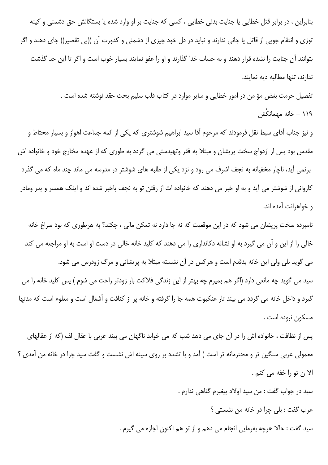بنابراین ، در برابر قتل خطایی یا جنایت بدنی خطایی ، کسی که جنایت بر او وارد شده یا بستگانش حق دشمنی و کینه توزی و انتقام جویی از قاتل یا جانی ندارند و نباید در دل خود چیزی از دشمنی و کدورت آن ((بی تقصیر)) جای دهند و اگر بتوانند آن جنایت را نشده قرار دهند و به حساب خدا گذارند و او را عفو نمایند بسیار خوب است و اگر تا این حد گذشت ندارند، تنها مطالبه ديه نمايند.

> تفصیل حرمت بغض مؤ من در امور خطایی و سایر موارد در کتاب قلب سلیم بحث حقد نوشته شده است . ۱۱۹ – خانه مهمانکُش

و نیز جناب آقای سبط نقل فرمودند که مرحوم آقا سید ابراهیم شوشتری که یکی از ائمه جماعت اهواز و بسیار محتاط و مقدس بود پس از ازدواج سخت پریشان و مبتلا به فقر وتهیدستی می گردد به طوری که از عهده مخارج خود و خانواده اش برنمی آید، ناچار مخفیانه به نجف اشرف می رود و نزد یکی از طلبه های شوشتر در مدرسه می ماند چند ماه که می گذرد کاروانی از شوشتر می آید و به او خبر می دهند که خانواده ات از رفتن تو به نجف باخبر شده اند و اینک همسر و پدر ومادر و خواهرانت آمده اند.

نامبرده سخت پریشان می شود که در این موقعیت که نه جا دارد نه تمکن مالی ، چکند؟ به هرطوری که بود سراغ خانه خالی را از این و آن می گیرد به او نشانه دکانداری را می دهند که کلید خانه خالی در دست او است به او مراجعه می کند می گوید بلی ولی این خانه بدقدم است و هرکس در آن نشسته مبتلا به پریشانی و مرگ زودرس می شود. سید می گوید چه مانعی دارد (اگر هم بمیرم چه بهتر از این زندگی فلاکت بار زودتر راحت می شوم ) پس کلید خانه را می گیرد و داخل خانه می گردد می بیند تار عنکبوت همه جا را گرفته و خانه پر از کثافت و آشغال است و معلوم است که مدتها مسكون نبوده است .

پس از نظافت ، خانواده اش را در آن جای می دهد شب که می خوابد ناگهان می بیند عربی با عقال لف (که از عقالهای معمولی عربی سنگین تر و محترمانه تر است ) آمد و با تشدد بر روی سینه اش نشست و گفت سید چرا در خانه من آمدی ؟ الا ن تو را خفه مي كنم .

سيد در جواب گفت : من سيد اولاد پيغبرم گناهي ندارم .

عرب گفت : بلي چرا در خانه من نشستي ؟

سيد گفت : حالا هرچه بفرمايي انجام مي دهم و از تو هم اكنون اجازه مي گيرم .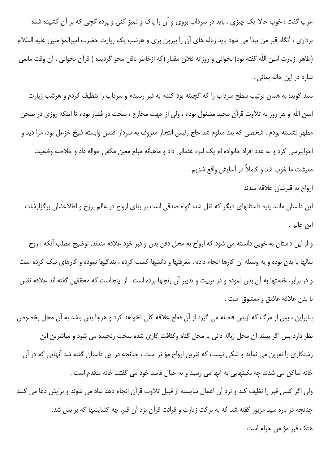عرب گفت : خوب حالا یک چیزی . باید در سرداب بروی و آن را پاک و تمیز کنی و پرده گچی که بر آن کشیده شده برداری ، آنگاه قبر من پیدا می شود باید زباله های آن را بیرون بری و هرشب یک زیارت حضرت امیرالمؤ منین علیه السّلام (ظاهرا زيارت امين اللّه گفته بود) بخواني و روزانه فلان مقدار (كه ازخاطر ناقل محو گرديده ) قرآن بخواني ، آن وقت مانعي ندارد در این خانه بمانی .

سید گوید: به همان ترتیب سطح سرداب را که گچینه بود کندم به قبر رسیدم و سرداب را تنظیف کردم و هرشب زیارت امین اللّه و هر روز به تلاوت قرآن مجید مشغول بودم ، ولی از جهت مخارج ، سخت در فشار بودم تا اینکه روزی در صحن مطهر نشسته بودم ، شخصی که بعد معلوم شد حاج رئیس التجار معروف به سردار اقدس وابسته شیخ خزعل بود، مرا دید و احوالپرسی کرد و به عدد افراد خانواده ام یک لیره عثمانی داد و ماهیانه مبلغ معین مکفی حواله داد و خلاصه وضعیت معيشت ما خوب شد و كاملاً در آسايش واقع شديم .

ارواح به قبرشان علاقه مندند

این داستان مانند پاره داستانهای دیگر که نقل شد، گواه صدقی است بر بقای ارواح در عالم برزخ و اطلاعشان برگزارشات اين عالم .

و از این داستان به خوبی دانسته می شود که ارواح به محل دفن بدن و قبر خود علاقه مندند. توضیح مطلب آنکه : روح سالها با بدن بوده و به وسیله آن کارها انجام داده ، معرفتها و دانشها کسب کرده ، بندگیها نموده و کارهای نیک کرده است و در برابر، خدمتها به آن بدن نموده و در تربیت و تدبیر آن رنجها برده است . از اینجاست که محققین گفته اند علاقه نفس با بدن علاقه عاشق و معشوق است .

بنابراین ، پس از مرگ که ازبدن فاصله می گیرد از آن قطع علاقه کلی نخواهد کرد و هرجا بدن باشد به آن محل بخصوص نظر دارد پس اگر ببیند آن محل زباله دانی یا محل گناه وكثافت كاری شده سخت رنجیده می شود و مباشرین این زشتکاری را نفرین می نماید و شکی نیست که نفرین ارواح مؤ ثر است ، چنانچه در این داستان گفته شد آنهایی که در آن خانه ساكن مي شدند چه نكبتهايي به آنها مي رسيد و به خيال فاسد خود مي گفتند خانه بدقدم است . ولی اگر کسی قبر را نظیف کند و نزد آن اعمال شایسته از قبیل تلاوت قرآن انجام دهد شاد می شوند و برایش دعا می کنند چنانچه در باره سید مزبور گفته شد که به برکت زیارت و قرائت قرآن نزد آن قبر، چه گشایشها که برایش شد.

هتک قبر مؤ من حرام است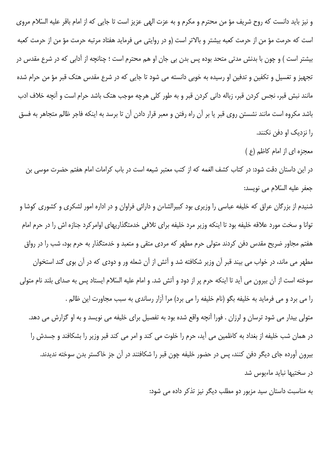و نیز باید دانست که روح شریف مؤ من محترم و مکرم و به عزت الهی عزیز است تا جایی که از امام باقر علیه السّلام مروی است که حرمت مؤ من از حرمت کعبه بیشتر و بالاتر است (و در روایتی می فرماید هفتاد مرتبه حرمت مؤ من از حرمت کعبه بیشتر است ) و چون با بدنش مدتی متحد بوده پس بدن بی جان او هم محترم است ؛ چنانچه از آدابی که در شرع مقدس در تجهیز و تغسیل و تکفین و تدفین او رسیده به خوبی دانسته می شود تا جایی که در شرع مقدس هتک قبر مؤ من حرام شده مانند نبش قبر، نجس کردن قبر، زباله دانی کردن قبر و به طور کلی هرچه موجب هتک باشد حرام است و آنچه خلاف ادب باشد مکروه است مانند نشستن روی قبر یا بر آن راه رفتن و معبر قرار دادن آن تا برسد به اینکه فاجر ظالم متجاهر به فسق را نزدیک او دفن نکنند.

معجزه ای از امام کاظم (ع )

در این داستان دقت شود: در کتاب کشف الغمه که از کتب معتبر شیعه است در باب کرامات امام هفتم حضرت موسی بن جعفر عليه السّلام مي نويسد:

شنیدم از بزرگان عراق که خلیفه عباسی را وزیری بود کبیرالشاءن و دارائی فراوان و در اداره امور لشکری و کشوری کوشا و توانا و سخت مورد علاقه خلیفه بود تا اینکه وزیر مرد خلیفه برای تلافی خدمتگذاریهای اوامرکرد جنازه اش را در حرم امام هفتم مجاور ضریح مقدس دفن کردند متولی حرم مطهر که مردی متقی و متعبد و خدمتگذار به حرم بود، شب را در رواق مطهر می ماند، در خواب می بیند قبر آن وزیر شکافته شد و آتش از آن شعله ور و دودی که در آن بوی گند استخوان سوخته است از آن بیرون می آید تا اینکه حرم پر از دود و آتش شد. و امام علیه السّلام ایستاد پس به صدای بلند نام متولی را می برد و می فرماید به خلیفه بگو (نام خلیفه را می برد) مرا آزار رساندی به سبب مجاورت این ظالم . متولی بیدار می شود ترسان و لرزان . فورا آنچه واقع شده بود به تفصیل برای خلیفه می نویسد و به او گزارش می دهد. در همان شب خلیفه از بغداد به کاظمین می آید، حرم را خلوت می کند و امر می کند قبر وزیر را بشکافند و جسدش را بیرون آورده جای دیگر دفن کنند، پس در حضور خلیفه چون قبر را شکافتند در آن جز خاکستر بدن سوخته ندیدند. در سختیها نباید ماءیوس شد

به مناسبت داستان سید مزبور دو مطلب دیگر نیز تذکر داده می شود: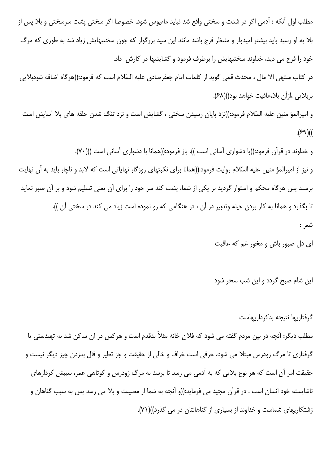مطلب اول آنکه : آدمی اگر در شدت و سختی واقع شد نباید ماءیوس شود، خصوصا اگر سختی پشت سرسختی و بلا پس از بلا به او رسید باید بیشتر امیدوار و منتظر فرج باشد مانند این سید بزرگوار که چون سختیهایش زیاد شد به طوری که مرگ خود را فرج می دید، خداوند سختیهایش را برطرف فرمود و گشایشها در کارش ِ داد.

در كتاب منتهى الا مال ، محدث قمى گويد از كلمات امام جعفرصادق عليه السّلام است كه فرمود:((هرگاه اضافه شودبلايي بربلايي ،ازآن بلا،عافيت خواهد بود))(۶۸).

و امیرالمؤ منین علیه السّلام فرمود:((نزد پایان رسیدن سختی ، گشایش است و نزد تنگ شدن حلقه های بلا آسایش است  $. (89)$ 

و خداوند در قرآن فرمود:((با دشواری آسانی است )). باز فرمود:((همانا با دشواری آسانی است ))(۷۰). و نیز از امیرالمؤ منین علیه السّلام روایت فرمود:((همانا برای نکبتهای روزگار نهایاتی است که لابد و ناچار باید به آن نهایت برسند پس هرگاه محکم و استوار گردید بر یکی از شما، پشت کند سر خود را برای آن یعنی تسلیم شود و بر آن صبر نماید تا بگذرد و همانا به کار بردن حیله وتدبیر در آن ، در هنگامی که رو نموده است زیاد می کند در سختی آن )). شعر :

ای دل صبور باش و مخور غم که عاقبت

این شام صبح گردد و این شب سحر شود

گر فتاریها نتیجه بدکرداریهاست

مطلب دیگر: آنچه در بین مردم گفته می شود که فلان خانه مثلاً بدقدم است و هرکس در آن ساکن شد به تهیدستی یا گرفتاری تا مرگ زودرس مبتلا می شود، حرفی است خراف و خالی از حقیقت و جز تطیر و فال بدزدن چیز دیگر نیست و حقیقت امر آن است که هر نوع بلایی که به آدمی می رسد تا برسد به مرگ زودرس و کوتاهی عمر، سببش کردارهای ناشایسته خود انسان است . در قرآن مجید می فرماید:((و آنچه به شما از مصیبت و بلا می رسد پس به سبب گناهان و زشتکاریهای شماست و خداوند از بسیاری از گناهانتان در می گذرد))(۷۱).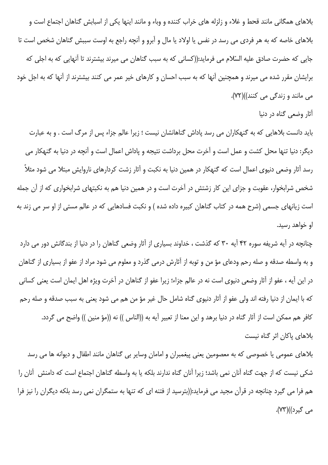بلاهای همگانی مانند قحط و غلاء و زلزله های خراب کننده و وباء و مانند اینها یکی از اسبابش گناهان اجتماع است و بلاهای خاصه که به هر فردی می رسد در نفس یا اولاد یا مال و آبرو و آنچه راجع به اوست سببش گناهان شخص است تا جایی که حضرت صادق علیه السّلام می فرماید:((کسانی که به سبب گناهان می میرند بیشترند تا آنهایی که به اجلی که برایشان مقرر شده می میرند و همچنین آنها که به سبب احسان و کارهای خیر عمر می کنند بیشترند از آنها که به اجل خود مي مانند و زندگي مي کنند))(٧٢).

آثار وضعی گناه در دنیا

باید دانست بلاهایی که به گنهکاران می رسد پاداش گناهانشان نیست ؛ زیرا عالم جزاء پس از مرگ است . و به عبارت دیگر: دنیا تنها محل کشت و عمل است و آخرت محل برداشت نتیجه و پاداش اعمال است و آنچه در دنیا به گنهکار می رسد آثار وضعی دنیوی اعمال است که گنهکار در همین دنیا به نکبت و آثار زشت کردارهای ناروایش مبتلا می شود مثلاً شخص شرابخوار، عقوبت و جزای این کار زشتش در آخرت است و در همین دنیا هم به نکبتهای شرابخواری که از آن جمله است زیانهای جسمی (شرح همه در کتاب گناهان کبیره داده شده ) و نکبت فسادهایی که در عالم مستی از او سر می زند به او خواهد رسید.

چنانچه در آیه شریفه سوره ۴۲ آیه ۳۰ که گذشت ، خداوند بسیاری از آثار وضعی گناهان را در دنیا از بندگانش دور می دارد و به واسطه صدقه و صله رحم ودعاى مؤ من و توبه از آثارش درمى گذرد و معلوم مى شود مراد از عفو از بسيارى از گناهان در این آیه ، عفو از آثار وضعی دنیوی است نه در عالم جزاء؛ زیرا عفو از گناهان در آخرت ویژه اهل ایمان است یعنی کسانی كه با ايمان از دنيا رفته اند ولي عفو از آثار دنيوي گناه شامل حال غير مؤ من هم مي شود يعني به سبب صدقه و صله رحم كافر هم ممكن است از آثار گناه در دنيا برهد و اين معنا از تعبير آيه به ((الناس )) نه ((مؤ منين )) واضح مي گردد. بلاهای پاکان اثر گناه نیست

بلاهای عمومی یا خصوصی که به معصومین یعنی پیغمبران و امامان وسایر بی گناهان مانند اطفال و دیوانه ها می رسد شکی نیست که از جهت گناه آنان نمی باشد؛ زیرا آنان گناه ندارند بلکه یا به واسطه گناهان اجتماع است که دامنش آنان را هم فرا می گیرد چنانچه در قرآن مجید می فرماید:((بترسید از فتنه ای که تنها به ستمگران نمی رسد بلکه دیگران را نیز فرا مي گيرد))(۷۳).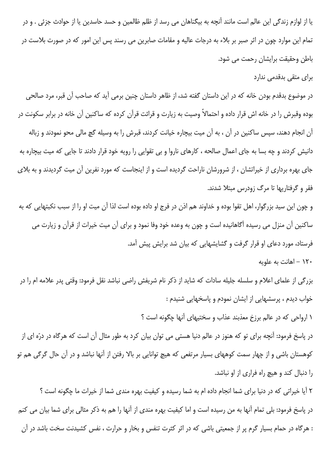یا از لوازم زندگی این عالم است مانند آنچه به بیگناهان می رسد از ظلم ظالمین و حسد حاسدین یا از حوادث جزئی . و در تمام این موارد چون در اثر صبر بر بلاء به درجات عالیه و مقامات صابرین می رسند پس این امور که در صورت بلاست در باطن وحقيقت برايشان رحمت مي شود.

برای متقی بدقدمی ندارد

در موضوع بدقدم بودن خانه که در این داستان گفته شد، از ظاهر داستان چنین برمی آید که صاحب آن قبر، مرد صالحی بوده وقبرش را در خانه اش قرار داده و احتمالاً وصیت به زیارت و قرائت قرآن کرده که ساکنین آن خانه در برابر سکونت در آن انجام دهند، سپس ساکنین در آن ، به آن میت بیچاره خیانت کردند، قبرش را به وسیله گچ مالی محو نمودند و زباله دانیش کردند و چه بسا به جای اعمال صالحه ، کارهای ناروا و بی تقوایی را رویه خود قرار دادند تا جایی که میت بیچاره به جای بهره برداری از خیراتشان ، از شرورشان ناراحت گردیده است و از اینجاست که مورد نفرین آن میت گردیدند و به بلای فقر و گرفتاریها تا مرگ زودرس مبتلا شدند.

و چون این سید بزرگوار، اهل تقوا بوده و خداوند هم اذن در فرج او داده بوده است لذا آن میت او را از سبب نکبتهایی که به ساکنین آن منزل می رسیده آگاهانیده است و چون به وعده خود وفا نمود و برای آن میت خیرات از قرآن و زیارت می فرستاد، مورد دعای او قرار گرفت و گشایشهایی که بیان شد برایش پیش آمد.

۱۲۰ – اهانت به علویه

بزرگی از علمای اعلام و سلسله جلیله سادات که شاید از ذکر نام شریفش راضی نباشد نقل فرمود: وقتی پدر علامه ام را در خواب دیدم ، پرسشهایی از ایشان نمودم و پاسخهایی شنیدم :

١ ارواحي كه در عالم برزخ معذبند عذاب و سختيهاي آنها چگونه است ؟

در پاسخ فرمود: آنچه برای تو که هنوز در عالم دنیا هستی می توان بیان کرد به طور مثال آن است که هرگاه در درّه ای از کوهستان باشی و از چهار سمت کوههای بسیار مرتفعی که هیچ توانایی بر بالا رفتن از آنها نباشد و در آن حال گرگی هم تو را دنبال کند و هیچ راه فراری از او نباشد.

۲ آیا خیراتی که در دنیا برای شما انجام داده ام به شما رسیده و کیفیت بهره مندی شما از خیرات ما چگونه است ؟ در پاسخ فرمود: بلی تمام آنها به من رسیده است و اما کیفیت بهره مندی از آنها را هم به ذکر مثالی برای شما بیان می کنم : هرگاه در حمام بسیار گرم پر از جمعیتی باشی که در اثر کثرت تنفس و بخار و حرارت ، نفس کشیدنت سخت باشد در آن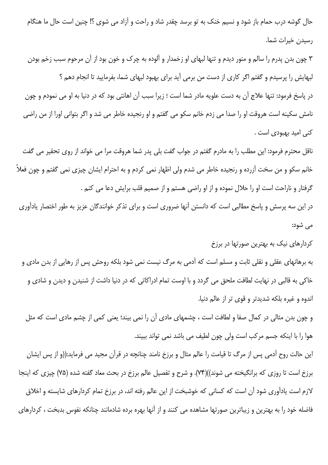حال گوشه درب حمام باز شود و نسیم خنک به تو برسد چقدر شاد و راحت و آزاد می شوی ؟! چنین است حال ما هنگام رسيدن خيرات شما.

۳ چون بدن پدرم را سالم و منور دیدم و تنها لبهای او زخمدار و آلوده به چرک و خون بود از آن مرحوم سبب زخم بودن لبهایش را پرسیدم و گفتم اگر کاری از دست من برمی آید برای بهبود لبهای شما، بفرمایید تا انجام دهم ؟ در پاسخ فرمود: تنها علاج آن به دست علویه مادر شما است ؛ زیرا سبب آن اهانتی بود که در دنیا به او می نمودم و چون نامش سکینه است هروقت او را صدا می زدم خانم سکو می گفتم و او رنجیده خاطر می شد و اگر بتوانی اورا از من راضی كنى اميد بهبودى است .

ناقل محترم فرمود: این مطلب را به مادرم گفتم در جواب گفت بلی پدر شما هروقت مرا می خواند از روی تحقیر می گفت خانم سکو و من سخت آزرده و رنجیده خاطر می شدم ولی اظهار نمی کردم و به احترام ایشان چیزی نمی گفتم و چون فعلاً گرفتار و ناراحت است او را حلال نموده و از او راضی هستم و از صمیم قلب برایش دعا می کنم .

در این سه پرسش و پاسخ مطالبی است که دانستن آنها ضروری است و برای تذکر خوانندگان عزیز به طور اختصار یادآوری مے شود:

کردارهای نیک به بهترین صورتها در برزخ

به برهانهای عقلی و نقلی ثابت و مسلم است که آدمی به مرگ نیست نمی شود بلکه روحش پس از رهایی از بدن مادی و خاکي به قالبي در نهايت لطافت ملحق مي گردد و با اوست تمام ادراکاتي که در دنيا داشت از شنيدن و ديدن و شادي و اندوه و غیره بلکه شدیدتر و قوی تر از عالم دنیا.

و چون بدن مثالی در کمال صفا و لطافت است ، چشمهای مادی آن را نمی بیند؛ یعنی کمی از چشم مادی است که مثل هوا را با اینکه جسم مرکب است ولی چون لطیف می باشد نمی تواند ببیند.

این حالت روح آدمی پس از مرگ تا قیامت را عالم مثال و برزخ نامند چنانچه در قرآن مجید می فرماید:((و از پس ایشان برزخ است تا روزی که برانگیخته می شوند))(۷۴). و شرح و تفصیل عالم برزخ در بحث معاد گفته شده (۷۵) چیزی که اینجا لازم است یادآوری شود آن است که کسانی که خوشبخت از این عالم رفته اند، در برزخ تمام کردارهای شایسته و اخلاق فاضله خود را به بهترین و زیباترین صورتها مشاهده می کنند و از آنها بهره برده شادمانند چنانکه نفوس بدبخت ، کردارهای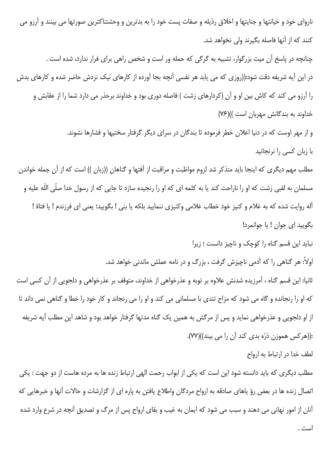ناروای خود و خیانتها و جنایتها و اخلاق رذیله و صفات پست خود را به بدترین و وحشتناکترین صورتها می بینند و آرزو می كنند كه از آنها فاصله بگيرند ولي نخواهد شد. چنانچه در پاسخ آن میت بزرگوار، تشبیه به گرگی که حمله ور است و شخص راهی برای فرار ندارد، شده است . در این آیه شریفه دقت شود:((روزی که می یابد هر نفسی آنچه بجا آورده از کارهای نیک نزدش حاضر شده و کارهای بدش را آرزو می کند که کاش بین او و آن (کردارهای زشت ) فاصله دوری بود و خداوند برحذر می دارد شما را از عقابش و خداوند به بندگانش مهربان است ))(۷۶) و از مهر اوست که در دنیا اعلان خطر فرموده تا بندگان در سرای دیگر گرفتار سختیها و فشارها نشوند. با زبان كسى را نرنجانيد

مطلب مهم دیگری که اینجا باید متذکر شد لزوم مواظبت و مراقبت از آفتها و گناهان ((زبان )) است که از آن جمله خواندن مسلمان به لقبی زشت که او را ناراحت کند یا به کلمه ای که او را رنجیده سازد تا جایی که از رسول خدا صلّی اللّه علیه و آله روايت شده كه به غلام و كنيز خود خطاب غلامي وكنيزي ننماييد بلكه يا بني ! بگوييد؛ يعني اي فرزندم ! يا فتاة ! بگوييد اي جوان ! يا جوانمرد!

نباید این قسم گناه را کوچک و ناچیز دانست ؛ زیرا

اولاً: هر گناهی را که آدمی ناچیزش گرفت ، بزرگ و در نامه عملش ماندنی خواهد شد.

ثانیا: این قسم گناه ، آمرزیده شدنش علاوه بر توبه و عذرخواهی از خداوند، متوقف بر عذرخواهی و دلجویی از آن کسی است که او را رنجانده و گاه می شود که مزاح تندی با مسلمانی می کند و او را می رنجاند و کار خود را خطا و گناهی نمی داند تا از او دلجویی و عذرخواهی نماید و پس از مرگش به همین یک گناه مدتها گرفتار خواهد بود و شاهد این مطلب آیه شریفه :((هر کس هموزن ذرّه بدی کند آن را می بیند))(۷۷).

لطف خدا در ارتباط به ارواح

مطلب دیگری که باید دانسته شود این است که یکی از ابواب رحمت الهی ارتباط زنده ها به مرده هاست از دو جهت : یکی اتصال زنده ها در بعض رؤ ياهاي صادقه به ارواح مردگان واطلاع يافتن به ياره اي از گزارشات و حالات آنها و خبرهايي كه آنان از امور نهانی می دهند و سبب می شود که ایمان به غیب و بقای ارواح پس از مرگ و تصدیق آنچه در شرع وارد شده است .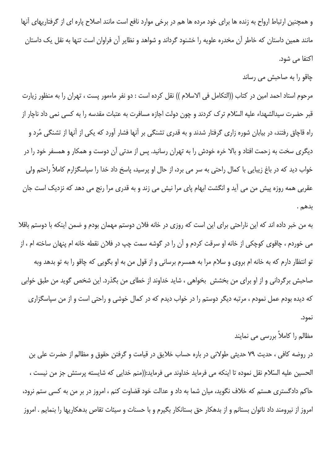و همچنین ارتباط ارواح به زنده ها برای خود مرده ها هم در برخی موارد نافع است مانند اصلاح پاره ای از گرفتاریهای آنها مانند همین داستان که خاطر آن مخدره علویه را خشنود گرداند و شواهد و نظایر آن فراوان است تنها به نقل یک داستان اكتفا مي شود.

چاقو را به صاحبش می رساند

مرحوم استاد احمد امین در کتاب ((التکامل فی الاسلام )) نقل کرده است : دو نفر ماءمور پست ، تهران را به منظور زيارت قبر حضرت سیدالشهداء علیه السّلام ترک کردند و چون دولت اجازه مسافرت به عتبات مقدسه را به کسی نمی داد ناچار از راه قاچاق رفتند، در بیابان شوره زاری گرفتار شدند و به قدری تشنگی بر آنها فشار آورد که یکی از آنها از تشنگی مُرد و دیگری سخت به زحمت افتاد و بالا خره خودش را به تهران رسانید. پس از مدتی آن دوست و همکار و همسفر خود را در خواب دید که در باغ زیبایی با کمال راحتی به سر می برد، از حال او پرسید، پاسخ داد خدا را سپاسگزارم کاملاً راحتم ولی عقربی همه روزه پیش من می آید و انگشت ابهام پای مرا نیش می زند و به قدری مرا رنج می دهد که نزدیک است جان بدهم .

به من خبر داده اند که این ناراحتی برای این است که روزی در خانه فلان دوستم مهمان بودم و ضمن اینکه با دوستم باقلا می خوردم ، چاقوی کوچکی از خانه او سرقت کردم و آن را در گوشه سمت چپ در فلان نقطه خانه ام پنهان ساخته ام ، از تو انتظار دارم که به خانه ام بروی و سلام مرا به همسرم برسانی و از قول من به او بگویی که چاقو را به تو بدهد وبه صاحبش برگردانی و از او برای من بخشش ِ بخواهی ، شاید خداوند از خطای من بگذرد. این شخص گوید من طبق خوابی که دیده بودم عمل نمودم ، مرتبه دیگر دوستم را در خواب دیدم که در کمال خوشی و راحتی است و از من سیاسگزاری نمود.

مظالم را کاملاً بررسی می نمایند

در روضه کافی ، حدیث ۷۹ حدیثی طولانی در باره حساب خلایق در قیامت و گرفتن حقوق و مظالم از حضرت علی بن الحسين عليه السّلام نقل نموده تا اينكه مي فرمايد خداوند مي فرمايد:((منم خدايي كه شايسته پرستش جز من نيست ، حاکم دادگستری هستم که خلاف نگوید، میان شما به داد و عدالت خود قضاوت کنم ، امروز در بر من به کسی ستم نرود، امروز از نیرومند داد ناتوان بستانم و از بدهکار حق بستانکار بگیرم و با حسنات و سیئات تقاص بدهکاریها را بنمایم . امروز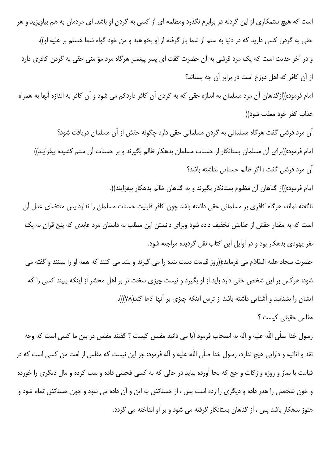است که هیچ ستمکاری از این گردنه در برابرم نگذرد ومظلمه ای از کسی به گردن او باشد. ای مردمان به هم بیاویزید و هر حقی به گردن کسی دارید که در دنیا به ستم از شما باز گرفته از او بخواهید و من خود گواه شما هستم بر علیه او)). و در آخر حدیث است که یک مرد قرشی به آن حضرت گفت ای پسر پیغمبر هرگاه مرد مؤ منی حقی به گردن کافری دارد از آن کافر که اهل دوزخ است در برابر آن چه بستاند؟

امام فرمود:((ازگناهان آن مرد مسلمان به اندازه حقی که به گردن آن کافر داردکم می شود و آن کافر به اندازه آنها به همراه عذاب كفر خود معذب شود))

آن مرد قرشی گفت هرگاه مسلمانی به گردن مسلمانی حقی دارد چگونه حقش از آن مسلمان دریافت شود؟ امام فرمود:((برای آن مسلمان بستانکار از حسنات مسلمان بدهکار ظالم بگیرند و بر حسنات آن ستم کشیده بیفزایند)) آن مرد قرشی گفت : اگر ظالم حسناتی نداشته باشد؟

امام فرمود:((از گناهان آن مظلوم بستانکار بگیرند و به گناهان ظالم بدهکار بیفزایند)).

ناگفته نماند، هرگاه کافری بر مسلمانی حقی داشته باشد چون کافر قابلیت حسنات مسلمان را ندارد پس مقتضای عدل آن است که به مقدار حقش از عذابش تخفیف داده شود وبرای دانستن این مطلب به داستان مرد عابدی که پنج قران به یک نفر یهودی بدهکار بود و در اوایل این کتاب نقل گردیده مراجعه شود.

حضرت سجاد عليه السّلام مي فرمايد:((روز قيامت دست بنده را مي گيرند و بلند مي كنند كه همه او را ببينند و گفته مي شود: هرکس بر این شخص حقی دارد باید از او بگیرد و نیست چیزی سخت تر بر اهل محشر از اینکه ببیند کسی را که ایشان را بشناسد و آشنایی داشته باشد از ترس اینکه چیزی بر آنها ادعا کند(۷۸)).

## مفلس حقيقے كيست ؟

رسول خدا صلّى اللّه عليه و آله به اصحاب فرمود آيا مى دانيد مفلس كيست ؟ گفتند مفلس در بين ما كسى است كه وجه نقد و اثاثيه و دارايي هيچ ندارد، رسول خدا صلّى اللّه عليه و آله فرمود: جز اين نيست كه مفلس از امت من كسي است كه در قیامت با نماز و روزه و زکات و حج که بجا آورده بیاید در حالی که به کسی فحشی داده و سب کرده و مال دیگری را خورده و خون شخصی را هدر داده و دیگری را زده است پس ، از حسناتش به این و آن داده می شود و چون حسناتش تمام شود و هنوز بدهکار باشد پس ، از گناهان بستانکار گرفته می شود و بر او انداخته می گردد.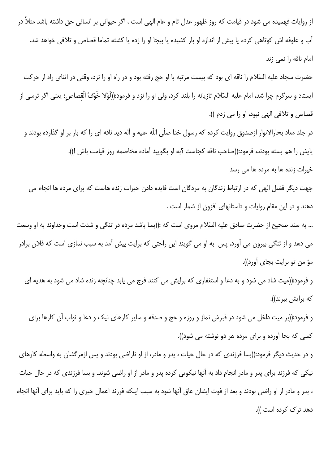از روایات فهمیده می شود در قیامت که روز ظهور عدل تام و عام الهی است ، اگر حیوانی بر انسانی حق داشته باشد مثلاً در آب و علوفه اش کوتاهی کرده یا بیش از اندازه او بار کشیده یا بیجا او را زده یا کشته تماما قصاص و تلافی خواهد شد. امام ناقه را نمی زند حضرت سجاد عليه السّلام را ناقه اي بود كه بيست مرتبه با او حج رفته بود و در راه او را نزد، وقتي در اثناي راه از حركت ايستاد و سرگرم چرا شد، امام عليه السّلام تازيانه را بلند كرد، ولي او را نزد و فرمود:((لَوْلا خَوْفُ الْقصاص؛ يعنى اگر ترسى از قصاص و تلافي الهي نبود، او را مي زدم )). در جلد معاد بحارالانوار ازصدوق روايت كرده كه رسول خدا صلّى اللّه عليه و آله ديد ناقه اى را كه بار بر او گذارده بودند و يايش را هم بسته بودند، فرمود:((صاحب ناقه كجاست ؟به او بگوييد آماده مخاصمه روز قيامت باش !)). خیرات زنده ها به مرده ها می رسد جهت دیگر فضل الهی که در ارتباط زندگان به مردگان است فایده دادن خیرات زنده هاست که برای مرده ها انجام می دهند و در این مقام روایات و داستانهای افزون از شمار است . ... به سند صحیح از حضرت صادق علیه السّلام مروی است که :((بسا باشد مرده در تنگی و شدت است وخداوند به او وسعت می دهد و از تنگی بیرون می آورد، پس به او می گویند این راحتی که برایت پیش آمد به سبب نمازی است که فلان برادر مؤ من تو برايت بجاي آورد)). و فرمود:((میت شاد می شود و به دعا و استغفاری که برایش می کنند فرج می یابد چنانچه زنده شاد می شود به هدیه ای که برایش ببرند)). و فرمود:((بر میت داخل می شود در قبرش نماز و روزه و حج و صدقه و سایر کارهای نیک و دعا و ثواب آن کارها برای کسی که بجا آورده و برای مرده هر دو نوشته می شود)). و در حدیث دیگر فرمود:((بسا فرزندی که در حال حیات ، پدر و مادر، از او ناراضی بودند و پس ازمرگشان به واسطه کارهای نیکی که فرزند برای پدر و مادر انجام داد به آنها نیکویی کرده پدر و مادر از او راضی شوند. و بسا فرزندی که در حال حیات ، پدر و مادر از او راضی بودند و بعد از فوت ایشان عاق آنها شود به سبب اینکه فرزند اعمال خیری را که باید برای آنها انجام دهد ترک کرده است )).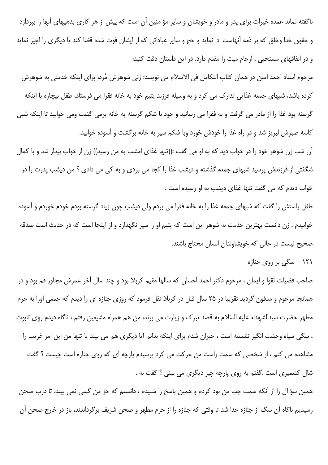ناگفته نماند عمده خیرات برای پدر و مادر و خویشان و سایر مؤ منین آن است که پیش از هر کاری بدهیهای آنها را بپردازد و حقوق خدا وخلق که بر ذمه آنهاست ادا نماید و حج و سایر عباداتی که از ایشان فوت شده قضا کند یا دیگری را اجیر نماید و در انفاقهای مستحبی ، ارحام میت را مقدم دارد. در این داستان دقت کنید:

مرحوم استاد احمد امین در همان کتاب التکامل فی الاسلام می نویسد: زنی شوهرش مُرد، برای اینکه خدمتی به شوهرش کرده باشد، شبهای جمعه غذایی تدارک می کرد و به وسیله فرزند پتیم خود به خانه فقرا می فرستاد، طفل بیچاره با اینکه گرسنه بود غذا را از مادر می گرفت و به فقرا می رسانید و خود با شکم گرسنه به خانه برمی گشت ومی خوابید تا اینکه شبی کاسه صبرش لبریز شد و در راه غذا را خودش خورد وبا شکم سیر به خانه برگشت و آسوده خوابید.

آن شب زن شوهر خود را در خواب دید که به او می گفت :((تنها غذای امشب به من رسید)) زن از خواب بیدار شد و با کمال شگفتی از فرزندش پرسید شبهای جمعه گذشته و دیشب غذا را کجا می بردی و به کی می دادی ؟ من دیشب پدرت را در خواب دیدم که می گفت تنها غذای دیشب به او رسیده است .

طفل راستش را گفت که شبهای جمعه غذا را به خانه فقرا می بردم ولی دیشب چون زیاد گرسنه بودم خودم خوردم و آسوده خوابیدم . زن دانست بهترین خدمت به شوهر این است که پتیم او را سیر نگهدارد و از اینجا است که در حدیث است صدقه صحیح نیست در حالی که خویشاوندان انسان محتاج باشند.

۱۲۱ – سگی بر روی جنازه

صاحب فضیلت تقوا و ایمان ، مرحوم دکتر احمد احسان که سالها مقیم کربلا بود و چند سال آخر عمرش مجاور قم بود و در همانجا مرحوم و مدفون گردید تقریبا در ۲۵ سال قبل در کربلا نقل فرمود که روزی جنازه ای را دیدم که جمعی اورا به حرم مطهر حضرت سيدالشهداء عليه السّلام به قصد تبرک و زيارت مي برند، من هم همراه مشيعين رفتم ، ناگاه ديدم روي تابوت ، سگی سیاه وحشت انگیز نشسته است ، حیران شدم برای اینکه بدانم آیا دیگری هم می بیند یا تنها من این امر غریب را مشاهده می کنم ، از شخصی که سمت راست من حرکت می کرد پرسیدم پارچه ای که روی جنازه است چیست ؟ گفت شال کشمیری است .گفتم به روی پارچه چیز دیگری می بینی ؟ گفت نه .

همین سؤ ال را از آنکه سمت چپ من بود کردم و همین پاسخ را شنیدم ، دانستم که جز من کسی نمی بیند، تا درب صحن رسیدیم ناگاه آن سگ از جنازه جدا شد تا وقتی که جنازه را از حرم مطهر و صحن شریف برگرداندند، باز در خارج صحن آن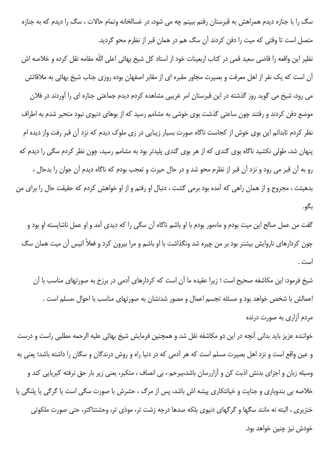سگ را با جنازه دیدم همراهش به قبرستان رفتم ببینم چه می شود، در غسالخانه وتمام حالات ، سگ را دیدم که به جنازه متصل است تا وقتی که میت را دفن کردند آن سگ هم در همان قبر از نظرم محو گردید.

نظیر این واقعه را قاضی سعید قمی در کتاب اربعینات خود از استاد کل شیخ بهائی اعلی اللّه مقامه نقل کرده و خلاصه اش آن است که یک نفر از اهل معرفت و بصیرت مجاور مقبره ای از مقابر اصفهان بوده روزی جناب شیخ بهائی به ملاقاتش می رود، شیخ می گوید روز گذشته در این قبرستان امر غریبی مشاهده کردم دیدم جماعتی جنازه ای را آوردند در فلان موضع دفن کردند و رفتند چون ساعتی گذشت بوی خوشی به مشامم رسید که از بوهای دنیوی نبود متحیر شدم به اطراف نظر کردم تابدانم این بوی خوش از کجاست ناگاه صورت بسیار زیبایی در زی ملوک دیدم که نزد آن قبر رفت واز دیده ام پنهان شد، طولی نکشید ناگاه بوی گندی که از هر بوی گندی پلیدتر بود به مشامم رسید، چون نظر کردم سگی را دیدم که رو به آن قبر می رود و نزد آن قبر از نظرم محو شد و در حال حیرت و تعجب بودم که ناگاه دیدم آن جوان را بدحال ، بدهیئت ، مجروح و از همان راهی که آمده بود برمی گشت ، دنبال او رفتم و از او خواهش کردم که حقیقت حال را برای من بگو.

گفت من عمل صالح این میت بودم و ماءمور بودم با او باشم ناگاه آن سگی را که دیدی آمد و او عمل ناشایسته او بود و چون کردارهای ناروایش بیشتر بود بر من چیره شد ونگذاشت با او باشم و مرا بیرون کرد و فعلاً انیس آن میت همان سگ است .

شیخ فرمود: این مکاشفه صحیح است ؛ زیرا عقیده ما آن است که کردارهای آدمی در برزخ به صورتهای مناسب با آن اعمالش با شخص خواهد بود و مسئله تجسم اعمال و مصور شدنشان به صورتهای مناسب با احوال ،مسلم است . مردم آزاری به صورت درنده

خواننده عزیز باید بدانی آنچه در این دو مکاشفه نقل شد و همچنین فرمایش شیخ بهائی علیه الرحمه مطلبی راست و درست و عین واقع است و نزد اهل بصیرت مسلم است که هر آدمی که در دنیا راه و روش درندگان و سگان را داشته باشد؛ یعنی به وسیله زبان و اجزای بدنش اذیت کن و آزاررسان باشد،بیرحم ، بی انصاف ، متکبر، یعنی زیر بار حق نرفته کبریایی کند و خلاصه بی بندوباری و جنایت و خیانتکاری پیشه اش باشد، پس از مرگ ، حشرش با صورت سگی است یا گرگی یا پلنگی یا خنزیری ، البته نه مانند سگها و گرگهای دنیوی بلکه صدها درجه زشت تر، موذی تر، وحشتناکتر، حتی صورت ملکوتی خودش نيز چنين خواهد بود.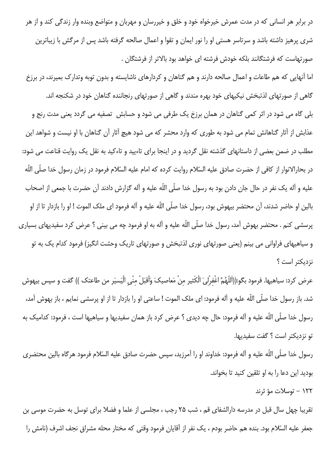در برابر هر انسانی که در مدت عمرش خیرخواه خود و خلق و خیررسان و مهربان و متواضع وبنده وار زندگی کند و از هر شری پرهیز داشته باشد و سرتاسر هستی او را نور ایمان و تقوا و اعمال صالحه گرفته باشد پس از مرگش با زیباترین صورتهاست که فرشتگانند بلکه خودش فرشته ای خواهد بود بالاتر از فرشتگان .

اما آنهایی که هم طاعات و اعمال صالحه دارند و هم گناهان و کردارهای ناشایسته و بدون توبه وتدارک بمیرند، در برزخ گاهی از صورتهای لذتبخش نیکیهای خود بهره مندند و گاهی از صورتهای رنجاننده گناهان خود در شکنجه اند. بلی گاه می شود در اثر کمی گناهان در همان برزخ یک طرفی می شود و حسابش تصفیه می گردد یعنی مدت رنج و عذابش از آثار گناهانش تمام می شود به طوری که وارد محشر که می شود هیچ آثار آن گناهان با او نیست و شواهد این مطلب در ضمن بعضی از داستانهای گذشته نقل گردید و در اینجا برای تاءیید و تاءکید به نقل یک روایت قناعت می شود: در بحارالانوار از كافي از حضرت صادق عليه السّلام روايت كرده كه امام عليه السّلام فرمود در زمان رسول خدا صلّى اللّه عليه و آله يک نفر در حال جان دادن بود به رسول خدا صلَّى اللَّه عليه و آله گزارش دادند آن حضرت با جمعى از اصحاب بالین او حاضر شدند، آن محتضر بیهوش بود، رسول خدا صلّی اللّه علیه و آله فرمود ای ملک الموت ! او را بازدار تا از او پرسشی کنم . محتضر بهوش آمد، رسول خدا صلّی اللّه علیه و آله به او فرمود چه می بینی ؟ عرض کرد سفیدیهای بسیاری و سیاهیهای فراوانی می بینم (یعنی صورتهای نوری لذتبخش و صورتهای تاریک وحشت انگیز) فرمود کدام یک به تو نزديكتر است ؟

عرض كرد: سياهيها. فرمود بگو:((اَللّهُمَّ اغْفِرْلِيَ الْكَثِيرِ مِنْ مَعاصيكَ وَأقبَلْ مِنّي الْيَسيَر من طاعتك )) گفت و سپس بيهوش شد. باز رسول خدا صلّى اللّه عليه و آله فرمود: اى ملک الموت ! ساعتى او را بازدار تا از او پرسشى نمايم ، باز بهوش آمد، رسول خدا صلَّى اللَّه عليه و آله فرمود: حال چه ديدي ؟ عرض كرد باز همان سفيديها و سياهيها است ، فرمود: كداميك به تو نزدیکتر است ؟ گفت سفیدیها.

رسول خدا صلّى اللّه عليه و آله فرمود: خداوند او را آمرزيد، سپس حضرت صادق عليه السّلام فرمود هرگاه بالين محتضرى بوديد اين دعا را به او تلقين كنيد تا بخواند.

۱۲۲ – توسلات مؤ ثرند

تقریبا چهل سال قبل در مدرسه دارالشفای قم ، شب ۲۵ رجب ، مجلسی از علما و فضلا برای توسل به حضرت موسی بن جعفر عليه السّلام بود. بنده هم حاضر بودم ، يک نفر از آقايان فرمود وقتى كه مختار محله مشراق نجف اشرف (نامش را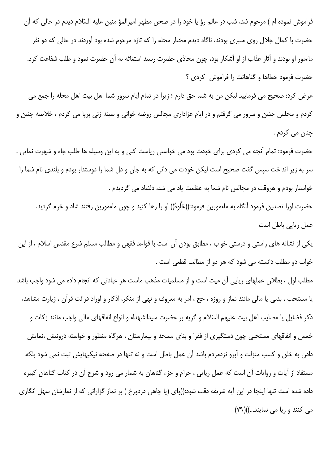فراموش نموده ام ) مرحوم شد، شب در عالم رؤ یا خود را در صحن مطهر امیرالمؤ منین علیه السّلام دیدم در حالی که آن حضرت با کمال جلال روی منبری بودند، ناگاه دیدم مختار محله را که تازه مرحوم شده بود آوردند در حالی که دو نفر ماءمور او بودند و آثار عذاب از او آشکار بود، چون محاذی حضرت رسید استغاثه به آن حضرت نمود و طلب شفاعت کرد. حضرت فرمود خطاها و گناهانت را فراموش کردی ؟

عرض كرد: صحيح مي فرماييد ليكن من به شما حق دارم ؛ زيرا در تمام ايام سرور شما اهل بيت اهل محله را جمع مي کردم و مجلس جشن و سرور می گرفتم و در ایام عزاداری مجالس روضه خوانی و سینه زنی برپا می کردم ، خلاصه چنین و چنان می کردم .

حضرت فرمود: تمام آنچه می کردی برای خودت بود می خواستی ریاست کنی و به این وسیله ها طلب جاه و شهرت نمایی . سر به زیر انداخت سپس گفت صحیح است لیکن خودت می دانی که به جان و دل شما را دوستدار بودم و بلندی نام شما را خواستار بودم و هروقت در مجالس نام شما به عظمت یاد می شد، دلشاد می گردیدم .

حضرت اورا تصدیق فرمود آنگاه به ماءمورین فرمود:((خَلُوهُ)) او را رها کنید و چون ماءمورین رفتند شاد و خرم گردید. عمل ريايي باطل است

یکی از نشانه های راستی و درستی خواب ، مطابق بودن آن است با قواعد فقهی و مطالب مسلم شرع مقدس اسلام ، از این خواب دو مطلب دانسته می شود که هر دو از مطالب قطعی است .

مطلب اول ، بطلان عملهای ریایی آن میت است و از مسلمیات مذهب ماست هر عبادتی که انجام داده می شود واجب باشد یا مستحب ، بدنی یا مالی مانند نماز و روزه ، حج ، امر به معروف و نهی از منکر، اذکار و اوراد قرائت قرآن ، زیارت مشاهد، ذكر فضايل يا مصايب اهل بيت عليهم السّلام و گريه بر حضرت سيدالشهداء و انواع انفاقهاي مالي واجب مانند زكات و خمس و انفاقهای مستحبی چون دستگیری از فقرا و بنای مسجد و بیمارستان ، هرگاه منظور و خواسته درونیش ،نمایش دادن به خلق و کسب منزلت و آبرو نزدمردم باشد آن عمل باطل است و نه تنها در صفحه نیکیهایش ثبت نمی شود بلکه مستفاد از آیات و روایات آن است که عمل ریایی ، حرام و جزء گناهان به شمار می رود و شرح آن در کتاب گناهان کبیره داده شده است تنها اینجا در این آیه شریفه دقت شود:((وای (یا چاهی دردوزخ ) بر نماز گزارانی که از نمازشان سهل انگاری می کنند و ریا می نمایند...))(۷۹)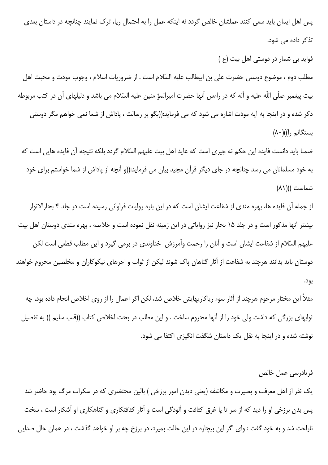پس اهل ایمان باید سعی کنند عملشان خالص گردد نه اینکه عمل را به احتمال ریا، ترک نمایند چنانچه در داستان بعدی تذکر دادہ می شود.

فواید بی شمار در دوستی اهل بیت (ع)

مطلب دوم ، موضوع دوستی حضرت علی بن ابیطالب علیه السّلام است . از ضروریات اسلام ، وجوب مودت و محبت اهل بيت پيغمبر صلّى اللّه عليه و آله كه در راءس آنها حضرت اميرالمؤ منين عليه السّلام مى باشد و دليلهاى آن در كتب مربوطه ذکر شده و در اینجا به آیه مودت اشاره می شود که می فرماید:((بگو بر رسالت ، پاداش از شما نمی خواهم مگر دوستی بستگانم , |)|(۸۰)

ضمنا باید دانست فایده این حکم نه چیزی است که عاید اهل بیت علیهم السّلام گردد بلکه نتیجه آن فایده هایی است که به خود مسلمانان می رسد چنانچه در جای دیگر قرآن مجید بیان می فرماید:((و آنچه از یاداش از شما خواستم برای خود شماست ))( ۸۱)

از جمله آن فایده ها، بهره مندی از شفاعت ایشان است که در این باره روایات فراوانی رسیده است در جلد ۴ بحارالانوار بیشتر آنها مذکور است و در جلد ۱۵ بحار نیز روایاتی در این زمینه نقل نموده است و خلاصه ، بهره مندی دوستان اهل بیت علیهم السّلام از شفاعت ایشان است و آنان را رحمت وآمرزش خداوندی در برمی گیرد و این مطلب قطعی است لکن دوستان باید بدانند هرچند به شفاعت از آثار گناهان پاک شوند لیکن از ثواب و اجرهای نیکوکاران و مخلصین محروم خواهند بود.

مثلاً این مختار مرحوم هرچند از آثار سوء ریاکاریهایش خلاص شد، لکن اگر اعمال را از روی اخلاص انجام داده بود، چه ثوابهای بزرگی که داشت ولی خود را از آنها محروم ساخت . و این مطلب در بحث اخلاص کتاب ((قلب سلیم )) به تفصیل نوشته شده و در اینجا به نقل یک داستان شگفت انگیزی اکتفا می شود.

#### فريادرسي عمل خالص

یک نفر از اهل معرفت و بصیرت و مکاشفه (یعنی دیدن امور برزخی ) بالین محتضری که در سکرات مرگ بود حاضر شد پس بدن برزخی او را دید که از سر تا پا غرق کثافت و آلودگی است و آثار کثافتکاری و گناهکاری او آشکار است ، سخت ناراحت شد و به خود گفت : وای اگر این بیچاره در این حالت بمیرد، در برزخ چه بر او خواهد گذشت ، در همان حال صدایی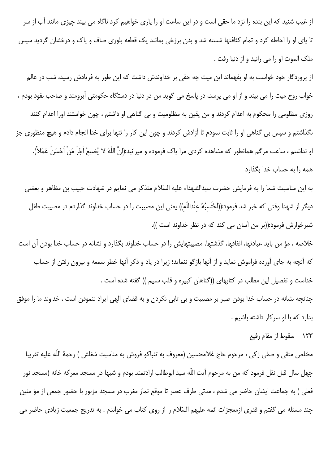از غیب شنید که این بنده را نزد ما حقی است و در این ساعت او را پاری خواهیم کرد ناگاه می بیند چیزی مانند آب از سر تا پای او را احاطه کرد و تمام کثافتها شسته شد و بدن برزخی بمانند یک قطعه بلوری صاف و پاک و درخشان گردید سپس ملک الموت او را می رانید و از دنیا رفت .

از پروردگار خود خواست به او بفهماند این میت چه حقی بر خداوندش داشت که این طور به فریادش رسید، شب در عالم خواب روح میت را می بیند و از او می پرسد، در پاسخ می گوید من در دنیا در دستگاه حکومتی آبرومند و صاحب نفوذ بودم ، روزی مظلومی را محکوم به اعدام کردند و من یقین به مظلومیت و بی گناهی او داشتم ، چون خواستند اورا اعدام کنند نگذاشتم و سپس بی گناهی او را ثابت نمودم تا آزادش کردند و چون این کار را تنها برای خدا انجام دادم و هیچ منظوری جز او نداشتم ، ساعت مرگم همانطور که مشاهده کردی مرا پاک فرموده و میرانید:(انَّ اللّهَ لا یُضیعُ اَجْرَ مَنْ اَحْسَنَ عَمَلاً). همه را به حساب خدا بگذارد

به این مناسبت شما را به فرمایش حضرت سیدالشهداء علیه السّلام متذکر می نمایم در شهادت حبیب بن مظاهر و بعضی دیگر از شهدا وقتی که خبر شد فرمود:((اَحْتَسبُهُ عنْداللّهِ)) یعنی این مصیبت را در حساب خداوند گذاردم در مصیبت طفل شيرخوارش فرمود:((بر من آسان مي كند كه در نظر خداوند است )).

خلاصه ، مؤ من بايد عبادتها، انفاقها، گذشتها، مصيبتهايش را در حساب خداوند بگذارد و نشانه در حساب خدا بودن آن است که آنچه به جای آورده فراموش نماید و از آنها بازگو ننماید؛ زیرا در یاد و ذکر آنها خطر سمعه و بیرون رفتن از حساب خداست و تفصیل این مطلب در کتابهای ((گناهان کبیره و قلب سلیم )) گفته شده است .

چنانچه نشانه در حساب خدا بودن صبر بر مصيبت و بي تابي نكردن و به قضاي الهي ايراد ننمودن است ، خداوند ما را موفق بدارد که با او سرکار داشته باشیم .

۱۲۳ – سقوط از مقام رفیع

مخلص متقى و صفى زكى ، مرحوم حاج غلامحسين (معروف به تنباكو فروش به مناسبت شغلش ) رحمهٔ اللّه عليه تقريبا چهل سال قبل نقل فرمود که من به مرحوم آیت اللّه سید ابوطالب ارادتمند بودم و شبها در مسجد معرکه خانه (مسجد نور فعلی ) به جماعت ایشان حاضر می شدم ، مدتی طرف عصر تا موقع نماز مغرب در مسجد مزبور با حضور جمعی از مؤ منین چند مسئله می گفتم و قدری ازمعجزات ائمه علیهم السّلام را از روی کتاب می خواندم . به تدریج جمعیت زیادی حاضر می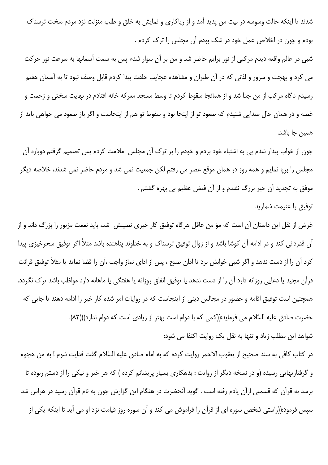شدند تا اینکه حالت وسوسه در نیت من پدید آمد و از ریاکاری و نمایش به خلق و طلب منزلت نزد مردم سخت ترسناک بودم و چون در اخلاص عمل خود در شک بودم آن مجلس را ترک کردم .

شبی در عالم واقعه دیدم مرکبی از نور برایم حاضر شد و من بر آن سوار شدم پس به سمت آسمانها به سرعت نور حرکت می کرد و بهجت و سرور و لذتی که در آن طیران و مشاهده عجایب خلقت پیدا کردم قابل وصف نبود تا به آسمان هفتم رسیدم ناگاه مرکب از من جدا شد و از همانجا سقوط کردم تا وسط مسجد معرکه خانه افتادم در نهایت سختی و زحمت و غصه و در همان حال صدایی شنیدم که صعود تو از اینجا بود و سقوط تو هم از اینجاست و اگر باز صعود می خواهی باید از همين جا باشد.

چون از خواب بیدار شدم پی به اشتباه خود بردم و خودم را بر ترک آن مجلس ملامت کردم پس تصمیم گرفتم دوباره آن مجلس را برپا نمایم و همه روز در همان موقع عصر می رفتم لکن جمعیت نمی شد و مردم حاضر نمی شدند، خلاصه دیگر موفق به تجدید آن خیر بزرگ نشدم و از آن فیض عظیم بی بهره گشتم .

## توفيق را غنيمت شماريد

غرض از نقل این داستان آن است که مؤ من عاقل هرگاه توفیق کار خیری نصیبش شد، باید نعمت مزبور را بزرگ داند و از آن قدردانی کند و در ادامه آن کوشا باشد و از زوال توفیق ترسناک و به خداوند پناهنده باشد مثلاً اگر توفیق سحرخیزی پیدا كرد آن را از دست ندهد و اگر شبي خوابش برد تا اذان صبح ، پس از اداي نماز واجب ،آن را قضا نمايد يا مثلاً توفيق قرائت قرآن مجید یا دعایی روزانه دارد آن را از دست ندهد یا توفیق انفاق روزانه یا هفتگی یا ماهانه دارد مواظب باشد ترک نگردد. همچنین است توفیق اقامه و حضور در مجالس دینی از اینجاست که در روایات امر شده کار خیر را ادامه دهند تا جایی که حضرت صادق عليه السّلام مي فرمايد:((كمي كه با دوام است بهتر از زيادي است كه دوام ندارد))(٨٢). شواهد این مطلب زیاد و تنها به نقل یک روایت اکتفا می شود:

در كتاب كافي به سند صحيح از يعقوب الاحمر روايت كرده كه به امام صادق عليه السّلام گفت فدايت شوم ! به من هجوم و گرفتاریهایی رسیده (و در نسخه دیگر از روایت : بدهکاری بسیار پریشانم کرده ) که هر خیر و نیکی را از دستم ربوده تا برسد به قرآن که قسمتی ازآن یادم رفته است . گوید آنحضرت در هنگام این گزارش چون به نام قرآن رسید در هراس شد سپس فرمود:((راستی شخص سوره ای از قرآن را فراموش می کند و آن سوره روز قیامت نزد او می آید تا اینکه یکی از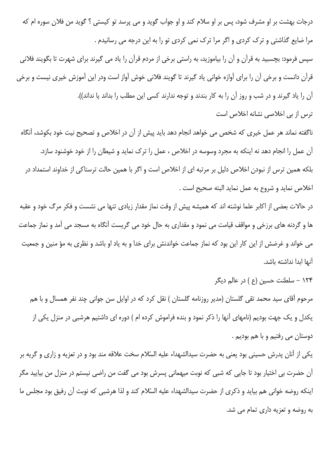درجات بهشت بر او مشرف شود، پس بر او سلام کند و او جواب گوید و می پرسد تو کیستی ؟ گوید من فلان سوره ام که مرا ضایع گذاشتی و ترک کردی و اگر مرا ترک نمی کردی تو را به این درجه می رسانیدم .

سپس فرمود: بچسبید به قرآن و آن را بیاموزید، به راستی برخی از مردم قرآن را یاد می گیرند برای شهرت تا بگویند فلانی قرآن دانست و برخی آن را برای آوازه خوانی یاد گیرند تا گویند فلانی خوش آواز است ودر این آموزش خیری نیست و برخی آن را یاد گیرند و در شب و روز آن را به کار بندند و توجه ندارند کسی این مطلب را بداند یا نداند)).

ترس از بی اخلاصی نشانه اخلاص است

ناگفته نماند هر عمل خیری که شخص می خواهد انجام دهد باید پیش از آن در اخلاص و تصحیح نیت خود بکوشد، آنگاه آن عمل را انجام دهد نه اینکه به مجرد وسوسه در اخلاص ، عمل را ترک نماید و شیطان را از خود خوشنود سازد. بلکه همین ترس از نبودن اخلاص دلیل بر مرتبه ای از اخلاص است و اگر با همین حالت ترسناکی از خداوند استمداد در اخلاص نمايد و شروع به عمل نمايد البته صحيح است .

در حالات بعضی از اکابر علما نوشته اند که همیشه پیش از وقت نماز مقدار زیادی تنها می نشست و فکر مرگ خود و عقبه ها و گردنه های برزخی و مواقف قیامت می نمود و مقداری به حال خود می گریست آنگاه به مسجد می آمد و نماز جماعت می خواند و غرضش از این کار این بود که نماز جماعت خواندنش برای خدا و به یاد او باشد و نظری به مؤ منین و جمعیت آنها ابدا نداشته باشد.

۱۲۴ – سلطنت حسین (ع ) در عالم دیگر

مرحوم آقای سید محمد تقی گلستان (مدیر روزنامه گلستان ) نقل کرد که در اوایل سن جوانی چند نفر همسال و با هم یکدل و یک جهت بودیم (نامهای آنها را ذکر نمود و بنده فراموش کرده ام ) دوره ای داشتیم هرشبی در منزل یکی از دوستان می رفتیم و با هم بودیم .

یکی از آنان پدرش حسینی بود یعنی به حضرت سیدالشهداء علیه السّلام سخت علاقه مند بود و در تعزیه و زاری و گریه بر آن حضرت بی اختیار بود تا جایی که شبی که نوبت میهمانی پسرش بود می گفت من راضی نیستم در منزل من بیایید مگر اینکه روضه خوانی هم بیاید و ذکری از حضرت سیدالشهداء علیه السّلام کند و لذا هرشبی که نوبت آن رفیق بود مجلس ما به روضه و تعزیه داری تمام می شد.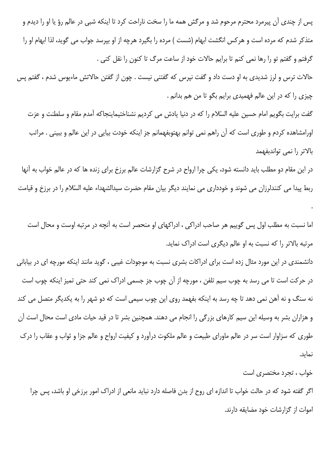پس از چندی آن پیرمرد محترم مرحوم شد و مرگش همه ما را سخت ناراحت کرد تا اینکه شبی در عالم رؤ یا او را دیدم و متذکر شدم که مرده است و هرکس انگشت ابهام (شست ) مرده را بگیرد هرچه از او بیرسد جواب می گوید، لذا ابهام او را گرفتم و گفتم تو را رها نمی کنم تا برایم حالات خود از ساعت مرگ تا کنون را نقل کنی .

حالات ترس و لرز شدیدی به او دست داد و گفت نیرس که گفتنی نیست . چون از گفتن حالاتش ماءیوس شدم ، گفتم پس چیزی را که در این عالم فهمیدی برایم بگو تا من هم بدانم .

گفت برایت بگویم امام حسین علیه السّلام را که در دنیا یادش می کردیم نشناختیماینجاکه آمدم مقام و سلطنت و عزت اورامشاهده کردم و طوری است که آن راهم نمی توانم بهتوبفهمانم جز اینکه خودت بیایی در این عالم و ببینی . مراتب بالاتر را نمى تواندبفهمد

در این مقام دو مطلب باید دانسته شود، یکی چرا ارواح در شرح گزارشات عالم برزخ برای زنده ها که در عالم خواب به آنها ربط پیدا می کنندلرزان می شوند و خودداری می نمایند دیگر بیان مقام حضرت سیدالشهداء علیه السّلام را در برزخ و قیامت

اما نسبت به مطلب اول پس گوییم هر صاحب ادراکی ، ادراکهای او منحصر است به آنچه در مرتبه اوست و محال است مرتبه بالاتر را که نسبت به او عالم دیگری است ادراک نماید.

دانشمندی در این مورد مثال زده است برای ادراکات بشری نسبت به موجودات غیبی ، گوید مانند اینکه مورچه ای در بیابانی در حرکت است تا می رسد به چوب سیم تلفن ، مورچه از آن چوب جز جسمی ادراک نمی کند حتی تمیز اینکه چوب است نه سنگ و نه آهن نمی دهد تا چه رسد به اینکه بفهمد روی این چوب سیمی است که دو شهر را به یکدیگر متصل می کند و هزاران بشر به وسیله این سیم کارهای بزرگی را انجام می دهند. همچنین بشر تا در قید حیات مادی است محال است آن طوری که سزاوار است سر در عالم ماورای طبیعت و عالم ملکوت درآورد و کیفیت ارواح و عالم جزا و ثواب و عقاب را درک نماىد.

#### خواب ، تجرد مختصری است

اگر گفته شود که در حالت خواب تا اندازه ای روح از بدن فاصله دارد نباید مانعی از ادراک امور برزخی او باشد، پس چرا اموات از گزارشات خود مضایقه دارند.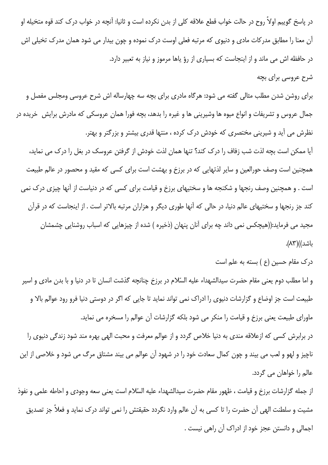در پاسخ گوییم اولاً روح در حالت خواب قطع علاقه کلی از بدن نکرده است و ثانیا: آنچه در خواب درک کند قوه متخیله او آن معنا را مطابق مدرکات مادی و دنیوی که مرتبه فعلی اوست درک نموده و چون بیدار می شود همان مدرک تخیلی اش در حافظه اش می ماند و از اینجاست که بسیاری از رؤ یاها مرموز و نیاز به تعبیر دارد. شرح عروسی برای بچه

برای روشن شدن مطلب مثالی گفته می شود: هرگاه مادری برای بچه سه چهارساله اش شرح عروسی ومجلس مفصل و جمال عروس و تشریفات و انواع میوه ها وشیرینی ها و غیره را بدهد، بچه فورا همان عروسکی که مادرش برایش خریده در نظرش می آید و شیرینی مختصری که خودش درک کرده ، منتها قدری بیشتر و بزرگتر و بهتر. آیا ممکن است بچه لذت شب زفاف را درک کند؟ تنها همان لذت خودش از گرفتن عروسک در بغل را درک می نماید،

همچنین است وصف حورالعین و سایر لذتهایی که در برزخ و بهشت است برای کسی که مقید و محصور در عالم طبیعت است . و همچنین وصف رنجها و شکنجه ها و سختیهای برزخ و قیامت برای کسی که در دنیاست از آنها چیزی درک نمی کند جز رنجها و سختیهای عالم دنیا، در حالی که آنها طوری دیگر و هزاران مرتبه بالاتر است . از اینجاست که در قرآن مجید می فرماید:((هیچکس نمی داند چه برای آنان پنهان (ذخیره ) شده از چیزهایی که اسباب روشنایی چشمشان باشد))(۸۳).

درک مقام حسین (ع) بسته به علم است

و اما مطلب دوم يعني مقام حضرت سيدالشهداء عليه السّلام در برزخ چنانچه گذشت انسان تا در دنيا و با بدن مادى و اسير طبیعت است جز اوضاع و گزارشات دنیوی را ادراک نمی تواند نماید تا جایی که اگر در دوستی دنیا فرو رود عوالم بالا و ماورای طبیعت یعنی برزخ و قیامت را منکر می شود بلکه گزارشات آن عوالم را مسخره می نماید.

در برابرش کسی که ازعلاقه مندی به دنیا خلاص گردد و از عوالم معرفت و محبت الهی بهره مند شود زندگی دنیوی را ناچیز و لهو و لعب می بیند و چون کمال سعادت خود را در شهود آن عوالم می بیند مشتاق مرگ می شود و خلاصی از این عالم را خواهان می گردد.

از جمله گزارشات برزخ و قیامت ، ظهور مقام حضرت سیدالشهداء علیه السّلام است یعنی سعه وجودی و احاطه علمی و نفوذ مشیت و سلطنت الهی آن حضرت را تا کسی به آن عالم وارد نگردد حقیقتش را نمی تواند درک نماید و فعلاً جز تصدیق اجمالی و دانستن عجز خود از ادراک آن راهی نیست .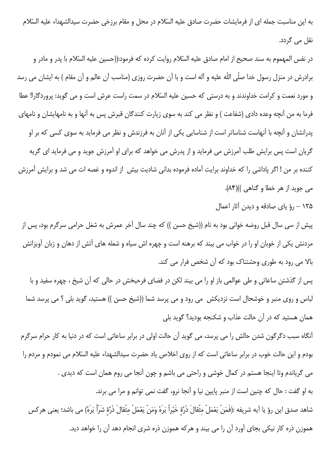به این مناسبت جمله ای از فرمایشات حضرت صادق علیه السّلام در محل و مقام برزخی حضرت سیدالشهداء علیه السّلام نقل می گردد.

در نفس المهموم به سند صحیح از امام صادق علیه السّلام روایت کرده که فرمود:((حسین علیه السّلام با پدر و مادر و برادرش در منزل رسول خدا صلّى اللّه عليه و آله است و با آن حضرت روزى (مناسب آن عالم و آن مقام ) به ايشان مى رسد و مورد نعمت و کرامت خداوندند و به درستی که حسین علیه السّلام در سمت راست عرش است و می گوید: پروردگارا! عطا فرما به من آنچه وعده دادی (شفاعت ) و نظر می کند به سوی زیارت کنندگان قبرش پس به آنها و به نامهایشان و نامهای پدرانشان و آنچه با آنهاست شناساتر است از شناسایی یکی از آنان به فرزندش و نظر می فرماید به سوی کسی که بر او گریان است پس برایش طلب آمرزش می فرماید و از پدرش می خواهد که برای او آمرزش جوید و می فرماید ای گریه كننده بر من ! اگر پاداشي را كه خداوند برايت آماده فرموده بداني شاديت بيش از اندوه و غصه ات مي شد و برايش آمرزش می جوید از هر خطا و گناهی ))(۸۴).

۱۲۵ – رؤ یای صادقه و دیدن آثار اعمال

پیش از سی سال قبل روضه خوانی بود به نام ((شیخ حسن )) که چند سال آخر عمرش به شغل حرامی سرگرم بود، پس از مردنش یکی از خوبان او را در خواب می بیند که برهنه است و چهره اش سیاه و شعله های آتش از دهان و زبان آویزانش بالا می رود به طوری وحشتناک بود که آن شخص فرار می کند.

پس از گذشتن ساعاتی و طی عوالمی باز او را می بیند لکن در فضای فرحبخش در حالی که آن شیخ ، چهره سفید و با لباس و روی منبر و خوشحال است نزدیکش ٍ می رود و می پرسد شما ((شیخ حسن )) هستید، گوید بلی ؟ می پرسد شما همان هستید که در آن حالت عذاب و شکنجه بودید؟ گوید بلی

آنگاه سبب دگرگون شدن حالش را می پرسد، می گوید آن حالت اولی در برابر ساعاتی است که در دنیا به کار حرام سرگرم بودم و این حالت خوب در برابر ساعاتی است که از روی اخلاص یاد حضرت سیدالشهداء علیه السّلام می نمودم و مردم را می گریاندم وتا اینجا هستم در کمال خوشی و راحتی می باشم و چون آنجا می روم همان است که دیدی . به او گفت : حال كه چنين است از منبر پايين نيا و آنجا نرو، گفت نمي توانم و مرا مي برند. شاهد صدق اين رؤ يا اَيه شريفه :(فَمَنْ يَعْمَلْ مِثْقالَ ذَرَّةٍ خَيْراً يَرَهُ وَمَنْ يَعْمَلْ مِثْقالَ ذَرَّةٍ شَرّاً يَرَهُ) مى باشد؛ يعنى هركس هموزن ذره کار نیکی بجای آورد آن را می بیند و هرکه هموزن ذره شری انجام دهد آن را خواهد دید.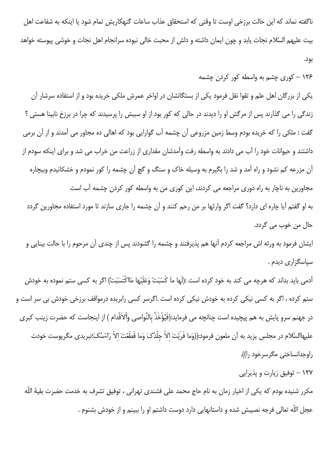ناگفته نماند که این حالت برزخی اوست تا وقتی که استحقاق عذاب ساعات گنهکاریش تمام شود یا اینکه به شفاعت اهل بیت علیهم السّلام نجات یابد و چون ایمان داشته و دلش از محبت خالی نبوده سرانجام اهل نجات و خوشی پیوسته خواهد

بود.

۱۲۶ – کوری چشم به واسطه کور کردن چشمه

یکی از بزرگان اهل علم و تقوا نقل فرمود یکی از بستگانشان در اواخر عمرش ملکی خریده بود و از استفاده سرشار آن زندگی را می گذارند پس از مرگش او را دیدند در حالی که کور بود از او سببش را پرسیدند که چرا در برزخ نابینا هستی ؟ گفت : ملکی را که خریده بودم وسط زمین مزروعی آن چشمه آب گوارایی بود که اهالی ده مجاور می آمدند و از آن برمی داشتند و حیوانات خود را آب می دادند به واسطه رفت وآمدشان مقداری از زراعت من خراب می شد و برای اینکه سودم از آن مزرعه کم نشود و راه آمد و شد را بگیرم به وسیله خاک و سنگ و گچ آن چشمه را کور نمودم و خشکانیدم وبیچاره مجاورین به ناچار به راه دوری مراجعه می کردند، این کوری من به واسطه کور کردن چشمه آب است به او گفتم آیا چاره ای دارد؟ گفت اگر وارثها بر من رحم کنند و آن چشمه را جاری سازند تا مورد استفاده مجاورین گردد حال من خوب می گردد.

ایشان فرمود به ورثه اش مراجعه کردم آنها هم پذیرفتند و چشمه را گشودند پس از چندی آن مرحوم را با حالت بینایی و سیاسگزاری دیدم .

آدمی باید بداند که هرچه می کند به خود کرده است :(لَها ما کَسَبَتْ وَعَلَیْها مَااکْتَسَبَتْ) اگر به کسی ستم نموده به خودش ستم کرده ، اگر به کسی نیکی کرده به خودش نیکی کرده است .اگرسر کسی رابریده درمواقف برزخی خودش بی سر است و در جهنم سرو پایش به هم پیچیده است چنانچه می فرماید:(فَیُوْخَذُ بالنَّواصی وَاْلاَقْدام ) از اینجاست که حضرت زینب کبری عليهاالسّلام در مجلس يزيد به آن ملعون فرمود:((وَما فَرَيْتَ الاّ جِلْدُکَ وَما قَطَعْتَ الاّ رَاءْسُکَ؛نبريدي مگرپوست خودت راوجدانساختي مگرسرخود را)).

۱۲۷ – توفیق زیارت و پذیرایی

مکرر شنیده بودم که یکی از اخیار زمان به نام حاج محمد علی فشندی تهرانی ، توفیق تشرف به خدمت حضرت بقیهٔ اللّه عجل اللّه تعالى فرجه نصيبش شده و داستانهايي دارد دوست داشتم او را ببينم و از خودش بشنوم .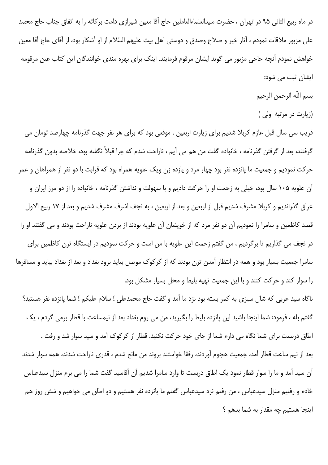در ماه ربیع الثانی ۹۵ در تهران ، حضرت سیدالعلماءالعاملین حاج آقا معین شیرازی دامت برکاته را به اتفاق جناب حاج محمد علی مزبور ملاقات نمودم ، آثار خیر و صلاح وصدق و دوستی اهل بیت علیهم السّلام از او آشکار بود، از آقای حاج آقا معین خواهش نمودم آنچه حاجی مزبور می گوید ایشان مرقوم فرمایند. اینک برای بهره مندی خوانندگان این کتاب عین مرقومه ایشان ثبت می شود:

- بسم اللّه الرحمن الرحيم
- (زیارت در مرتبه اولی )

قریب سی سال قبل عازم کربلا شدیم برای زیارت اربعین ، موقعی بود که برای هر نفر جهت گذرنامه چهارصد تومان می گرفتند، بعد از گرفتن گذرنامه ، خانواده گفت من هم می آیم ، ناراحت شدم که چرا قبلاً نگفته بود، خلاصه بدون گذرنامه حرکت نمودیم و جمعیت ما پانزده نفر بود چهار مرد و یازده زن ویک علویه همراه بود که قرابت با دو نفر از همراهان و عمر آن علویه ۱۰۵ سال بود، خیلی به زحمت او را حرکت دادیم و با سهولت و نداشتن گذرنامه ، خانواده را از دو مرز ایران و عراق گذراندیم و کربلا مشرف شدیم قبل از اربعین و بعد از اربعین ، به نجف اشرف مشرف شدیم و بعد از ۱۷ ربیع الاول قصد كاظمين و سامرا را نموديم آن دو نفر مرد كه از خويشان آن علويه بودند از بردن علويه ناراحت بودند و مى گفتند او را در نجف می گذاریم تا برگردیم ، من گفتم زحمت این علویه با من است و حرکت نمودیم در ایستگاه ترن کاظمین برای سامرا جمعیت بسیار بود و همه در انتظار آمدن ترن بودند که از کرکوک موصل بیاید برود بغداد و بعد از بغداد بیاید و مسافرها را سوار کند و حرکت کنند و با این جمعیت تهیه بلیط و محل بسیار مشکل بود.

ناگاه سید عربی که شال سبزی به کمر بسته بود نزد ما آمد و گفت حاج محمدعلی ! سلام علیکم ! شما پانزده نفر هستید؟ گفتم بله ، فرمود: شما اینجا باشید این پانزده بلیط را بگیرید، من می روم بغداد بعد از نیمساعت با قطار برمی گردم ، یک اطاق دربست برای شما نگاه می دارم شما از جای خود حرکت نکنید. قطار از کرکوک آمد و سید سوار شد و رفت . بعد از نيم ساعت قطار آمد، جمعيت هجوم آوردند، رفقا خواستند بروند من مانع شدم ، قدرى ناراحت شدند، همه سوار شدند آن سید آمد و ما را سوار قطار نمود یک اطاق دربست تا وارد سامرا شدیم آن آقاسید گفت شما را می برم منزل سیدعباس خادم و رفتیم منزل سیدعباس ، من رفتم نزد سیدعباس گفتم ما پانزده نفر هستیم و دو اطاق می خواهیم و شش روز هم اينجا هستيم چه مقدار به شما بدهم ؟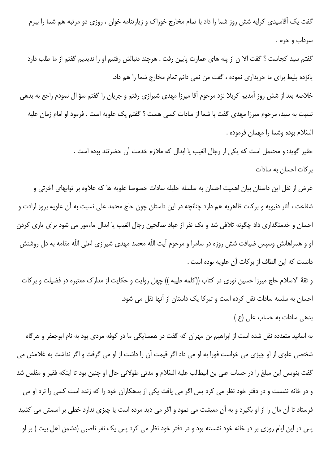گفت یک آقاسیدی کرایه شش روز شما را داد با تمام مخارج خوراک و زیارتنامه خوان ، روزی دو مرتبه هم شما را ببرم سرداب و حرم .

گفتم سید کجاست ؟ گفت الا ن از یله های عمارت پایین رفت . هرچند دنبالش رفتیم او را ندیدیم گفتم از ما طلب دارد پانزده بليط براي ما خريداري نموده ، گفت من نمي دانم تمام مخارج شما را هم داد.

خلاصه بعد از شش روز آمدیم کربلا نزد مرحوم آقا میرزا مهدی شیرازی رفتم و جریان را گفتم سؤ ال نمودم راجع به بدهی نسبت به سید، مرحوم میرزا مهدی گفت با شما از سادات کسی هست ؟ گفتم یک علویه است . فرمود او امام زمان علیه السّلام بوده وشما را مهمان فرموده .

> حقير گويد: و محتمل است كه يكي از رجال الغيب يا ابدال كه ملازم خدمت آن حضرتند بوده است . بر کات احسان به سادات

غرض از نقل این داستان بیان اهمیت احسان به سلسله جلیله سادات خصوصا علویه ها که علاوه بر ثوابهای آخرتی و شفاعت ، آثار دنیویه و برکات ظاهریه هم دارد چنانچه در این داستان چون حاج محمد علی نسبت به آن علویه بروز ارادت و احسان و خدمتگذاری داد چگونه تلافی شد و یک نفر از عباد صالحین رجال الغیب یا ابدال ماءمور می شود برای یاری کردن او و همراهانش وسپس ضیافت شش روزه در سامرا و مرحوم آیت اللّه محمد مهدی شیرازی اعلی اللّه مقامه به دل روشنش دانست كه اين الطاف از بركات آن علويه بوده است .

و ثقهٔ الاسلام حاج میرزا حسین نوری در کتاب ((کلمه طیبه )) چهل روایت و حکایت از مدارک معتبره در فضیلت و برکات احسان به سلسه سادات نقل کرده است و تبرکا یک داستان از آنها نقل می شود.

بدهی سادات به حساب علی (ع)

به اسانید متعدده نقل شده است از ابراهیم بن مهران که گفت در همسایگی ما در کوفه مردی بود به نام ابوجعفر و هرگاه شخصی علوی از او چیزی می خواست فورا به او می داد اگر قیمت آن را داشت از او می گرفت و اگر نداشت به غلامش می گفت بنویس این مبلغ را در حساب علی بن ابیطالب علیه السّلام و مدتی طولانی حال او چنین بود تا اینکه فقیر و مفلس شد و در خانه نشست و در دفتر خود نظر می کرد پس اگر می یافت یکی از بدهکاران خود را که زنده است کسی را نزد او می فرستاد تا آن مال را از او بگیرد و به آن معیشت می نمود و اگر می دید مرده است یا چیزی ندارد خطی بر اسمش می کشید پس در این ایام روزی بر در خانه خود نشسته بود و در دفتر خود نظر می کرد پس یک نفر ناصبی (دشمن اهل بیت ) بر او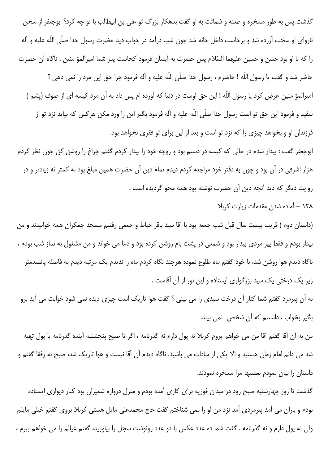گذشت پس به طور مسخره و طعنه و شماتت به او گفت بدهکار بزرگ تو علی بن ابیطالب با تو چه کرد؟ ابوجعفر از سخن ناروای او سخت آزرده شد و برخاست داخل خانه شد چون شب درآمد در خواب دید حضرت رسول خدا صلّی اللّه علیه و آله را كه با او بود حسن و حسين عليهما السّلام پس حضرت به ايشان فرمود كجاست پدر شما اميرالمؤ منين ، ناگاه آن حضرت حاضر شد و گفت يا رسول اللّه ! حاضرم ، رسول خدا صلّى اللّه عليه و آله فرمود چرا حق اين مرد را نمى دهى ؟ امیرالمؤ منین عرض کرد یا رسول اللّه ! این حق اوست در دنیا که آورده ام پس داد به آن مرد کیسه ای از صوف (پشم ) سفید و فرمود این حق تو است رسول خدا صلّی اللّه علیه و آله فرمود بگیر این را ورد مکن هرکس که بیاید نزد تو از فرزندان او و بخواهد چیزی را که نزد تو است و بعد از این برای تو فقری نخواهد بود.

ابوجعفر گفت : بیدار شدم در حالی که کیسه در دستم بود و زوجه خود را بیدار کردم گفتم چراغ را روشن کن چون نظر کردم هزار اشرفی در آن بود و چون به دفتر خود مراجعه کردم دیدم تمام دین آن حضرت همین مبلغ بود نه کمتر نه زیادتر و در روایت دیگر که دید آنچه دین آن حضرت نوشته بود همه محو گردیده است .

١٢٨ - آماده شدن مقدمات زيارت كربلا

(داستان دوم ) قریب بیست سال قبل شب جمعه بود با آقا سید باقر خیاط و جمعی رفتیم مسجد جمکران همه خوابیدند و من بیدار بودم و فقط پیر مردی بیدار بود و شمعی در پشت بام روشن کرده بود و دعا می خواند و من مشغول به نماز شب بودم ، ناگاه دیدم هوا روشن شد، با خود گفتم ماه طلوع نموده هرچند نگاه کردم ماه را ندیدم یک مرتبه دیدم به فاصله پانصدمتر زیر یک درختی یک سید بزرگواری ایستاده و این نور از آن آقاست .

به آن پیرمرد گفتم شما کنار آن درخت سیدی را می بینی ؟ گفت هوا تاریک است چیزی دیده نمی شود خوابت می آید برو بگير بخواب ، دانستم كه آن شخص نمي بيند.

من به آن آقا گفتم آقا من می خواهم بروم کربلا نه پول دارم نه گذرنامه ، اگر تا صبح پنجشنبه آینده گذرنامه با پول تهيه شد می دانم امام زمان هستید و الا یکی از سادات می باشید. ناگاه دیدم آن آقا نیست و هوا تاریک شد، صبح به رفقا گفتم و داستان را بیان نمودم بعضیها مرا مسخره نمودند.

گذشت تا روز چهارشنبه صبح زود در میدان فوزیه برای کاری آمده بودم و منزل دروازه شمیران بود کنار دیواری ایستاده بودم و باران می آمد پیرمردی آمد نزد من او را نمی شناختم گفت حاج محمدعلی مایل هستی کربلا بروی گفتم خیلی مایلم ولی نه پول دارم و نه گذرنامه . گفت شما ده عدد عکس با دو عدد رونوشت سجل را بیاورید، گفتم عیالم را می خواهم ببرم ،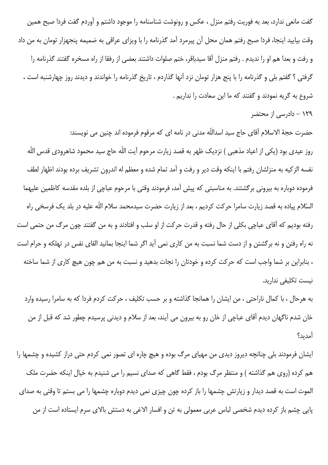گفت مانعی ندارد، بعد به فوریت رفتم منزل ، عکس و رونوشت شناسنامه را موجود داشتم و آوردم گفت فردا صبح همین وقت بیایید اینجا، فردا صبح رفتم همان محل آن پیرمرد آمد گذرنامه را با ویزای عراقی به ضمیمه پنجهزار تومان به من داد و رفت و بعدا هم او را ندیدم . رفتم منزل آقا سیدباقر، ختم صلوات داشتند بعضی از رفقا از راه مسخره گفتند گذرنامه را گرفتی ؟ گفتم بلی و گذرنامه را با پنج هزار تومان نزد آنها گذاردم ، تاریخ گذرنامه را خواندند و دیدند روز چهارشنبه است ، شروع به گریه نمودند و گفتند که ما این سعادت را نداریم .

۱۲۹ – دادرسی از محتضر

حضرت حجهٔ الاسلام اَقای حاج سید اسداللّه مدنی در نامه ای که مرقوم فرموده اند چنین می نویسند: روز عيدى بود (يكى از اعياد مذهبى ) نزديك ظهر به قصد زيارت مرحوم آيت اللّه حاج سيد محمود شاهرودى قدس اللّه نفسه الزكيه به منزلشان رفتم با اينكه وقت دير و رفت و آمد تمام شده و معظم له اندرون تشريف برده بودند اظهار لطف فرموده دوباره به بیرونی برگشتند. به مناسبتی که پیش آمد، فرمودند وقتی با مرحوم عباچی از بلده مقدسه کاظمین علیهما السّلام پیاده به قصد زیارت سامرا حرکت کردیم ، بعد از زیارت حضرت سیدمحمد سلام اللّه علیه در بلد یک فرسخی راه رفته بوديم كه آقاي عباچي بكلي از حال رفته و قدرت حركت از او سلب و افتادند و به من گفتند چون مرگ من حتمي است نه راه رفتن و نه برگشتن و از دست شما نسبت به من كارى نمى آيد اگر شما اينجا بمانيد القاى نفس در تهلكه و حرام است ، بنابراین بر شما واجب است که حرکت کرده و خودتان را نجات بدهید و نسبت به من هم چون هیچ کاری از شما ساخته نیست تکلیفی ندارید.

به هرحال ، با كمال ناراحتى ، من ايشان را همانجا گذاشته و بر حسب تكليف ، حركت كردم فردا كه به سامرا رسيده وارد خان شدم ناگهان دیدم آقای عباچی از خان رو به بیرون می آیند، بعد از سلام و دیدنی پرسیدم چطور شد که قبل از من آمدىد؟

ایشان فرمودند بلی چنانچه دیروز دیدی من مهیای مرگ بوده و هیچ چاره ای تصور نمی کردم حتی دراز کشیده و چشمها را هم کرده (روی هم گذاشته ) و منتظر مرگ بودم ، فقط گاهی که صدای نسیم را می شنیدم به خیال اینکه حضرت ملک الموت است به قصد دیدار و زیارتش چشمها را باز کرده چون چیزی نمی دیدم دوباره چشمها را می بستم تا وقتی به صدای پایی چشم باز کرده دیدم شخصی لباس عربی معمولی به تن و افسار الاغی به دستش بالای سرم ایستاده است از من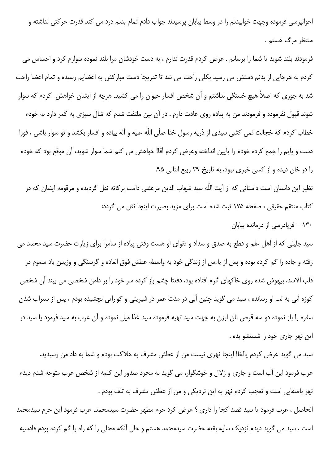احوالپرسی فرموده وجهت خوابیدنم را در وسط بیابان پرسیدند جواب دادم تمام بدنم درد می کند قدرت حرکتی نداشته و منتظر مرگ هستم .

فرمودند بلند شوید تا شما را برسانم . عرض کردم قدرت ندارم ، به دست خودشان مرا بلند نموده سوارم کرد و احساس می کردم به هرجایی از بدنم دستش می رسید بکلی راحت می شد تا تدریجا دست مبارکش به اعضایم رسیده و تمام اعضا راحت شد به جوری که اصلاً هیچ خستگی نداشتم و آن شخص افسار حیوان را می کشید. هرچه از ایشان خواهش کردم که سوار شوند قبول نفرموده و فرمودند من به پیاده روی عادت دارم . در آن بین ملتفت شدم که شال سبزی به کمر دارد به خودم خطاب کردم که خجالت نمی کشی سیدی از ذریه رسول خدا صلّی اللّه علیه و آله پیاده و افسار بکشد و تو سوار باشی ، فورا دست و پایم را جمع کرده خودم را پایین انداخته وعرض کردم آقا! خواهش می کنم شما سوار شوید، آن موقع بود که خودم را در خان دیده و از کسی خبری نبود، به تاریخ ۲۹ ربیع الثانی ۹۵.

نظیر این داستان است داستانی که از آیت اللّه سید شهاب الدین مرعشی دامت برکاته نقل گردیده و مرقومه ایشان که در كتاب منتقم حقيقى ، صفحه ١٧۵ ثبت شده است براى مزيد بصيرت اينجا نقل مى گردد:

# ۱۳۰ - فریادرسی از درمانده بیابان

سید جلیلی که از اهل علم و قطع به صدق و سداد و تقوای او هست وقتی پیاده از سامرا برای زیارت حضرت سید محمد می رفته و جاده را گم کرده بوده و پس از یاءس از زندگی خود به واسطه عطش فوق العاده و گرسنگی و وزیدن باد سموم در قلب الاسد، بیهوش شده روی خاکهای گرم افتاده بود، دفعتا چشم باز کرده سر خود را بر دامن شخصی می بیند آن شخص کوزه آبی به لب او رسانده ، سید می گوید چنین آبی در مدت عمر در شیرینی و گوارایی نچشیده بودم ، پس از سیراب شدن سفره را باز نموده دو سه قرص نان ارزن به جهت سید تهیه فرموده سید غذا میل نموده و آن عرب به سید فرمود یا سید در این نهر جاری خود را شستشو بده .

سید می گوید عرض کردم یااخا! اینجا نهری نیست من از عطش مشرف به هلاکت بودم و شما به داد من رسیدید. عرب فرمود این آب است و جاری و زلال و خوشگوار، می گوید به مجرد صدور این کلمه از شخص عرب متوجه شدم دیدم نهر باصفایی است و تعجب کردم نهر به این نزدیکی و من از عطش مشرف به تلف بودم .

الحاصل ، عرب فرمود یا سید قصد کجا را داری ؟ عرض کرد حرم مطهر حضرت سیدمحمد، عرب فرمود این حرم سیدمحمد است ، سید می گوید دیدم نزدیک سایه بقعه حضرت سیدمحمد هستم و حال آنکه محلی را که راه را گم کرده بودم قادسیه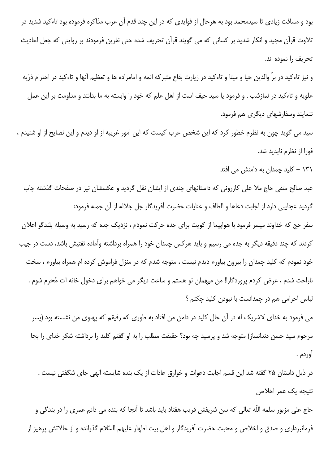بود و مسافت زیادی تا سیدمحمد بود به هرحال از فوایدی که در این چند قدم آن عرب مذاکره فرموده بود تاءکید شدید در تلاوت قرآن مجید و انکار شدید بر کسانی که می گویند قرآن تحریف شده حتی نفرین فرمودند بر روایتی که جعل احادیث تحريف را نموده اند.

و نیز تاءکید در برّ والدین حیا و میتا و تاءکید در زیارت بقاع متبرکه ائمه و امامزاده ها و تعظیم آنها و تاءکید در احترام ذرّیه علويه و تاءكيد در نمازشب . و فرمود يا سيد حيف است از اهل علم كه خود را وابسته به ما بدانند و مداومت بر اين عمل ننمایند وسفارشهای دیگری هم فرمود.

سید می گوید چون به نظرم خطور کرد که این شخص عرب کیست که این امور غریبه از او دیدم و این نصایح از او شنیدم ، فورا از نظرم نايديد شد.

۱۳۱ – کلید چمدان به دامنش می افتد

عبد صالح متقی حاج ملا علی کازرونی که داستانهای چندی از ایشان نقل گردید و عکسشان نیز در صفحات گذشته چاپ گردید عجایبی دارد از اجابت دعاها و الطاف و عنایات حضرت آفریدگار جل جلاله از آن جمله فرمود:

سفر حج که خداوند میسر فرمود با هواپیما از کویت برای جده حرکت نمودم ، نزدیک جده که رسید به وسیله بلندگو اعلان کردند که چند دقیقه دیگر به جده می رسیم و باید هرکس چمدان خود را همراه برداشته وآماده تفتیش باشد، دست در جیب خود نمودم که کلید چمدان را بیرون بیاورم دیدم نیست ، متوجه شدم که در منزل فراموش کرده ام همراه بیاورم ، سخت ناراحت شدم ، عرض کردم پروردگارا! من میهمان تو هستم و ساعت دیگر می خواهم برای دخول خانه ات مُحرم شوم . لباس احرامی هم در چمدانست با نبودن کلید چکنم ؟

می فرمود به خدای لاشریک له در آن حال کلید در دامن من افتاد به طوری که رفیقم که پهلوی من نشسته بود (پسر مرحوم سید حسن دندانساز) متوجه شد و پرسید چه بود؟ حقیقت مطلب را به او گفتم کلید را برداشته شکر خدای را بجا أوردم .

در ذیل داستان ۲۵ گفته شد این قسم اجابت دعوات و خوارق عادات از یک بنده شایسته الهی جای شگفتی نیست . نتبحه یک عمر اخلاص

حاج علی مزبور سلمه اللّه تعالی که سن شریفش قریب هفتاد باید باشد تا آنجا که بنده می دانم عمری را در بندگی و فرمانبرداری و صدق و اخلاص و محبت حضرت آفریدگار و اهل بیت اطهار علیهم السّلام گذرانده و از حالاتش پرهیز از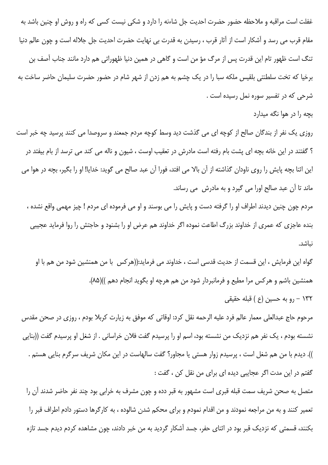غفلت است مراقبه و ملاحظه حضور حضرت احدیت جل شاءنه را دارد و شکی نیست کسی که راه و روش او چنین باشد به مقام قرب می رسد و آشکار است از آثار قرب ، رسیدن به قدرت بی نهایت حضرت احدیت جل جلاله است و چون عالم دنیا تنگ است ظهور تام این قدرت پس از مرگ مؤ من است و گاهی در همین دنیا ظهوراتی هم دارد مانند جناب آصف بن برخیا که تخت سلطنتی بلقیس ملکه سبا را در یک چشم به هم زدن از شهر شام در حضور حضرت سلیمان حاضر ساخت به شرحی که در تفسیر سوره نمل رسیده است .

بچه را در هوا نگه میدارد

روزی یک نفر از بندگان صالح از کوچه ای می گذشت دید وسط کوچه مردم جمعند و سروصدا می کنند پرسید چه خبر است ؟ گفتند در این خانه بچه ای پشت بام رفته است مادرش در تعقیب اوست ، شیون و ناله می کند می ترسد از بام بیفتد در این اثنا بچه پایش را روی ناودان گذاشته از آن بالا می افتد، فورا آن عبد صالح می گوید: خدایا! او را بگیر، بچه در هوا می ماند تا آن عبد صالح اورا می گیرد و به مادرش ٍ می رساند.

مردم چون چنین دیدند اطراف او را گرفته دست و پایش را می بوسند و او می فرموده ای مردم ! چیز مهمی واقع نشده ، بنده عاجزی که عمری از خداوند بزرگ اطاعت نموده اگر خداوند هم عرض او را بشنود و حاجتش را روا فرماید عجیبی نىاشد.

گواه این فرمایش ، این قسمت از حدیث قدسی است ، خداوند می فرماید:((هرکس با من همنشین شود من هم با او همنشین باشم و هرکس مرا مطیع و فرمانبردار شود من هم هرچه او بگوید انجام دهم ))(۸۵). ۱۳۲ – رو به حسین (ع ) قبله حقیقی

مرحوم حاج عبدالعلي معمار عالم فرد عليه الرحمه نقل كرد: اوقاتي كه موفق به زيارت كربلا بودم ، روزي در صحن مقدس نشسته بودم ، یک نفر هم نزدیک من نشسته بود، اسم او را پرسیدم گفت فلان خراسانی . از شغل او پرسیدم گفت ((بنایی )). دیدم با من هم شغل است ، پرسیدم زوار هستی یا مجاور؟ گفت سالهاست در این مکان شریف سرگرم بنایی هستم . گفتم در این مدت اگر عجایبی دیده ای برای من نقل کن ، گفت :

متصل به صحن شریف سمت قبله قبری است مشهور به قبر دده و چون مشرف به خرابی بود چند نفر حاضر شدند آن را تعمیر کنند و به من مراجعه نمودند و من اقدام نمودم و برای محکم شدن شالوده ، به کارگرها دستور دادم اطراف قبر را بکنند، قسمتی که نزدیک قبر بود در اثنای حفر، جسد آشکار گردید به من خبر دادند، چون مشاهده کردم دیدم جسد تازه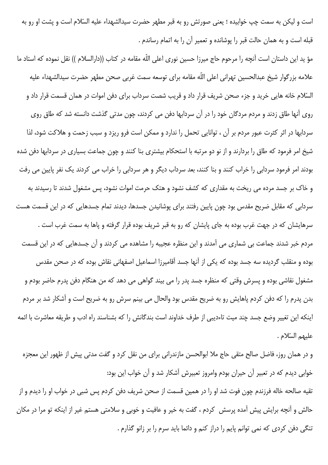است و لیکن به سمت چپ خوابیده ؛ یعنی صورتش رو به قبر مطهر حضرت سیدالشهداء علیه السّلام است و پشت او رو به قبله است و به همان حالت قبر را پوشانده و تعمیر آن را به اتمام رساندم .

مؤ يد اين داستان است آنچه را مرحوم حاج ميرزا حسين نورى اعلى الله مقامه در كتاب ((دارالسلام )) نقل نموده كه استاد ما علامه بزرگوار شيخ عبدالحسين تهرانى اعلى الله مقامه براى توسعه سمت غربى صحن مطهر حضرت سيدالشهداء عليه السّلام خانه هایی خرید و جزء صحن شریف قرار داد و قریب شصت سرداب برای دفن اموات در همان قسمت قرار داد و  $\overline{\phantom{a}}$ روی آنها طاق زدند و مردم مردگان خود را در آن سردابها دفن می کردند، چون مدتی گذشت دانسته شد که طاق روی سردابها در اثر کثرت عبور مردم بر آن ، توانایی تحمل را ندارد و ممکن است فرو ریزد و سبب زحمت و هلاکت شود، لذا شیخ امر فرمود که طاق را بردارند و از نو دو مرتبه با استحکام بیشتری بنا کنند و چون جماعت بسیاری در سردابها دفن شده بودند امر فرمود سردابی را خراب کنند و بنا کنند، بعد سرداب دیگر و هر سردابی را خراب می کردند یک نفر پایین می رفت و خاک بر جسد مرده می ریخت به مقداری که کشف نشود و هتک حرمت اموات نشود، پس مشغول شدند تا رسیدند به سردابی که مقابل ضریح مقدس بود چون پایین رفتند برای پوشانیدن جسدها، دیدند تمام جسدهایی که در این قسمت هست سرهایشان که در جهت غرب بوده به جای پایشان که رو به قبر شریف بوده قرار گرفته و پاها به سمت غرب است . مردم خبر شدند جماعت بی شماری می آمدند و این منظره عجیبه را مشاهده می کردند و آن جسدهایی که در این قسمت بوده و منقلب گردیده سه جسد بوده که یکی از آنها جسد أقامیرزا اسماعیل اصفهانی نقاش بوده که در صحن مقدس مشغول نقاشی بوده و پسرش وقتی که منظره جسد پدر را می بیند گواهی می دهد که من هنگام دفن پدرم حاضر بودم و بدن پدرم را که دفن کردم پاهایش رو به ضریح مقدس بود والحال می بینم سرش رو به ضریح است و آشکار شد بر مردم اینکه این تغییر وضع جسد چند میت تاءدیبی از طرف خداوند است بندگانش را که بشناسند راه ادب و طریقه معاشرت با ائمه عليهم السّلام .

و در همان روز، فاضل صالح متقى حاج ملا ابوالحسن مازندرانى براى من نقل كرد و گفت مدتى پيش از ظهور اين معجزه خوابی دیدم که در تعبیر آن حیران بودم وامروز تعبیرش آشکار شد و آن خواب این بود: تقیه صالحه خاله فرزندم چون فوت شد او را در همین قسمت از صحن شریف دفن کردم پس شبی در خواب او را دیدم و از

حالش و أنچه برایش پیش أمده پرسش کردم ، گفت به خیر و عافیت و خوبی و سلامتی هستم غیر از اینکه تو مرا در مکان تنگی دفن کردی که نمی توانم پایم را دراز کنم و دائما باید سرم را بر زانو گذارم .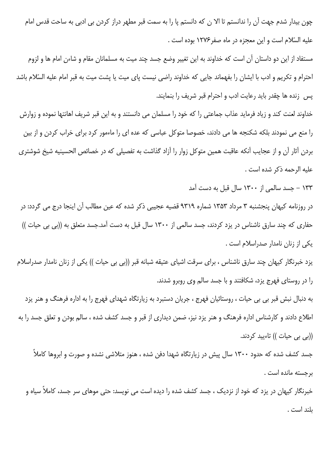چون بیدار شدم جهت آن را ندانستم تا الا ن که دانستم پا را به سمت قبر مطهر دراز کردن بی ادبی به ساحت قدس امام عليه السّلام است و اين معجزه در ماه صفر ١٢٧۶ بوده است .

مستفاد از این دو داستان آن است که خداوند به این تغییر وضع جسد چند میت به مسلمانان مقام و شاءن امام ها و لزوم احترام و تكريم و ادب با ايشان را بفهماند جايي كه خداوند راضي نيست ياي ميت يا يشت ميت به قبر امام عليه السّلام باشد پس زنده ها چقدر باید رعایت ادب و احترام قبر شریف را بنمایند.

خداوند لعنت کند و زیاد فرماید عذاب جماعتی را که خود را مسلمان می دانستند و به این قبر شریف اهانتها نموده و زوارش را منع می نمودند بلکه شکنجه ها می دادند، خصوصا متوکل عباسی که عده ای را ماءمور کرد برای خراب کردن و از بین بردن آثار آن و از عجایب آنکه عاقبت همین متوکل زوار را آزاد گذاشت به تفصیلی که در خصائص الحسینیه شیخ شوشتری عليه الرحمه ذكر شده است .

۱۳۳ - جسد سالمی از ۱۳۰۰ سال قبل به دست آمد

در روزنامه کیهان پنجشنبه ۳ مرداد ۱۳۵۳ شماره ۹۳۱۹ قضیه عجیبی ذکر شده که عین مطالب آن اینجا درج می گردد: در حفاری که چند سارق ناشناس در یزد کردند، جسد سالمی از ۱۳۰۰ سال قبل به دست آمد.جسد متعلق به ((بی بی حیات )) یکی از زنان نامدار صدراسلام است .

یزد خبرنگار کیهان چند سارق ناشناس ، برای سرقت اشیای عتیقه شبانه قبر ((بی بی حیات )) یکی از زنان نامدار صدراسلام را در روستای فهرج یزد، شکافتند و با جسد سالم وی روبرو شدند.

به دنبال نبش قبر بی بی حیات ، روستائیان فهرج ، جریان دستبرد به زیارتگاه شهدای فهرج را به اداره فرهنگ و هنر یزد اطلاع دادند و کارشناس اداره فرهنگ و هنر یزد نیز، ضمن دیداری از قبر و جسد کشف شده ، سالم بودن و تعلق جسد را به ((بی بی حیات )) تاءیید کردند.

جسد کشف شده که حدود ۱۳۰۰ سال پیش در زیارتگاه شهدا دفن شده ، هنوز متلاشی نشده و صورت و ابروها کاملاً برحسته مانده است .

خبرنگار کیهان در یزد که خود از نزدیک ، جسد کشف شده را دیده است می نویسد: حتی موهای سر جسد، کاملاً سیاه و بلند است .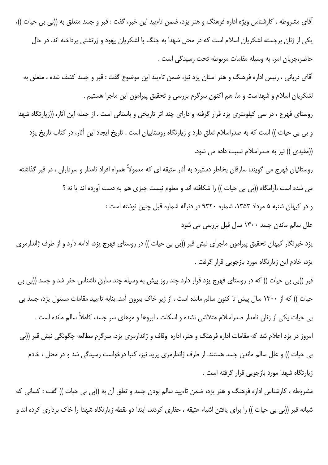آقای مشروطه ، کارشناس ویژه اداره فرهنگ و هنر یزد، ضمن تاءیید این خبر، گفت : قبر و جسد متعلق به ((بی بی حیات ))، یکی از زنان برجسته لشکریان اسلام است که در محل شهدا به جنگ با لشکریان یهود و زرتشتی پرداخته اند. در حال حاضر،جریان امر، به وسیله مقامات مربوطه تحت رسیدگی است .

آقای دربانی ، رئیس اداره فرهنگ و هنر استان یزد نیز، ضمن تاءیید این موضوع گفت : قبر و جسد کشف شده ، متعلق به لشکریان اسلام و شهداست و ما، هم اکنون سرگرم بررسی و تحقیق پیرامون این ماجرا هستیم .

روستای فهرج ، در سی کیلومتری یزد قرار گرفته و دارای چند اثر تاریخی و باستانی است . از جمله این آثار، ((زیارتگاه شهدا و بی بی حیات )) است که به صدراسلام تعلق دارد و زیارتگاه روستاییان است . تاریخ ایجاد این آثار، در کتاب تاریخ یزد ((مفیدی)) نیز به صدراسلام نسبت داده می شود.

روستائیان فهرج می گویند: سارقان بخاطر دستبرد به آثار عتیقه ای که معمولاً همراه افراد نامدار و سرداران ، در قبر گذاشته می شده است ،آرامگاه ((بی بی حیات )) را شکافته اند و معلوم نیست چیزی هم به دست آورده اند یا نه ؟ و در کیهان شنبه ۵ مرداد ۱۳۵۳، شماره ۹۳۲۰ در دنباله شماره قبل چنین نوشته است : علل سالم ماندن جسد ۱۳۰۰ سال قبل بررسی می شود یزد خبرنگار کیهان تحقیق پیرامون ماجرای نبش قبر ((بی بی حیات )) در روستای فهرج یزد، ادامه دارد و از طرف ژاندارمری

یزد، خادم این زیارتگاه مورد بازجویی قرار گرفت .

قبر ((بی بی حیات )) که در روستای فهرج یزد قرار دارد چند روز پیش به وسیله چند سارق ناشناس حفر شد و جسد ((بی بی حیات )) که از ۱۳۰۰ سال پیش تا کنون سالم مانده است ، از زیر خاک بیرون آمد. بنابه تاءیید مقامات مسئول یزد، جسد بی بی حیات یکی از زنان نامدار صدراسلام متلاشی نشده و اسکلت ، ابروها و موهای سر جسد، کاملاً سالم مانده است . امروز در یزد اعلام شد که مقامات اداره فرهنگ و هنر، اداره اوقاف و ژاندارمری یزد، سرگرم مطالعه چگونگی نبش قبر ((بی بی حیات )) و علل سالم ماندن جسد هستند. از طرف ژاندارمری یزید نیز، کتبا درخواست رسیدگی شد و در محل ، خادم زیارتگاه شهدا مورد بازجویی قرار گرفته است .

مشروطه ، كارشناس اداره فرهنگ و هنر يزد، ضمن تاءييد سالم بودن جسد و تعلق آن به ((بي بي حيات )) گفت : كساني كه شبانه قبر ((بی بی حیات )) را برای یافتن اشیاء عتیقه ، حفاری کردند، ابتدا دو نقطه زیارتگاه شهدا را خاک برداری کرده اند و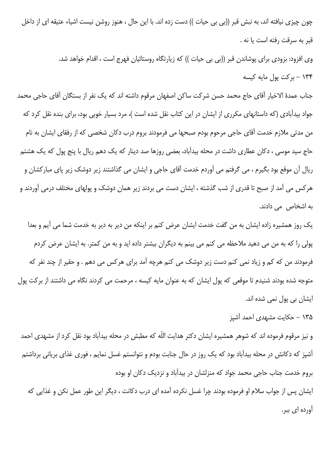چون چیزی نیافته اند، به نبش قبر ((بی بی حیات )) دست زده اند. با این حال ، هنوز روشن نیست اشیاء عتیقه ای از داخل قبر به سرقت رفته است یا نه .

> وی افزود: بزودی برای پوشاندن قبر ((بی بی حیات )) که زیارتگاه روستائیان فهرج است ، اقدام خواهد شد. ۱۳۴ - بركت پول مايه كيسه

جناب عمدهٔ الاخیار آقای حاج محمد حسن شرکت ساکن اصفهان مرقوم داشته اند که یک نفر از بستگان آقای حاجی محمد جواد بیدآبادی (که داستانهای مکرری از ایشان در این کتاب نقل شده است )، مرد بسیار خوبی بود، برای بنده نقل کرد که من مدتی ملازم خدمت آقای حاجی مرحوم بودم صبحها می فرمودند بروم درب دکان شخصی که از رفقای ایشان به نام حاج سید موسی ، دکان عطاری داشت در محله بیدآباد، بعضی روزها صد دینار که یک دهم ریال با پنج پول که یک هشتم ریال آن موقع بود بگیرم ، می گرفتم می آوردم خدمت آقای حاجی و ایشان می گذاشتند زیر دوشک زیر پای مبارکشان و هرکس می آمد از صبح تا قدری از شب گذشته ، ایشان دست می بردند زیر همان دوشک و پولهای مختلف درمی آوردند و به اشخاص می دادند.

یک روز همشیره زاده ایشان به من گفت خدمت ایشان عرض کنم بر اینکه من دیر به دیر به خدمت شما می آیم و بعدا پولی را که به من می دهید ملاحظه می کنم می بینم به دیگران بیشتر داده اید و به من کمتر. به ایشان عرض کردم فرمودند من که کم و زیاد نمی کنم دست زیر دوشک می کنم هرچه آمد برای هرکس می دهم . و حقیر از چند نفر که متوجه شده بودند شنیدم تا موقعی که پول ایشان که به عنوان مایه کیسه ، مرحمت می کردند نگاه می داشتند از برکت پول ايشان بي پول نمي شده اند.

## ۱۳۵ – حکایت مشهدی احمد آشیز

و نیز مرقوم فرموده اند که شوهر همشیره ایشان دکتر هدایت اللّه که مطبش در محله بیدآباد بود نقل کرد از مشهدی احمد آشپز که دکانش در محله بیدآباد بود که یک روز در حال جنابت بودم و نتوانستم غسل نمایم ، فوری غذای بریانی برداشتم بروم خدمت جناب حاجی محمد جواد که منزلشان در بیدآباد و نزدیک دکان او بوده

ایشان پس از جواب سلام او فرموده بودند چرا غسل نکرده آمده ای درب دکانت ، دیگر این طور عمل نکن و غذایی که آورده ا*ی* ببر.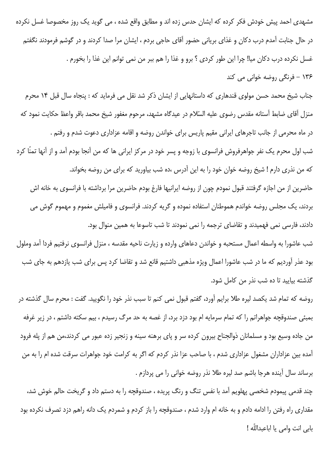مشهدی احمد پیش خودش فکر کرده که ایشان حدس زده اند و مطابق واقع شده ، می گوید یک روز مخصوصا غسل نکرده در حال جنابت آمدم درب دکان و غذای بریانی حضور آقای حاجی بردم ، ایشان مرا صدا کردند و در گوشم فرمودند نگفتم غسل نكرده درب دكان ميا! چرا اين طور كردي ؟ برو و غذا را هم ببر من نمي توانم اين غذا را بخورم . ۱۳۶ - فرنگی روضه خوانی می کند

جناب شیخ محمد حسن مولوی قندهاری که داستانهایی از ایشان ذکر شد نقل می فرماید که : پنجاه سال قبل ۱۴ محرم منزل آقای ضابط آستانه مقدس رضوی علیه السّلام در عیدگاه مشهد، مرحوم مغفور شیخ محمد باقر واعظ حکایت نمود که در ماه محرمی از جانب تاجرهای ایرانی مقیم پاریس برای خواندن روضه و اقامه عزاداری دعوت شدم و رفتم . شب اول محرم یک نفر جواهرفروش فرانسوی با زوجه و پسر خود در مرکز ایرانی ها که من آنجا بودم آمد و از آنها تمنّا کرد كه من نذري دارم ! شيخ روضه خوان خود را به اين آدرس ،ده شب بياوريد كه براي من روضه بخواند.

حاضرین از من اجازه گرفتند قبول نمودم چون از روضه ایرانیها فارغ بودم حاضرین مرا برداشته با فرانسوی به خانه اش بردند، یک مجلس روضه خواندم هموطنان استفاده نموده و گریه کردند. فرانسوی و فامیلش مغموم و مهموم گوش می دادند، فارسی نمی فهمیدند و تقاضای ترجمه را نمی نمودند تا شب تاسوعا به همین منوال بود.

شب عاشورا به واسطه اعمال مستحبه و خواندن دعاهای وارده و زیارت ناحیه مقدسه ، منزل فرانسوی نرفتیم فردا آمد وملول بود عذر آوردیم که ما در شب عاشورا اعمال ویژه مذهبی داشتیم قانع شد و تقاضا کرد پس برای شب یازدهم به جای شب گذشته بیایید تا ده شب نذر من کامل شود.

روضه که تمام شد يکصد ليره طلا برايم آورد، گفتم قبول نمى کنم تا سبب نذر خود را نگوييد. گفت : محرم سال گذشته در بمبئی صندوقچه جواهراتم را که تمام سرمایه ام بود دزد برد، از غصه به حد مرگ رسیدم ، بیم سکته داشتم ، در زیر غرفه من جاده وسیع بود و مسلمانان ذوالجناح بیرون کرده سر و پای برهنه سینه و زنجیر زده عبور می کردند،من هم از پله فرود آمده بین عزاداران مشغول عزاداری شدم ، با صاحب عزا نذر کردم که اگر به کرامت خود جواهرات سرقت شده ام را به من برساند سال آینده هرجا باشم صد لیره طلا نذر روضه خوانی را می پردازم .

چند قدمی پیمودم شخصی پهلویم آمد با نفس تنگ و رنگ پریده ، صندوقچه را به دستم داد و گریخت حالم خوش شد، مقداری راه رفتن را ادامه دادم و به خانه ام وارد شدم ، صندوقچه را باز کردم و شمردم یک دانه راهم دزد تصرف نکرده بود بابي انت وامي يا اباعبداللّه !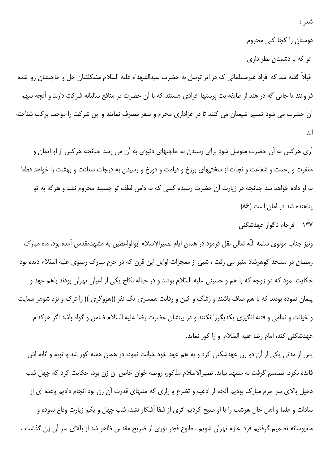شعر :

دوستان را کجا کنی محروم

تو که با دشمنان نظر داری

قبلاً گفته شد که افراد غیرمسلمانی که در اثر توسل به حضرت سیدالشهداء علیه السّلام مشکلشان حل و حاجتشان روا شده فراوانند تا جایی که در هند از طایفه بت پرستها افرادی هستند که با آن حضرت در منافع سالیانه شرکت دارند و آنچه سهم آن حضرت می شود تسلیم شیعیان می کنند تا در عزاداری محرم و صفر مصرف نمایند و این شرکت را موجب برکت شناخته اند.

آری هرکس به آن حضرت متوسل شود برای رسیدن به حاجتهای دنیوی به آن می رسد چنانچه هرکس از او ایمان و مغفرت و رحمت و شفاعت و نجات از سختیهای برزخ و قیامت و دوزخ و رسیدن به درجات سعادت و بهشت را خواهد قطعا به او داده خواهد شد چنانچه در زیارت آن حضرت رسیده کسی که به دامن لطف تو چسبید محروم نشد و هرکه به تو پناهنده شد در امان است (۸۶)

۱۳۷ – فرجام ناگوار عهدشکنی

ونیز جناب مولوی سلمه اللّه تعالی نقل فرمود در همان ایام نصیرالاسلام ابوالواعظین به مشهدمقدس آمده بود، ماه مبارک رمضان در مسجد گوهرشاد منبر می رفت ، شبی از معجزات اوایل این قرن که در حرم مبارک رضوی علیه السّلام دیده بود حکایت نمود که دو زوجه که با هم و حسینی علیه السّلام بودند و در حباله نکاح یکی از اعیان تهران بودند باهم عهد و پیمان نموده بودند که با هم صاف باشند و رشک و کین و رقابت همسری یک نفر ((هووگری )) را ترک و نزد شوهر سعایت و خيانت و نمامي و فتنه انگيزي پکديگررا نکنند و در بينشان حضرت رضا عليه السّلام ضامن و گواه باشد اگر هرکدام عهدشکنی کند، امام رضا علیه السّلام او را کور نماید.

پس از مدتی یکی از آن دو زن عهدشکنی کرد و به هم عهد خود خیانت نمود، در همان هفته کور شد و توبه و انابه اش فايده نكرد. تصميم گرفت به مشهد بيايد. نصيرالاسلام مذكور، روضه خوان خاص آن زن بود، حكايت كرد كه چهل شب دخیل بالای سر حرم مبارک بودیم آنچه از ادعیه و تضرع و زاری که منتهای قدرت آن زن بود انجام دادیم وعده ای از سادات و علما و اهل حال هرشب را با او صبح کردیم اثری از شفا آشکار نشد، شب چهل و یکم زیارت وداع نموده و ماءيوسانه تصميم گرفتيم فردا عازم تهران شويم . طلوع فجر نوري از ضريح مقدس ظاهر شد از بالاي سر آن زن گذشت ،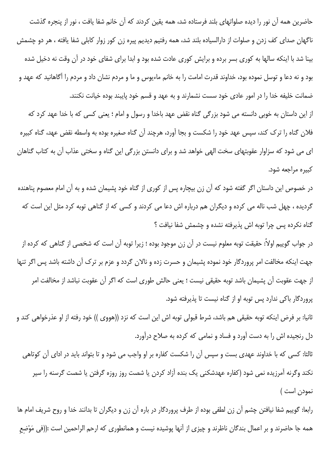حاضرین همه آن نور را دیده صلواتهای بلند فرستاده شد، همه یقین کردند که آن خانم شفا یافت ، نور از پنجره گذشت ناگهان صدای کف زدن و صلوات از دارالسیاده بلند شد، همه رفتیم دیدیم پیره زن کور زوار کابلی شفا یافته ، هر دو چشمش بینا شد با اینکه سالها به کوری بسر برده و برایش کوری عادت شده بود و ابدا برای شفای خود در آن وقت نه دخیل شده بود و نه دعا و توسل نموده بود، خداوند قدرت امامت را به خانم ماءيوس و ما و مردم نشان داد و مردم را آگاهانيد كه عهد و ضمانت خلیفه خدا را در امور عادی خود سست نشمارند و به عهد و قسم خود پایبند بوده خیانت نکنند.

از این داستان به خوبی دانسته می شود بزرگی گناه نقض عهد باخدا و رسول و امام ؛ یعنی کسی که با خدا عهد کرد که فلان گناه را ترک کند، سپس عهد خود را شکست و بجا آورد، هرچند آن گناه صغیره بوده به واسطه نقض عهد، گناه کبیره ای می شود که سزاوار عقوبتهای سخت الهی خواهد شد و برای دانستن بزرگی این گناه و سختی عذاب آن به کتاب گناهان كبيره مراجعه شود.

در خصوص این داستان اگر گفته شود که آن زن بیچاره پس از کوری از گناه خود پشیمان شده و به آن امام معصوم پناهنده گردیده ، چهل شب ناله می کرده و دیگران هم درباره اش دعا می کردند و کسی که از گناهی توبه کرد مثل این است که گناه نکرده پس چرا توبه اش پذیرفته نشده و چشمش شفا نیافت ؟

در جواب گوییم اولاً: حقیقت توبه معلوم نیست در آن زن موجود بوده ؛ زیرا توبه آن است که شخصی از گناهی که کرده از جهت اینکه مخالفت امر پروردگار خود نموده پشیمان و حسرت زده و نالان گردد و عزم بر ترک آن داشته باشد پس اگر تنها از جهت عقوبت آن پشیمان باشد توبه حقیقی نیست ؛ یعنی حالش طوری است که اگر آن عقوبت نباشد از مخالفت امر پروردگار باکی ندارد پس توبه او از گناه نیست تا پذیرفته شود.

ثانيا: بر فرض اينكه توبه حقيقي هم باشد، شرط قبولي توبه اش اين است كه نزد ((هووي )) خود رفته از او عذرخواهي كند و دل رنجیده اش را به دست آورد و فساد و نمامی که کرده به صلاح درآورد.

ثالثا: کسی که با خداوند عهدی بست و سپس آن را شکست کفاره بر او واجب می شود و تا بتواند باید در ادای آن کوتاهی نکند وگرنه آمرزیده نمی شود (کفاره عهدشکنی یک بنده آزاد کردن یا شصت روز روزه گرفتن یا شصت گرسنه را سیر نمودن است)

رابعا: گوییم شفا نیافتن چشم آن زن لطفی بوده از طرف پروردگار در باره آن زن و دیگران تا بدانند خدا و روح شریف امام ها همه جا حاضرند و بر اعمال بندگان ناظرند و چیزی از آنها پوشیده نیست و همانطوری که ارحم الراحمین است :((فی مَوْضع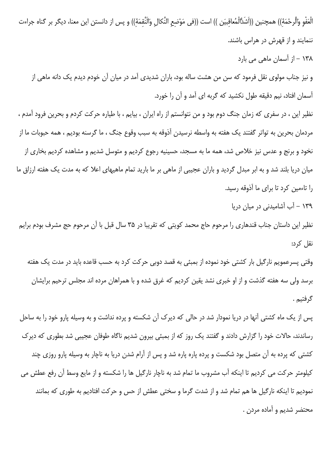الْعَفْوِ وَالَّرِحْمَةِ)) همچنين ((اَشَدُّالْمُعاقبيَن )) است ((في مَوْضع النَّكال وَالنَّقمَة)) و پس از دانستن اين معنا، ديگر بر گناه جراءت ننمایند و از قهرش در هراس باشند.

۱۳۸ – از آسمان ماهی می بارد

و نیز جناب مولوی نقل فرمود که سن من هشت ساله بود، باران شدیدی آمد در میان آن خودم دیدم یک دانه ماهی از آسمان افتاد، نیم دقیقه طول نکشید که گربه ای آمد و آن را خورد.

نظیر این ، در سفری که زمان جنگ دوم بود و من نتوانستم از راه ایران ، بیایم ، با طیاره حرکت کردم و بحرین فرود آمدم ، مردمان بحرین به تواتر گفتند یک هفته به واسطه نرسیدن آذوقه به سبب وقوع جنگ ، ما گرسنه بودیم ، همه حبوبات ما از نخود و برنج و عدس نیز خلاص شد، همه ما به مسجد، حسینیه رجوع کردیم و متوسل شدیم و مشاهده کردیم بخاری از میان دریا بلند شد و به ابر مبدل گردید و باران عجیبی از ماهی بر ما بارید تمام ماهیهای اعلا که به مدت یک هفته ارزاق ما را تاءمین کرد تا برای ما آذوقه رسید.

۱۳۹ – آب آشامیدنی در میان دریا

نظیر این داستان جناب قندهاری را مرحوم حاج محمد کویتی که تقریبا در ۳۵ سال قبل با آن مرحوم حج مشرف بودم برایم نقل کرد:

وقتی پسرعمویم نارگیل بار کشتی خود نموده از بمبئی به قصد دوبی حرکت کرد به حسب قاعده باید در مدت یک هفته برسد ولی سه هفته گذشت و از او خبری نشد یقین کردیم که غرق شده و با همراهان مرده اند مجلس ترحیم برایشان گرفتيم .

پس از یک ماه کشتی آنها در دریا نمودار شد در حالی که دیرک آن شکسته و پرده نداشت و به وسیله پارو خود را به ساحل رساندند، حالات خود را گزارش دادند و گفتند یک روز که از بمبئی بیرون شدیم ناگاه طوفان عجیبی شد بطوری که دیرک کشتی که پرده به آن متصل بود شکست و پرده پاره پاره شد و پس از آرام شدن دریا به ناچار به وسیله پارو روزی چند كيلومتر حركت مي كرديم تا اينكه آب مشروب ما تمام شد به ناچار نارگيل ها را شكسته و از مايع وسط آن رفع عطش مي نمودیم تا اینکه نارگیل ها هم تمام شد و از شدت گرما و سختی عطش از حس و حرکت افتادیم به طوری که بمانند محتضر شديم و آماده مردن .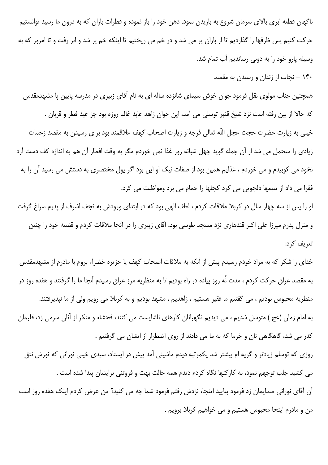ناگهان قطعه ابری بالای سرمان شروع به باریدن نمود، دهن خود را باز نموده و قطرات باران که به درون ما رسید توانستیم حرکت کنیم پس ظرفها را گذاردیم تا از باران پر می شد و در خم می ریختیم تا اینکه خم پر شد و ابر رفت و تا امروز که به وسیله پارو خود را به دوبی رساندیم آب تمام شد.

۱۴۰ – نجات از زندان و رسیدن به مقصد

همچنین جناب مولوی نقل فرمود جوان خوش سیمای شانزده ساله ای به نام آقای زبیری در مدرسه پایین پا مشهدمقدس كه حالا از بين رفته است نزد شيخ قنبر توسلي مي آمد، اين جوان زاهد عابد غالبا روزه بود جز عيد فطر و قربان . خیلی به زیارت حضرت حجت عجل اللّه تعالی فرجه و زیارت اصحاب کهف علاقمند بود برای رسیدن به مقصد زحمات زیادی را متحمل می شد از آن جمله گوید چهل شبانه روز غذا نمی خوردم مگر به وقت افطار آن هم به اندازه کف دست آرد نخود می کوبیدم و می خوردم ، غذایم همین بود از صفات نیک او این بود اگر پول مختصری به دستش می رسید آن را به فقرا می داد از یتیمها دلجویی می کرد کچلها را حمام می برد ومواظبت می کرد.

او را پس از سه چهار سال در کربلا ملاقات کردم ، لطف الهی بود که در ابتدای ورودش به نجف اشرف از پدرم سراغ گرفت و منزل پدرم میرزا علی اکبر قندهاری نزد مسجد طوسی بود، آقای زبیری را در آنجا ملاقات کردم و قضیه خود را چنین تعریف کرد:

خدای را شکر که به مراد خودم رسیدم پیش از آنکه به ملاقات اصحاب کهف یا جزیره خضراء بروم با مادرم از مشهدمقدس به مقصد عراق حرکت کردم ، مدت نُه روز پیاده در راه بودیم تا به منظریه مرز عراق رسیدم آنجا ما را گرفتند و هفده روز در منظریه محبوس بودیم ، می گفتیم ما فقیر هستیم ، زاهدیم ، مشهد بودیم و به کربلا می رویم ولی از ما نیذیرفتند. به امام زمان (عج ) متوسل شدیم ، می دیدیم نگهبانان کارهای ناشایست می کنند، فحشاء و منکر از آنان سرمی زد، قلبمان کدر می شد، گاهگاهی نان و خرما که به ما می دادند از روی اضطرار از ایشان می گرفتیم . روزی که توسلم زیادتر و گریه ام بیشتر شد یکمرتبه دیدم ماشینی آمد پیش در ایستاد، سیدی خیلی نورانی که نورش نتق می کشید جلب توجهم نمود، به کارکنها نگاه کردم دیدم همه حالت بهت و فروتنی برایشان پیدا شده است .

آن آقای نورانی صدایمان زد فرمود بیایید اینجا، نزدش رفتم فرمود شما چه می کنید؟ من عرض کردم اینک هفده روز است من و مادرم اينجا محبوس هستيم و مي خواهيم كربلا برويم .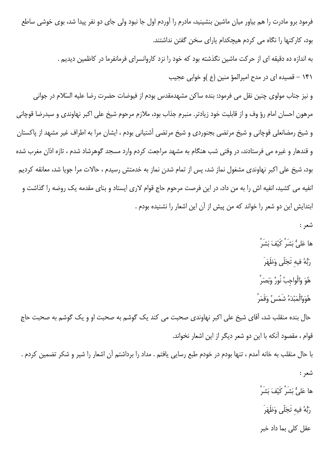فرمود برو مادرت را هم بیاور میان ماشین بنشینید، مادرم را آوردم اول جا نبود ولی جای دو نفر پیدا شد، بوی خوشی ساطع بود، کارکنها را نگاه می کردم هیچکدام یارای سخن گفتن نداشتند.

> به اندازه ده دقیقه ای از حرکت ماشین نگذشته بود که خود را نزد کاروانسرای فرمانفرما در کاظمین دیدیم . ۱۴۱ – قصیده ای در مدح امیرالمؤ منین (ع )و خوابی عجیب

و نيز جناب مولوي چنين نقل مي فرمود: بنده ساكن مشهدمقدس بودم از فيوضات حضرت رضا عليه السّلام در جواني مرهون احسان امام رؤ وف و از قابليت خود زيادتر. منبرم جذاب بود، ملازم مرحوم شيخ على اكبر نهاوندى و سيدرضا قوچاني و شیخ رمضانعلی قوچانی و شیخ مرتضی بجنوردی و شیخ مرتضی آشتیانی بودم ، ایشان مرا به اطراف غیر مشهد از پاکستان و قندهار و غیره می فرستادند، در وقتی شب هنگام به مشهد مراجعت کردم وارد مسجد گوهرشاد شدم ، تازه اذان مغرب شده بود، شیخ علی اکبر نهاوندی مشغول نماز شد، پس از تمام شدن نماز به خدمتش رسیدم ، حالات مرا جویا شد، معانقه کردیم انفیه می کشید، انفیه اش را به من داد، در این فرصت مرحوم حاج قوام لاری ایستاد و بنای مقدمه یک روضه را گذاشت و ابتدایش این دو شعر را خواند که من پیش از آن این اشعار را نشنیده بودم .

شعر :

ها عَلىُّ بَشَرٌ كَيْفَ بَشَرٌ ۚ

- رَبُّهُ فيه تَجَلَّى وَظَهَرَ
- هُوَ وَالْواجبُ نُورٌ وَبَصَرٌ ۚ
- هُوَوَالْمَبْدَءُ شَمْسُ وَقَمَرُ

حال بنده منقلب شد، اَقای شیخ علی اکبر نهاوندی صحبت می کند یک گوشم به صحبت او و یک گوشم به صحبت حاج قوام ، مقصود آنکه با این دو شعر دیگر از این اشعار نخواند.

با حال منقلب به خانه آمدم ، تنها بودم در خودم طبع رسایی یافتم . مداد را برداشتم آن اشعار را شیر و شکر تضمین کردم . شعر : ها عَليُّ بَشَرُ كَيْفَ بَشَرُ ُ رَبُّهُ فيه تَجَلَّى وَظَهَرَ

عقل کلی بما داد خبر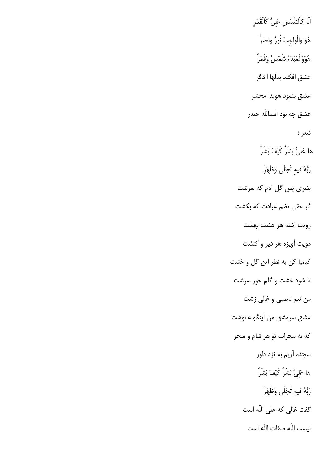اَنَا كاَلشَّمْسِ عَلِيٌّ كَالْقَمَرِ هُوَ وَالْواجِبُ نُورٌ وَبَصَرٌ هُوَوَالْمَبْدَءُ شَمْسُ وَقَمَرُ عشق افكند بدلها اخگر عشق بنمود هويدا محشر عشق چه بود اسداللّه حیدر شعر : ها عَلىُّ بَشَرُ كَيْفَ بَشَرُ ۚ رَبُّهُ فيه تَجَلَّى وَظَهَرَ بشری پس گل آدم که سرشت گر حقی تخم عبادت که بکشت رويت آئينه هر هشت بهشت مويت آويزه هر دير و كنشت کیمیا کن به نظر این گل و خشت تا شود خشت و گلم حور سرشت من نيم ناصبي و غالي زشت عشق سرمشق من اينگونه نوشت که به محراب تو هر شام و سحر سجده آریم به نزد داور ها عَلىُّ بَشَرٌ كَيْفَ بَشَرٌ ۖ رَبُّهُ فيه تَجَلَّى وَظَهَرَ گفت غالی که علی اللّه است نيست اللّه صفات اللّه است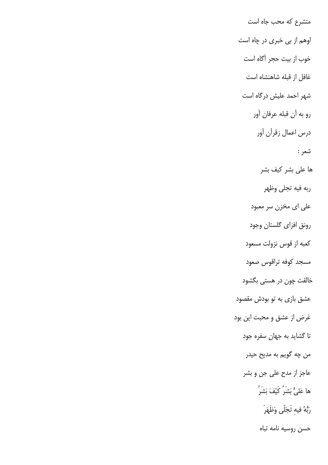متشرع که محب جاه است اوهم از بي خبري در چاه است خوب از بيت حجر آگاه است غافل از قبله شاهنشاه است شهر احمد علیش درگاه است رو به أن قبله عرفان أور درس اعمال زقرآن آور شعر : ها على بشر كيف بشر ربه فيه تجلى وظهر علی ای مخزن سر معبود رونق افزاي گلستان وجود كعبه از قوس نزولت مسعود مسجد كوفه تراقوس صعود خالقت چون در هستی بگشود عشق بازی به تو بودش مقصود غرض از عشق و محبت این بود تا گشاید به جهان سفره جود من چه گويم به مديح حيدر عاجز از مدح علی جن و بشر ها عَلىُّ بَشَرٌ كَيْفَ بَشَرٌ ۚ رَبُّهُ فيه تَجَلَّى وَظَهَرَ حسن روسيه نامه تباه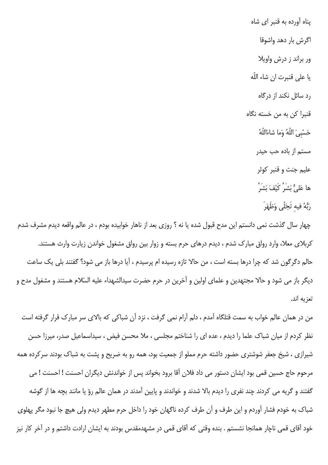پناه آورده به قنبر ای شاه اگرش بار دهد واشوقا ور براند ز درش واويلا يا على قنبرت ان شاء اللّه رد سائل نکند از درگاه قنبرا کن به من خسته نگاه حَسْبِيَ اللَّهُ وَما شاءَاللَّهُ مستم از باده حب حیدر عليم جنت و قنبر كوثر ها عَلىُّ بَشَرٌ كَيْفَ بَشَرٌ رَبُّهُ فيه تَجَلَّى وَظَهَرَ

چهار سال گذشت نمی دانستم این مدح قبول شده یا نه ؟ روزی بعد از ناهار خوابیده بودم ، در عالم واقعه دیدم مشرف شدم کربلای معلا، وارد رواق مبارک شدم ، دیدم درهای حرم بسته و زوار بین رواق مشغول خواندن زیارت وارث هستند. حالم دگرگون شد که چرا درها بسته است ، من حالا تازه رسیده ام پرسیدم ، آیا درها باز می شود؟ گفتند بلی یک ساعت دیگر باز می شود و حالا مجتهدین و علمای اولین و آخرین در حرم حضرت سیدالشهداء علیه السّلام هستند و مشغول مدح و تعزيه اند.

من در همان عالم خواب به سمت قتلگاه آمدم ، دلم آرام نمی گرفت ، نزد آن شباکی که بالای سر مبارک قرار گرفته است نظر کردم از میان شباک علما را دیدم ، عده ای را شناختم مجلسی ، ملا محسن فیض ، سیداسماعیل صدر، میرزا حسن شیرازی ، شیخ جعفر شوشتری حضور داشته حرم مملو از جمعیت بود، همه رو به ضریح و پشت به شباک بودند سرکرده همه مرحوم حاج حسین قمی بود ایشان دستور می داد فلان آقا برود بخواند پس از خواندنش دیگران احسنت ! احسنت ! می گفتند و گریه می کردند چند نفری را دیدم بالا شدند و خواندند و پایین آمدند در همان عالم رؤ یا مانند بچه ها از گوشه شباک به خودم فشار آوردم و این طرف و آن طرف کرده ناگهان خود را داخل حرم مطهر دیدم ولی هیچ جا نبود مگر پهلوی خود آقای قمی ناچار همانجا نشستم . بنده وقتی که آقای قمی در مشهدمقدس بودند به ایشان ارادت داشتم و در آخر کار نیز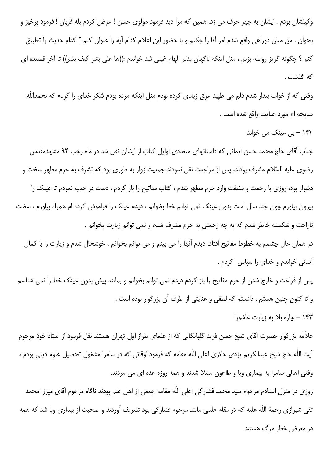وكيلشان بودم . ايشان به جهر حرف مى زد. همين كه مرا ديد فرمود مولوى حسن ! عرض كردم بله قربان ! فرمود برخيز و بخوان . من ميان دوراهي واقع شدم امر أقا را چكنم و با حضور اين اعلام كدام أيه را عنوان كنم ؟ كدام حديث را تطبيق كنم ؟ چگونه گريز روضه بزنم ، مثل اينكه ناگهان بدلم الهام غيبي شد خواندم :((ها علي بشر كيف بشر)) تا آخر قصيده اي كه گذشت .

وقتی که از خواب بیدار شدم دلم می طپید عرق زیادی کرده بودم مثل اینکه مرده بودم شکر خدای را کردم که بحمداللّه مديحه ام مورد عنايت واقع شده است .

۱۴۲ - بی عینک می خواند

جناب آقای حاج محمد حسن ایمانی که داستانهای متعددی اوایل کتاب از ایشان نقل شد در ماه رجب ۹۴ مشهدمقدس رضوی علیه السّلام مشرف بودند، پس از مراجعت نقل نمودند جمعیت زوار به طوری بود که تشرف به حرم مطهر سخت و دشوار بود، روزی با زحمت و مشقت وارد حرم مطهر شدم ، کتاب مفاتیح را باز کردم ، دست در جیب نمودم تا عینک را بیرون بیاورم چون چند سال است بدون عینک نمی توانم خط بخوانم ، دیدم عینک را فراموش کرده ام همراه بیاورم ، سخت ناراحت و شکسته خاطر شدم که به چه زحمتی به حرم مشرف شدم و نمی توانم زیارت بخوانم .

در همان حال چشمم به خطوط مفاتیح افتاد، دیدم آنها را می بینم و می توانم بخوانم ، خوشحال شدم و زیارت را با کمال آسانی خواندم و خدای را سپاس کردم .

پس از فراغت و خارج شدن از حرم مفاتیح را باز کردم دیدم نمی توانم بخوانم و بمانند پیش بدون عینک خط را نمی شناسم و تا کنون چنین هستم . دانستم که لطفی و عنایتی از طرف آن بزرگوار بوده است .

۱۴۳ - چاره بلا به زیارت عاشورا

علاّمه بزرگوار حضرت آقای شیخ حسن فرید گلپایگانی که از علمای طراز اول تهران هستند نقل فرمود از استاد خود مرحوم آيت اللّه حاج شيخ عبدالكريم يزدي حائري اعلى اللّه مقامه كه فرمود اوقاتي كه در سامرا مشغول تحصيل علوم ديني بودم ، وقتی اهالی سامرا به بیماری وبا و طاعون مبتلا شدند و همه روزه عده ای می مردند.

روزی در منزل استادم مرحوم سید محمد فشار کی اعلی اللّه مقامه جمعی از اهل علم بودند ناگاه مرحوم آقای میرزا محمد تقی شیرازی رحمهٔ اللّه علیه که در مقام علمی مانند مرحوم فشارکی بود تشریف آوردند و صحبت از بیماری وبا شد که همه در معرض خطر مرگ هستند.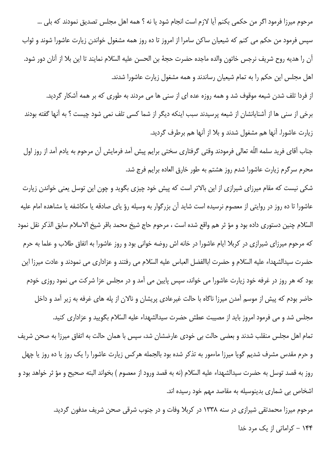مرحوم میرزا فرمود اگر من حکمی بکنم آیا لازم است انجام شود یا نه ؟ همه اهل مجلس تصدیق نمودند که بلی … سپس فرمود من حکم می کنم که شیعیان ساکن سامرا از امروز تا ده روز همه مشغول خواندن زیارت عاشورا شوند و ثواب آن را هديه روح شريف نرجس خاتون والده ماجده حضرت حجهٔ بن الحسن عليه السّلام نمايند تا اين بلا از آنان دور شود. اهل مجلس این حکم را به تمام شیعیان رساندند و همه مشغول زیارت عاشورا شدند.

از فردا تلف شدن شیعه موقوف شد و همه روزه عده ای از سنی ها می مردند به طوری که بر همه آشکار گردید.

برخی از سنی ها از آشنایانشان از شیعه پرسیدند سبب اینکه دیگر از شما کسی تلف نمی شود چیست ؟ به آنها گفته بودند زیارت عاشورا. آنها هم مشغول شدند و بلا از آنها هم برطرف گردید.

جناب آقاي فريد سلمه اللّه تعالى فرمودند وقتى گرفتارى سختى برايم پيش آمد فرمايش آن مرحوم به يادم آمد از روز اول محرم سرگرم زیارت عاشورا شدم روز هشتم به طور خارق العاده برایم فرج شد.

شکی نیست که مقام میرزای شیرازی از این بالاتر است که پیش خود چیزی بگوید و چون این توسل یعنی خواندن زیارت عاشورا تا ده روز در روایتی از معصوم نرسیده است شاید آن بزرگوار به وسیله رؤ یای صادقه یا مکاشفه یا مشاهده امام علیه السّلام چنین دستوری داده بود و مؤ ثر هم واقع شده است ، مرحوم حاج شیخ محمد باقر شیخ الاسلام سابق الذکر نقل نمود که مرحوم میرزای شیرازی در کربلا ایام عاشورا در خانه اش روضه خوانی بود و روز عاشورا به اتفاق طلاب و علما به حرم حضرت سيدالشهداء عليه السّلام و حضرت اباالفضل العباس عليه السّلام مي رفتند و عزاداري مي نمودند و عادت ميرزا اين بود که هر روز در غرفه خود زیارت عاشورا می خواند، سپس پایین می آمد و در مجلس عزا شرکت می نمود روزی خودم حاضر بودم که پیش از موسم آمدن میرزا ناگاه با حالت غیرعادی پریشان و نالان از پله های غرفه به زیر آمد و داخل مجلس شد و می فرمود امروز باید از مصیبت عطش حضرت سیدالشهداء علیه السّلام بگویید و عزاداری کنید. تمام اهل مجلس منقلب شدند و بعضی حالت بی خودی عارضشان شد، سپس با همان حالت به اتفاق میرزا به صحن شریف و حرم مقدس مشرف شدیم گویا میرزا ماءمور به تذکر شده بود بالجمله هرکس زیارت عاشورا را یک روز یا ده روز یا چهل روز به قصد توسل به حضرت سيدالشهداء عليه السّلام (نه به قصد ورود از معصوم ) بخواند البته صحيح و مؤ ثر خواهد بود و اشخاص بی شماری بدینوسیله به مقاصد مهم خود رسیده اند.

> مرحوم میرزا محمدتقی شیرازی در سنه ۱۳۳۸ در کربلا وفات و در جنوب شرقی صحن شریف مدفون گردید. ۱۴۴ – کراماتی از یک مرد خدا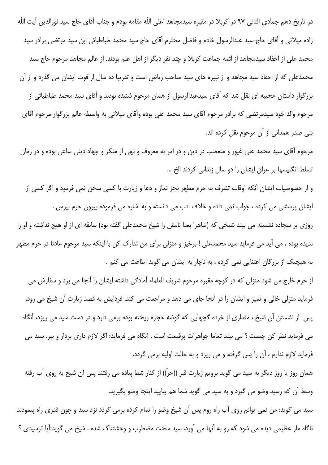در تاريخ دهم جمادي الثاني ٩٧ در كربلا در مقبره سيدمجاهد اعلى اللّه مقامه بودم و جناب آقاي حاج سيد نورالدين آيت اللّه زاده میلانی و آقای حاج سید عبدالرسول خادم و فاضل محترم آقای حاج سید محمد طباطبائی ابن سید مرتضی برادر سید محمد علی از احفاد سیدمجاهد از ائمه جماعت کربلا و چند نفر دیگر از اهل علم بودند. از عالم مجاهد مرحوم حاج سید محمدعلی که از احفاد سید مجاهد و از نبیره های سید صاحب ریاض است و تقریبا ده سال از فوت ایشان می گذرد و از آن بزرگوار داستان عجیبه ای نقل شد که آقای سیدعبدالرسول از همان مرحوم شنیده بودند و آقای سید محمد طباطبائی از مرحوم والد خود سیدمرتضی که برادر مرحوم آقای سید محمد علی بوده وآقای میلانی به واسطه عالم بزرگوار مرحوم آقای بنی صدر همدانی از آن مرحوم نقل کرده اند.

مرحوم آقای سید محمد علی غیور و متعصب در دین و در امر به معروف و نهی از منکر و جهاد دینی ساعی بوده و در زمان تسلط انگلیسها بر عراق ایشان را دو سال زندانی کردند الخ …

و از خصوصیات ایشان آنکه اوقات تشرف به حرم مطهر بجز نماز و دعا و زیارت با کسی سخن نمی فرمود و اگر کسی از ایشان پرسشی می کرده ، جواب نمی داده و خلاف ادب می دانسته و به اشاره می فرموده بیرون حرم بپرس . روزی بر سجاده نشسته می بیند شیخی که (ظاهرا بعدا نامش را شیخ محمدعلی گفته بود) سابقه ای از او هیچ نداشته و او را ندیده بوده ، می آید می فرماید سید محمدعلی ! برخیز و منزلی برای من تدارک کن با اینکه سید مرحوم عادتا در حرم مطهر به هیچیک از بزرگان اعتنایی نمی کرده ، به ناچار به ایشان می گوید اطاعت می کنم .

از حرم خارج می شود منزلی که در کوچه مقبره مرحوم شریف العلماء آمادگی داشته ایشان را آنجا می برد و سفارش می فرماید منزلی خالی و تمیز و ایشان را در آنجا جای می دهد و مراجعت می کند. فردایش به قصد زیارت آن شیخ می رود، یس از نشستن آن شیخ ، مقداری از خرده گچهایی که گوشه حجره ریخته بوده برمی دارد و در دست سید می ریزد، آنگاه می فرماید نظر کن چیست ؟ می بیند تماما جواهرات پرقیمت است . آنگاه می فرماید: اگر لازم داری بردار و ببر. سید می فرماید لازم ندارم ، آن را پس گرفته و می ریزد و به حالت اولیه برمی گردد.

همان روز یا روز دیگر به سید می گوید برویم زیارت قبر ((حرّ)) از کنار شط پیاده می رفتند پس آن شیخ به روی آب رفته وسط آن که رسید وضو می گیرد و به سید می گوید شما هم بیایید اینجا وضو بگیرید.

سید می گوید: من نمی توانم روی آب راه روم پس آن شیخ وضو را تمام کرده برمی گردد نزد سید و چون قدری راه پیمودند ناگاه مار عظیمی دیده می شود که رو به آنها می آورد. سید سخت مضطرب و وحشتناک شده . شیخ می گوید:آیا ترسیدی ؟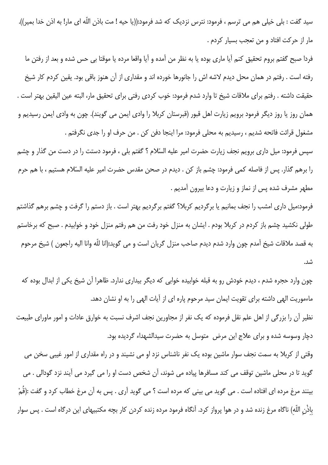سيد گفت : بلي خيلي هم مي ترسم ، فرمود: نترس نزديک که شد فرمود:((يا حيه ! مت باذن اللّه اي مار! به اذن خدا بمير)). مار از حرکت افتاد و من تعجب بسیار کردم .

فردا صبح گفتم بروم تحقیق کنم آیا ماری بوده یا به نظر من آمده و آیا واقعا مرده یا موقتا بی حس شده و بعد از رفتن ما رفته است . رفتم در همان محل دیدم لاشه اش را جانورها خورده اند و مقداری از آن هنوز باقی بود. یقین کردم کار شیخ حقيقت داشته . رفتم براي ملاقات شيخ تا وارد شدم فرمود: خوب كردي رفتي براي تحقيق مار، البته عين اليقين بهتر است . همان روز یا روز دیگر فرمود برویم زیارت اهل قبور (قبرستان کربلا را وادی ایمن می گویند). چون به وادی ایمن رسیدیم و مشغول قرائت فاتحه شديم ، رسيديم به محلي فرمود: مرا اينجا دفن كن . من حرف او را جدى نگرفتم .

سپس فرمود: میل داری برویم نجف زیارت حضرت امیر علیه السّلام ؟ گفتم بلی ، فرمود دستت را در دست من گذار و چشم را برهم گذار. پس از فاصله کمی فرمود: چشم باز کن . دیدم در صحن مقدس حضرت امیر علیه السّلام هستیم ، با هم حرم مطهر مشرف شده پس از نماز و زیارت و دعا بیرون آمدیم .

فرمود:میل داری امشب را نجف بمانیم یا برگردیم کربلا؟ گفتم برگردیم بهتر است . باز دستم را گرفت و چشم برهم گذاشتم طولی نکشید چشم باز کردم در کربلا بودم . ایشان به منزل خود رفت من هم رفتم منزل خود و خوابیدم . صبح که برخاستم به قصد ملاقات شیخ آمدم چون وارد شدم دیدم صاحب منزل گریان است و می گوید:(انا للّه وانا الیه راجعون ) شیخ مرحوم شد.

چون وارد حجره شدم ، دیدم خودش رو به قبله خوابیده خوابی که دیگر بیداری ندارد. ظاهرا آن شیخ یکی از ابدال بوده که ماءموریت الهی داشته برای تقویت ایمان سید مرحوم پاره ای از آیات الهی را به او نشان دهد. نظیر آن را بزرگی از اهل علم نقل فرموده که یک نفر از مجاورین نجف اشرف نسبت به خوارق عادات و امور ماورای طبیعت دچار وسوسه شده و برای علاج این مرض متوسل به حضرت سیدالشهداء گردیده بود. وقتی از کربلا به سمت نجف سوار ماشین بوده یک نفر ناشناس نزد او می نشیند و در راه مقداری از امور غیبی سخن می گوید تا در محلی ماشین توقف می کند مسافرها پیاده می شوند، آن شخص دست او را می گیرد می آیند نزد گودالی . می بينند مرغ مرده اي افتاده است . مي گويد مي بيني كه مرده است ؟ مي گويد آري . پس به آن مرغ خطاب كرد و گفت :(قُمْ باذْن اللّه) ناگاه مرغ زنده شد و در هوا پرواز کرد. آنگاه فرمود مرده زنده کردن کار بچه مکتبیهای این درگاه است . پس سوار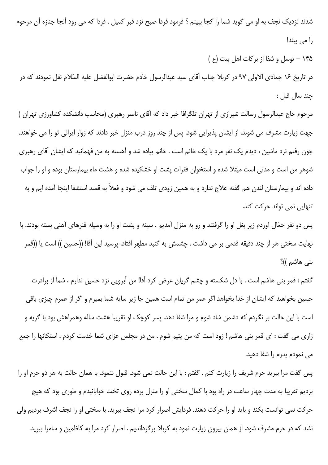شدند نزدیک نجف به او می گوید شما را کجا ببینم ؟ فرمود فردا صبح نزد قبر کمیل . فردا که می رود آنجا جنازه آن مرحوم را می بیند!

۱۴۵ - توسل و شفا از برکات اهل بیت (ع)

در تاريخ ۱۶ جمادي الاولى ۹۷ در كربلا جناب آقاي سيد عبدالرسول خادم حضرت ابوالفضل عليه السّلام نقل نمودند كه در چند سال قبل:

مرحوم حاج عبدالرسول رسالت شیرازی از تهران تلگرافا خبر داد که آقای ناصر رهبری (محاسب دانشکده کشاورزی تهران ) جهت زیارت مشرف می شوند، از ایشان پذیرایی شود. پس از چند روز درب منزل خبر دادند که زوار ایرانی تو را می خواهند. چون رفتم نزد ماشین ، دیدم یک نفر مرد با یک خانم است . خانم پیاده شد و آهسته به من فهمانید که ایشان آقای رهبری شوهر من است و مدتی است مبتلا شده و استخوان فقرات پشت او خشکیده شده و هشت ماه بیمارستان بوده و او را جواب داده اند و بیمارستان لندن هم گفته علاج ندارد و به همین زودی تلف می شود و فعلاً به قصد استشفا اینجا آمده ایم و به تنهایی نمی تواند حرکت کند.

پس دو نفر حمّال آوردم زیر بغل او را گرفتند و رو به منزل آمدیم . سینه و پشت او را به وسیله فنرهای آهنی بسته بودند. با نهايت سختي هر از چند دقيقه قدمي بر مي داشت . چشمش به گنبد مطهر افتاد. پرسيد اين آقا! ((حسين )) است يا ((قمر بنی هاشم ))؟

گفتم : قمر بنی هاشم است . با دل شکسته و چشم گریان عرض کرد آقا! من آبرویی نزد حسین ندارم ، شما از برادرت حسین بخواهید که ایشان از خدا بخواهد اگر عمر من تمام است همین جا زیر سایه شما بمیرم و اگر از عمرم چیزی باقی است با این حالت بر نگردم که دشمن شاد شوم و مرا شفا دهد. پسر کوچک او تقریبا هشت ساله وهمراهش بود با گریه و زاری می گفت : ای قمر بنی هاشم ! زود است که من پتیم شوم . من در مجلس عزای شما خدمت کردم ، استکانها را جمع می نمودم پدرم را شفا دهید.

پس گفت مرا ببرید حرم شریف را زیارت کنم . گفتم : با این حالت نمی شود. قبول ننمود. با همان حالت به هر دو حرم او را بردیم تقریبا به مدت چهار ساعت در راه بود با کمال سختی او را منزل برده روی تخت خوابانیدم و طوری بود که هیچ حرکت نمی توانست بکند و باید او را حرکت دهند. فردایش اصرار کرد مرا نجف ببرید. با سختی او را نجف اشرف بردیم ولی نشد که در حرم مشرف شود. از همان بیرون زیارت نمود به کربلا برگرداندیم . اصرار کرد مرا به کاظمین و سامرا ببرید.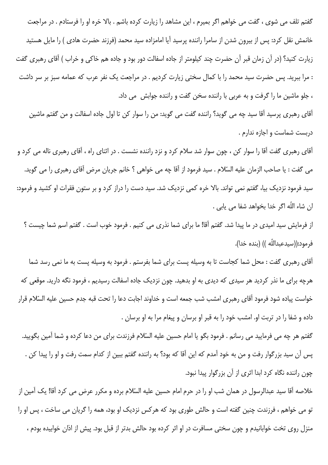گفتم تلف می شوی ، گفت می خواهم اگر بمیرم ، این مشاهد را زیارت کرده باشم . بالا خره او را فرستادم . در مراجعت خانمش نقل کرد: پس از بیرون شدن از سامرا راننده پرسید آیا امامزاده سید محمد (فرزند حضرت هادی ) را مایل هستید زیارت کنید؟ (در آن زمان قبر آن حضرت چند کیلومتر از جاده اسفالت دور بود و جاده هم خاکی و خراب ) آقای رهبری گفت : مرا ببرید. پس حضرت سید محمد را با کمال سختی زیارت کردیم . در مراجعت یک نفر عرب که عمامه سبز بر سر داشت ، جلو ماشین ما را گرفت و به عربی با راننده سخن گفت و راننده جوابش می داد.

آقای رهبری پرسید آقا سید چه می گوید؟ راننده گفت می گوید: من را سوار کن تا اول جاده اسفالت و من گفتم ماشین دربست شماست و اجازه ندارم .

آقای رهبری گفت آقا را سوار کن ، چون سوار شد سلام کرد و نزد راننده نشست . در اثنای راه ، آقای رهبری ناله می کرد و مي گفت : يا صاحب الزمان عليه السّلام . سيد فرمود از آقا چه مي خواهي ؟ خانم جريان مرض آقاي رهبري را مي گويد. سید فرمود نزدیک بیا، گفتم نمی تواند. بالا خره کمی نزدیک شد. سید دست را دراز کرد و بر ستون فقرات او کشید و فرمود: ان شاء اللّه اگر خدا بخواهد شفا مي يابي .

از فرمايش سيد اميدي در ما پيدا شد. گفتم آقا! ما براي شما نذري مي كنيم . فرمود خوب است . گفتم اسم شما چيست ؟ فرمود:((سيدعبداللّه )) (بنده خدا).

آقای رهبری گفت : محل شما کجاست تا به وسیله پست برای شما بفرستم . فرمود به وسیله پست به ما نمی رسد شما هرچه برای ما نذر کردید هر سیدی که دیدی به او بدهید. چون نزدیک جاده اسفالت رسیدیم ، فرمود نگه دارید. موقعی که خواست پیاده شود فرمود آقای رهبری امشب شب جمعه است و خداوند اجابت دعا را تحت قبه جدم حسین علیه السّلام قرار داده و شفا را در تربت او. امشب خود را به قبر او برسان و پیغام مرا به او برسان .

گفتم هر چه می فرمایید می رسانم . فرمود بگو یا امام حسین علیه السّلام فرزندت برای من دعا کرده و شما آمین بگویید. پس آن سید بزرگوار رفت و من به خود آمدم که این آقا که بود؟ به راننده گفتم ببین از کدام سمت رفت و او را پیدا کن . چون راننده نگاه کرد ابدا اثری از آن بزرگوار پیدا نبود.

خلاصه آقا سید عبدالرسول در همان شب او را در حرم امام حسین علیه السّلام برده و مکرر عرض می کرد آقا! یک آمین از تو می خواهم ، فرزندت چنین گفته است و حالش طوری بود که هرکس نزدیک او بود، همه را گریان می ساخت ، پس او را منزل روی تخت خوابانیدم و چون سختی مسافرت در او اثر کرده بود حالش بدتر از قبل بود. پیش از اذان خوابیده بودم ،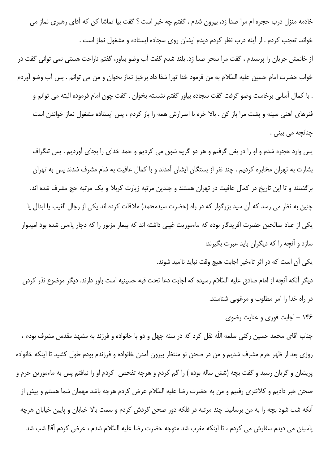خادمه منزل درب حجره ام مرا صدا زد، بیرون شدم ، گفتم چه خبر است ؟ گفت بیا تماشا کن که آقای رهبری نماز می خواند. تعجب کردم . از آینه درب نظر کردم دیدم ایشان روی سجاده ایستاده و مشغول نماز است .

از خانمش جريان را پرسيدم ، گفت مرا سحر صدا زد. بلند شدم گفت آب وضو بياور، گفتم ناراحت هستي نمي تواني گفت در خواب حضرت امام حسين عليه السّلام به من فرمود خدا تورا شفا داد برخيز نماز بخوان و من مي توانم . پس آب وضو آوردم . با كمال آساني برخاست وضو گرفت گفت سجاده بياور گفتم نشسته بخوان . گفت چون امام فرموده البته مي توانم و فنرهای آهنی سینه و پشت مرا باز کن . بالا خره با اصرارش همه را باز کردم ، پس ایستاده مشغول نماز خواندن است چنانچه می بینی .

پس وارد حجره شدم و او را در بغل گرفتم و هر دو گريه شوق مي كرديم و حمد خداي را بجاي آورديم . پس تلگراف بشارت به تهران مخابره کردیم . چند نفر از بستگان ایشان آمدند و با کمال عافیت به شام مشرف شدند پس به تهران برگشتند و تا این تاریخ در کمال عافیت در تهران هستند و چندین مرتبه زیارت کربلا و یک مرتبه حج مشرف شده اند. چنین به نظر می رسد که آن سید بزرگوار که در راه (حضرت سیدمحمد) ملاقات کرده اند یکی از رجال الغیب یا ابدال یا یکی از عباد صالحین حضرت آفریدگار بوده که ماءموریت غیبی داشته اند که بیمار مزبور را که دچار یاءس شده بود امیدوار سازد و آنچه را که دیگران باید عبرت بگیرند:

یکی آن است که در اثر تاءخیر اجابت هیچ وقت نباید ناامید شوند.

ديگر آنكه آنچه از امام صادق عليه السّلام رسيده كه اجابت دعا تحت قبه حسينيه است باور دارند. ديگر موضوع نذر كردن در راه خدا را امر مطلوب و مرغوبی شناسند.

۱۴۶ - اجابت فوری و عنایت رضوی

جناب آقای محمد حسین رکنی سلمه اللّه نقل کرد که در سنه چهل و دو با خانواده و فرزند به مشهد مقدس مشرف بودم ، روزی بعد از ظهر حرم مشرف شدیم و من در صحن نو منتظر بیرون آمدن خانواده و فرزندم بودم طول کشید تا اینکه خانواده پریشان و گریان رسید و گفت بچه (شش ساله بوده ) را گم کردم و هرچه تفحص کردم او را نیافتم پس به ماءمورین حرم و صحن خبر دادیم و کلانتری رفتیم و من به حضرت رضا علیه السّلام عرض کردم هرچه باشد مهمان شما هستم و پیش از آنکه شب شود بچه را به من برسانید. چند مرتبه در فلکه دور صحن گردش کردم و سمت بالا خیابان و پایین خیابان هرچه پاسبان می دیدم سفارش می کردم ، تا اینکه مغرب شد متوجه حضرت رضا علیه السّلام شدم ، عرض کردم آقا! شب شد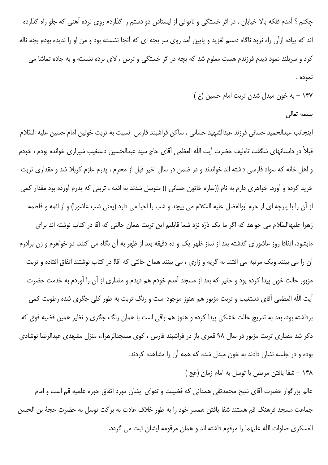چکنم ؟ آمدم فلکه بالا خیابان ، در اثر خستگی و ناتوانی از ایستادن دو دستم را گذاردم روی نرده آهنی که جلو راه گذارده اند که پیاده ازآن راه نرود ناگاه دستم لغزید و پایین آمد روی سر بچه ای که آنجا نشسته بود و من او را ندیده بودم بچه ناله کرد و سربلند نمود دیدم فرزندم هست معلوم شد که بچه در اثر خستگی و ترس ، لای نرده نشسته و به جاده تماشا می نموده .

- ۱۴۷ به خون مبدل شدن تربت امام حسین (ع )
	- بسمه تعالى

اينجانب عبدالحميد حساني فرزند عبدالشهيد حساني ، ساكن فراشبند فارس نسبت به تربت خونين امام حسين عليه السّلام قبلاً در داستانهای شگفت تاءلیف حضرت آیت اللّه العظمی آقای حاج سید عبدالحسین دستغیب شیرازی خوانده بودم ، خودم و اهل خانه که سواد فارسی داشته اند خواندند و در ضمن در سال اخیر قبل از محرم ، پدرم عازم کربلا شد و مقداری تربت خرید کرده و آورد. خواهری دارم به نام ((ساره خاتون حسانی )) متوسل شدند به ائمه ، تربتی که پدرم آورده بود مقدار کمی از آن را با پارچه ای از حرم ابوالفضل علیه السّلام می پیچد و شب را احیا می دارد (یعنی شب عاشورا) و از ائمه و فاطمه زهرا علیهاالسّلام می خواهد که اگر ما یک ذرّه نزد شما قابلیم این تربت همان حالتی که آقا در کتاب نوشته اند برای مابشود، اتفاقا روز عاشورای گذشته بعد از نماز ظهر یک و ده دقیقه بعد از ظهر به آن نگاه می کنند. دو خواهرم و زن برادرم آن را می بینند ویک مرتبه می افتند به گریه و زاری ، می بینند همان حالتی که آقا! در کتاب نوشتند اتفاق افتاده و تربت مزبور حالت خون پیدا کرده بود و حقیر که بعد از مسجد آمدم خودم هم دیدم و مقداری از آن را آوردم به خدمت حضرت آيت اللّه العظمى آقاي دستغيب و تربت مزبور هم هنوز موجود است و رنگ تربت به طور كلي جگرى شده رطوبت كمي برداشته بود، بعد به تدریج حالت خشکی پیدا کرده و هنوز هم باقی است با همان رنگ جگری و نظیر همین قضیه فوق که ذکر شد مقداری تربت مزبور در سال ۹۸ قمری باز در فراشبند فارس ، کوی مسجدالزهراء، منزل مشهدی عبدالرضا نوشادی بوده و در جلسه نشان دادند به خون مبدل شده که همه آن را مشاهده کردند.

١۴٨ - شفا يافتن مريض با توسل به امام زمان (عج)

عالم بزرگوار حضرت آقای شیخ محمدتقی همدانی که فضیلت و تقوای ایشان مورد اتفاق حوزه علمیه قم است و امام جماعت مسجد فرهنگ قم هستند شفا يافتن همسر خود را به طور خلاف عادت به بركت توسل به حضرت حجهٔ بن الحسن العسكرى صلوات اللّه عليهما را مرقوم داشته اند و همان مرقومه ايشان ثبت مى گردد.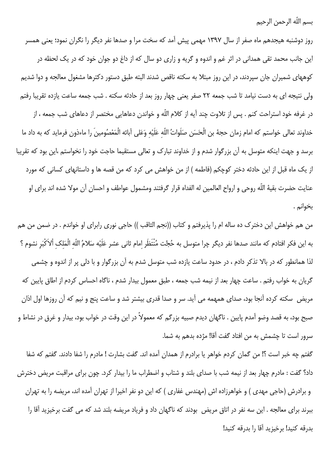بسم اللّه الرحمن الرحيم

روز دوشنبه هیجدهم ماه صفر از سال ۱۳۹۷ مهمی پیش آمد که سخت مرا و صدها نفر دیگر را نگران نمود؛ یعنی همسر این جانب محمد تقی همدانی در اثر غم و اندوه و گریه و زاری دو سال که از داغ دو جوان خود که در یک لحظه در کوههای شمیران جان سپردند، در این روز مبتلا به سکته ناقص شدند البته طبق دستور دکترها مشغول معالجه و دوا شدیم ولی نتیجه ای به دست نیامد تا شب جمعه ٢٢ صفر یعنی چهار روز بعد از حادثه سکته . شب جمعه ساعت یازده تقریبا رفتم در غرفه خود استراحت کنم . پس از تلاوت چند آیه از کلام اللّه و خواندن دعاهایی مختصر از دعاهای شب جمعه ، از خداوند تعالى خواستم كه امام زمان حجهٔ بن الْحَسَن صَلَواتُ اللّه عَلَيْه وَعَلى آبائه الْمَعْصُومينَ را ماءذون فرمايد كه به داد ما برسد و جهت اینکه متوسل به آن بزرگوار شدم و از خداوند تبارک و تعالی مستقیما حاجت خود را نخواستم ،این بود که تقریبا از یک ماه قبل از این حادثه دختر کوچکم (فاطمه ) از من خواهش می کرد که من قصه ها و داستانهای کسانی که مورد عنايت حضرت بقيهٔ اللّه روحي و ارواح العالمين له الفداه قرار گرفتند ومشمول عواطف و احسان آن مولا شده اند براي او بخوانم .

من هم خواهش این دخترک ده ساله ام را پذیرفتم و کتاب ((نجم الثاقب )) حاجی نوری رابرای او خواندم . در ضمن من هم به اين فكر افتادم كه مانند صدها نفر ديگر چرا متوسل به حُجَّت مُنْتَظَر امام ثاني عشر عَلَيْه سَلامُ اللّه الْمَلك ألاَكْبَر نشوم ؟ لذا همانطور که در بالا تذکر دادم ، در حدود ساعت یازده شب متوسل شدم به آن بزرگوار و با دلی پر از اندوه و چشمی گریان به خواب رفتم . ساعت چهار بعد از نیمه شب جمعه ، طبق معمول بیدار شدم ، ناگاه احساس کردم از اطاق پایین که مریض ٍ سکته کرده آنجا بود، صدای همهمه می آید. سر و صدا قدری بیشتر شد و ساعت پنج و نیم که آن روزها اول اذان صبح بود، به قصد وضو آمدم پایین . ناگهان دیدم صبیه بزرگم که معمولاً در این وقت در خواب بود، بیدار و غرق در نشاط و سرور است تا چشمش به من افتاد گفت آقا! مژده بدهم به شما.

گفتم چه خبر است ؟! من گمان كردم خواهر يا برادرم از همدان آمده اند. گفت بشارت ! مادرم را شفا دادند. گفتم كه شفا داد؟ گفت : مادرم چهار بعد از نیمه شب با صدای بلند و شتاب و اضطراب ما را بیدار کرد. چون برای مراقبت مریض دخترش و برادرش (حاجی مهدی ) و خواهرزاده اش (مهندس غفاری ) که این دو نفر اخیرا از تهران آمده اند، مریضه را به تهران ببرند برای معالجه . این سه نفر در اتاق مریض بودند که ناگهان داد و فریاد مریضه بلند شد که می گفت برخیزید آقا را بدرقه كنيد! برخيزيد آقا را بدرقه كنيد!